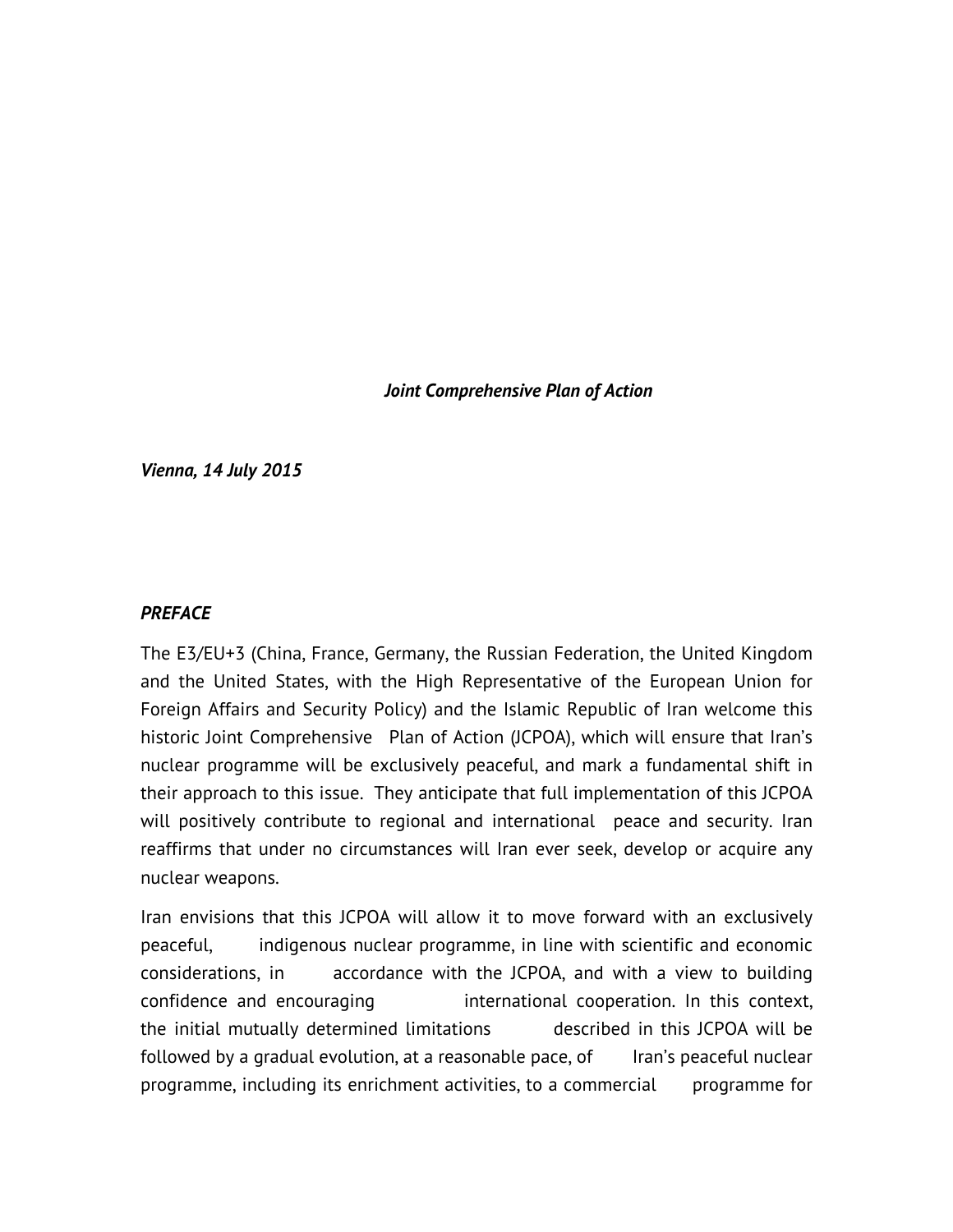*Joint Comprehensive Plan of Action*

*Vienna, 14 July 2015*

# *PREFACE*

The E3/EU+3 (China, France, Germany, the Russian Federation, the United Kingdom and the United States, with the High Representative of the European Union for Foreign Affairs and Security Policy) and the Islamic Republic of Iran welcome this historic Joint Comprehensive Plan of Action (JCPOA), which will ensure that Iran's nuclear programme will be exclusively peaceful, and mark a fundamental shift in their approach to this issue. They anticipate that full implementation of this JCPOA will positively contribute to regional and international peace and security. Iran reaffirms that under no circumstances will Iran ever seek, develop or acquire any nuclear weapons.

Iran envisions that this JCPOA will allow it to move forward with an exclusively peaceful, indigenous nuclear programme, in line with scientific and economic considerations, in accordance with the JCPOA, and with a view to building confidence and encouraging international cooperation. In this context, the initial mutually determined limitations described in this JCPOA will be followed by a gradual evolution, at a reasonable pace, of  $\blacksquare$  Iran's peaceful nuclear programme, including its enrichment activities, to a commercial programme for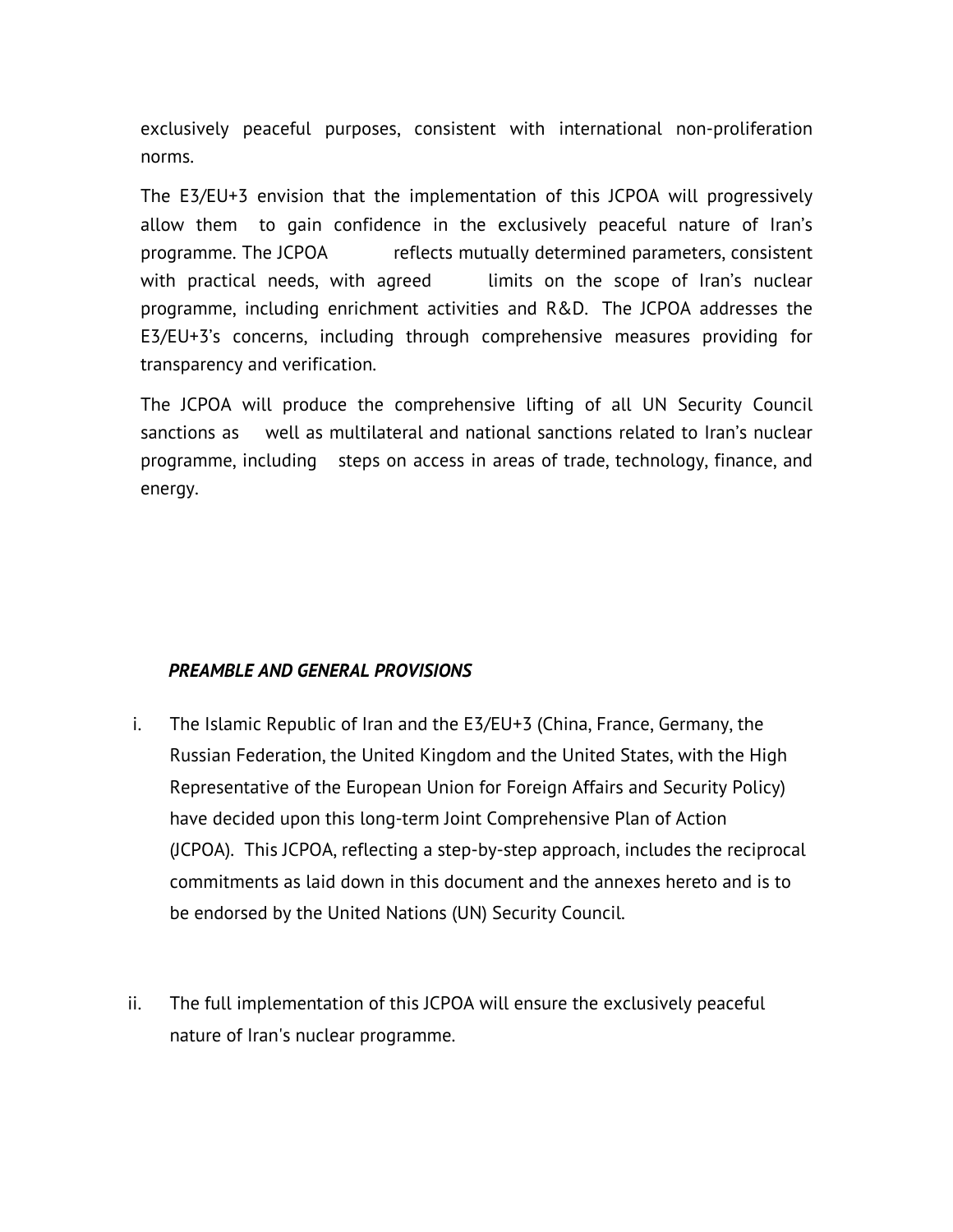exclusively peaceful purposes, consistent with international non-proliferation norms.

The E3/EU+3 envision that the implementation of this JCPOA will progressively allow them to gain confidence in the exclusively peaceful nature of Iran's programme. The JCPOA reflects mutually determined parameters, consistent with practical needs, with agreed limits on the scope of Iran's nuclear programme, including enrichment activities and R&D. The JCPOA addresses the E3/EU+3's concerns, including through comprehensive measures providing for transparency and verification.

The JCPOA will produce the comprehensive lifting of all UN Security Council sanctions as well as multilateral and national sanctions related to Iran's nuclear programme, including steps on access in areas of trade, technology, finance, and energy.

# *PREAMBLE AND GENERAL PROVISIONS*

- i. The Islamic Republic of Iran and the E3/EU+3 (China, France, Germany, the Russian Federation, the United Kingdom and the United States, with the High Representative of the European Union for Foreign Affairs and Security Policy) have decided upon this long-term Joint Comprehensive Plan of Action (JCPOA). This JCPOA, reflecting a step-by-step approach, includes the reciprocal commitments as laid down in this document and the annexes hereto and is to be endorsed by the United Nations (UN) Security Council.
- ii. The full implementation of this JCPOA will ensure the exclusively peaceful nature of Iran's nuclear programme.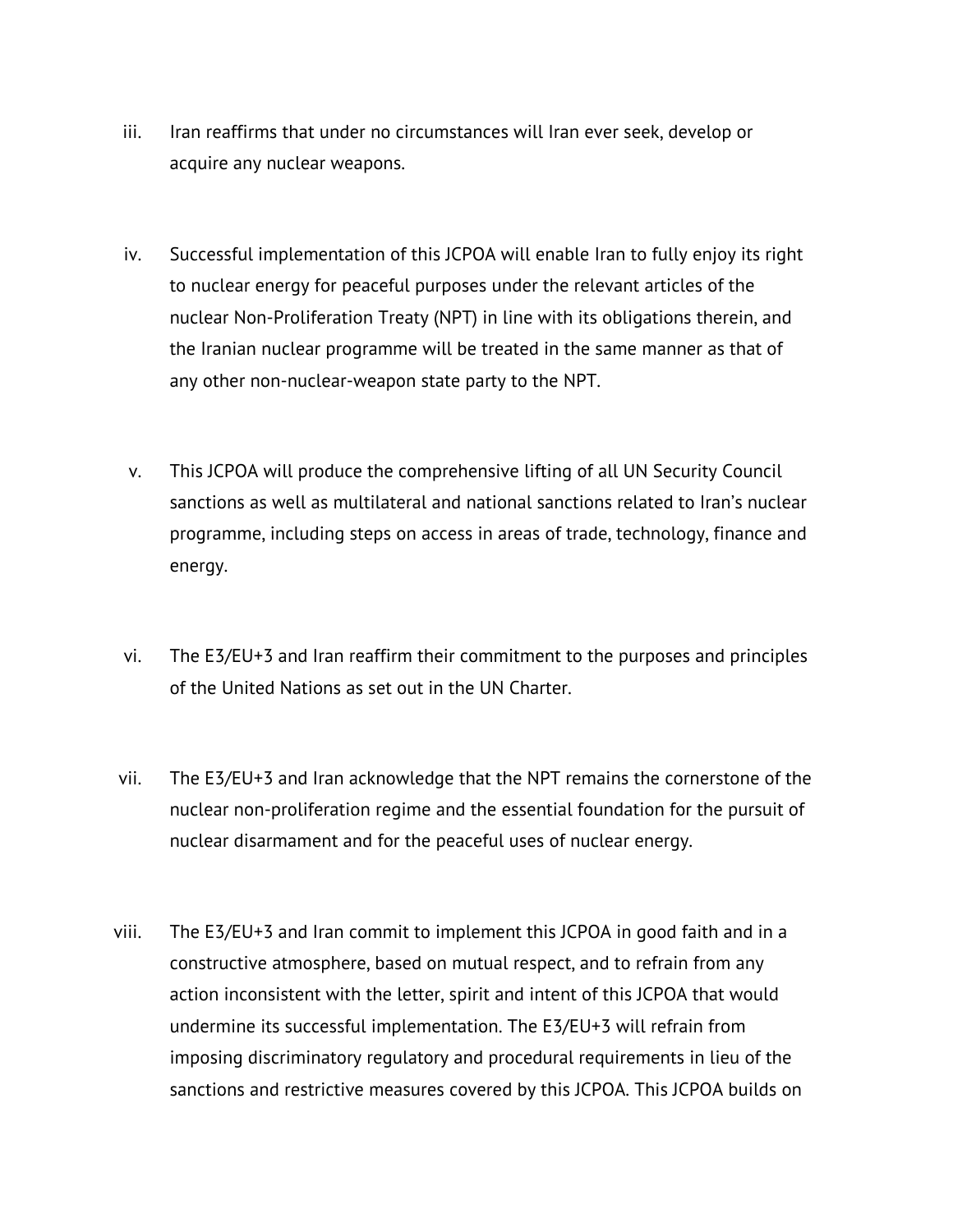- iii. Iran reaffirms that under no circumstances will Iran ever seek, develop or acquire any nuclear weapons.
- iv. Successful implementation of this JCPOA will enable Iran to fully enjoy its right to nuclear energy for peaceful purposes under the relevant articles of the nuclear Non-Proliferation Treaty (NPT) in line with its obligations therein, and the Iranian nuclear programme will be treated in the same manner as that of any other non-nuclear-weapon state party to the NPT.
- v. This JCPOA will produce the comprehensive lifting of all UN Security Council sanctions as well as multilateral and national sanctions related to Iran's nuclear programme, including steps on access in areas of trade, technology, finance and energy.
- vi. The E3/EU+3 and Iran reaffirm their commitment to the purposes and principles of the United Nations as set out in the UN Charter.
- vii. The E3/EU+3 and Iran acknowledge that the NPT remains the cornerstone of the nuclear non-proliferation regime and the essential foundation for the pursuit of nuclear disarmament and for the peaceful uses of nuclear energy.
- viii. The E3/EU+3 and Iran commit to implement this JCPOA in good faith and in a constructive atmosphere, based on mutual respect, and to refrain from any action inconsistent with the letter, spirit and intent of this JCPOA that would undermine its successful implementation. The E3/EU+3 will refrain from imposing discriminatory regulatory and procedural requirements in lieu of the sanctions and restrictive measures covered by this JCPOA. This JCPOA builds on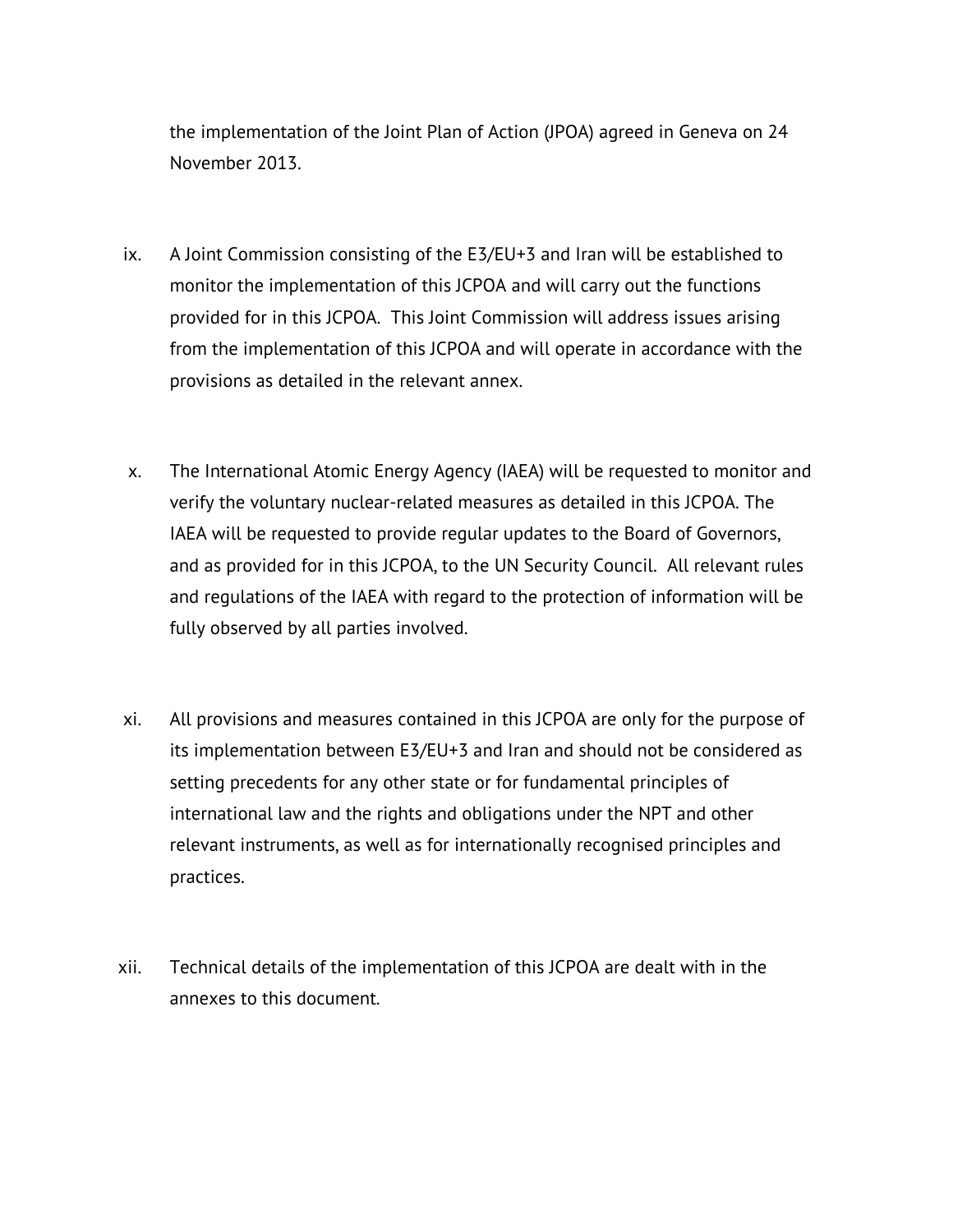the implementation of the Joint Plan of Action (JPOA) agreed in Geneva on 24 November 2013.

- ix. A Joint Commission consisting of the E3/EU+3 and Iran will be established to monitor the implementation of this JCPOA and will carry out the functions provided for in this JCPOA. This Joint Commission will address issues arising from the implementation of this JCPOA and will operate in accordance with the provisions as detailed in the relevant annex.
- x. The International Atomic Energy Agency (IAEA) will be requested to monitor and verify the voluntary nuclear-related measures as detailed in this JCPOA. The IAEA will be requested to provide regular updates to the Board of Governors, and as provided for in this JCPOA, to the UN Security Council. All relevant rules and regulations of the IAEA with regard to the protection of information will be fully observed by all parties involved.
- xi. All provisions and measures contained in this JCPOA are only for the purpose of its implementation between E3/EU+3 and Iran and should not be considered as setting precedents for any other state or for fundamental principles of international law and the rights and obligations under the NPT and other relevant instruments, as well as for internationally recognised principles and practices.
- xii. Technical details of the implementation of this JCPOA are dealt with in the annexes to this document.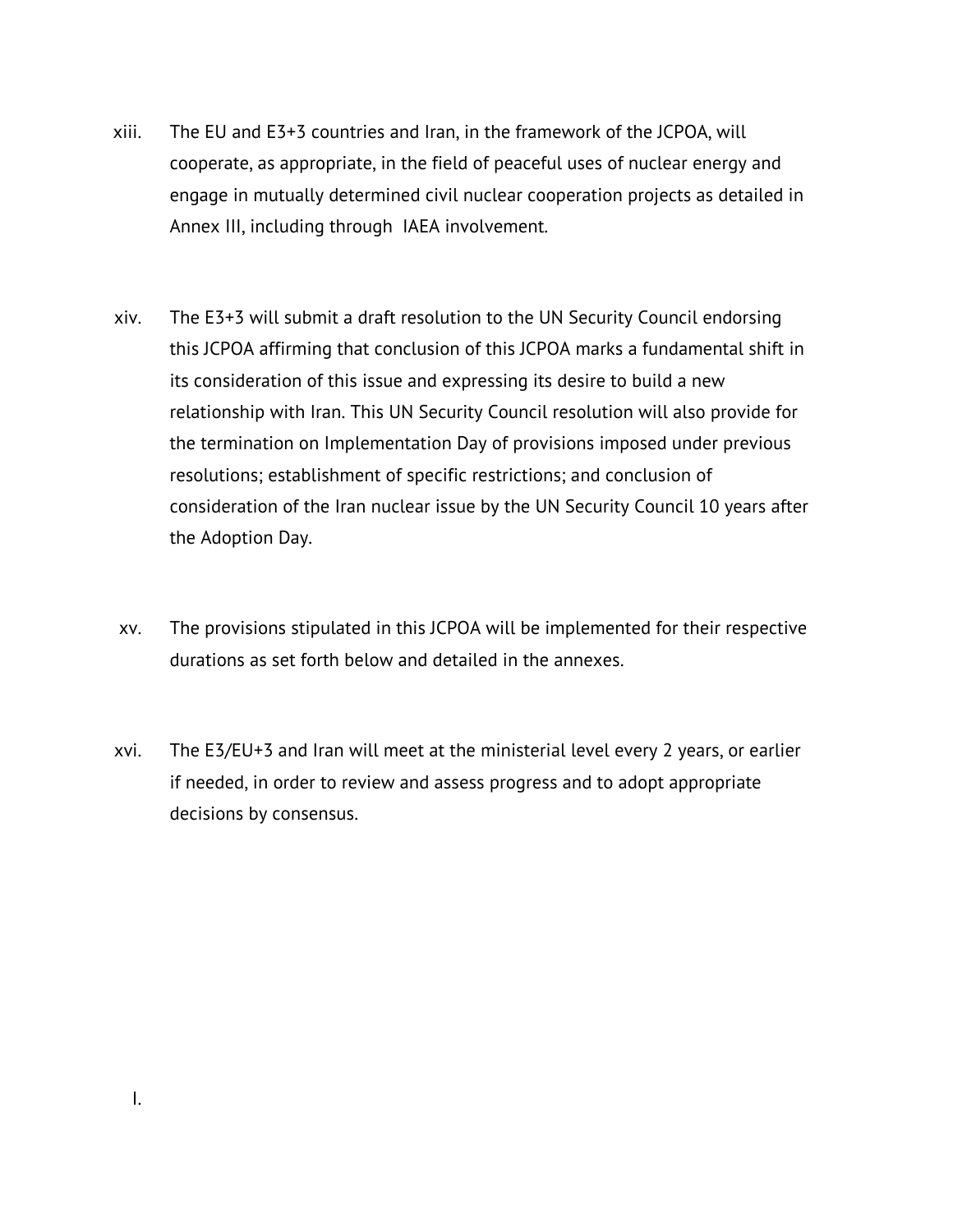- xiii. The EU and E3+3 countries and Iran, in the framework of the JCPOA, will cooperate, as appropriate, in the field of peaceful uses of nuclear energy and engage in mutually determined civil nuclear cooperation projects as detailed in Annex III, including through IAEA involvement.
- xiv. The E3+3 will submit a draft resolution to the UN Security Council endorsing this JCPOA affirming that conclusion of this JCPOA marks a fundamental shift in its consideration of this issue and expressing its desire to build a new relationship with Iran. This UN Security Council resolution will also provide for the termination on Implementation Day of provisions imposed under previous resolutions; establishment of specific restrictions; and conclusion of consideration of the Iran nuclear issue by the UN Security Council 10 years after the Adoption Day.
- xv. The provisions stipulated in this JCPOA will be implemented for their respective durations as set forth below and detailed in the annexes.
- xvi. The E3/EU+3 and Iran will meet at the ministerial level every 2 years, or earlier if needed, in order to review and assess progress and to adopt appropriate decisions by consensus.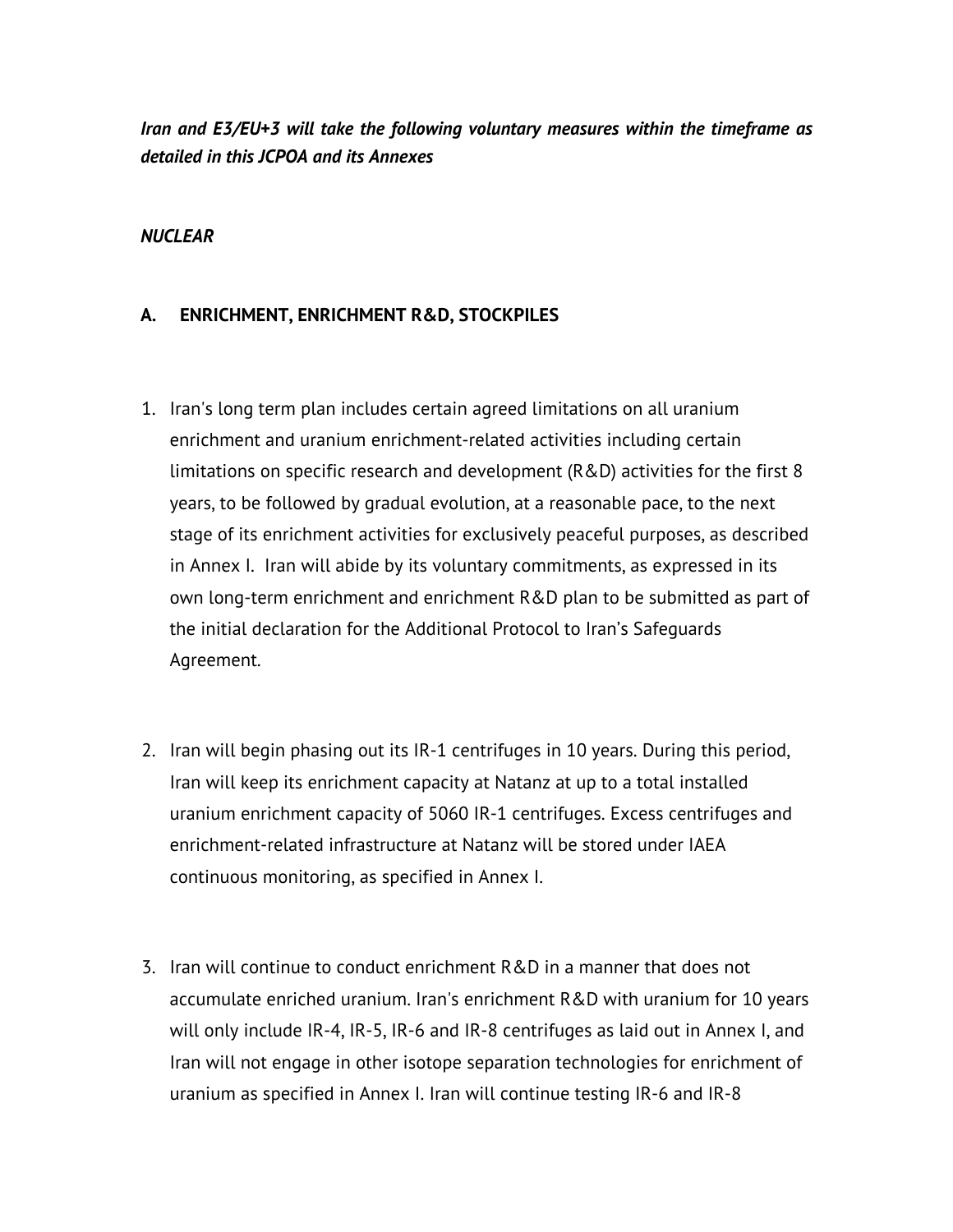*Iran and E3/EU+3 will take the following voluntary measures within the timeframe as detailed in this JCPOA and its Annexes*

## *NUCLEAR*

# **A. ENRICHMENT, ENRICHMENT R&D, STOCKPILES**

- 1. Iran's long term plan includes certain agreed limitations on all uranium enrichment and uranium enrichment-related activities including certain limitations on specific research and development (R&D) activities for the first 8 years, to be followed by gradual evolution, at a reasonable pace, to the next stage of its enrichment activities for exclusively peaceful purposes, as described in Annex I. Iran will abide by its voluntary commitments, as expressed in its own long-term enrichment and enrichment R&D plan to be submitted as part of the initial declaration for the Additional Protocol to Iran's Safeguards Agreement.
- 2. Iran will begin phasing out its IR-1 centrifuges in 10 years. During this period, Iran will keep its enrichment capacity at Natanz at up to a total installed uranium enrichment capacity of 5060 IR-1 centrifuges. Excess centrifuges and enrichment-related infrastructure at Natanz will be stored under IAEA continuous monitoring, as specified in Annex I.
- 3. Iran will continue to conduct enrichment R&D in a manner that does not accumulate enriched uranium. Iran's enrichment R&D with uranium for 10 years will only include IR-4, IR-5, IR-6 and IR-8 centrifuges as laid out in Annex I, and Iran will not engage in other isotope separation technologies for enrichment of uranium as specified in Annex I. Iran will continue testing IR-6 and IR-8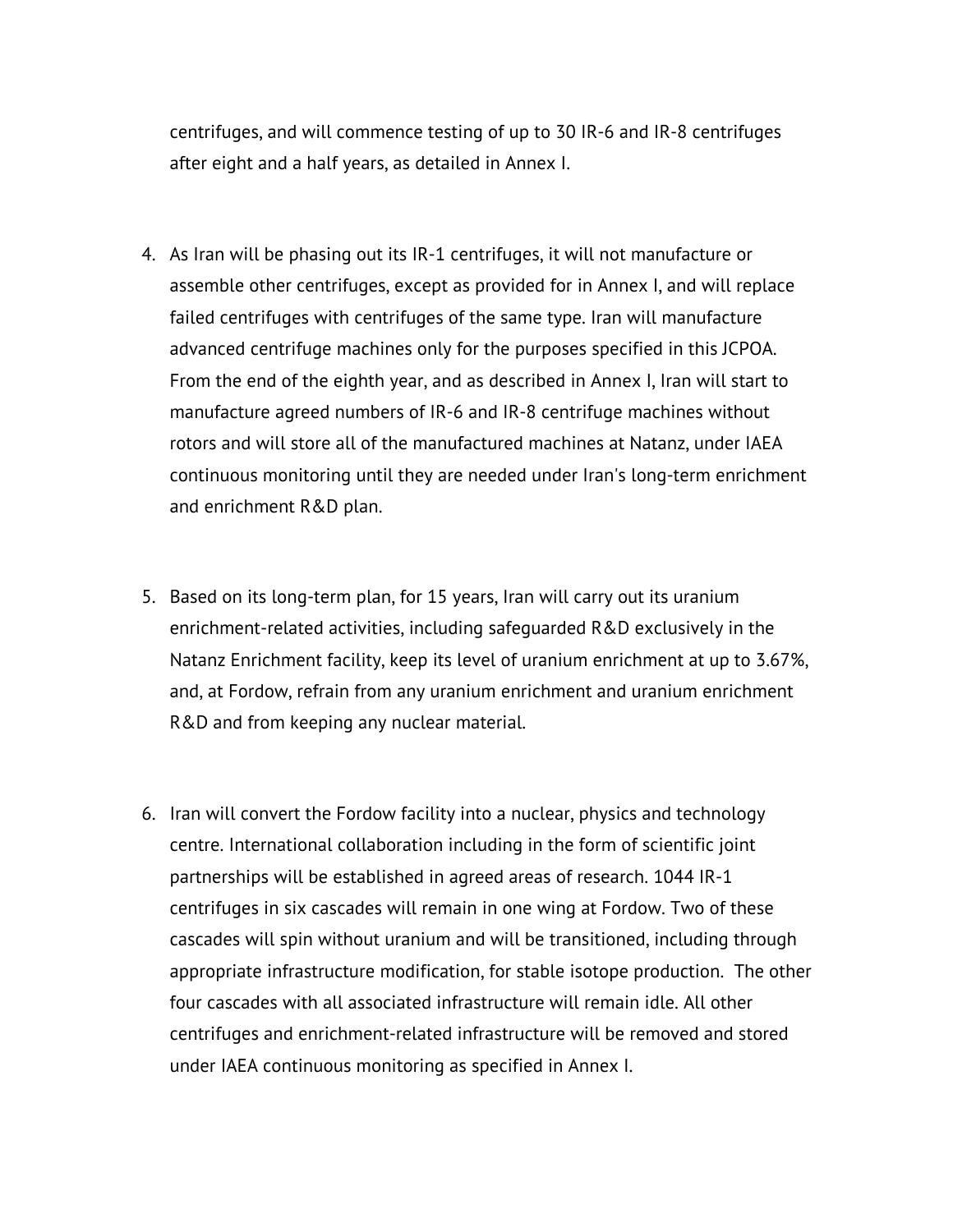centrifuges, and will commence testing of up to 30 IR-6 and IR-8 centrifuges after eight and a half years, as detailed in Annex I.

- 4. As Iran will be phasing out its IR-1 centrifuges, it will not manufacture or assemble other centrifuges, except as provided for in Annex I, and will replace failed centrifuges with centrifuges of the same type. Iran will manufacture advanced centrifuge machines only for the purposes specified in this JCPOA. From the end of the eighth year, and as described in Annex I, Iran will start to manufacture agreed numbers of IR-6 and IR-8 centrifuge machines without rotors and will store all of the manufactured machines at Natanz, under IAEA continuous monitoring until they are needed under Iran's long-term enrichment and enrichment R&D plan.
- 5. Based on its long-term plan, for 15 years, Iran will carry out its uranium enrichment-related activities, including safeguarded R&D exclusively in the Natanz Enrichment facility, keep its level of uranium enrichment at up to 3.67%, and, at Fordow, refrain from any uranium enrichment and uranium enrichment R&D and from keeping any nuclear material.
- 6. Iran will convert the Fordow facility into a nuclear, physics and technology centre. International collaboration including in the form of scientific joint partnerships will be established in agreed areas of research. 1044 IR-1 centrifuges in six cascades will remain in one wing at Fordow. Two of these cascades will spin without uranium and will be transitioned, including through appropriate infrastructure modification, for stable isotope production. The other four cascades with all associated infrastructure will remain idle. All other centrifuges and enrichment-related infrastructure will be removed and stored under IAEA continuous monitoring as specified in Annex I.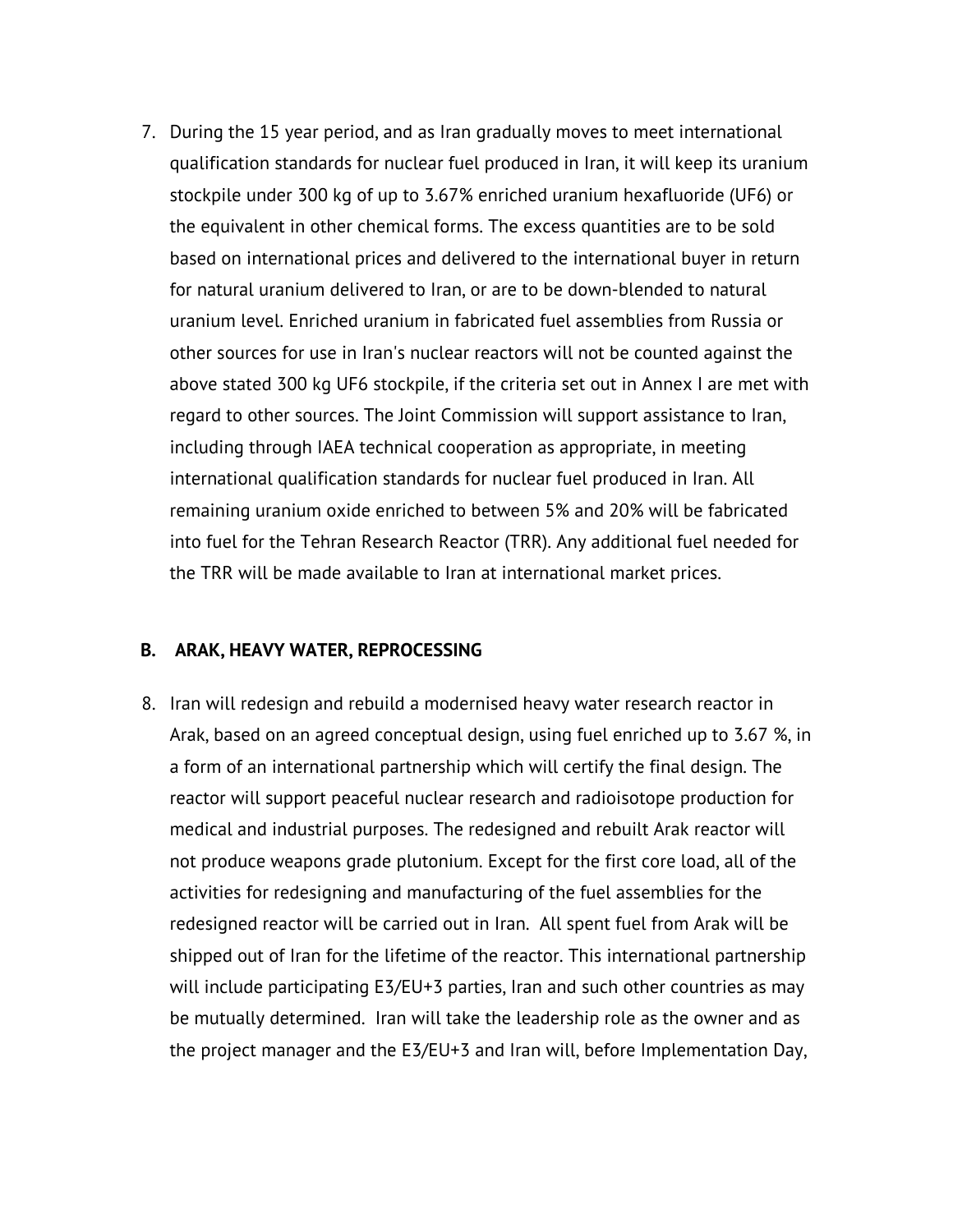7. During the 15 year period, and as Iran gradually moves to meet international qualification standards for nuclear fuel produced in Iran, it will keep its uranium stockpile under 300 kg of up to 3.67% enriched uranium hexafluoride (UF6) or the equivalent in other chemical forms. The excess quantities are to be sold based on international prices and delivered to the international buyer in return for natural uranium delivered to Iran, or are to be down-blended to natural uranium level. Enriched uranium in fabricated fuel assemblies from Russia or other sources for use in Iran's nuclear reactors will not be counted against the above stated 300 kg UF6 stockpile, if the criteria set out in Annex I are met with regard to other sources. The Joint Commission will support assistance to Iran, including through IAEA technical cooperation as appropriate, in meeting international qualification standards for nuclear fuel produced in Iran. All remaining uranium oxide enriched to between 5% and 20% will be fabricated into fuel for the Tehran Research Reactor (TRR). Any additional fuel needed for the TRR will be made available to Iran at international market prices.

## **B. ARAK, HEAVY WATER, REPROCESSING**

8. Iran will redesign and rebuild a modernised heavy water research reactor in Arak, based on an agreed conceptual design, using fuel enriched up to 3.67 %, in a form of an international partnership which will certify the final design. The reactor will support peaceful nuclear research and radioisotope production for medical and industrial purposes. The redesigned and rebuilt Arak reactor will not produce weapons grade plutonium. Except for the first core load, all of the activities for redesigning and manufacturing of the fuel assemblies for the redesigned reactor will be carried out in Iran. All spent fuel from Arak will be shipped out of Iran for the lifetime of the reactor. This international partnership will include participating E3/EU+3 parties, Iran and such other countries as may be mutually determined. Iran will take the leadership role as the owner and as the project manager and the E3/EU+3 and Iran will, before Implementation Day,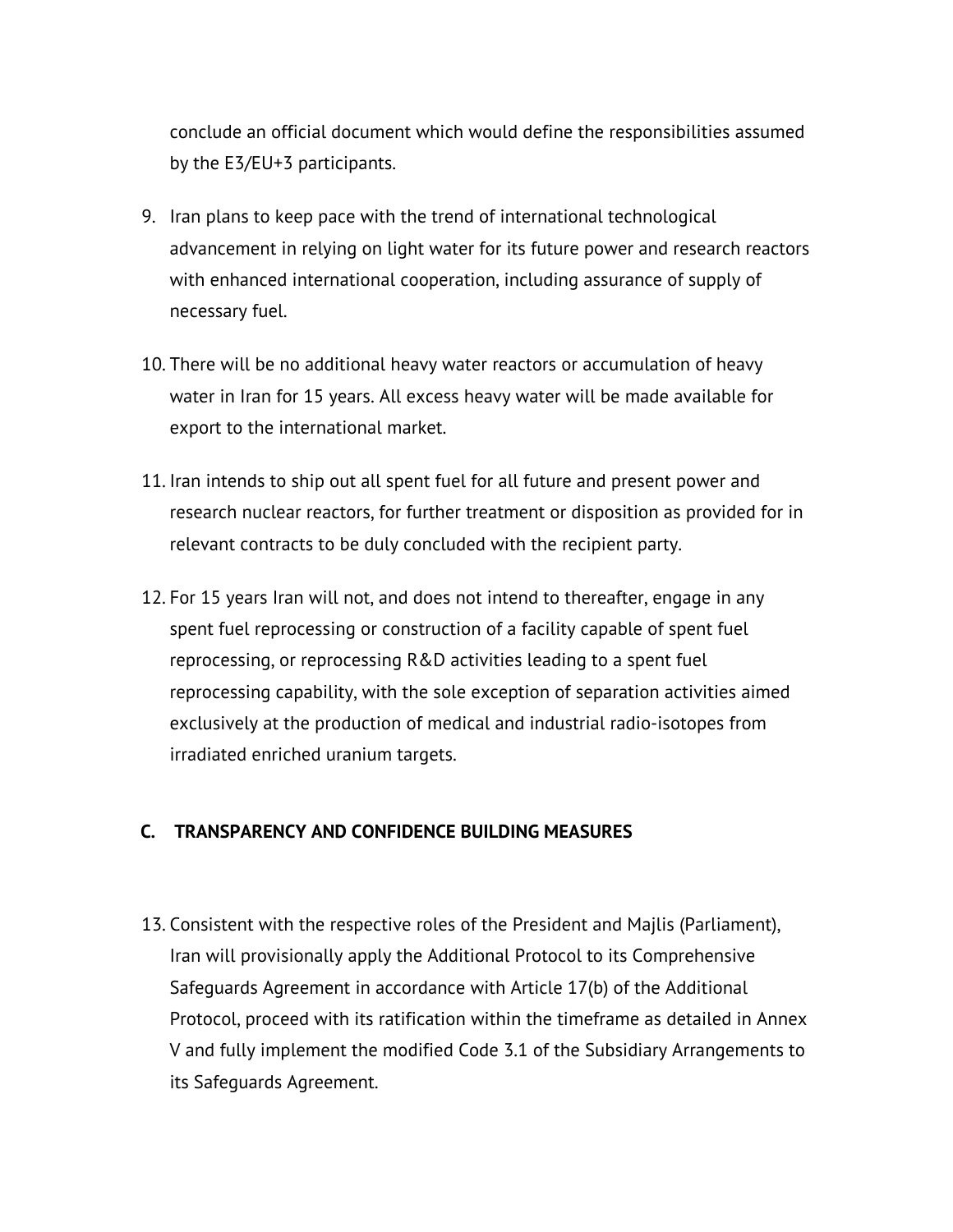conclude an official document which would define the responsibilities assumed by the E3/EU+3 participants.

- 9. Iran plans to keep pace with the trend of international technological advancement in relying on light water for its future power and research reactors with enhanced international cooperation, including assurance of supply of necessary fuel.
- 10. There will be no additional heavy water reactors or accumulation of heavy water in Iran for 15 years. All excess heavy water will be made available for export to the international market.
- 11. Iran intends to ship out all spent fuel for all future and present power and research nuclear reactors, for further treatment or disposition as provided for in relevant contracts to be duly concluded with the recipient party.
- 12. For 15 years Iran will not, and does not intend to thereafter, engage in any spent fuel reprocessing or construction of a facility capable of spent fuel reprocessing, or reprocessing R&D activities leading to a spent fuel reprocessing capability, with the sole exception of separation activities aimed exclusively at the production of medical and industrial radio-isotopes from irradiated enriched uranium targets.

# **C. TRANSPARENCY AND CONFIDENCE BUILDING MEASURES**

13. Consistent with the respective roles of the President and Majlis (Parliament), Iran will provisionally apply the Additional Protocol to its Comprehensive Safeguards Agreement in accordance with Article 17(b) of the Additional Protocol, proceed with its ratification within the timeframe as detailed in Annex V and fully implement the modified Code 3.1 of the Subsidiary Arrangements to its Safeguards Agreement.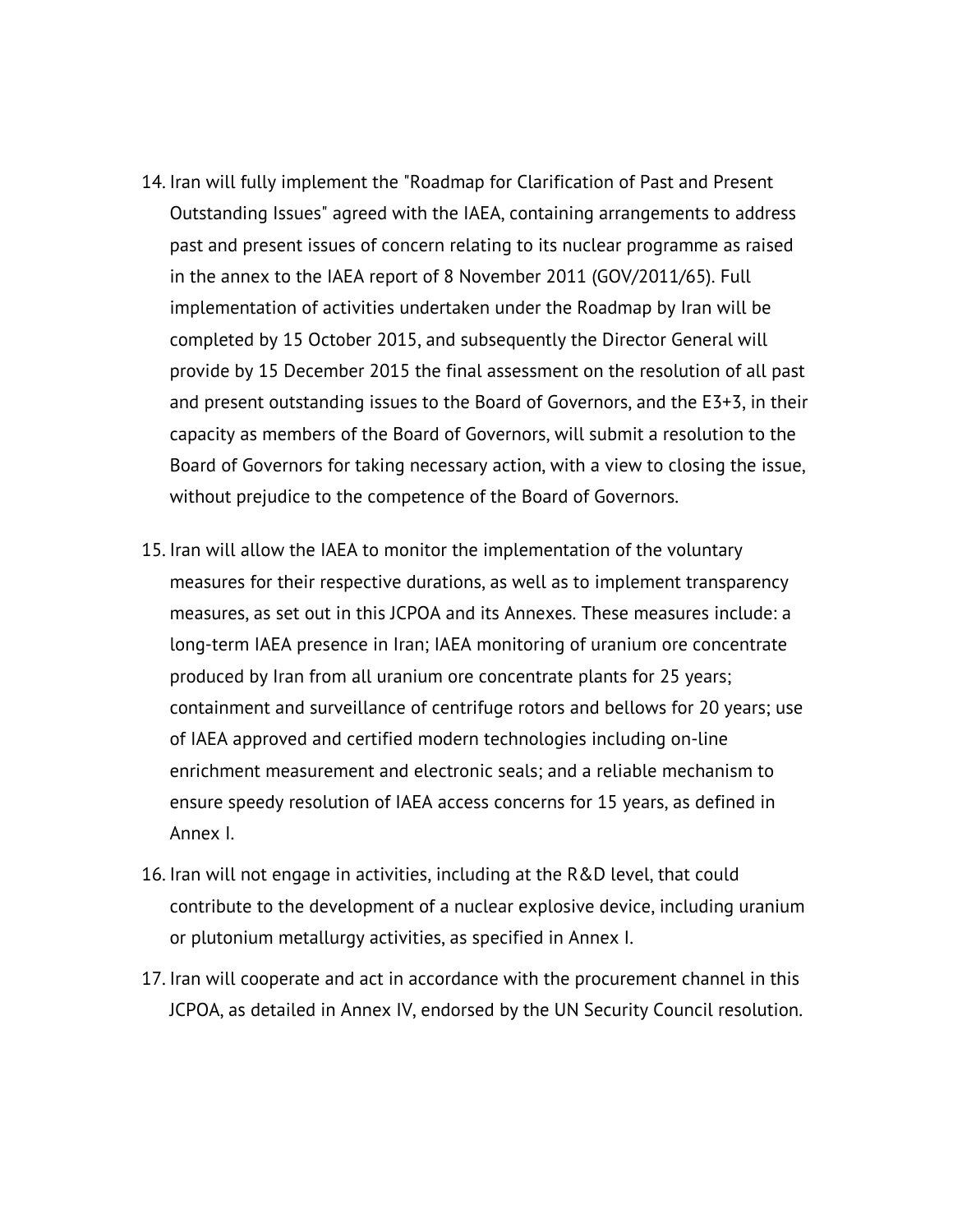- 14. Iran will fully implement the "Roadmap for Clarification of Past and Present Outstanding Issues" agreed with the IAEA, containing arrangements to address past and present issues of concern relating to its nuclear programme as raised in the annex to the IAEA report of 8 November 2011 (GOV/2011/65). Full implementation of activities undertaken under the Roadmap by Iran will be completed by 15 October 2015, and subsequently the Director General will provide by 15 December 2015 the final assessment on the resolution of all past and present outstanding issues to the Board of Governors, and the E3+3, in their capacity as members of the Board of Governors, will submit a resolution to the Board of Governors for taking necessary action, with a view to closing the issue, without prejudice to the competence of the Board of Governors.
- 15. Iran will allow the IAEA to monitor the implementation of the voluntary measures for their respective durations, as well as to implement transparency measures, as set out in this JCPOA and its Annexes. These measures include: a long-term IAEA presence in Iran; IAEA monitoring of uranium ore concentrate produced by Iran from all uranium ore concentrate plants for 25 years; containment and surveillance of centrifuge rotors and bellows for 20 years; use of IAEA approved and certified modern technologies including on-line enrichment measurement and electronic seals; and a reliable mechanism to ensure speedy resolution of IAEA access concerns for 15 years, as defined in Annex I.
- 16. Iran will not engage in activities, including at the R&D level, that could contribute to the development of a nuclear explosive device, including uranium or plutonium metallurgy activities, as specified in Annex I.
- 17. Iran will cooperate and act in accordance with the procurement channel in this JCPOA, as detailed in Annex IV, endorsed by the UN Security Council resolution.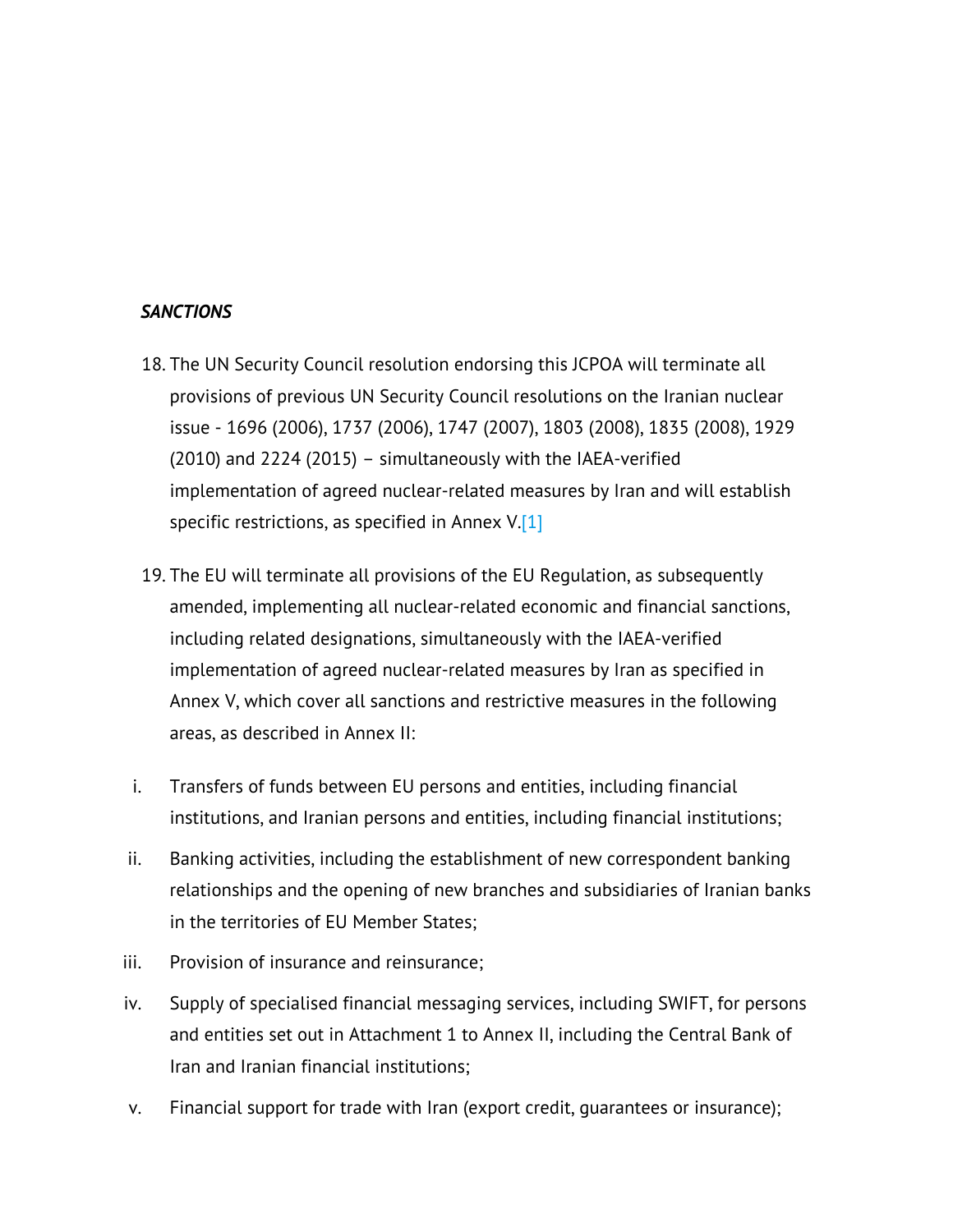# *SANCTIONS*

- 18. The UN Security Council resolution endorsing this JCPOA will terminate all provisions of previous UN Security Council resolutions on the Iranian nuclear issue - 1696 (2006), 1737 (2006), 1747 (2007), 1803 (2008), 1835 (2008), 1929 (2010) and 2224 (2015) – simultaneously with the IAEA-verified implementation of agreed nuclear-related measures by Iran and will establish specific restrictions, as specified in Annex  $V.[1]$  $V.[1]$
- 19. The EU will terminate all provisions of the EU Regulation, as subsequently amended, implementing all nuclear-related economic and financial sanctions, including related designations, simultaneously with the IAEA-verified implementation of agreed nuclear-related measures by Iran as specified in Annex V, which cover all sanctions and restrictive measures in the following areas, as described in Annex II:
- i. Transfers of funds between EU persons and entities, including financial institutions, and Iranian persons and entities, including financial institutions;
- ii. Banking activities, including the establishment of new correspondent banking relationships and the opening of new branches and subsidiaries of Iranian banks in the territories of EU Member States;
- iii. Provision of insurance and reinsurance;
- iv. Supply of specialised financial messaging services, including SWIFT, for persons and entities set out in Attachment 1 to Annex II, including the Central Bank of Iran and Iranian financial institutions;
- v. Financial support for trade with Iran (export credit, guarantees or insurance);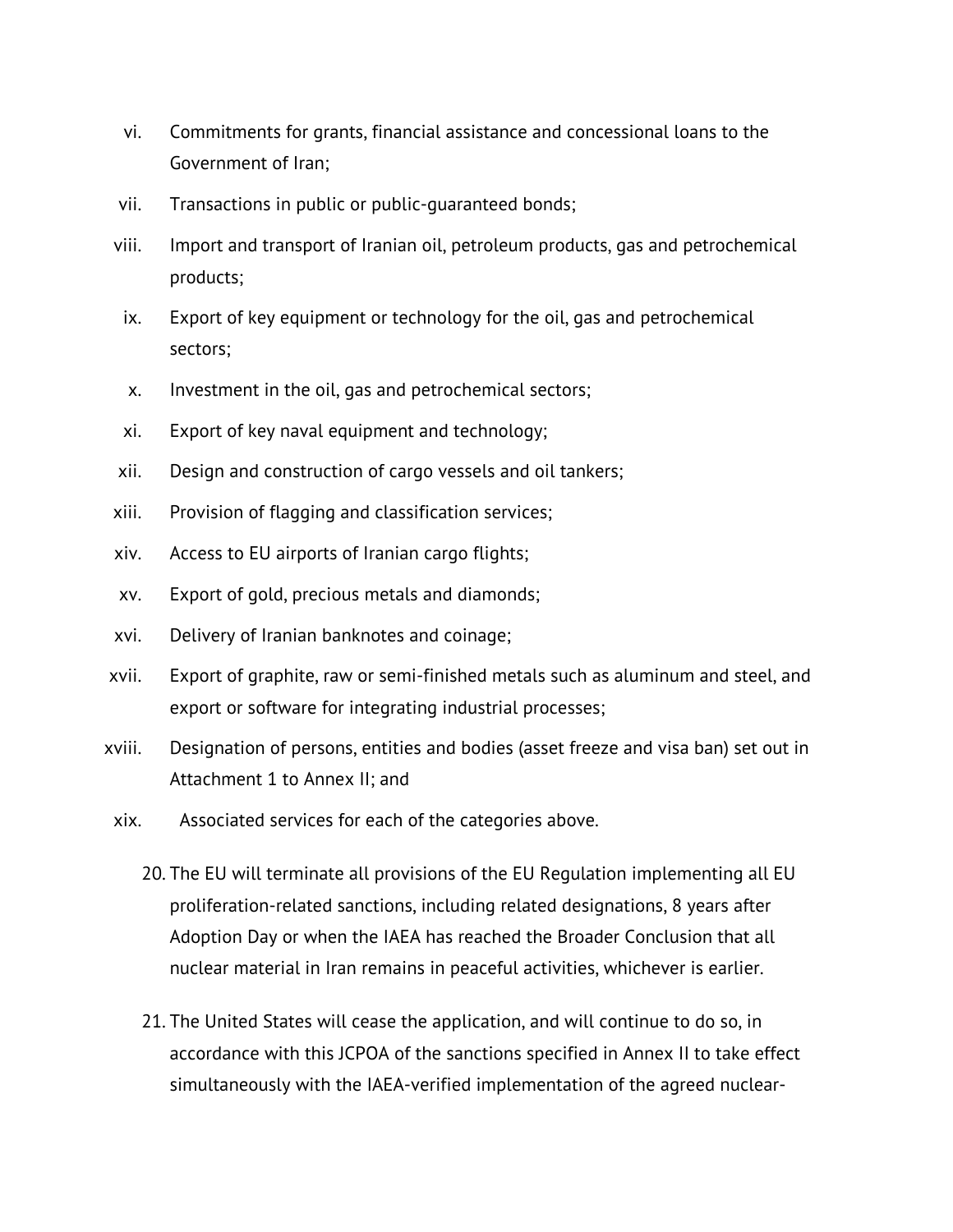- vi. Commitments for grants, financial assistance and concessional loans to the Government of Iran;
- vii. Transactions in public or public-guaranteed bonds;
- viii. Import and transport of Iranian oil, petroleum products, gas and petrochemical products;
- ix. Export of key equipment or technology for the oil, gas and petrochemical sectors;
- x. Investment in the oil, gas and petrochemical sectors;
- xi. Export of key naval equipment and technology;
- xii. Design and construction of cargo vessels and oil tankers;
- xiii. Provision of flagging and classification services;
- xiv. Access to EU airports of Iranian cargo flights;
- xv. Export of gold, precious metals and diamonds;
- xvi. Delivery of Iranian banknotes and coinage;
- xvii. Export of graphite, raw or semi-finished metals such as aluminum and steel, and export or software for integrating industrial processes;
- xviii. Designation of persons, entities and bodies (asset freeze and visa ban) set out in Attachment 1 to Annex II; and
- xix. Associated services for each of the categories above.
	- 20. The EU will terminate all provisions of the EU Regulation implementing all EU proliferation-related sanctions, including related designations, 8 years after Adoption Day or when the IAEA has reached the Broader Conclusion that all nuclear material in Iran remains in peaceful activities, whichever is earlier.
	- 21. The United States will cease the application, and will continue to do so, in accordance with this JCPOA of the sanctions specified in Annex II to take effect simultaneously with the IAEA-verified implementation of the agreed nuclear-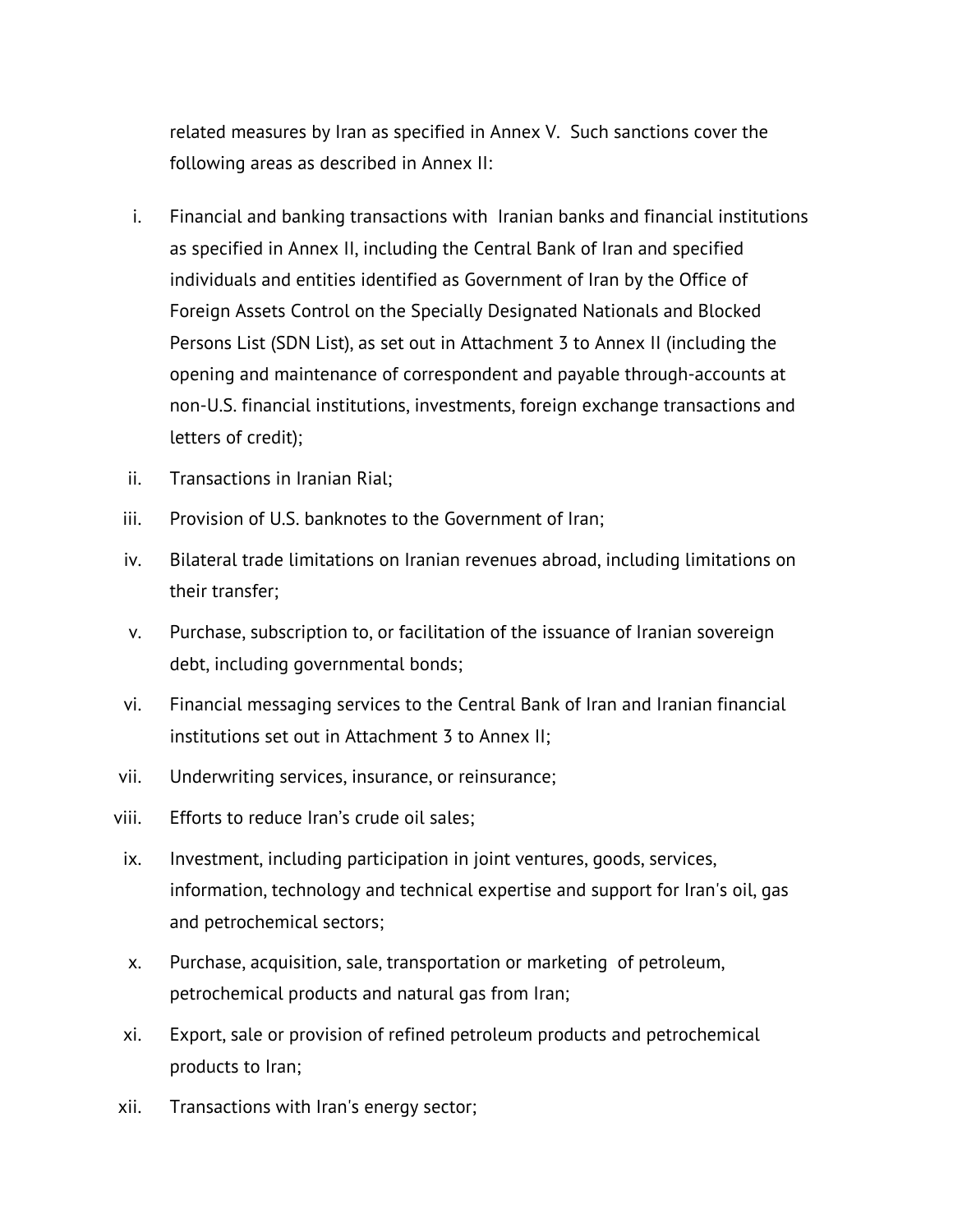related measures by Iran as specified in Annex V. Such sanctions cover the following areas as described in Annex II:

- i. Financial and banking transactions with Iranian banks and financial institutions as specified in Annex II, including the Central Bank of Iran and specified individuals and entities identified as Government of Iran by the Office of Foreign Assets Control on the Specially Designated Nationals and Blocked Persons List (SDN List), as set out in Attachment 3 to Annex II (including the opening and maintenance of correspondent and payable through-accounts at non-U.S. financial institutions, investments, foreign exchange transactions and letters of credit);
- ii. Transactions in Iranian Rial;
- iii. Provision of U.S. banknotes to the Government of Iran;
- iv. Bilateral trade limitations on Iranian revenues abroad, including limitations on their transfer;
- v. Purchase, subscription to, or facilitation of the issuance of Iranian sovereign debt, including governmental bonds;
- vi. Financial messaging services to the Central Bank of Iran and Iranian financial institutions set out in Attachment 3 to Annex II;
- vii. Underwriting services, insurance, or reinsurance;
- viii. Efforts to reduce Iran's crude oil sales;
- ix. Investment, including participation in joint ventures, goods, services, information, technology and technical expertise and support for Iran's oil, gas and petrochemical sectors;
- x. Purchase, acquisition, sale, transportation or marketing of petroleum, petrochemical products and natural gas from Iran;
- xi. Export, sale or provision of refined petroleum products and petrochemical products to Iran;
- xii. Transactions with Iran's energy sector;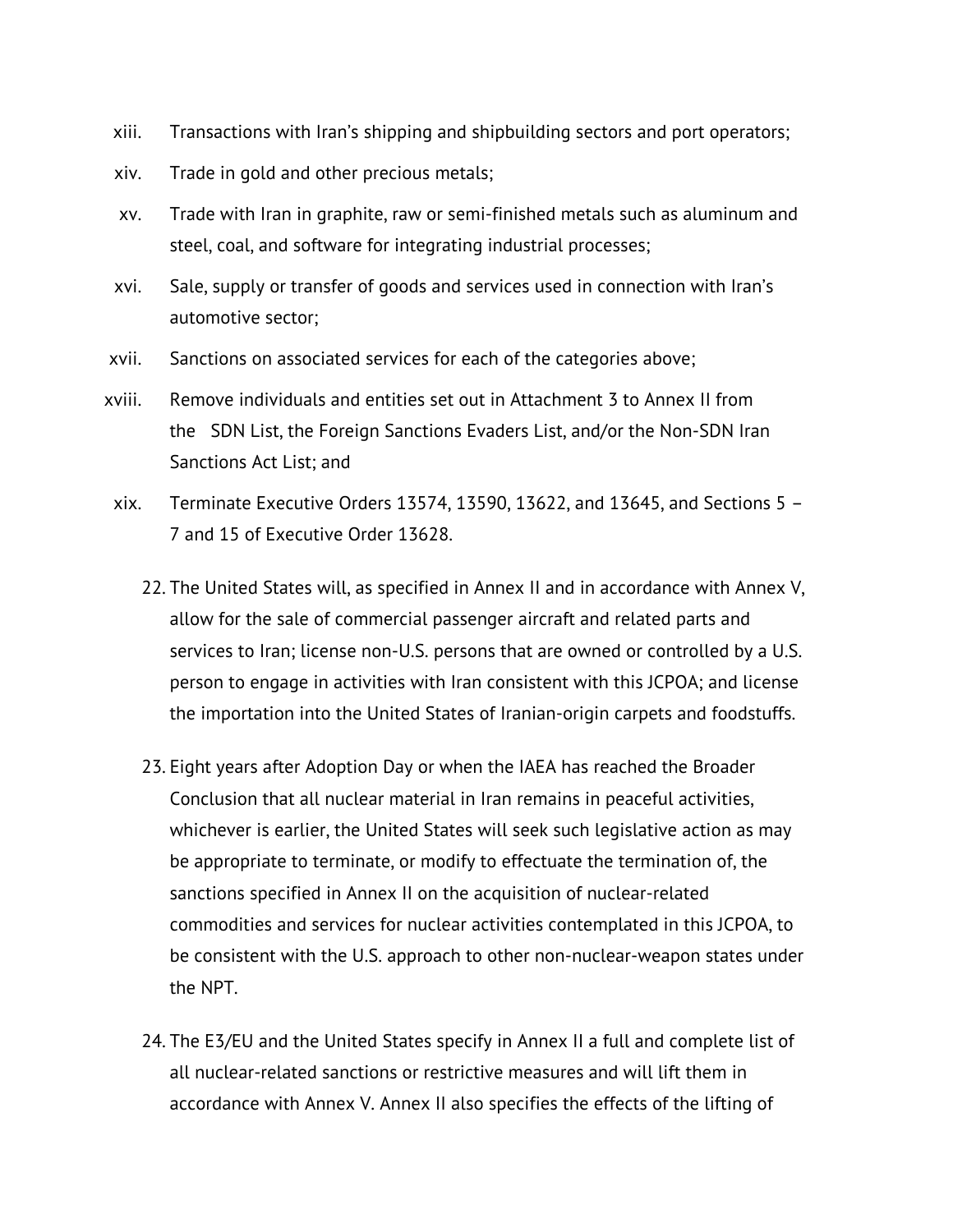- xiii. Transactions with Iran's shipping and shipbuilding sectors and port operators;
- xiv. Trade in gold and other precious metals;
- xv. Trade with Iran in graphite, raw or semi-finished metals such as aluminum and steel, coal, and software for integrating industrial processes;
- xvi. Sale, supply or transfer of goods and services used in connection with Iran's automotive sector;
- xvii. Sanctions on associated services for each of the categories above;
- xviii. Remove individuals and entities set out in Attachment 3 to Annex II from the SDN List, the Foreign Sanctions Evaders List, and/or the Non-SDN Iran Sanctions Act List; and
- xix. Terminate Executive Orders 13574, 13590, 13622, and 13645, and Sections 5 7 and 15 of Executive Order 13628.
	- 22. The United States will, as specified in Annex II and in accordance with Annex V, allow for the sale of commercial passenger aircraft and related parts and services to Iran; license non-U.S. persons that are owned or controlled by a U.S. person to engage in activities with Iran consistent with this JCPOA; and license the importation into the United States of Iranian-origin carpets and foodstuffs.
	- 23. Eight years after Adoption Day or when the IAEA has reached the Broader Conclusion that all nuclear material in Iran remains in peaceful activities, whichever is earlier, the United States will seek such legislative action as may be appropriate to terminate, or modify to effectuate the termination of, the sanctions specified in Annex II on the acquisition of nuclear-related commodities and services for nuclear activities contemplated in this JCPOA, to be consistent with the U.S. approach to other non-nuclear-weapon states under the NPT.
	- 24. The E3/EU and the United States specify in Annex II a full and complete list of all nuclear-related sanctions or restrictive measures and will lift them in accordance with Annex V. Annex II also specifies the effects of the lifting of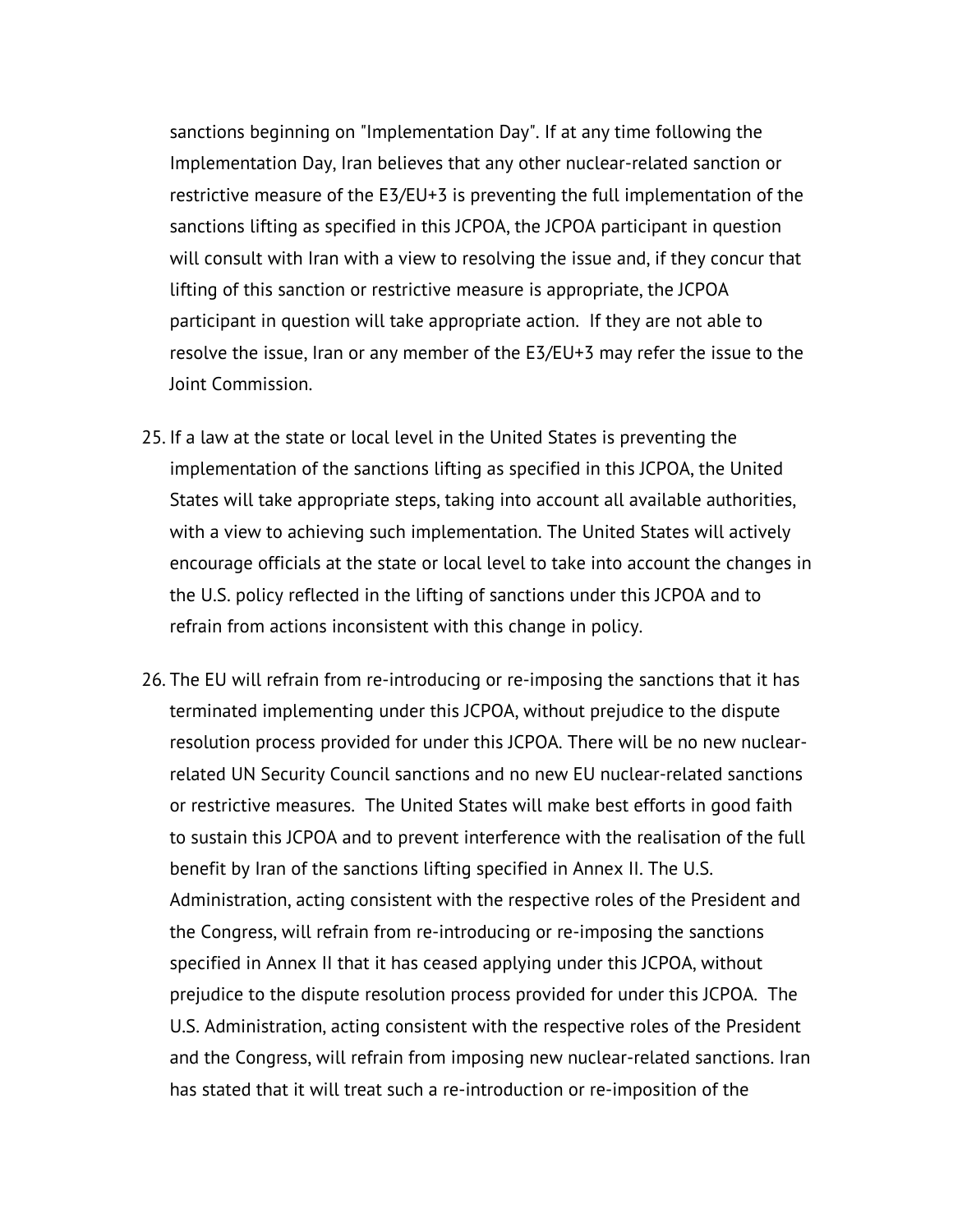sanctions beginning on "Implementation Day". If at any time following the Implementation Day, Iran believes that any other nuclear-related sanction or restrictive measure of the E3/EU+3 is preventing the full implementation of the sanctions lifting as specified in this JCPOA, the JCPOA participant in question will consult with Iran with a view to resolving the issue and, if they concur that lifting of this sanction or restrictive measure is appropriate, the JCPOA participant in question will take appropriate action. If they are not able to resolve the issue, Iran or any member of the E3/EU+3 may refer the issue to the Joint Commission.

- 25. If a law at the state or local level in the United States is preventing the implementation of the sanctions lifting as specified in this JCPOA, the United States will take appropriate steps, taking into account all available authorities, with a view to achieving such implementation. The United States will actively encourage officials at the state or local level to take into account the changes in the U.S. policy reflected in the lifting of sanctions under this JCPOA and to refrain from actions inconsistent with this change in policy.
- 26. The EU will refrain from re-introducing or re-imposing the sanctions that it has terminated implementing under this JCPOA, without prejudice to the dispute resolution process provided for under this JCPOA. There will be no new nuclearrelated UN Security Council sanctions and no new EU nuclear-related sanctions or restrictive measures. The United States will make best efforts in good faith to sustain this JCPOA and to prevent interference with the realisation of the full benefit by Iran of the sanctions lifting specified in Annex II. The U.S. Administration, acting consistent with the respective roles of the President and the Congress, will refrain from re-introducing or re-imposing the sanctions specified in Annex II that it has ceased applying under this JCPOA, without prejudice to the dispute resolution process provided for under this JCPOA. The U.S. Administration, acting consistent with the respective roles of the President and the Congress, will refrain from imposing new nuclear-related sanctions. Iran has stated that it will treat such a re-introduction or re-imposition of the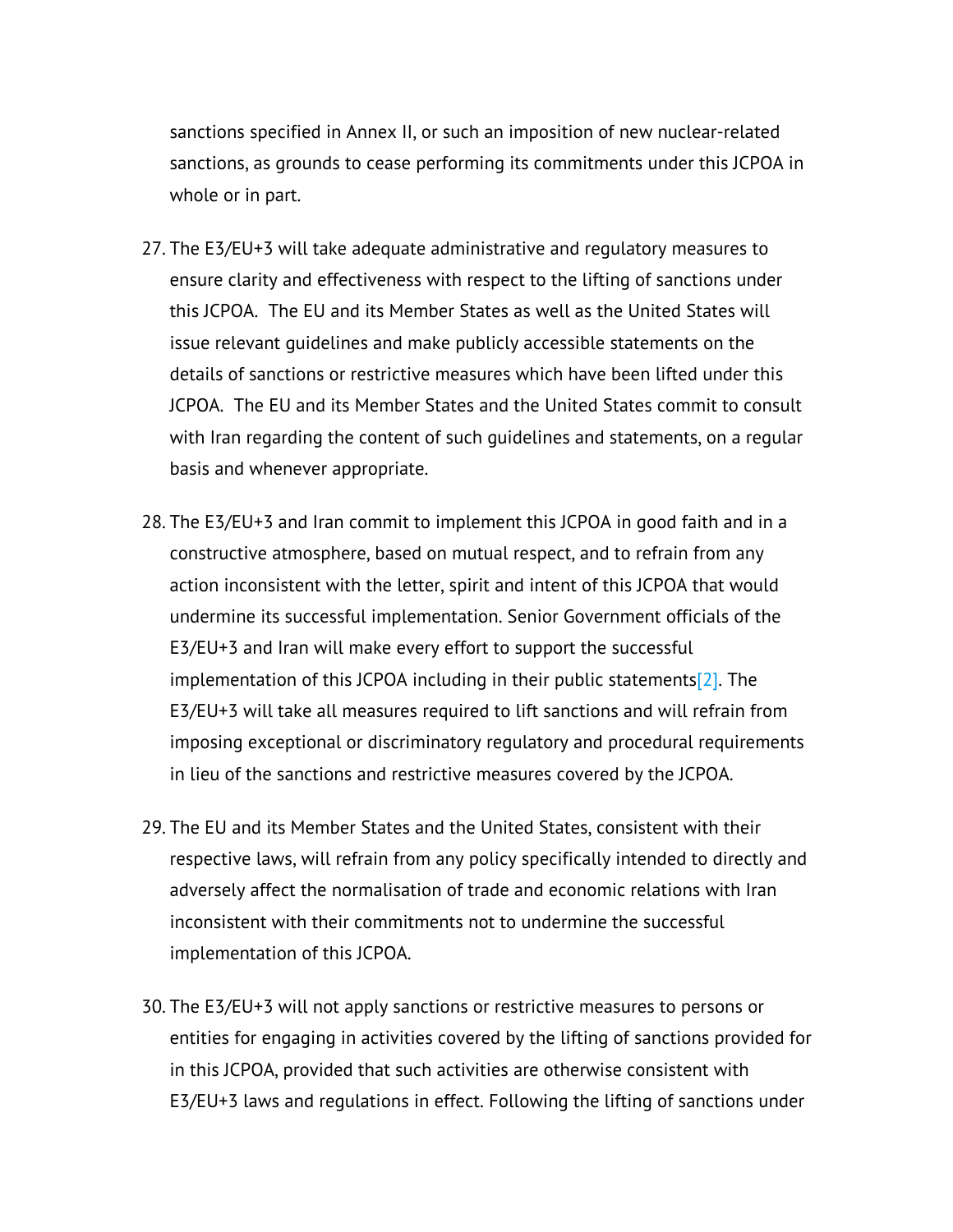sanctions specified in Annex II, or such an imposition of new nuclear-related sanctions, as grounds to cease performing its commitments under this JCPOA in whole or in part.

- 27. The E3/EU+3 will take adequate administrative and regulatory measures to ensure clarity and effectiveness with respect to the lifting of sanctions under this JCPOA. The EU and its Member States as well as the United States will issue relevant guidelines and make publicly accessible statements on the details of sanctions or restrictive measures which have been lifted under this JCPOA. The EU and its Member States and the United States commit to consult with Iran regarding the content of such guidelines and statements, on a regular basis and whenever appropriate.
- 28. The E3/EU+3 and Iran commit to implement this JCPOA in good faith and in a constructive atmosphere, based on mutual respect, and to refrain from any action inconsistent with the letter, spirit and intent of this JCPOA that would undermine its successful implementation. Senior Government officials of the E3/EU+3 and Iran will make every effort to support the successful implementation of this JCPOA including in their public statement[s\[2\]](http://www.mid.ru/foreign_policy/news/-/asset_publisher/cKNonkJE02Bw/content/id/1571042#_ftn2). The E3/EU+3 will take all measures required to lift sanctions and will refrain from imposing exceptional or discriminatory regulatory and procedural requirements in lieu of the sanctions and restrictive measures covered by the JCPOA.
- 29. The EU and its Member States and the United States, consistent with their respective laws, will refrain from any policy specifically intended to directly and adversely affect the normalisation of trade and economic relations with Iran inconsistent with their commitments not to undermine the successful implementation of this JCPOA.
- 30. The E3/EU+3 will not apply sanctions or restrictive measures to persons or entities for engaging in activities covered by the lifting of sanctions provided for in this JCPOA, provided that such activities are otherwise consistent with E3/EU+3 laws and regulations in effect. Following the lifting of sanctions under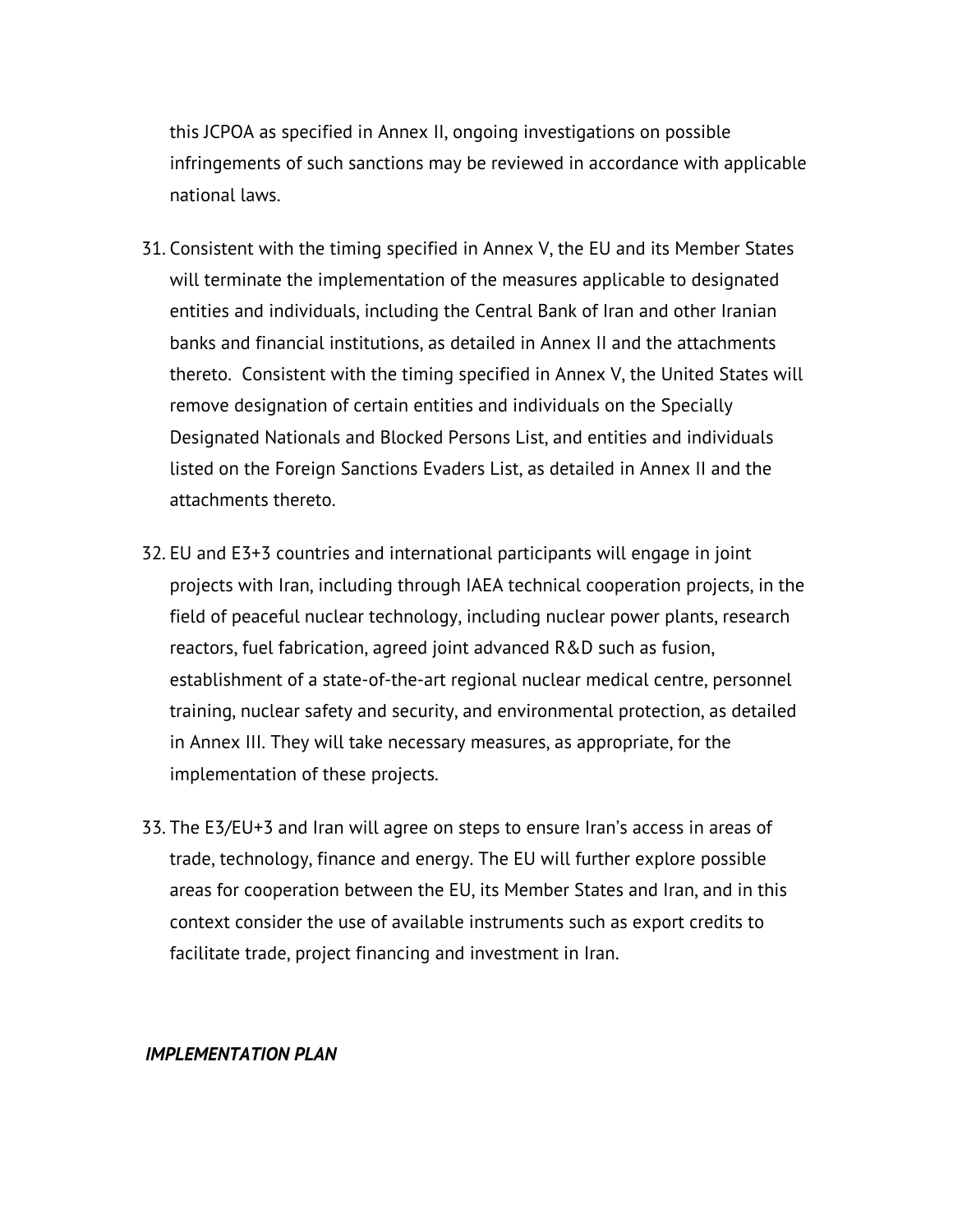this JCPOA as specified in Annex II, ongoing investigations on possible infringements of such sanctions may be reviewed in accordance with applicable national laws.

- 31. Consistent with the timing specified in Annex V, the EU and its Member States will terminate the implementation of the measures applicable to designated entities and individuals, including the Central Bank of Iran and other Iranian banks and financial institutions, as detailed in Annex II and the attachments thereto. Consistent with the timing specified in Annex V, the United States will remove designation of certain entities and individuals on the Specially Designated Nationals and Blocked Persons List, and entities and individuals listed on the Foreign Sanctions Evaders List, as detailed in Annex II and the attachments thereto.
- 32. EU and E3+3 countries and international participants will engage in joint projects with Iran, including through IAEA technical cooperation projects, in the field of peaceful nuclear technology, including nuclear power plants, research reactors, fuel fabrication, agreed joint advanced R&D such as fusion, establishment of a state-of-the-art regional nuclear medical centre, personnel training, nuclear safety and security, and environmental protection, as detailed in Annex III. They will take necessary measures, as appropriate, for the implementation of these projects.
- 33. The E3/EU+3 and Iran will agree on steps to ensure Iran's access in areas of trade, technology, finance and energy. The EU will further explore possible areas for cooperation between the EU, its Member States and Iran, and in this context consider the use of available instruments such as export credits to facilitate trade, project financing and investment in Iran.

## *IMPLEMENTATION PLAN*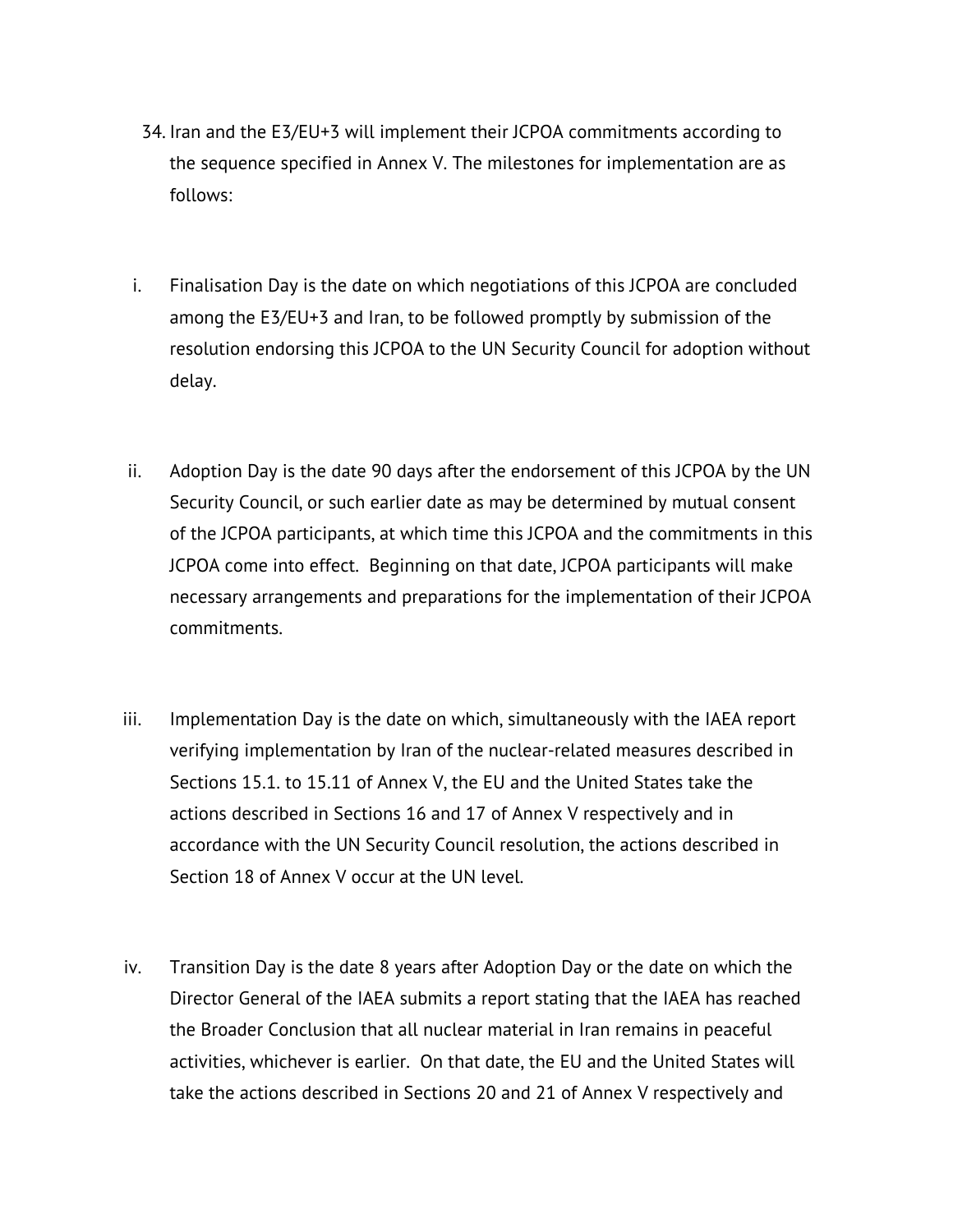- 34. Iran and the E3/EU+3 will implement their JCPOA commitments according to the sequence specified in Annex V. The milestones for implementation are as follows:
- i. Finalisation Day is the date on which negotiations of this JCPOA are concluded among the E3/EU+3 and Iran, to be followed promptly by submission of the resolution endorsing this JCPOA to the UN Security Council for adoption without delay.
- ii. Adoption Day is the date 90 days after the endorsement of this JCPOA by the UN Security Council, or such earlier date as may be determined by mutual consent of the JCPOA participants, at which time this JCPOA and the commitments in this JCPOA come into effect. Beginning on that date, JCPOA participants will make necessary arrangements and preparations for the implementation of their JCPOA commitments.
- iii. Implementation Day is the date on which, simultaneously with the IAEA report verifying implementation by Iran of the nuclear-related measures described in Sections 15.1. to 15.11 of Annex V, the EU and the United States take the actions described in Sections 16 and 17 of Annex V respectively and in accordance with the UN Security Council resolution, the actions described in Section 18 of Annex V occur at the UN level.
- iv. Transition Day is the date 8 years after Adoption Day or the date on which the Director General of the IAEA submits a report stating that the IAEA has reached the Broader Conclusion that all nuclear material in Iran remains in peaceful activities, whichever is earlier. On that date, the EU and the United States will take the actions described in Sections 20 and 21 of Annex V respectively and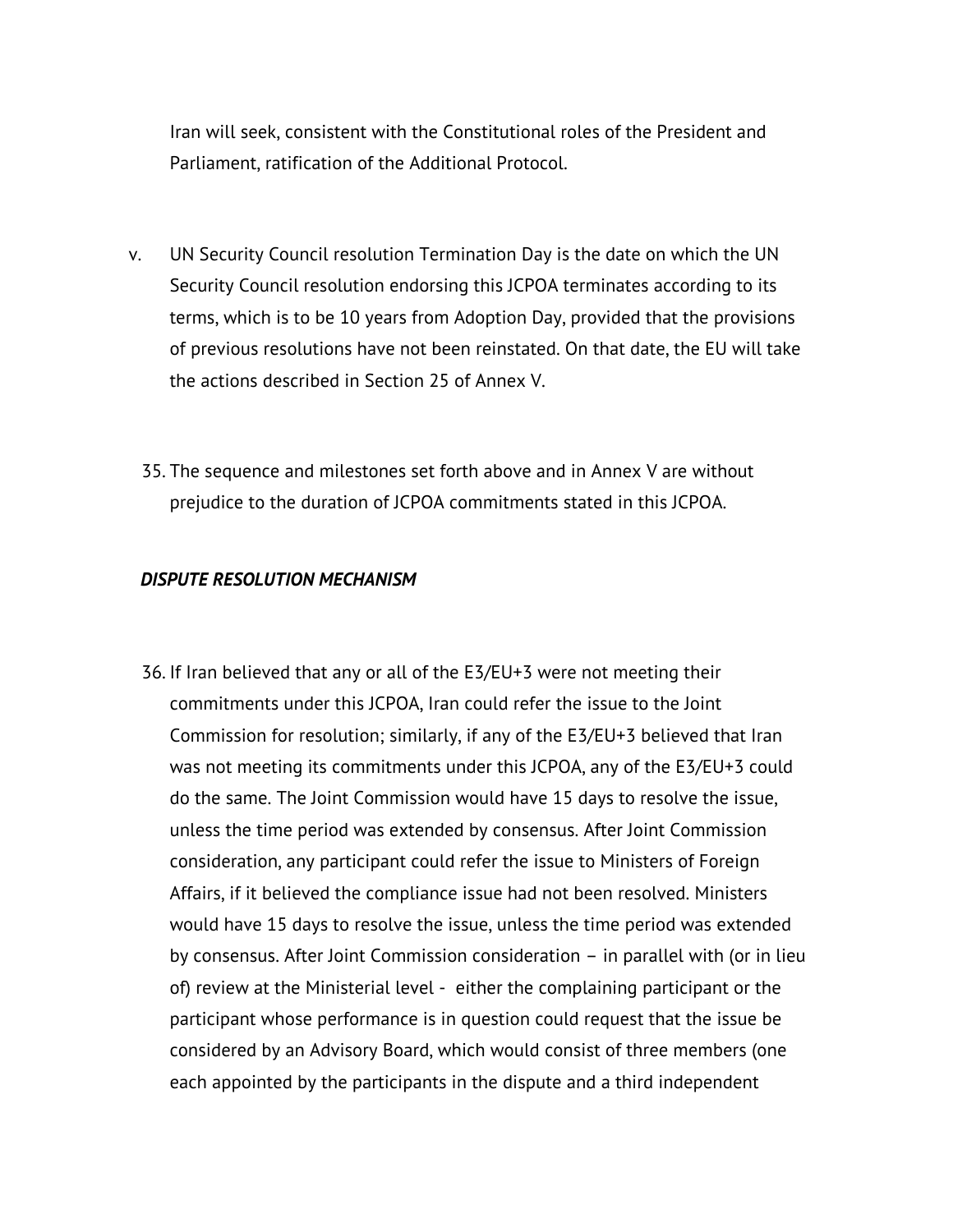Iran will seek, consistent with the Constitutional roles of the President and Parliament, ratification of the Additional Protocol.

- v. UN Security Council resolution Termination Day is the date on which the UN Security Council resolution endorsing this JCPOA terminates according to its terms, which is to be 10 years from Adoption Day, provided that the provisions of previous resolutions have not been reinstated. On that date, the EU will take the actions described in Section 25 of Annex V.
	- 35. The sequence and milestones set forth above and in Annex V are without prejudice to the duration of JCPOA commitments stated in this JCPOA.

## *DISPUTE RESOLUTION MECHANISM*

36. If Iran believed that any or all of the E3/EU+3 were not meeting their commitments under this JCPOA, Iran could refer the issue to the Joint Commission for resolution; similarly, if any of the E3/EU+3 believed that Iran was not meeting its commitments under this JCPOA, any of the E3/EU+3 could do the same. The Joint Commission would have 15 days to resolve the issue, unless the time period was extended by consensus. After Joint Commission consideration, any participant could refer the issue to Ministers of Foreign Affairs, if it believed the compliance issue had not been resolved. Ministers would have 15 days to resolve the issue, unless the time period was extended by consensus. After Joint Commission consideration – in parallel with (or in lieu of) review at the Ministerial level - either the complaining participant or the participant whose performance is in question could request that the issue be considered by an Advisory Board, which would consist of three members (one each appointed by the participants in the dispute and a third independent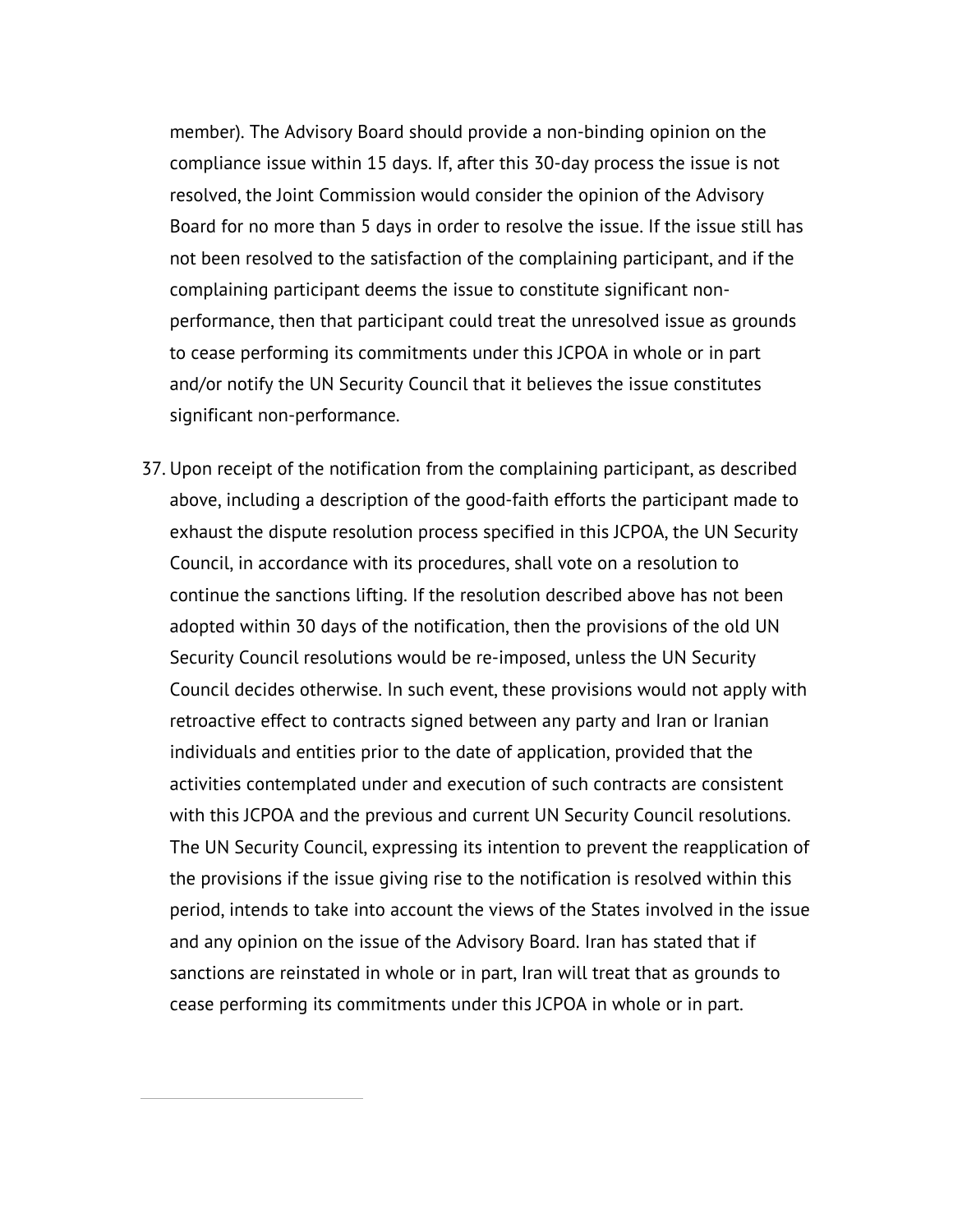member). The Advisory Board should provide a non-binding opinion on the compliance issue within 15 days. If, after this 30-day process the issue is not resolved, the Joint Commission would consider the opinion of the Advisory Board for no more than 5 days in order to resolve the issue. If the issue still has not been resolved to the satisfaction of the complaining participant, and if the complaining participant deems the issue to constitute significant nonperformance, then that participant could treat the unresolved issue as grounds to cease performing its commitments under this JCPOA in whole or in part and/or notify the UN Security Council that it believes the issue constitutes significant non-performance.

37. Upon receipt of the notification from the complaining participant, as described above, including a description of the good-faith efforts the participant made to exhaust the dispute resolution process specified in this JCPOA, the UN Security Council, in accordance with its procedures, shall vote on a resolution to continue the sanctions lifting. If the resolution described above has not been adopted within 30 days of the notification, then the provisions of the old UN Security Council resolutions would be re-imposed, unless the UN Security Council decides otherwise. In such event, these provisions would not apply with retroactive effect to contracts signed between any party and Iran or Iranian individuals and entities prior to the date of application, provided that the activities contemplated under and execution of such contracts are consistent with this JCPOA and the previous and current UN Security Council resolutions. The UN Security Council, expressing its intention to prevent the reapplication of the provisions if the issue giving rise to the notification is resolved within this period, intends to take into account the views of the States involved in the issue and any opinion on the issue of the Advisory Board. Iran has stated that if sanctions are reinstated in whole or in part, Iran will treat that as grounds to cease performing its commitments under this JCPOA in whole or in part.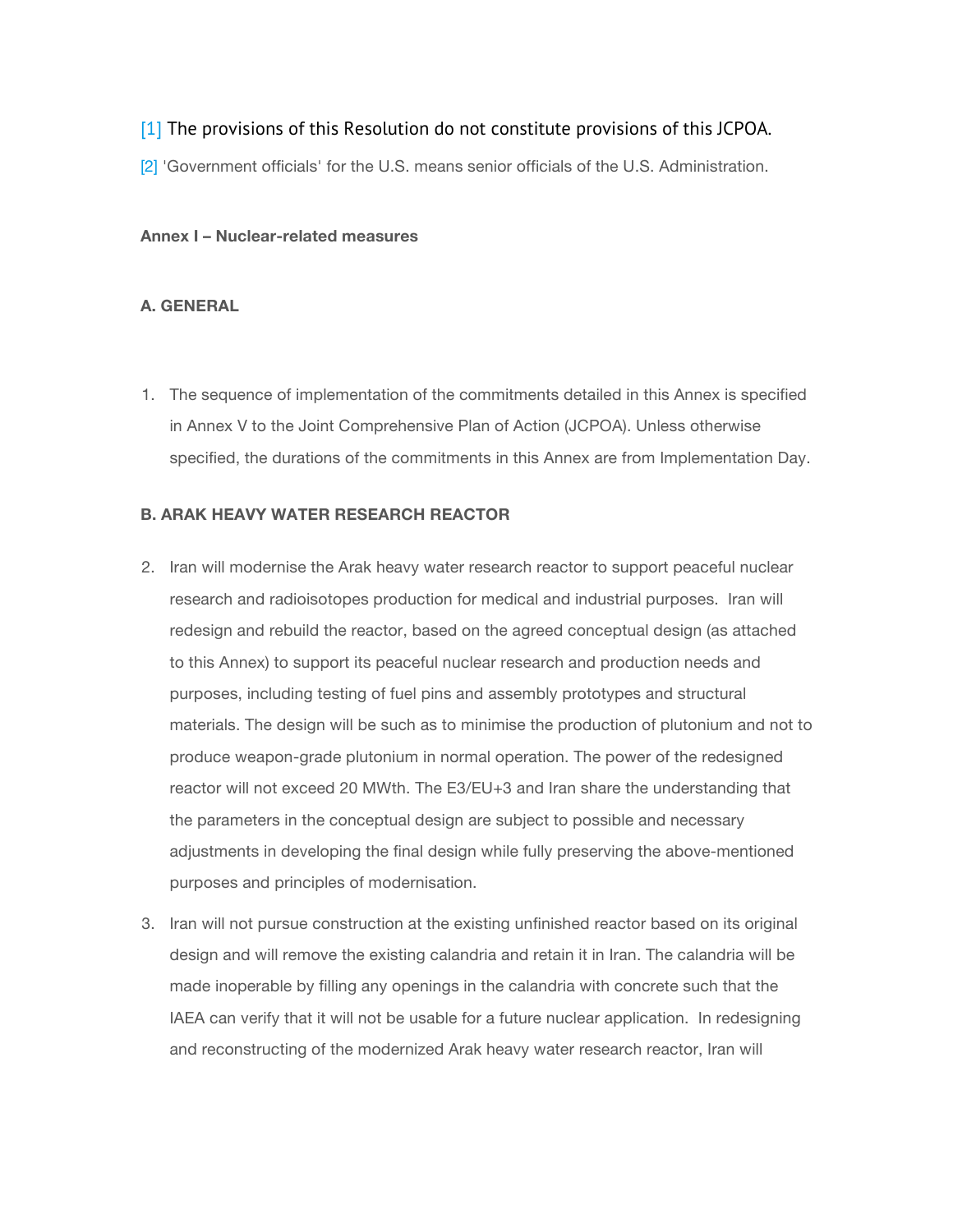## [\[1\]](http://www.mid.ru/foreign_policy/news/-/asset_publisher/cKNonkJE02Bw/content/id/1571042#_ftnref1) The provisions of this Resolution do not constitute provisions of this JCPOA.

[\[2\]](http://www.mid.ru/foreign_policy/news/-/asset_publisher/cKNonkJE02Bw/content/id/1571042#_ftnref2) 'Government officials' for the U.S. means senior officials of the U.S. Administration.

#### **Annex I – Nuclear-related measures**

### **A. GENERAL**

1. The sequence of implementation of the commitments detailed in this Annex is specified in Annex V to the Joint Comprehensive Plan of Action (JCPOA). Unless otherwise specified, the durations of the commitments in this Annex are from Implementation Day.

## **B. ARAK HEAVY WATER RESEARCH REACTOR**

- 2. Iran will modernise the Arak heavy water research reactor to support peaceful nuclear research and radioisotopes production for medical and industrial purposes. Iran will redesign and rebuild the reactor, based on the agreed conceptual design (as attached to this Annex) to support its peaceful nuclear research and production needs and purposes, including testing of fuel pins and assembly prototypes and structural materials. The design will be such as to minimise the production of plutonium and not to produce weapon-grade plutonium in normal operation. The power of the redesigned reactor will not exceed 20 MWth. The E3/EU+3 and Iran share the understanding that the parameters in the conceptual design are subject to possible and necessary adjustments in developing the final design while fully preserving the above-mentioned purposes and principles of modernisation.
- 3. Iran will not pursue construction at the existing unfinished reactor based on its original design and will remove the existing calandria and retain it in Iran. The calandria will be made inoperable by filling any openings in the calandria with concrete such that the IAEA can verify that it will not be usable for a future nuclear application. In redesigning and reconstructing of the modernized Arak heavy water research reactor, Iran will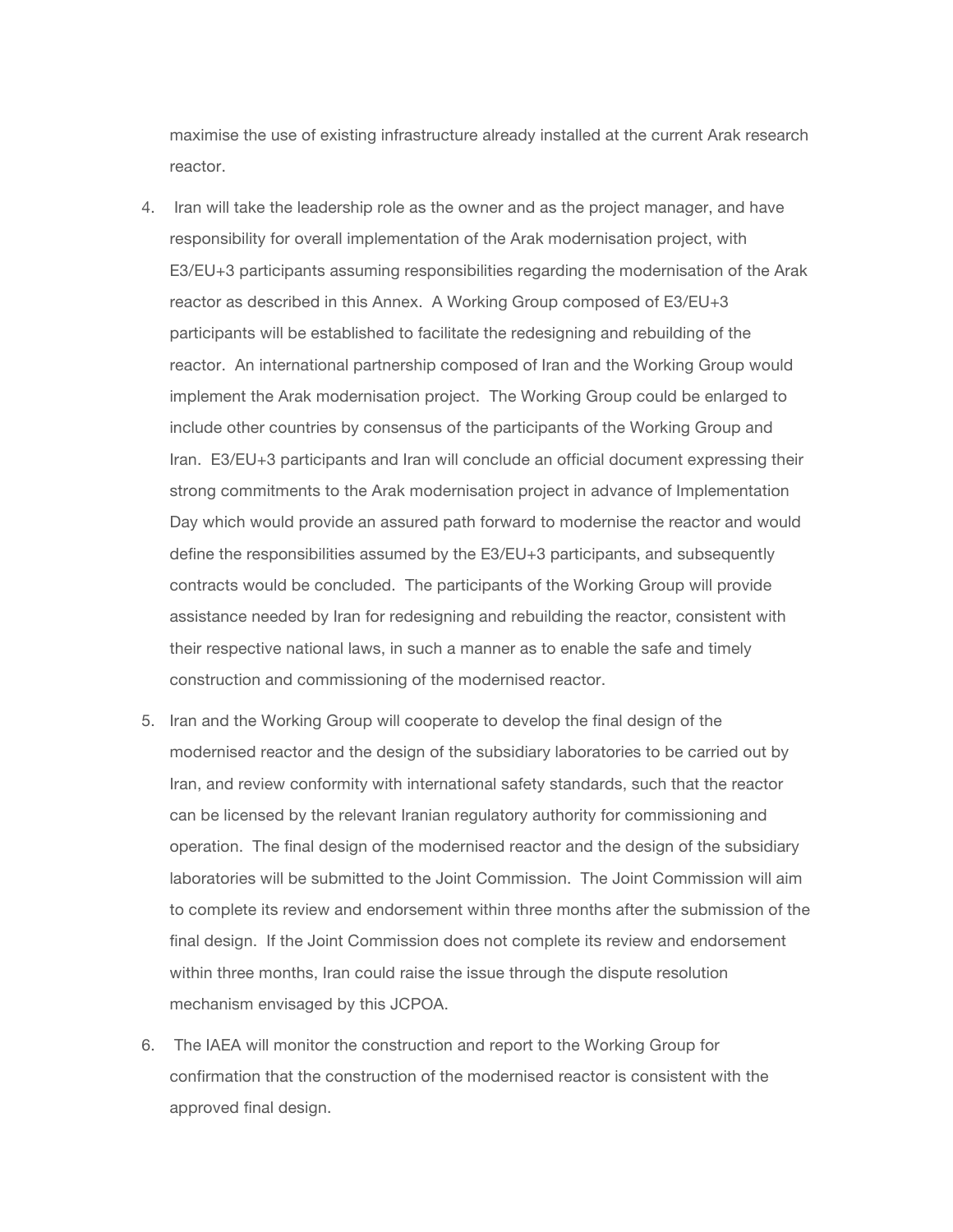maximise the use of existing infrastructure already installed at the current Arak research reactor.

- 4. Iran will take the leadership role as the owner and as the project manager, and have responsibility for overall implementation of the Arak modernisation project, with E3/EU+3 participants assuming responsibilities regarding the modernisation of the Arak reactor as described in this Annex. A Working Group composed of E3/EU+3 participants will be established to facilitate the redesigning and rebuilding of the reactor. An international partnership composed of Iran and the Working Group would implement the Arak modernisation project. The Working Group could be enlarged to include other countries by consensus of the participants of the Working Group and Iran. E3/EU+3 participants and Iran will conclude an official document expressing their strong commitments to the Arak modernisation project in advance of Implementation Day which would provide an assured path forward to modernise the reactor and would define the responsibilities assumed by the E3/EU+3 participants, and subsequently contracts would be concluded. The participants of the Working Group will provide assistance needed by Iran for redesigning and rebuilding the reactor, consistent with their respective national laws, in such a manner as to enable the safe and timely construction and commissioning of the modernised reactor.
- 5. Iran and the Working Group will cooperate to develop the final design of the modernised reactor and the design of the subsidiary laboratories to be carried out by Iran, and review conformity with international safety standards, such that the reactor can be licensed by the relevant Iranian regulatory authority for commissioning and operation. The final design of the modernised reactor and the design of the subsidiary laboratories will be submitted to the Joint Commission. The Joint Commission will aim to complete its review and endorsement within three months after the submission of the final design. If the Joint Commission does not complete its review and endorsement within three months, Iran could raise the issue through the dispute resolution mechanism envisaged by this JCPOA.
- 6. The IAEA will monitor the construction and report to the Working Group for confirmation that the construction of the modernised reactor is consistent with the approved final design.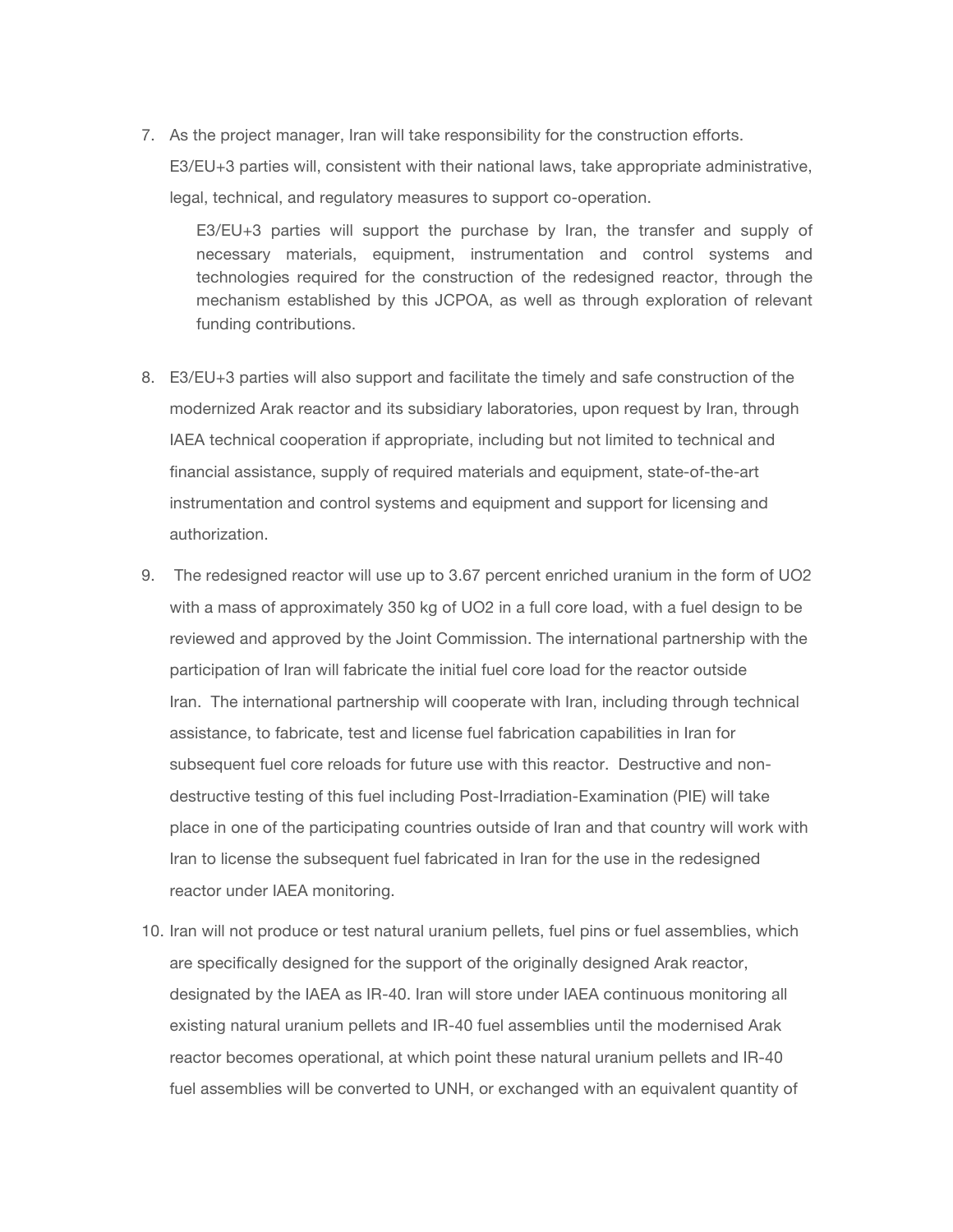7. As the project manager, Iran will take responsibility for the construction efforts.

E3/EU+3 parties will, consistent with their national laws, take appropriate administrative, legal, technical, and regulatory measures to support co-operation.

E3/EU+3 parties will support the purchase by Iran, the transfer and supply of necessary materials, equipment, instrumentation and control systems and technologies required for the construction of the redesigned reactor, through the mechanism established by this JCPOA, as well as through exploration of relevant funding contributions.

- 8. E3/EU+3 parties will also support and facilitate the timely and safe construction of the modernized Arak reactor and its subsidiary laboratories, upon request by Iran, through IAEA technical cooperation if appropriate, including but not limited to technical and financial assistance, supply of required materials and equipment, state-of-the-art instrumentation and control systems and equipment and support for licensing and authorization.
- 9. The redesigned reactor will use up to 3.67 percent enriched uranium in the form of UO2 with a mass of approximately 350 kg of UO2 in a full core load, with a fuel design to be reviewed and approved by the Joint Commission. The international partnership with the participation of Iran will fabricate the initial fuel core load for the reactor outside Iran. The international partnership will cooperate with Iran, including through technical assistance, to fabricate, test and license fuel fabrication capabilities in Iran for subsequent fuel core reloads for future use with this reactor. Destructive and nondestructive testing of this fuel including Post-Irradiation-Examination (PIE) will take place in one of the participating countries outside of Iran and that country will work with Iran to license the subsequent fuel fabricated in Iran for the use in the redesigned reactor under IAEA monitoring.
- 10. Iran will not produce or test natural uranium pellets, fuel pins or fuel assemblies, which are specifically designed for the support of the originally designed Arak reactor, designated by the IAEA as IR-40. Iran will store under IAEA continuous monitoring all existing natural uranium pellets and IR-40 fuel assemblies until the modernised Arak reactor becomes operational, at which point these natural uranium pellets and IR-40 fuel assemblies will be converted to UNH, or exchanged with an equivalent quantity of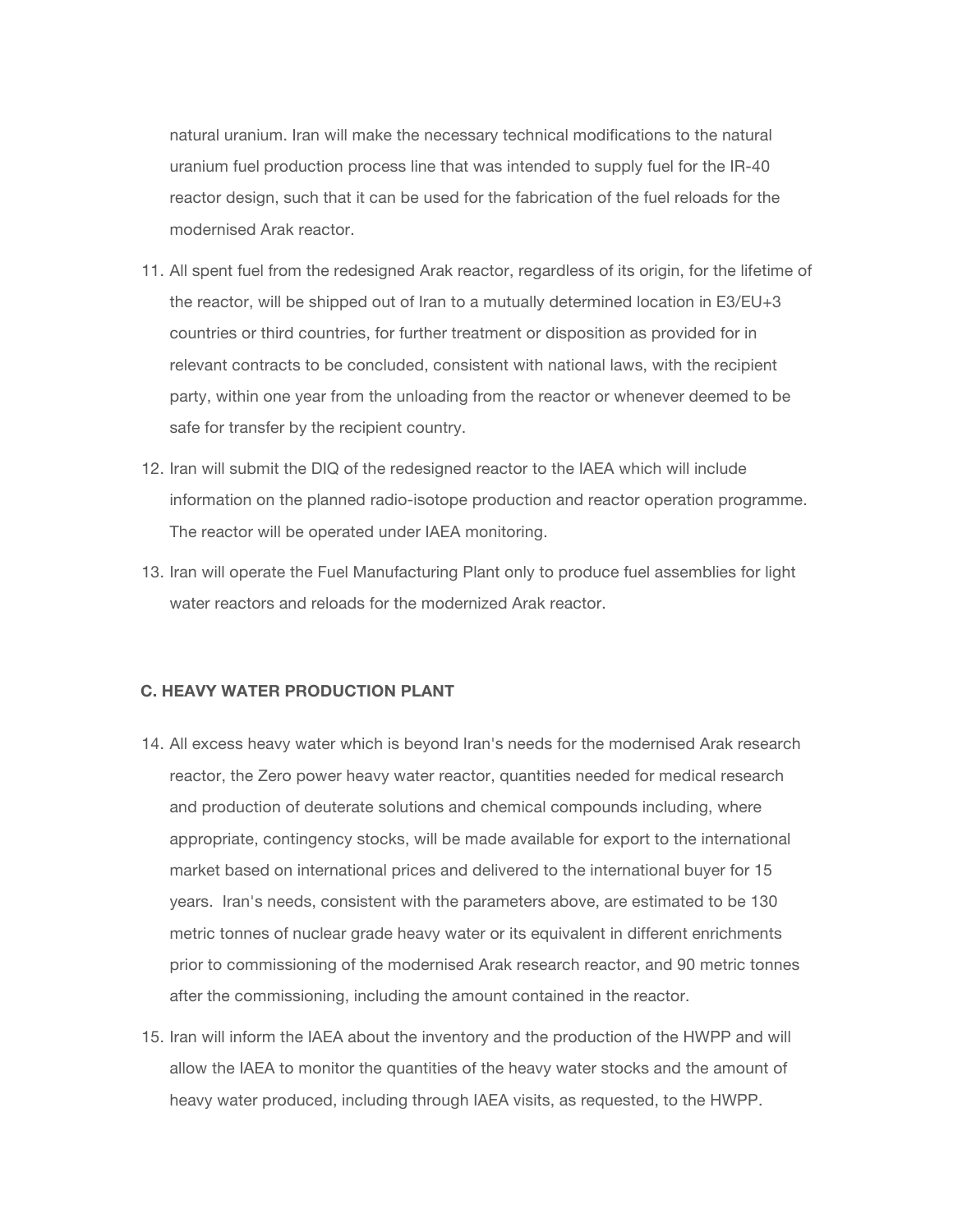natural uranium. Iran will make the necessary technical modifications to the natural uranium fuel production process line that was intended to supply fuel for the IR-40 reactor design, such that it can be used for the fabrication of the fuel reloads for the modernised Arak reactor.

- 11. All spent fuel from the redesigned Arak reactor, regardless of its origin, for the lifetime of the reactor, will be shipped out of Iran to a mutually determined location in E3/EU+3 countries or third countries, for further treatment or disposition as provided for in relevant contracts to be concluded, consistent with national laws, with the recipient party, within one year from the unloading from the reactor or whenever deemed to be safe for transfer by the recipient country.
- 12. Iran will submit the DIQ of the redesigned reactor to the IAEA which will include information on the planned radio-isotope production and reactor operation programme. The reactor will be operated under IAEA monitoring.
- 13. Iran will operate the Fuel Manufacturing Plant only to produce fuel assemblies for light water reactors and reloads for the modernized Arak reactor.

#### **C. HEAVY WATER PRODUCTION PLANT**

- 14. All excess heavy water which is beyond Iran's needs for the modernised Arak research reactor, the Zero power heavy water reactor, quantities needed for medical research and production of deuterate solutions and chemical compounds including, where appropriate, contingency stocks, will be made available for export to the international market based on international prices and delivered to the international buyer for 15 years. Iran's needs, consistent with the parameters above, are estimated to be 130 metric tonnes of nuclear grade heavy water or its equivalent in different enrichments prior to commissioning of the modernised Arak research reactor, and 90 metric tonnes after the commissioning, including the amount contained in the reactor.
- 15. Iran will inform the IAEA about the inventory and the production of the HWPP and will allow the IAEA to monitor the quantities of the heavy water stocks and the amount of heavy water produced, including through IAEA visits, as requested, to the HWPP.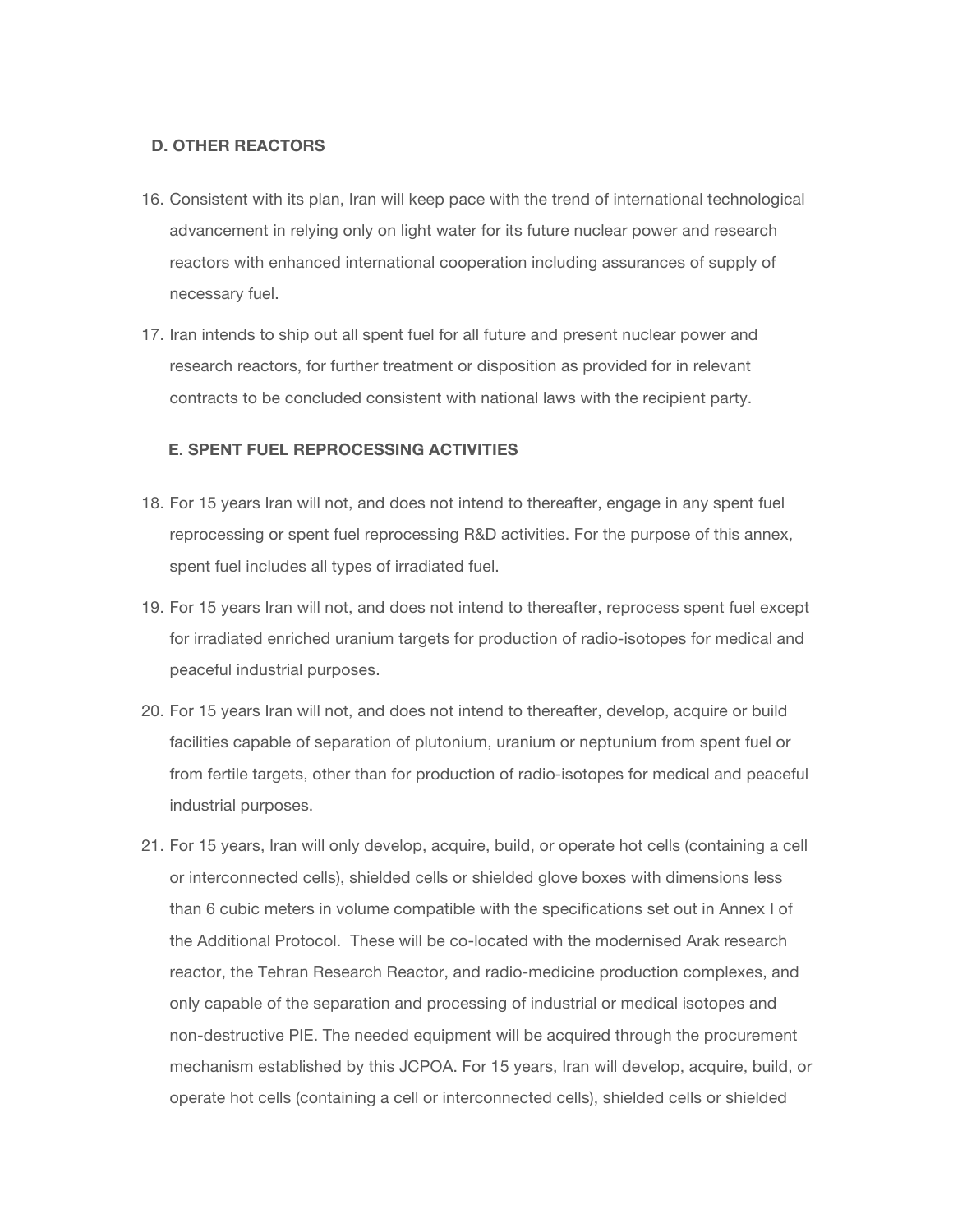### **D. OTHER REACTORS**

- 16. Consistent with its plan, Iran will keep pace with the trend of international technological advancement in relying only on light water for its future nuclear power and research reactors with enhanced international cooperation including assurances of supply of necessary fuel.
- 17. Iran intends to ship out all spent fuel for all future and present nuclear power and research reactors, for further treatment or disposition as provided for in relevant contracts to be concluded consistent with national laws with the recipient party.

### **E. SPENT FUEL REPROCESSING ACTIVITIES**

- 18. For 15 years Iran will not, and does not intend to thereafter, engage in any spent fuel reprocessing or spent fuel reprocessing R&D activities. For the purpose of this annex, spent fuel includes all types of irradiated fuel.
- 19. For 15 years Iran will not, and does not intend to thereafter, reprocess spent fuel except for irradiated enriched uranium targets for production of radio-isotopes for medical and peaceful industrial purposes.
- 20. For 15 years Iran will not, and does not intend to thereafter, develop, acquire or build facilities capable of separation of plutonium, uranium or neptunium from spent fuel or from fertile targets, other than for production of radio-isotopes for medical and peaceful industrial purposes.
- 21. For 15 years, Iran will only develop, acquire, build, or operate hot cells (containing a cell or interconnected cells), shielded cells or shielded glove boxes with dimensions less than 6 cubic meters in volume compatible with the specifications set out in Annex I of the Additional Protocol. These will be co-located with the modernised Arak research reactor, the Tehran Research Reactor, and radio-medicine production complexes, and only capable of the separation and processing of industrial or medical isotopes and non-destructive PIE. The needed equipment will be acquired through the procurement mechanism established by this JCPOA. For 15 years, Iran will develop, acquire, build, or operate hot cells (containing a cell or interconnected cells), shielded cells or shielded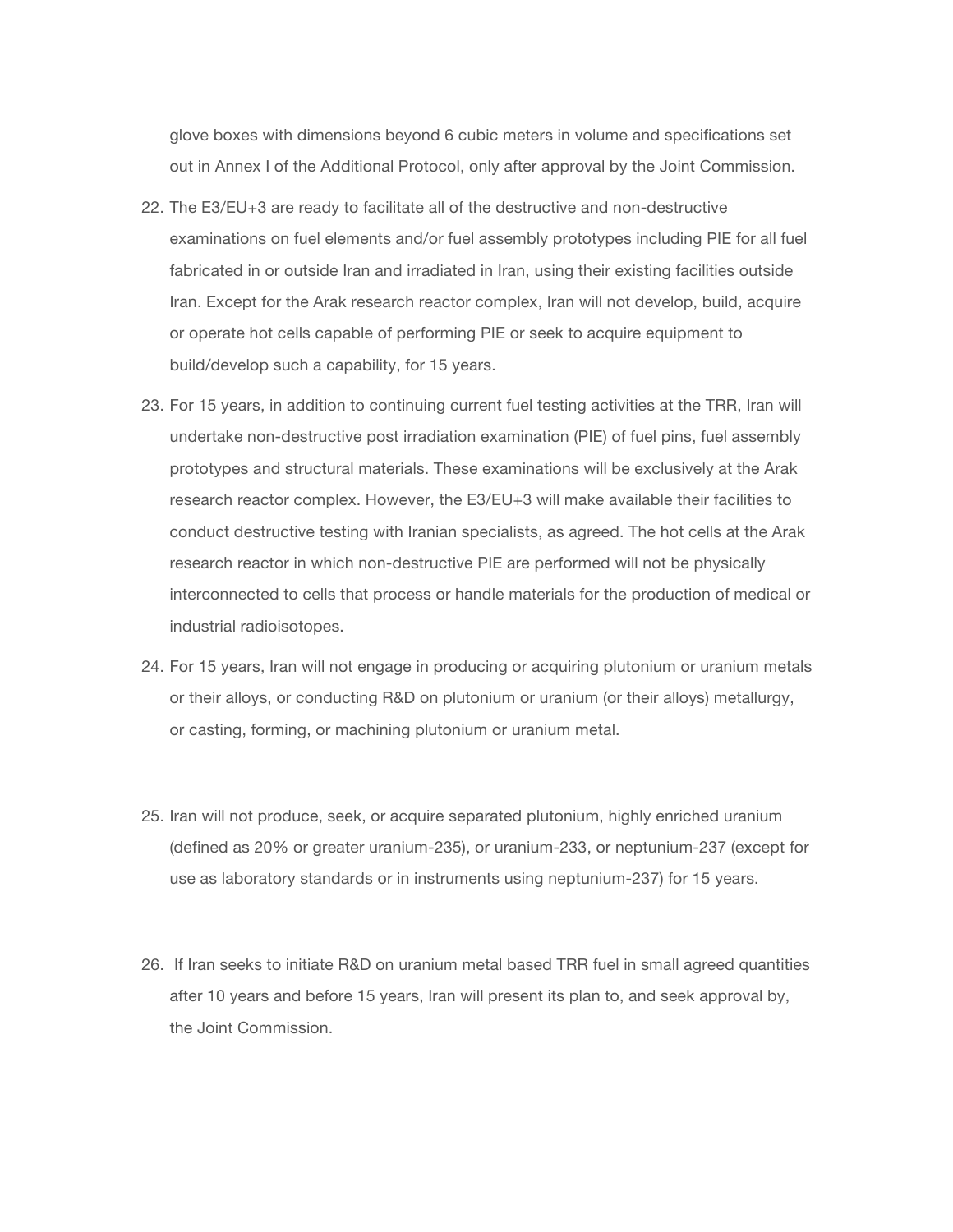glove boxes with dimensions beyond 6 cubic meters in volume and specifications set out in Annex I of the Additional Protocol, only after approval by the Joint Commission.

- 22. The E3/EU+3 are ready to facilitate all of the destructive and non-destructive examinations on fuel elements and/or fuel assembly prototypes including PIE for all fuel fabricated in or outside Iran and irradiated in Iran, using their existing facilities outside Iran. Except for the Arak research reactor complex, Iran will not develop, build, acquire or operate hot cells capable of performing PIE or seek to acquire equipment to build/develop such a capability, for 15 years.
- 23. For 15 years, in addition to continuing current fuel testing activities at the TRR, Iran will undertake non-destructive post irradiation examination (PIE) of fuel pins, fuel assembly prototypes and structural materials. These examinations will be exclusively at the Arak research reactor complex. However, the E3/EU+3 will make available their facilities to conduct destructive testing with Iranian specialists, as agreed. The hot cells at the Arak research reactor in which non-destructive PIE are performed will not be physically interconnected to cells that process or handle materials for the production of medical or industrial radioisotopes.
- 24. For 15 years, Iran will not engage in producing or acquiring plutonium or uranium metals or their alloys, or conducting R&D on plutonium or uranium (or their alloys) metallurgy, or casting, forming, or machining plutonium or uranium metal.
- 25. Iran will not produce, seek, or acquire separated plutonium, highly enriched uranium (defined as 20% or greater uranium-235), or uranium-233, or neptunium-237 (except for use as laboratory standards or in instruments using neptunium-237) for 15 years.
- 26. If Iran seeks to initiate R&D on uranium metal based TRR fuel in small agreed quantities after 10 years and before 15 years, Iran will present its plan to, and seek approval by, the Joint Commission.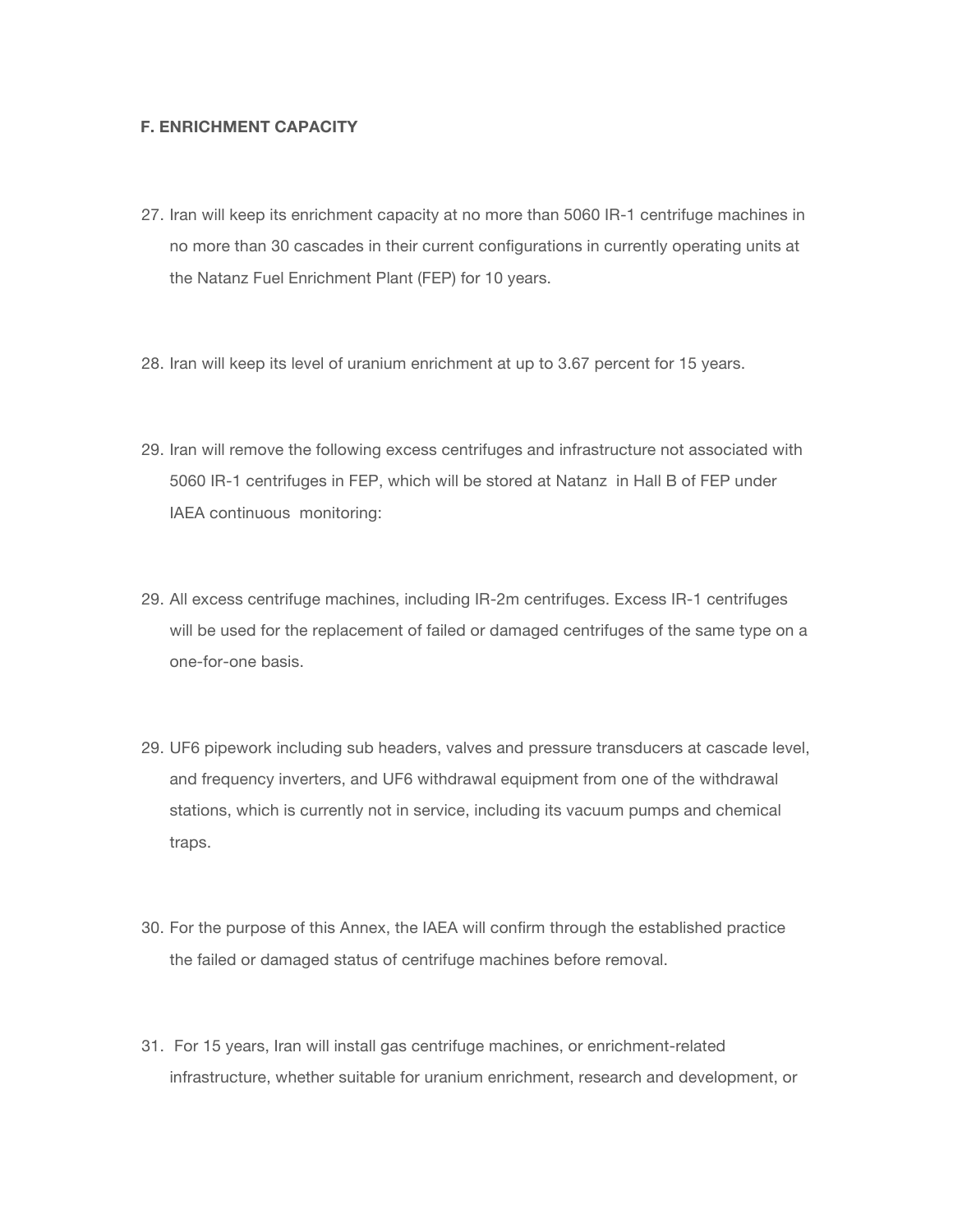### **F. ENRICHMENT CAPACITY**

- 27. Iran will keep its enrichment capacity at no more than 5060 IR-1 centrifuge machines in no more than 30 cascades in their current configurations in currently operating units at the Natanz Fuel Enrichment Plant (FEP) for 10 years.
- 28. Iran will keep its level of uranium enrichment at up to 3.67 percent for 15 years.
- 29. Iran will remove the following excess centrifuges and infrastructure not associated with 5060 IR-1 centrifuges in FEP, which will be stored at Natanz in Hall B of FEP under IAEA continuous monitoring:
- 29. All excess centrifuge machines, including IR-2m centrifuges. Excess IR-1 centrifuges will be used for the replacement of failed or damaged centrifuges of the same type on a one-for-one basis.
- 29. UF6 pipework including sub headers, valves and pressure transducers at cascade level, and frequency inverters, and UF6 withdrawal equipment from one of the withdrawal stations, which is currently not in service, including its vacuum pumps and chemical traps.
- 30. For the purpose of this Annex, the IAEA will confirm through the established practice the failed or damaged status of centrifuge machines before removal.
- 31. For 15 years, Iran will install gas centrifuge machines, or enrichment-related infrastructure, whether suitable for uranium enrichment, research and development, or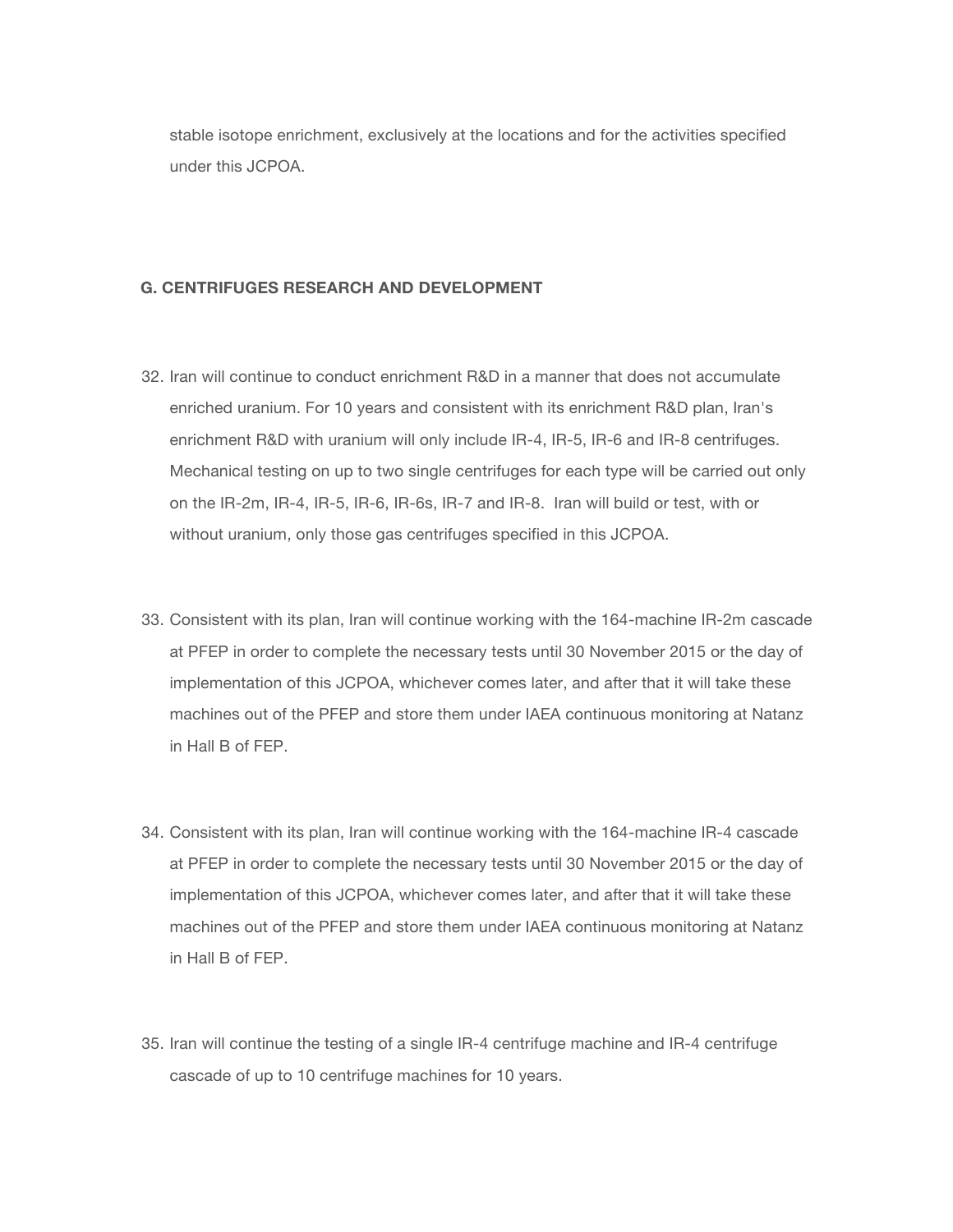stable isotope enrichment, exclusively at the locations and for the activities specified under this JCPOA.

#### **G. CENTRIFUGES RESEARCH AND DEVELOPMENT**

- 32. Iran will continue to conduct enrichment R&D in a manner that does not accumulate enriched uranium. For 10 years and consistent with its enrichment R&D plan, Iran's enrichment R&D with uranium will only include IR-4, IR-5, IR-6 and IR-8 centrifuges. Mechanical testing on up to two single centrifuges for each type will be carried out only on the IR-2m, IR-4, IR-5, IR-6, IR-6s, IR-7 and IR-8. Iran will build or test, with or without uranium, only those gas centrifuges specified in this JCPOA.
- 33. Consistent with its plan, Iran will continue working with the 164-machine IR-2m cascade at PFEP in order to complete the necessary tests until 30 November 2015 or the day of implementation of this JCPOA, whichever comes later, and after that it will take these machines out of the PFEP and store them under IAEA continuous monitoring at Natanz in Hall B of FEP.
- 34. Consistent with its plan, Iran will continue working with the 164-machine IR-4 cascade at PFEP in order to complete the necessary tests until 30 November 2015 or the day of implementation of this JCPOA, whichever comes later, and after that it will take these machines out of the PFEP and store them under IAEA continuous monitoring at Natanz in Hall B of FEP.
- 35. Iran will continue the testing of a single IR-4 centrifuge machine and IR-4 centrifuge cascade of up to 10 centrifuge machines for 10 years.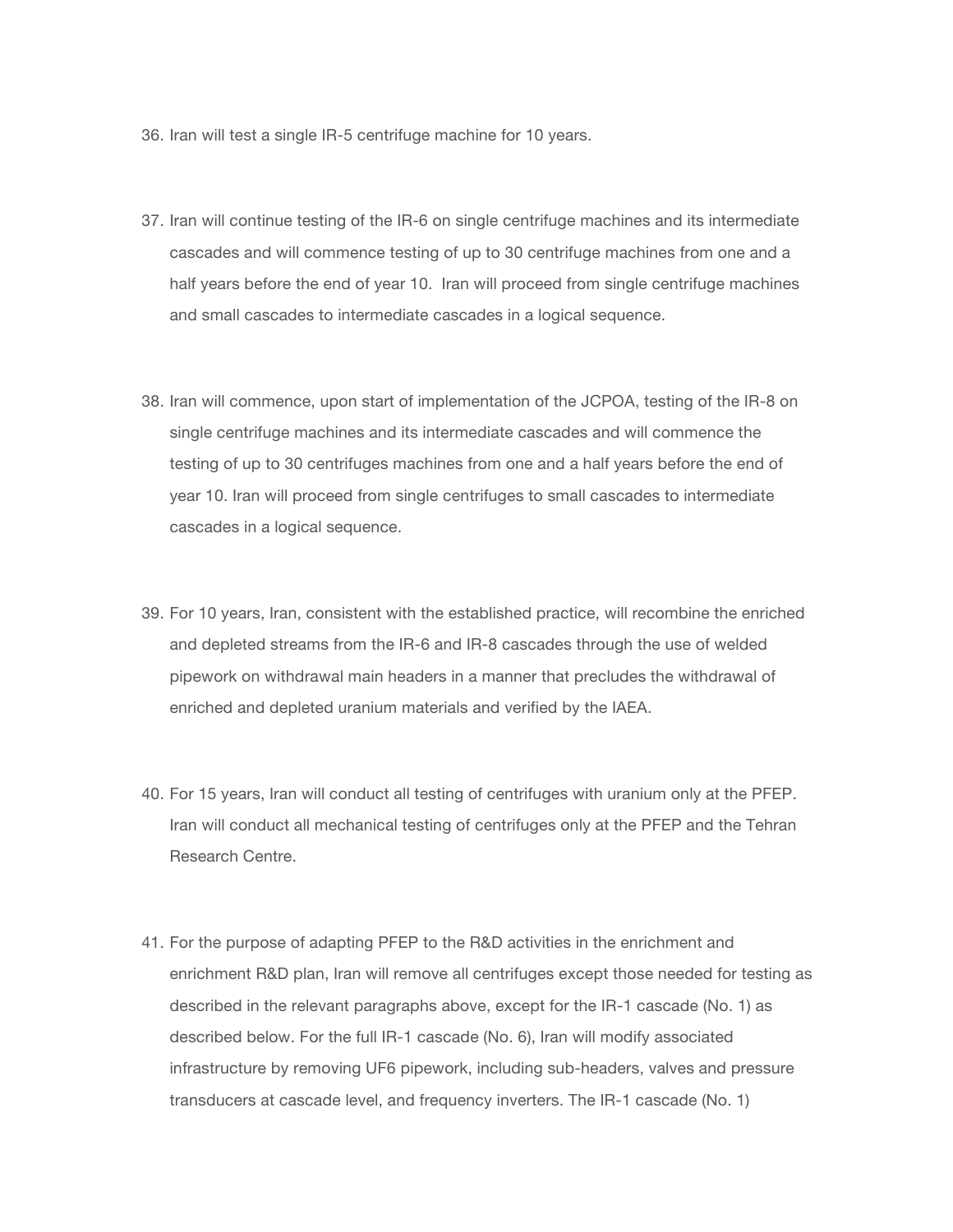- 36. Iran will test a single IR-5 centrifuge machine for 10 years.
- 37. Iran will continue testing of the IR-6 on single centrifuge machines and its intermediate cascades and will commence testing of up to 30 centrifuge machines from one and a half years before the end of year 10. Iran will proceed from single centrifuge machines and small cascades to intermediate cascades in a logical sequence.
- 38. Iran will commence, upon start of implementation of the JCPOA, testing of the IR-8 on single centrifuge machines and its intermediate cascades and will commence the testing of up to 30 centrifuges machines from one and a half years before the end of year 10. Iran will proceed from single centrifuges to small cascades to intermediate cascades in a logical sequence.
- 39. For 10 years, Iran, consistent with the established practice, will recombine the enriched and depleted streams from the IR-6 and IR-8 cascades through the use of welded pipework on withdrawal main headers in a manner that precludes the withdrawal of enriched and depleted uranium materials and verified by the IAEA.
- 40. For 15 years, Iran will conduct all testing of centrifuges with uranium only at the PFEP. Iran will conduct all mechanical testing of centrifuges only at the PFEP and the Tehran Research Centre.
- 41. For the purpose of adapting PFEP to the R&D activities in the enrichment and enrichment R&D plan, Iran will remove all centrifuges except those needed for testing as described in the relevant paragraphs above, except for the IR-1 cascade (No. 1) as described below. For the full IR-1 cascade (No. 6), Iran will modify associated infrastructure by removing UF6 pipework, including sub-headers, valves and pressure transducers at cascade level, and frequency inverters. The IR-1 cascade (No. 1)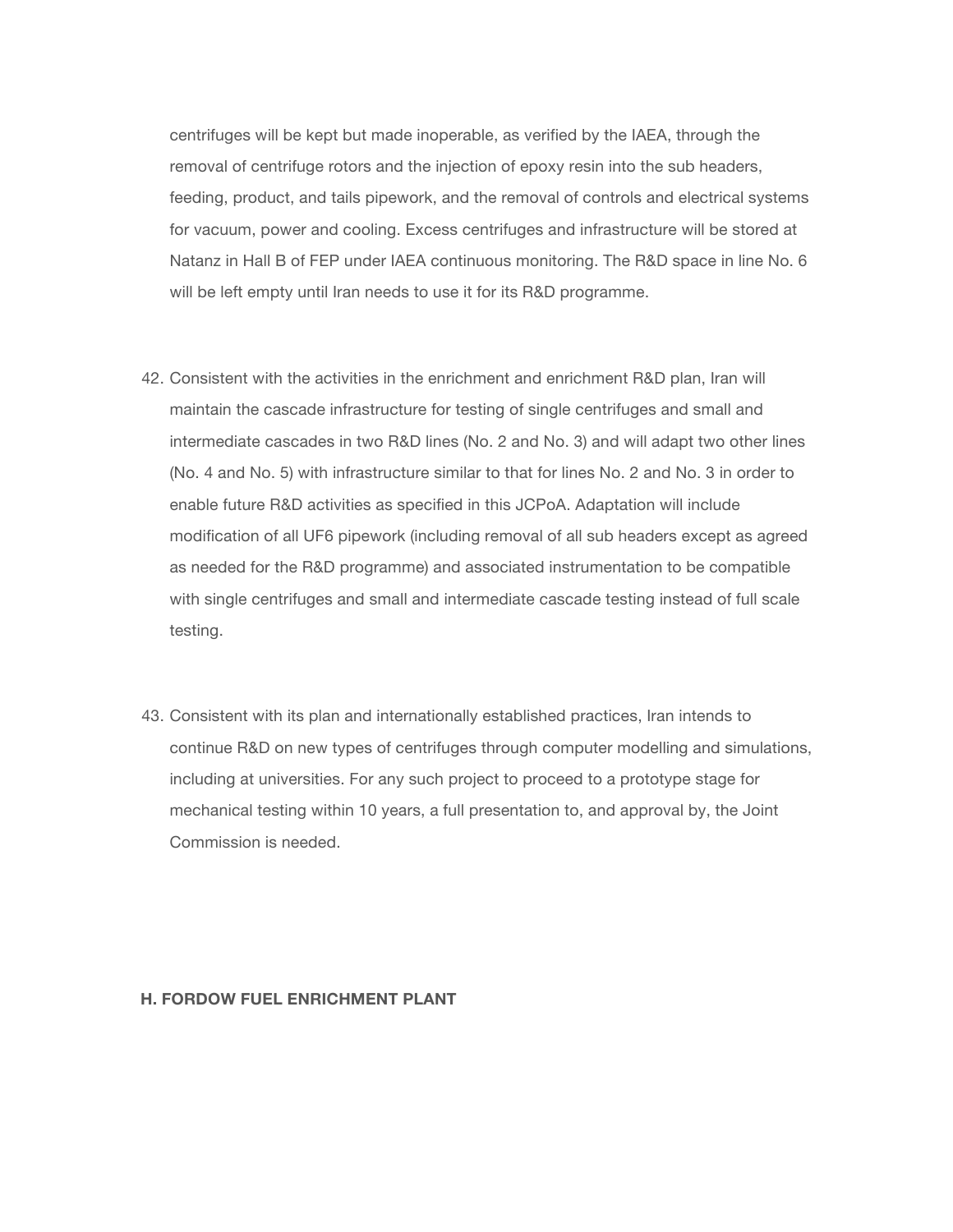centrifuges will be kept but made inoperable, as verified by the IAEA, through the removal of centrifuge rotors and the injection of epoxy resin into the sub headers, feeding, product, and tails pipework, and the removal of controls and electrical systems for vacuum, power and cooling. Excess centrifuges and infrastructure will be stored at Natanz in Hall B of FEP under IAEA continuous monitoring. The R&D space in line No. 6 will be left empty until Iran needs to use it for its R&D programme.

- 42. Consistent with the activities in the enrichment and enrichment R&D plan, Iran will maintain the cascade infrastructure for testing of single centrifuges and small and intermediate cascades in two R&D lines (No. 2 and No. 3) and will adapt two other lines (No. 4 and No. 5) with infrastructure similar to that for lines No. 2 and No. 3 in order to enable future R&D activities as specified in this JCPoA. Adaptation will include modification of all UF6 pipework (including removal of all sub headers except as agreed as needed for the R&D programme) and associated instrumentation to be compatible with single centrifuges and small and intermediate cascade testing instead of full scale testing.
- 43. Consistent with its plan and internationally established practices, Iran intends to continue R&D on new types of centrifuges through computer modelling and simulations, including at universities. For any such project to proceed to a prototype stage for mechanical testing within 10 years, a full presentation to, and approval by, the Joint Commission is needed.

### **H. FORDOW FUEL ENRICHMENT PLANT**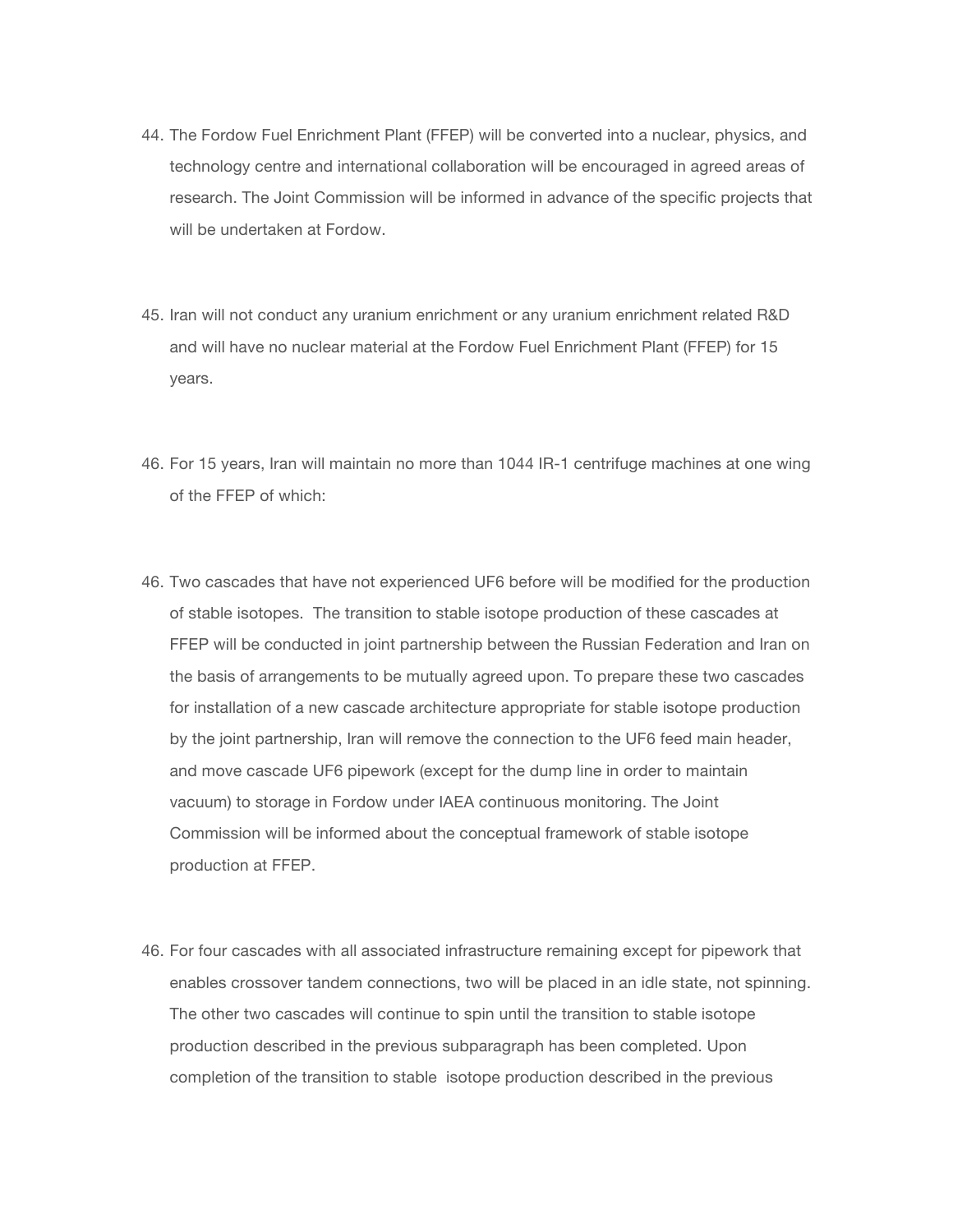- 44. The Fordow Fuel Enrichment Plant (FFEP) will be converted into a nuclear, physics, and technology centre and international collaboration will be encouraged in agreed areas of research. The Joint Commission will be informed in advance of the specific projects that will be undertaken at Fordow.
- 45. Iran will not conduct any uranium enrichment or any uranium enrichment related R&D and will have no nuclear material at the Fordow Fuel Enrichment Plant (FFEP) for 15 years.
- 46. For 15 years, Iran will maintain no more than 1044 IR-1 centrifuge machines at one wing of the FFEP of which:
- 46. Two cascades that have not experienced UF6 before will be modified for the production of stable isotopes. The transition to stable isotope production of these cascades at FFEP will be conducted in joint partnership between the Russian Federation and Iran on the basis of arrangements to be mutually agreed upon. To prepare these two cascades for installation of a new cascade architecture appropriate for stable isotope production by the joint partnership, Iran will remove the connection to the UF6 feed main header, and move cascade UF6 pipework (except for the dump line in order to maintain vacuum) to storage in Fordow under IAEA continuous monitoring. The Joint Commission will be informed about the conceptual framework of stable isotope production at FFEP.
- 46. For four cascades with all associated infrastructure remaining except for pipework that enables crossover tandem connections, two will be placed in an idle state, not spinning. The other two cascades will continue to spin until the transition to stable isotope production described in the previous subparagraph has been completed. Upon completion of the transition to stable isotope production described in the previous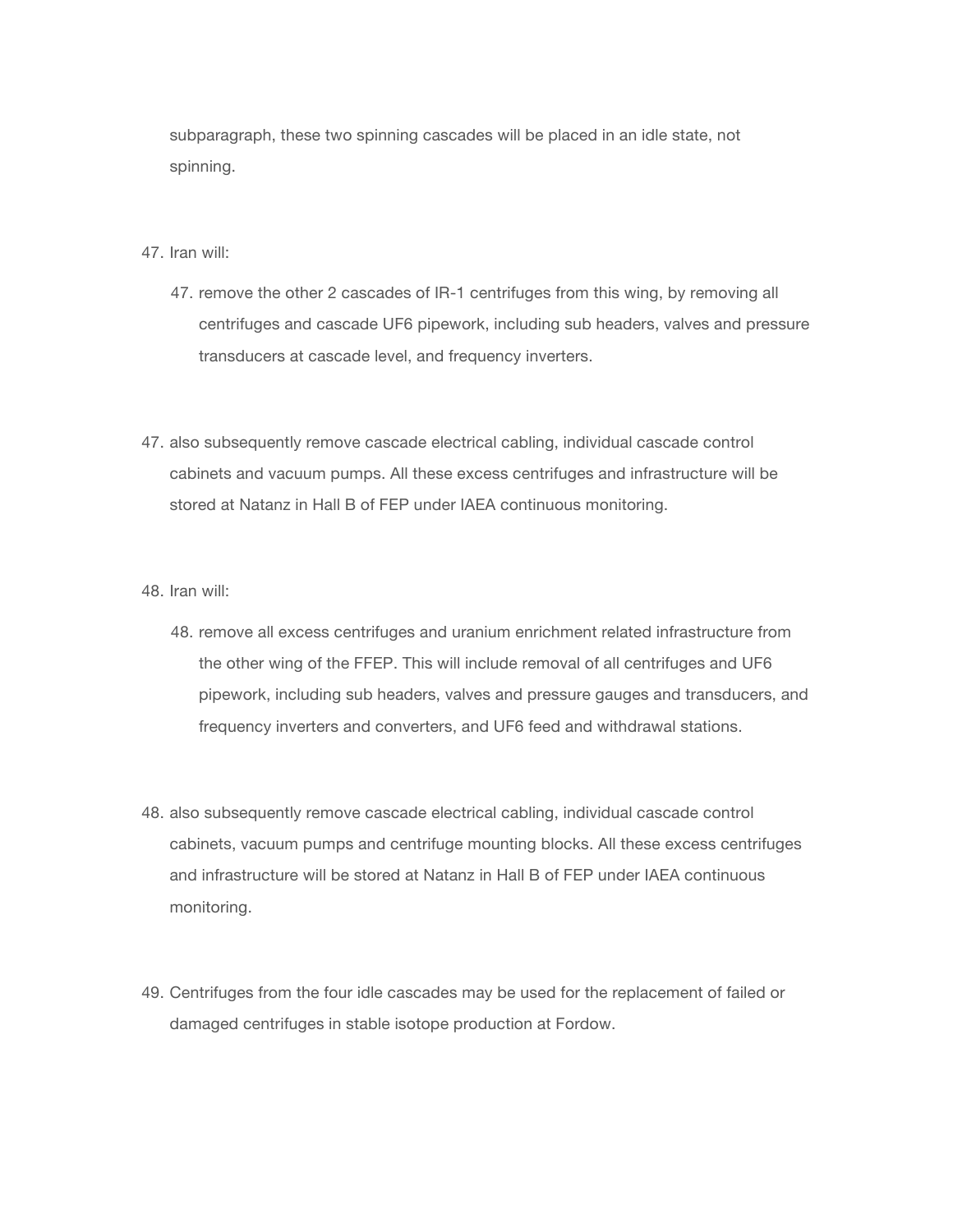subparagraph, these two spinning cascades will be placed in an idle state, not spinning.

### 47. Iran will:

- 47. remove the other 2 cascades of IR-1 centrifuges from this wing, by removing all centrifuges and cascade UF6 pipework, including sub headers, valves and pressure transducers at cascade level, and frequency inverters.
- 47. also subsequently remove cascade electrical cabling, individual cascade control cabinets and vacuum pumps. All these excess centrifuges and infrastructure will be stored at Natanz in Hall B of FEP under IAEA continuous monitoring.

#### 48. Iran will:

- 48. remove all excess centrifuges and uranium enrichment related infrastructure from the other wing of the FFEP. This will include removal of all centrifuges and UF6 pipework, including sub headers, valves and pressure gauges and transducers, and frequency inverters and converters, and UF6 feed and withdrawal stations.
- 48. also subsequently remove cascade electrical cabling, individual cascade control cabinets, vacuum pumps and centrifuge mounting blocks. All these excess centrifuges and infrastructure will be stored at Natanz in Hall B of FEP under IAEA continuous monitoring.
- 49. Centrifuges from the four idle cascades may be used for the replacement of failed or damaged centrifuges in stable isotope production at Fordow.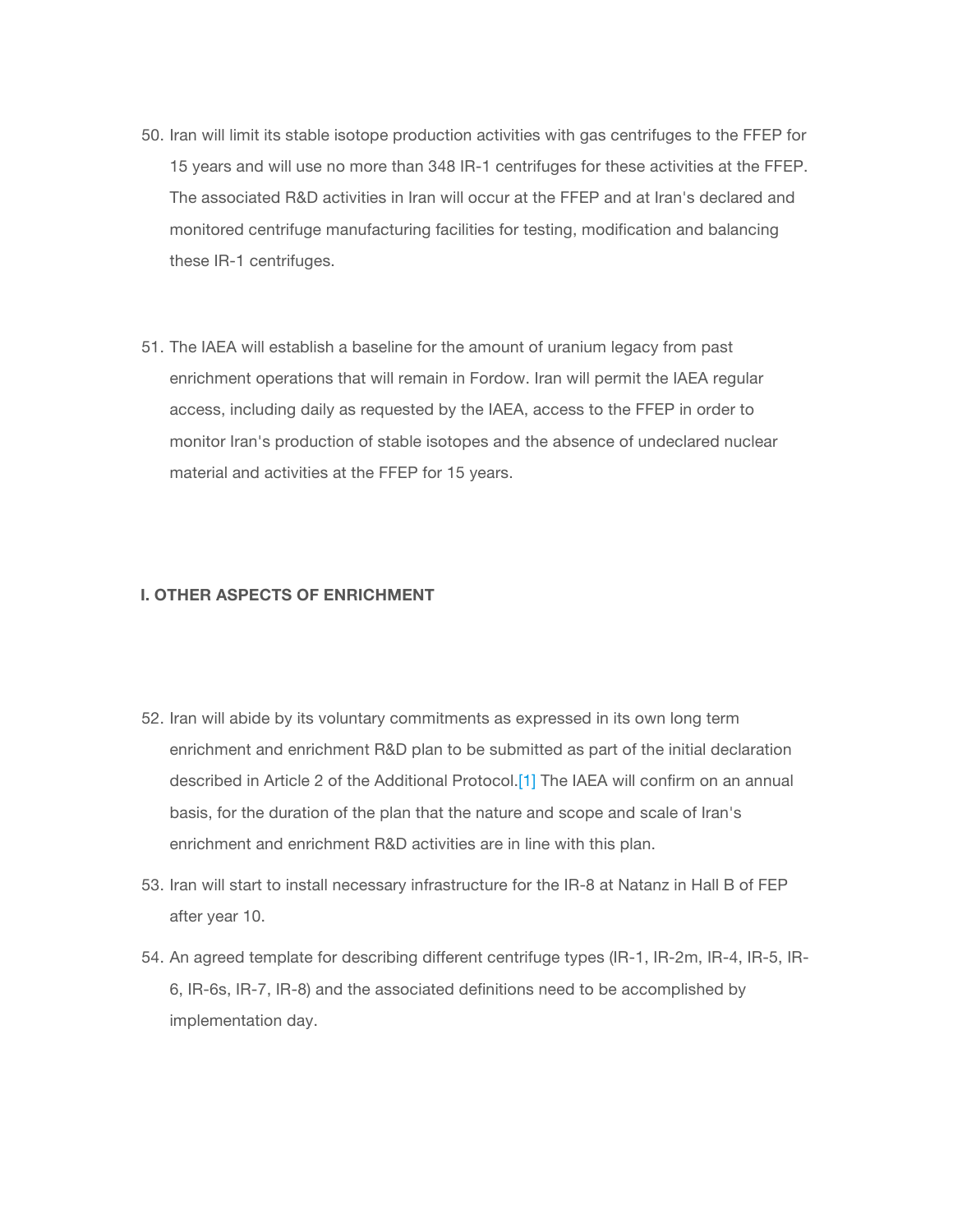- 50. Iran will limit its stable isotope production activities with gas centrifuges to the FFEP for 15 years and will use no more than 348 IR-1 centrifuges for these activities at the FFEP. The associated R&D activities in Iran will occur at the FFEP and at Iran's declared and monitored centrifuge manufacturing facilities for testing, modification and balancing these IR-1 centrifuges.
- 51. The IAEA will establish a baseline for the amount of uranium legacy from past enrichment operations that will remain in Fordow. Iran will permit the IAEA regular access, including daily as requested by the IAEA, access to the FFEP in order to monitor Iran's production of stable isotopes and the absence of undeclared nuclear material and activities at the FFEP for 15 years.

### **I. OTHER ASPECTS OF ENRICHMENT**

- 52. Iran will abide by its voluntary commitments as expressed in its own long term enrichment and enrichment R&D plan to be submitted as part of the initial declaration described in Article 2 of the Additional Protocol[.\[1\]](http://www.mid.ru/foreign_policy/news/-/asset_publisher/cKNonkJE02Bw/content/id/1571042#_ftn1) The IAEA will confirm on an annual basis, for the duration of the plan that the nature and scope and scale of Iran's enrichment and enrichment R&D activities are in line with this plan.
- 53. Iran will start to install necessary infrastructure for the IR-8 at Natanz in Hall B of FEP after year 10.
- 54. An agreed template for describing different centrifuge types (IR-1, IR-2m, IR-4, IR-5, IR-6, IR-6s, IR-7, IR-8) and the associated definitions need to be accomplished by implementation day.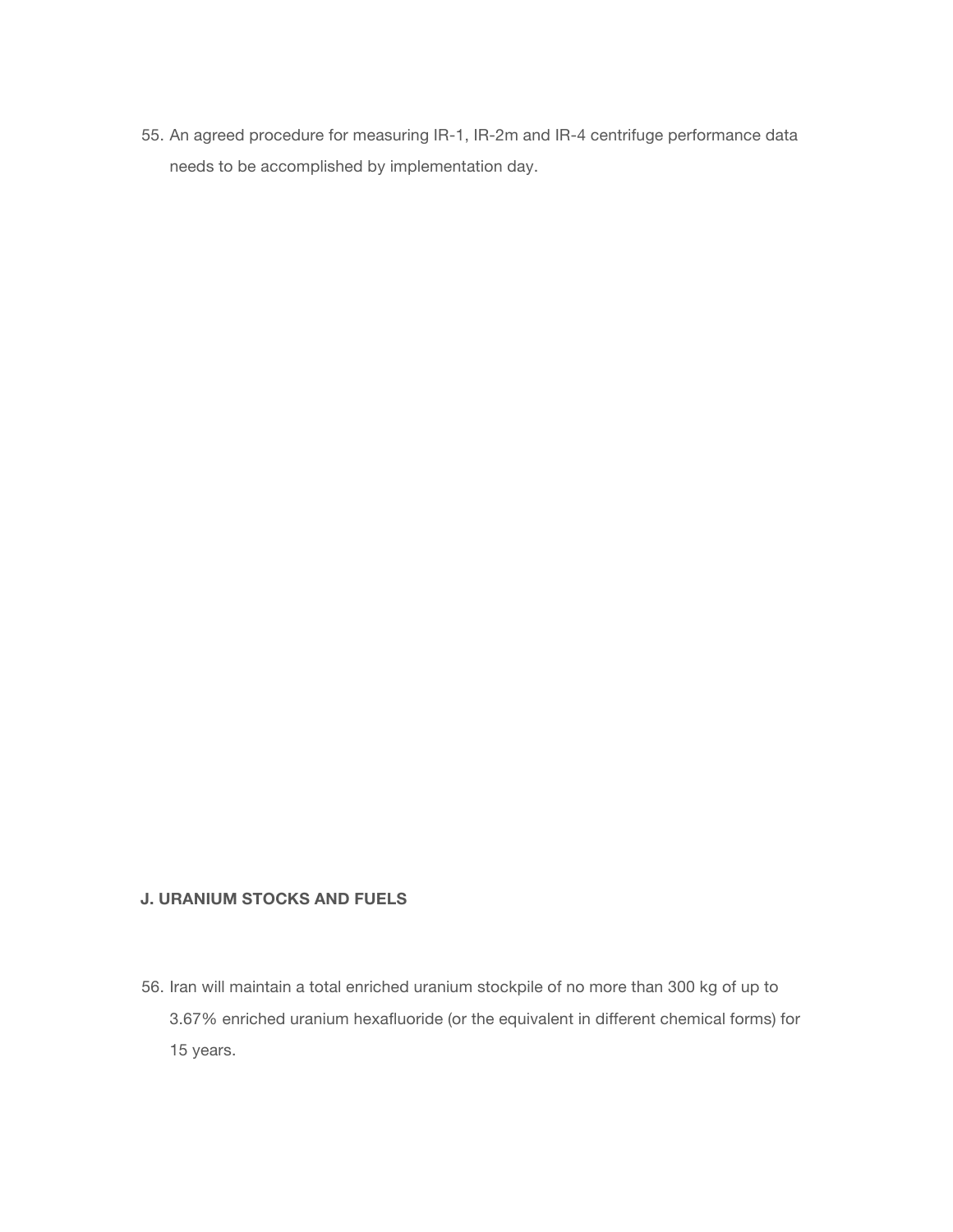55. An agreed procedure for measuring IR-1, IR-2m and IR-4 centrifuge performance data needs to be accomplished by implementation day.

## **J. URANIUM STOCKS AND FUELS**

56. Iran will maintain a total enriched uranium stockpile of no more than 300 kg of up to 3.67% enriched uranium hexafluoride (or the equivalent in different chemical forms) for 15 years.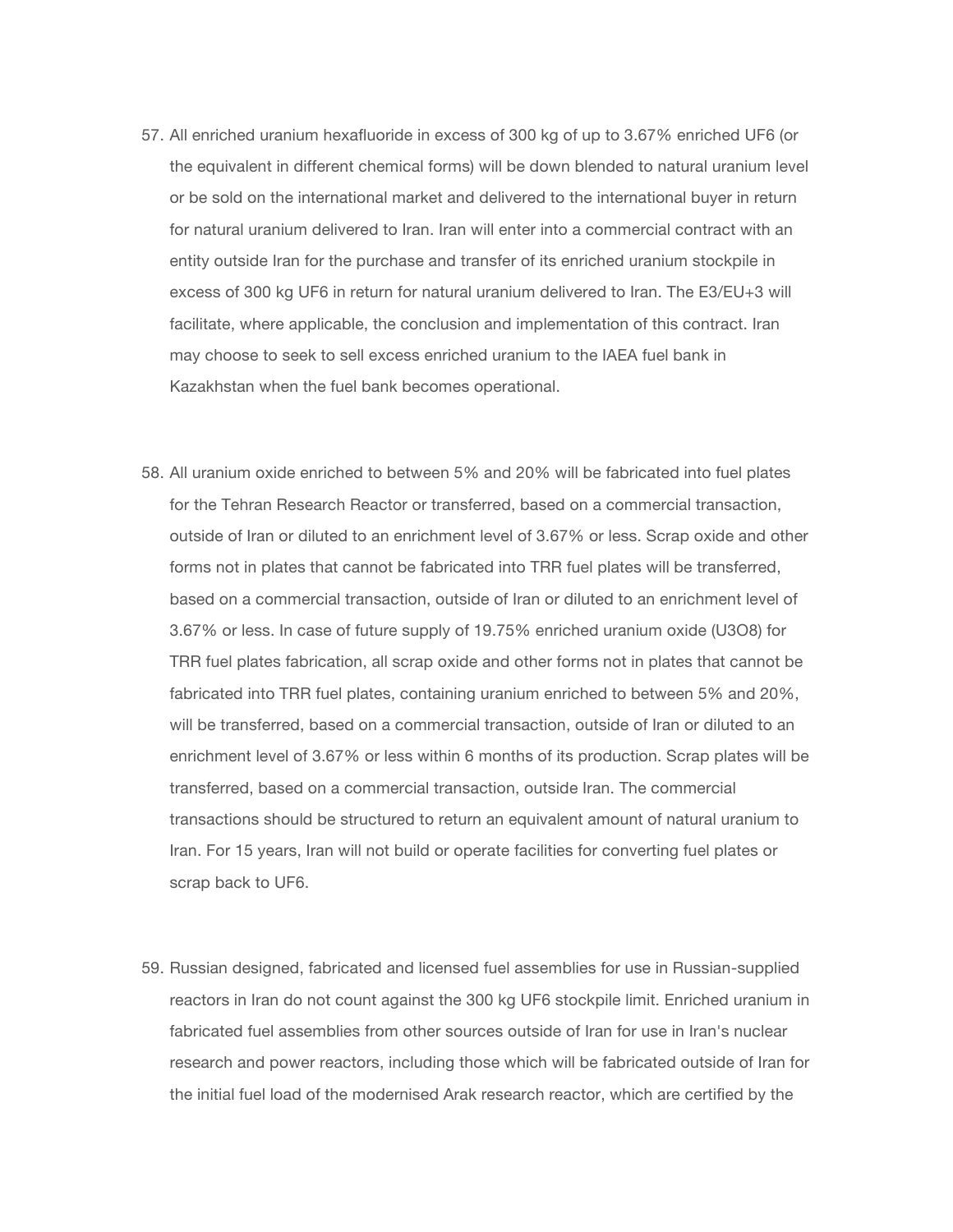- 57. All enriched uranium hexafluoride in excess of 300 kg of up to 3.67% enriched UF6 (or the equivalent in different chemical forms) will be down blended to natural uranium level or be sold on the international market and delivered to the international buyer in return for natural uranium delivered to Iran. Iran will enter into a commercial contract with an entity outside Iran for the purchase and transfer of its enriched uranium stockpile in excess of 300 kg UF6 in return for natural uranium delivered to Iran. The E3/EU+3 will facilitate, where applicable, the conclusion and implementation of this contract. Iran may choose to seek to sell excess enriched uranium to the IAEA fuel bank in Kazakhstan when the fuel bank becomes operational.
- 58. All uranium oxide enriched to between 5% and 20% will be fabricated into fuel plates for the Tehran Research Reactor or transferred, based on a commercial transaction, outside of Iran or diluted to an enrichment level of 3.67% or less. Scrap oxide and other forms not in plates that cannot be fabricated into TRR fuel plates will be transferred, based on a commercial transaction, outside of Iran or diluted to an enrichment level of 3.67% or less. In case of future supply of 19.75% enriched uranium oxide (U3O8) for TRR fuel plates fabrication, all scrap oxide and other forms not in plates that cannot be fabricated into TRR fuel plates, containing uranium enriched to between 5% and 20%, will be transferred, based on a commercial transaction, outside of Iran or diluted to an enrichment level of 3.67% or less within 6 months of its production. Scrap plates will be transferred, based on a commercial transaction, outside Iran. The commercial transactions should be structured to return an equivalent amount of natural uranium to Iran. For 15 years, Iran will not build or operate facilities for converting fuel plates or scrap back to UF6.
- 59. Russian designed, fabricated and licensed fuel assemblies for use in Russian-supplied reactors in Iran do not count against the 300 kg UF6 stockpile limit. Enriched uranium in fabricated fuel assemblies from other sources outside of Iran for use in Iran's nuclear research and power reactors, including those which will be fabricated outside of Iran for the initial fuel load of the modernised Arak research reactor, which are certified by the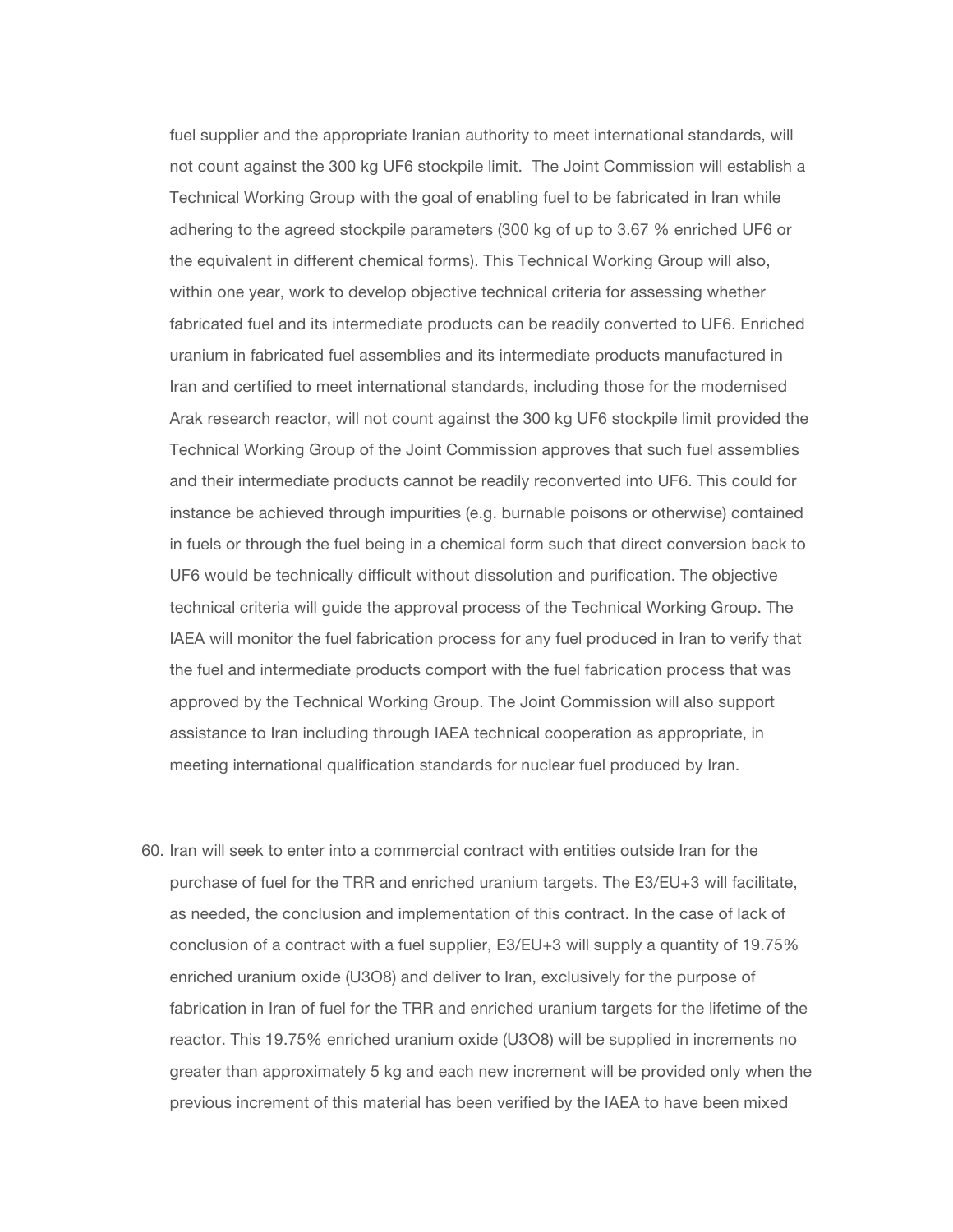fuel supplier and the appropriate Iranian authority to meet international standards, will not count against the 300 kg UF6 stockpile limit. The Joint Commission will establish a Technical Working Group with the goal of enabling fuel to be fabricated in Iran while adhering to the agreed stockpile parameters (300 kg of up to 3.67 % enriched UF6 or the equivalent in different chemical forms). This Technical Working Group will also, within one year, work to develop objective technical criteria for assessing whether fabricated fuel and its intermediate products can be readily converted to UF6. Enriched uranium in fabricated fuel assemblies and its intermediate products manufactured in Iran and certified to meet international standards, including those for the modernised Arak research reactor, will not count against the 300 kg UF6 stockpile limit provided the Technical Working Group of the Joint Commission approves that such fuel assemblies and their intermediate products cannot be readily reconverted into UF6. This could for instance be achieved through impurities (e.g. burnable poisons or otherwise) contained in fuels or through the fuel being in a chemical form such that direct conversion back to UF6 would be technically difficult without dissolution and purification. The objective technical criteria will guide the approval process of the Technical Working Group. The IAEA will monitor the fuel fabrication process for any fuel produced in Iran to verify that the fuel and intermediate products comport with the fuel fabrication process that was approved by the Technical Working Group. The Joint Commission will also support assistance to Iran including through IAEA technical cooperation as appropriate, in meeting international qualification standards for nuclear fuel produced by Iran.

60. Iran will seek to enter into a commercial contract with entities outside Iran for the purchase of fuel for the TRR and enriched uranium targets. The E3/EU+3 will facilitate, as needed, the conclusion and implementation of this contract. In the case of lack of conclusion of a contract with a fuel supplier, E3/EU+3 will supply a quantity of 19.75% enriched uranium oxide (U3O8) and deliver to Iran, exclusively for the purpose of fabrication in Iran of fuel for the TRR and enriched uranium targets for the lifetime of the reactor. This 19.75% enriched uranium oxide (U3O8) will be supplied in increments no greater than approximately 5 kg and each new increment will be provided only when the previous increment of this material has been verified by the IAEA to have been mixed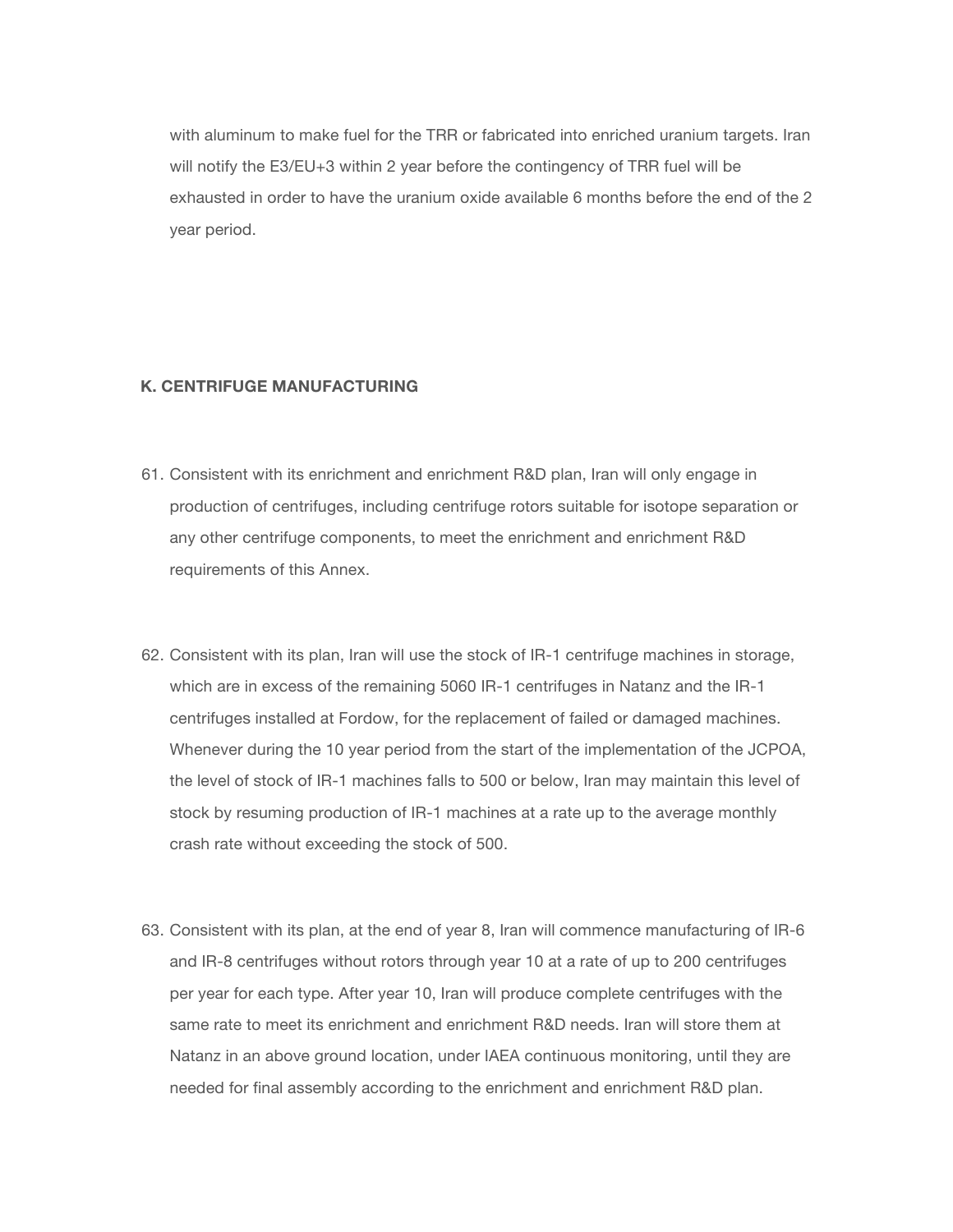with aluminum to make fuel for the TRR or fabricated into enriched uranium targets. Iran will notify the E3/EU+3 within 2 year before the contingency of TRR fuel will be exhausted in order to have the uranium oxide available 6 months before the end of the 2 year period.

# **K. CENTRIFUGE MANUFACTURING**

- 61. Consistent with its enrichment and enrichment R&D plan, Iran will only engage in production of centrifuges, including centrifuge rotors suitable for isotope separation or any other centrifuge components, to meet the enrichment and enrichment R&D requirements of this Annex.
- 62. Consistent with its plan, Iran will use the stock of IR-1 centrifuge machines in storage, which are in excess of the remaining 5060 IR-1 centrifuges in Natanz and the IR-1 centrifuges installed at Fordow, for the replacement of failed or damaged machines. Whenever during the 10 year period from the start of the implementation of the JCPOA, the level of stock of IR-1 machines falls to 500 or below, Iran may maintain this level of stock by resuming production of IR-1 machines at a rate up to the average monthly crash rate without exceeding the stock of 500.
- 63. Consistent with its plan, at the end of year 8, Iran will commence manufacturing of IR-6 and IR-8 centrifuges without rotors through year 10 at a rate of up to 200 centrifuges per year for each type. After year 10, Iran will produce complete centrifuges with the same rate to meet its enrichment and enrichment R&D needs. Iran will store them at Natanz in an above ground location, under IAEA continuous monitoring, until they are needed for final assembly according to the enrichment and enrichment R&D plan.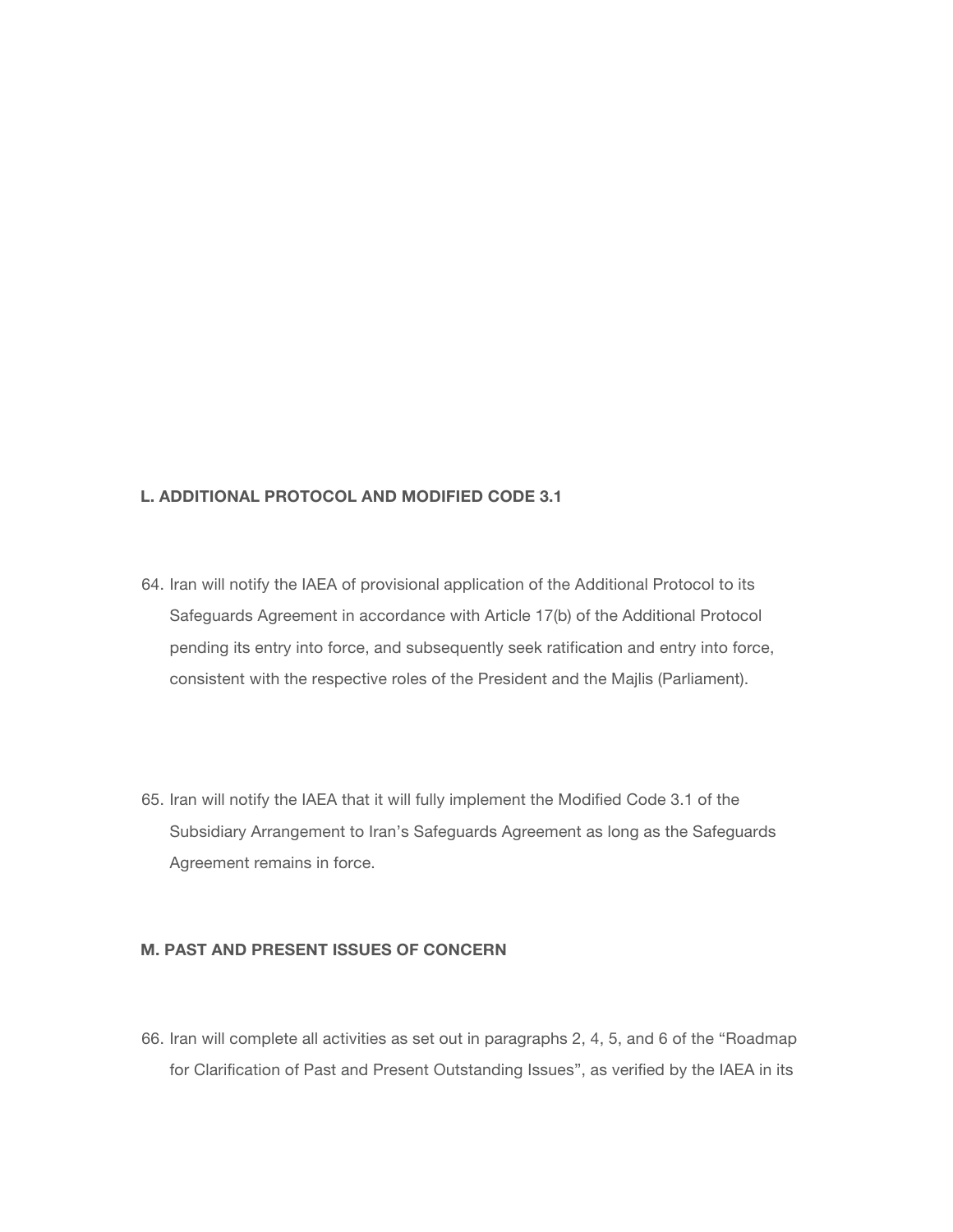# **L. ADDITIONAL PROTOCOL AND MODIFIED CODE 3.1**

- 64. Iran will notify the IAEA of provisional application of the Additional Protocol to its Safeguards Agreement in accordance with Article 17(b) of the Additional Protocol pending its entry into force, and subsequently seek ratification and entry into force, consistent with the respective roles of the President and the Majlis (Parliament).
- 65. Iran will notify the IAEA that it will fully implement the Modified Code 3.1 of the Subsidiary Arrangement to Iran's Safeguards Agreement as long as the Safeguards Agreement remains in force.

# **M. PAST AND PRESENT ISSUES OF CONCERN**

66. Iran will complete all activities as set out in paragraphs 2, 4, 5, and 6 of the "Roadmap for Clarification of Past and Present Outstanding Issues", as verified by the IAEA in its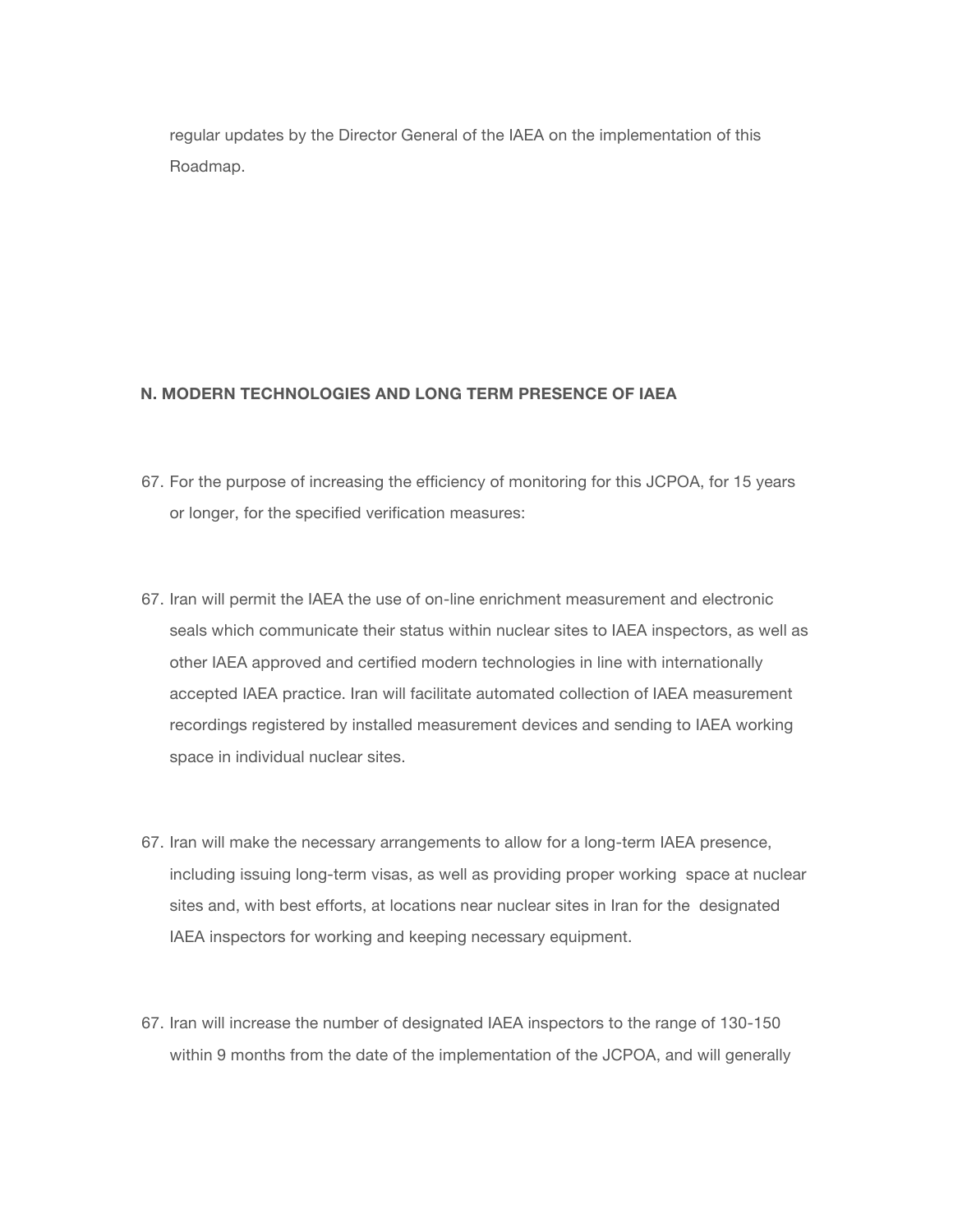regular updates by the Director General of the IAEA on the implementation of this Roadmap.

# **N. MODERN TECHNOLOGIES AND LONG TERM PRESENCE OF IAEA**

- 67. For the purpose of increasing the efficiency of monitoring for this JCPOA, for 15 years or longer, for the specified verification measures:
- 67. Iran will permit the IAEA the use of on-line enrichment measurement and electronic seals which communicate their status within nuclear sites to IAEA inspectors, as well as other IAEA approved and certified modern technologies in line with internationally accepted IAEA practice. Iran will facilitate automated collection of IAEA measurement recordings registered by installed measurement devices and sending to IAEA working space in individual nuclear sites.
- 67. Iran will make the necessary arrangements to allow for a long-term IAEA presence, including issuing long-term visas, as well as providing proper working space at nuclear sites and, with best efforts, at locations near nuclear sites in Iran for the designated IAEA inspectors for working and keeping necessary equipment.
- 67. Iran will increase the number of designated IAEA inspectors to the range of 130-150 within 9 months from the date of the implementation of the JCPOA, and will generally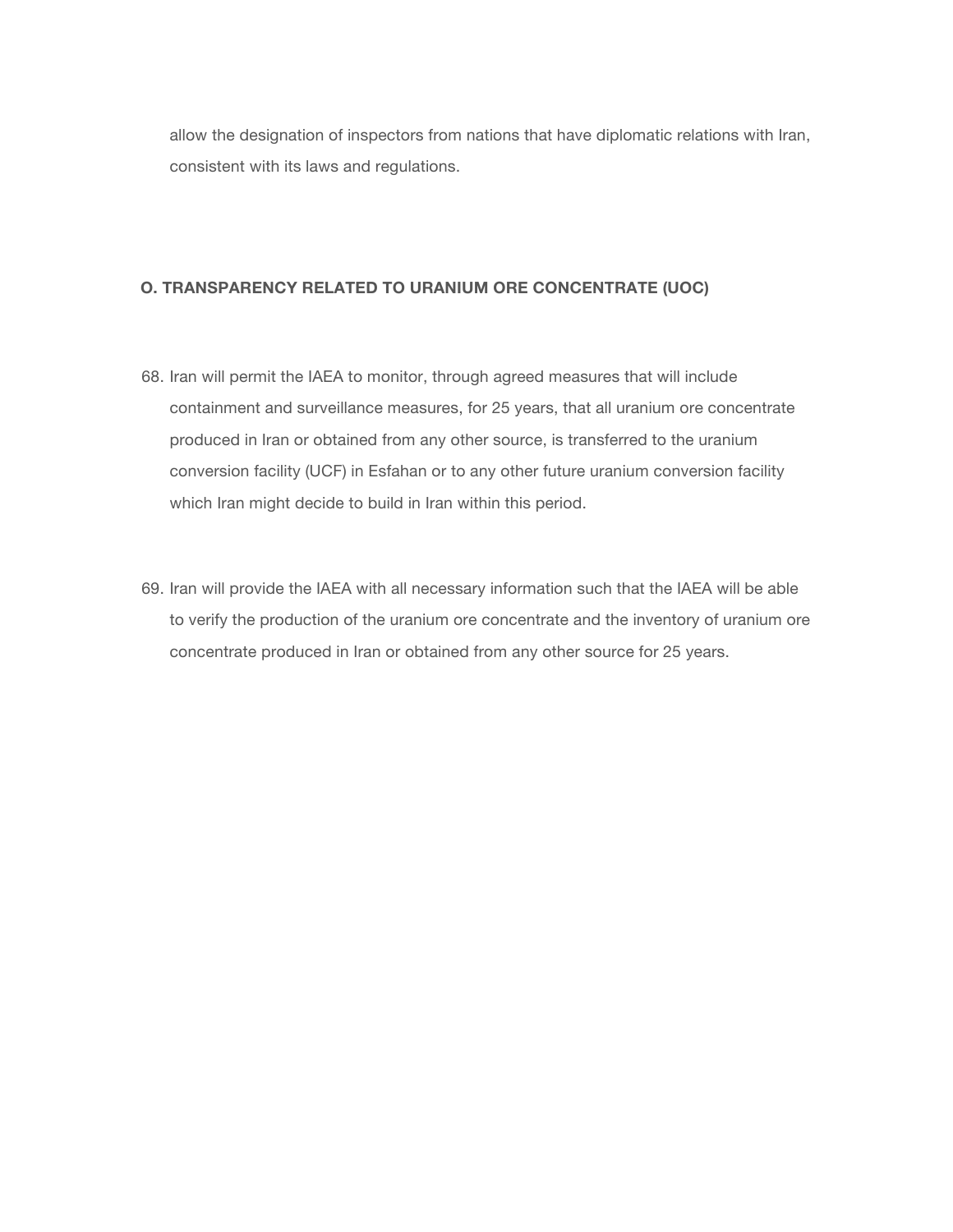allow the designation of inspectors from nations that have diplomatic relations with Iran, consistent with its laws and regulations.

# **O. TRANSPARENCY RELATED TO URANIUM ORE CONCENTRATE (UOC)**

- 68. Iran will permit the IAEA to monitor, through agreed measures that will include containment and surveillance measures, for 25 years, that all uranium ore concentrate produced in Iran or obtained from any other source, is transferred to the uranium conversion facility (UCF) in Esfahan or to any other future uranium conversion facility which Iran might decide to build in Iran within this period.
- 69. Iran will provide the IAEA with all necessary information such that the IAEA will be able to verify the production of the uranium ore concentrate and the inventory of uranium ore concentrate produced in Iran or obtained from any other source for 25 years.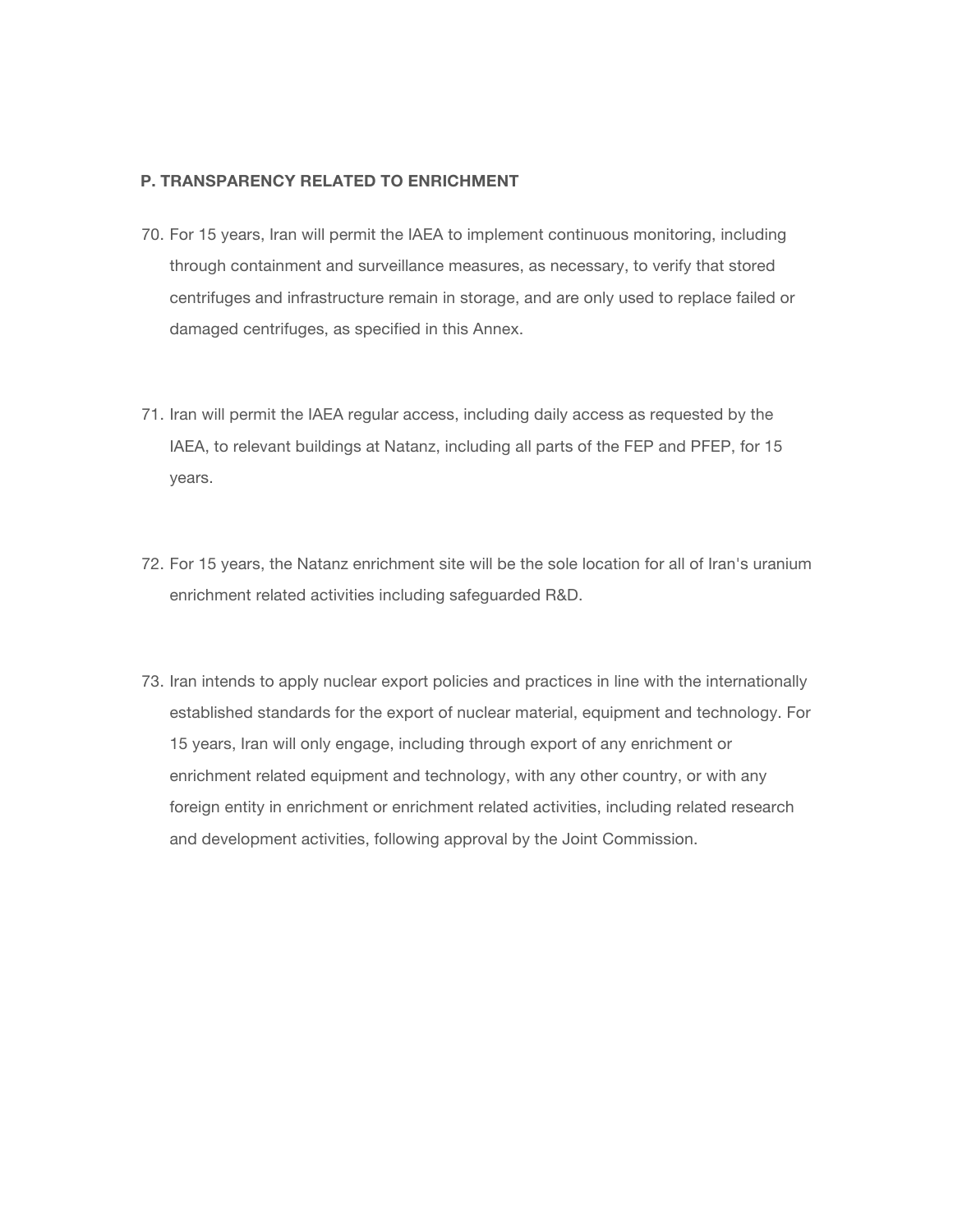### **P. TRANSPARENCY RELATED TO ENRICHMENT**

- 70. For 15 years, Iran will permit the IAEA to implement continuous monitoring, including through containment and surveillance measures, as necessary, to verify that stored centrifuges and infrastructure remain in storage, and are only used to replace failed or damaged centrifuges, as specified in this Annex.
- 71. Iran will permit the IAEA regular access, including daily access as requested by the IAEA, to relevant buildings at Natanz, including all parts of the FEP and PFEP, for 15 years.
- 72. For 15 years, the Natanz enrichment site will be the sole location for all of Iran's uranium enrichment related activities including safeguarded R&D.
- 73. Iran intends to apply nuclear export policies and practices in line with the internationally established standards for the export of nuclear material, equipment and technology. For 15 years, Iran will only engage, including through export of any enrichment or enrichment related equipment and technology, with any other country, or with any foreign entity in enrichment or enrichment related activities, including related research and development activities, following approval by the Joint Commission.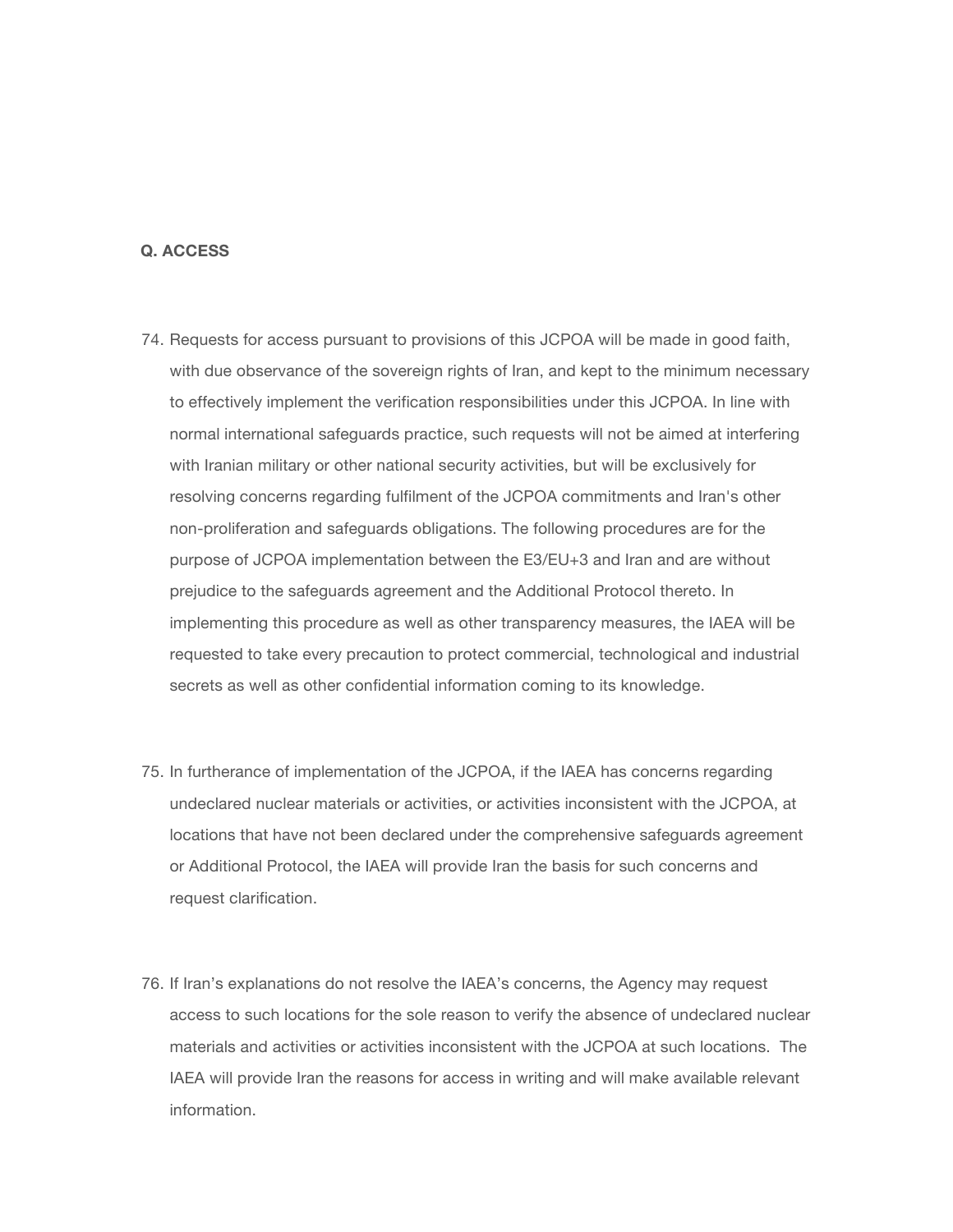### **Q. ACCESS**

- 74. Requests for access pursuant to provisions of this JCPOA will be made in good faith, with due observance of the sovereign rights of Iran, and kept to the minimum necessary to effectively implement the verification responsibilities under this JCPOA. In line with normal international safeguards practice, such requests will not be aimed at interfering with Iranian military or other national security activities, but will be exclusively for resolving concerns regarding fulfilment of the JCPOA commitments and Iran's other non-proliferation and safeguards obligations. The following procedures are for the purpose of JCPOA implementation between the E3/EU+3 and Iran and are without prejudice to the safeguards agreement and the Additional Protocol thereto. In implementing this procedure as well as other transparency measures, the IAEA will be requested to take every precaution to protect commercial, technological and industrial secrets as well as other confidential information coming to its knowledge.
- 75. In furtherance of implementation of the JCPOA, if the IAEA has concerns regarding undeclared nuclear materials or activities, or activities inconsistent with the JCPOA, at locations that have not been declared under the comprehensive safeguards agreement or Additional Protocol, the IAEA will provide Iran the basis for such concerns and request clarification.
- 76. If Iran's explanations do not resolve the IAEA's concerns, the Agency may request access to such locations for the sole reason to verify the absence of undeclared nuclear materials and activities or activities inconsistent with the JCPOA at such locations. The IAEA will provide Iran the reasons for access in writing and will make available relevant information.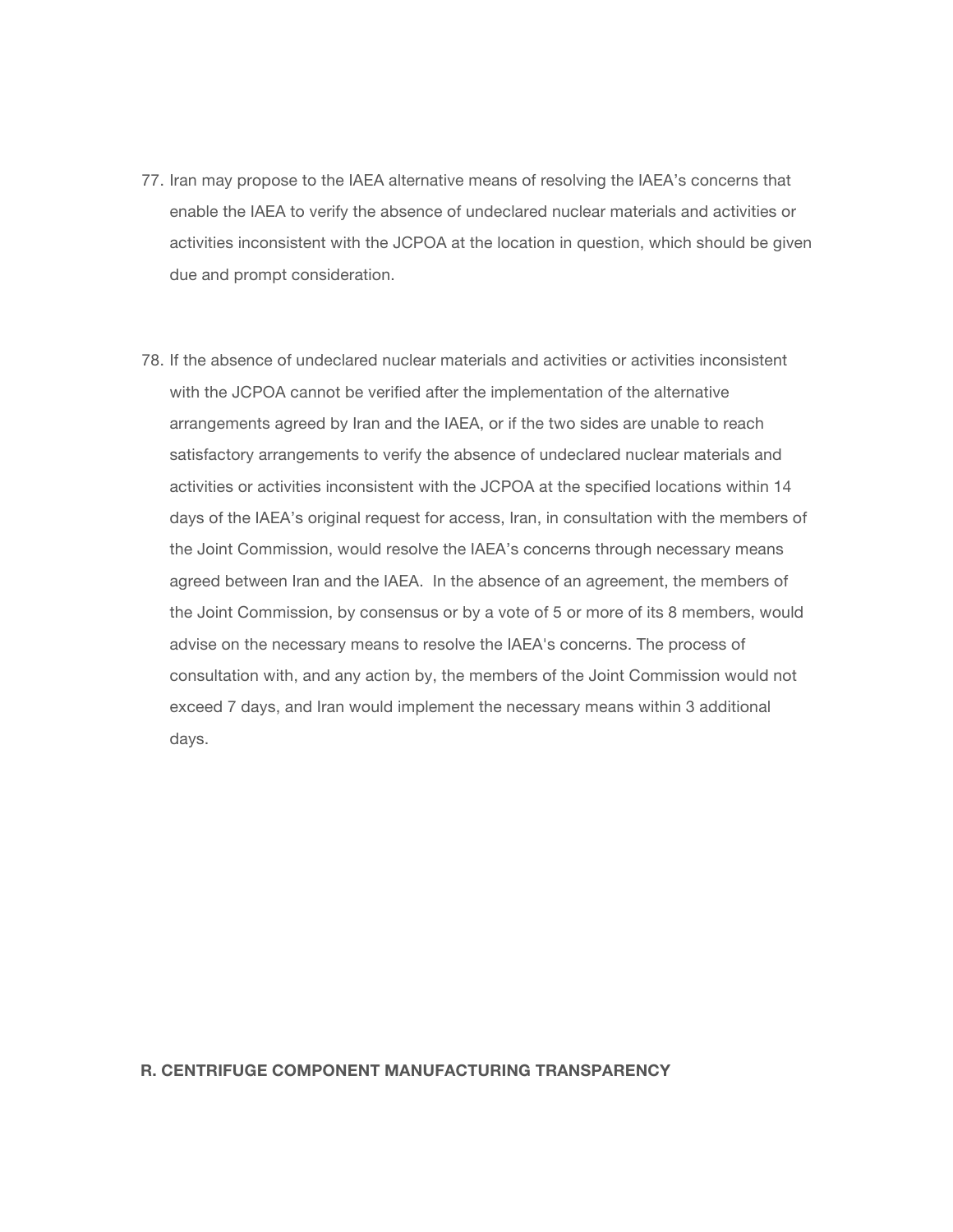- 77. Iran may propose to the IAEA alternative means of resolving the IAEA's concerns that enable the IAEA to verify the absence of undeclared nuclear materials and activities or activities inconsistent with the JCPOA at the location in question, which should be given due and prompt consideration.
- 78. If the absence of undeclared nuclear materials and activities or activities inconsistent with the JCPOA cannot be verified after the implementation of the alternative arrangements agreed by Iran and the IAEA, or if the two sides are unable to reach satisfactory arrangements to verify the absence of undeclared nuclear materials and activities or activities inconsistent with the JCPOA at the specified locations within 14 days of the IAEA's original request for access, Iran, in consultation with the members of the Joint Commission, would resolve the IAEA's concerns through necessary means agreed between Iran and the IAEA. In the absence of an agreement, the members of the Joint Commission, by consensus or by a vote of 5 or more of its 8 members, would advise on the necessary means to resolve the IAEA's concerns. The process of consultation with, and any action by, the members of the Joint Commission would not exceed 7 days, and Iran would implement the necessary means within 3 additional days.

# **R. CENTRIFUGE COMPONENT MANUFACTURING TRANSPARENCY**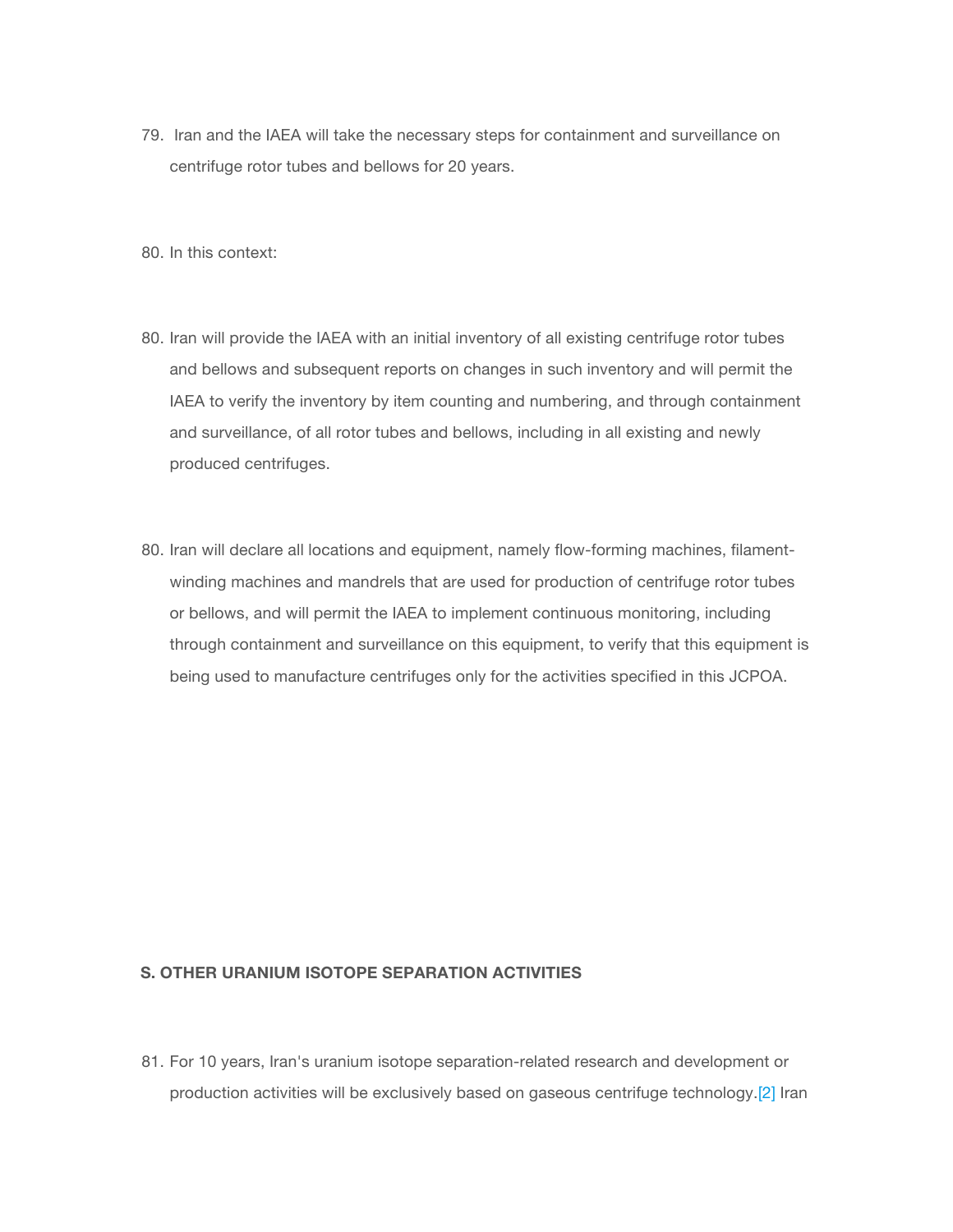79. Iran and the IAEA will take the necessary steps for containment and surveillance on centrifuge rotor tubes and bellows for 20 years.

80. In this context:

- 80. Iran will provide the IAEA with an initial inventory of all existing centrifuge rotor tubes and bellows and subsequent reports on changes in such inventory and will permit the IAEA to verify the inventory by item counting and numbering, and through containment and surveillance, of all rotor tubes and bellows, including in all existing and newly produced centrifuges.
- 80. Iran will declare all locations and equipment, namely flow-forming machines, filamentwinding machines and mandrels that are used for production of centrifuge rotor tubes or bellows, and will permit the IAEA to implement continuous monitoring, including through containment and surveillance on this equipment, to verify that this equipment is being used to manufacture centrifuges only for the activities specified in this JCPOA.

### **S. OTHER URANIUM ISOTOPE SEPARATION ACTIVITIES**

81. For 10 years, Iran's uranium isotope separation-related research and development or production activities will be exclusively based on gaseous centrifuge technology[.\[2\]](http://www.mid.ru/foreign_policy/news/-/asset_publisher/cKNonkJE02Bw/content/id/1571042#_ftn2) Iran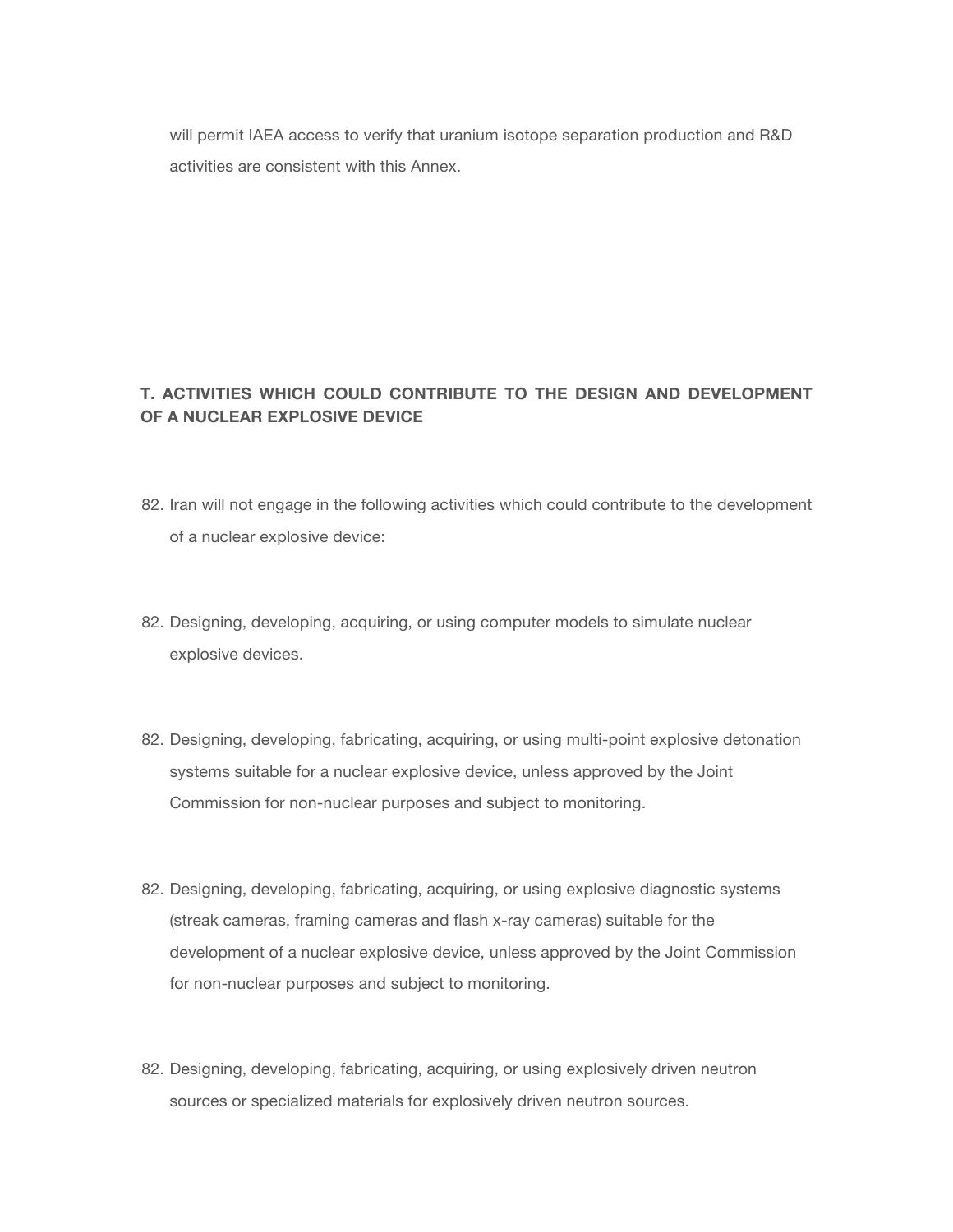will permit IAEA access to verify that uranium isotope separation production and R&D activities are consistent with this Annex.

# **T. ACTIVITIES WHICH COULD CONTRIBUTE TO THE DESIGN AND DEVELOPMENT OF A NUCLEAR EXPLOSIVE DEVICE**

- 82. Iran will not engage in the following activities which could contribute to the development of a nuclear explosive device:
- 82. Designing, developing, acquiring, or using computer models to simulate nuclear explosive devices.
- 82. Designing, developing, fabricating, acquiring, or using multi-point explosive detonation systems suitable for a nuclear explosive device, unless approved by the Joint Commission for non-nuclear purposes and subject to monitoring.
- 82. Designing, developing, fabricating, acquiring, or using explosive diagnostic systems (streak cameras, framing cameras and flash x-ray cameras) suitable for the development of a nuclear explosive device, unless approved by the Joint Commission for non-nuclear purposes and subject to monitoring.
- 82. Designing, developing, fabricating, acquiring, or using explosively driven neutron sources or specialized materials for explosively driven neutron sources.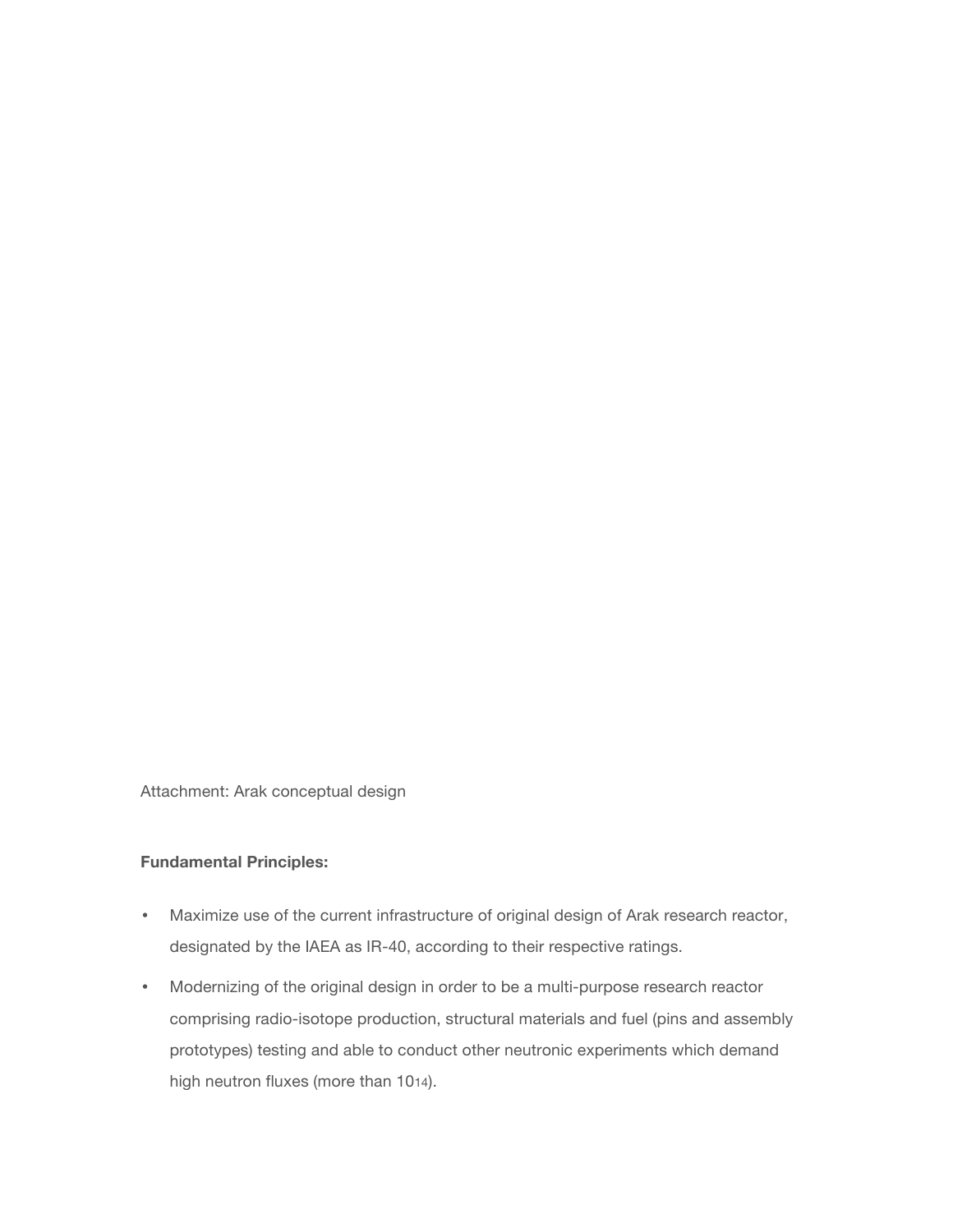Attachment: Arak conceptual design

### **Fundamental Principles:**

- Maximize use of the current infrastructure of original design of Arak research reactor, designated by the IAEA as IR-40, according to their respective ratings.
- Modernizing of the original design in order to be a multi-purpose research reactor comprising radio-isotope production, structural materials and fuel (pins and assembly prototypes) testing and able to conduct other neutronic experiments which demand high neutron fluxes (more than 1014).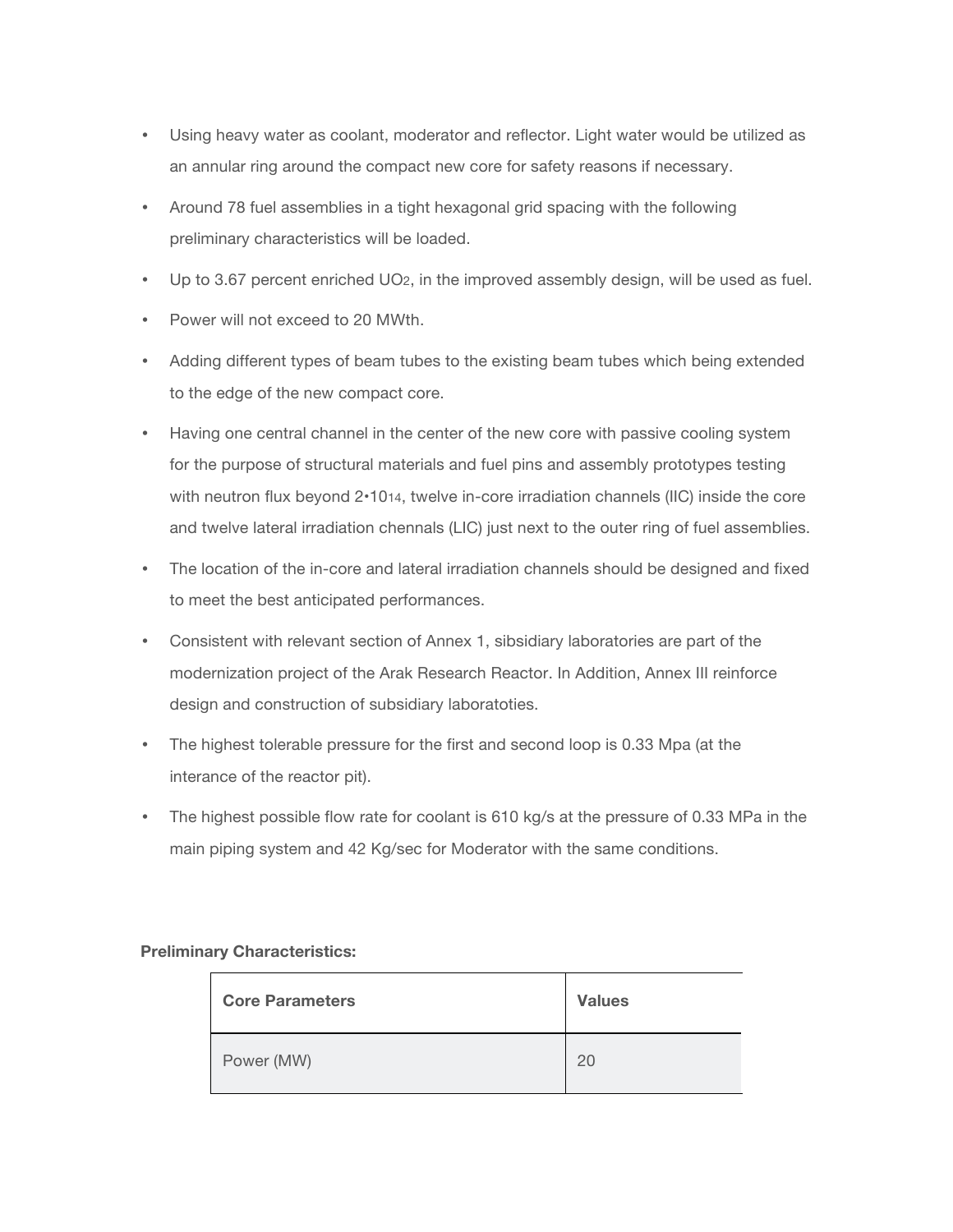- Using heavy water as coolant, moderator and reflector. Light water would be utilized as an annular ring around the compact new core for safety reasons if necessary.
- Around 78 fuel assemblies in a tight hexagonal grid spacing with the following preliminary characteristics will be loaded.
- Up to 3.67 percent enriched UO2, in the improved assembly design, will be used as fuel.
- Power will not exceed to 20 MWth.
- Adding different types of beam tubes to the existing beam tubes which being extended to the edge of the new compact core.
- Having one central channel in the center of the new core with passive cooling system for the purpose of structural materials and fuel pins and assembly prototypes testing with neutron flux beyond 2•1014, twelve in-core irradiation channels (IIC) inside the core and twelve lateral irradiation chennals (LIC) just next to the outer ring of fuel assemblies.
- The location of the in-core and lateral irradiation channels should be designed and fixed to meet the best anticipated performances.
- Consistent with relevant section of Annex 1, sibsidiary laboratories are part of the modernization project of the Arak Research Reactor. In Addition, Annex III reinforce design and construction of subsidiary laboratoties.
- The highest tolerable pressure for the first and second loop is 0.33 Mpa (at the interance of the reactor pit).
- The highest possible flow rate for coolant is 610 kg/s at the pressure of 0.33 MPa in the main piping system and 42 Kg/sec for Moderator with the same conditions.

| <b>Core Parameters</b> | <b>Values</b> |
|------------------------|---------------|
| Power (MW)             | 20            |

**Preliminary Characteristics:**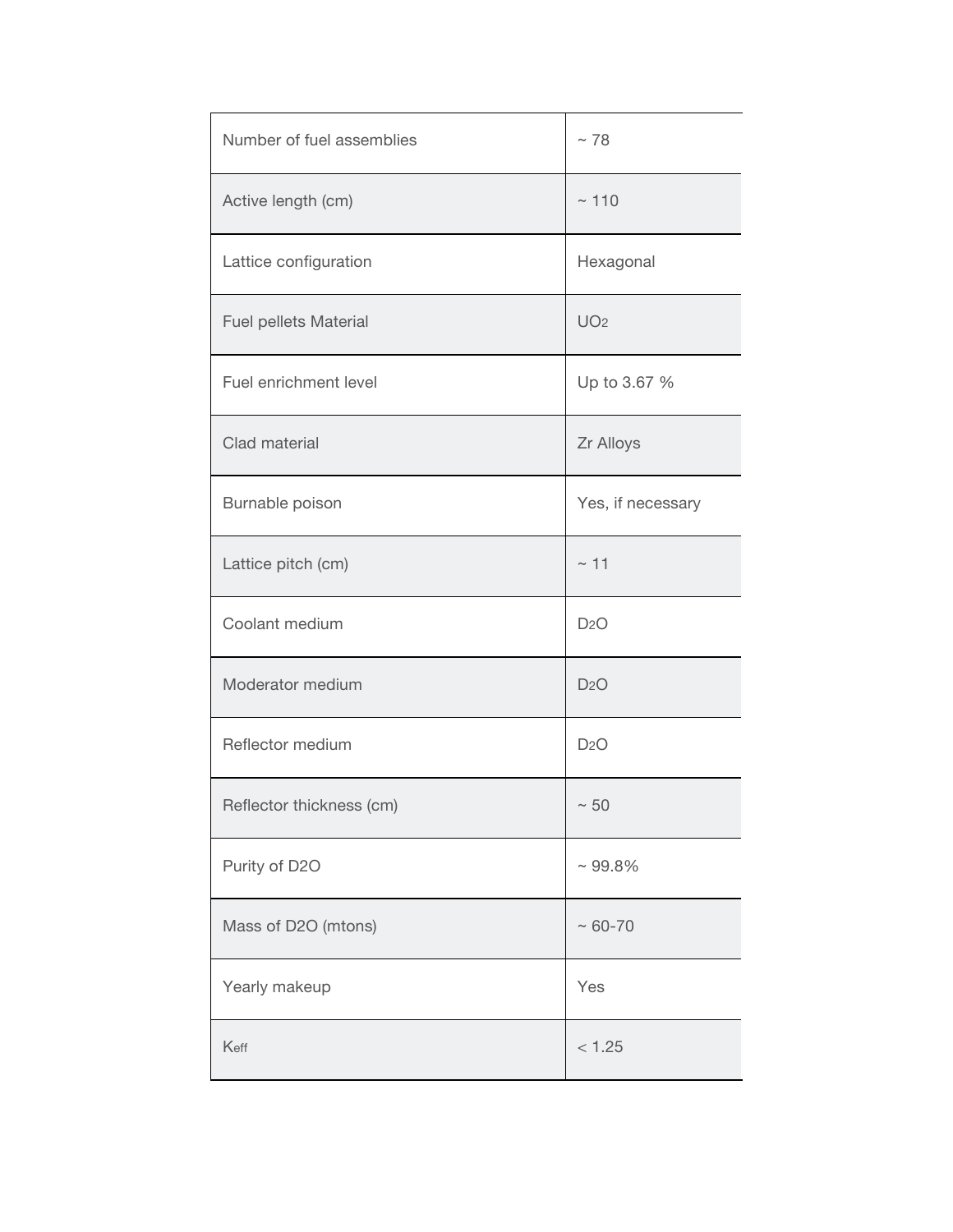| Number of fuel assemblies    | $\sim78$          |
|------------------------------|-------------------|
| Active length (cm)           | ~110              |
| Lattice configuration        | Hexagonal         |
| <b>Fuel pellets Material</b> | UO <sub>2</sub>   |
| Fuel enrichment level        | Up to 3.67 %      |
| Clad material                | Zr Alloys         |
| Burnable poison              | Yes, if necessary |
| Lattice pitch (cm)           | $~\sim$ 11        |
| Coolant medium               | D2O               |
| Moderator medium             | D2O               |
| Reflector medium             | D2O               |
| Reflector thickness (cm)     | $\sim 50$         |
| Purity of D2O                | $~1$ 99.8%        |
| Mass of D2O (mtons)          | $~10 - 70$        |
| Yearly makeup                | Yes               |
| Keff                         | < 1.25            |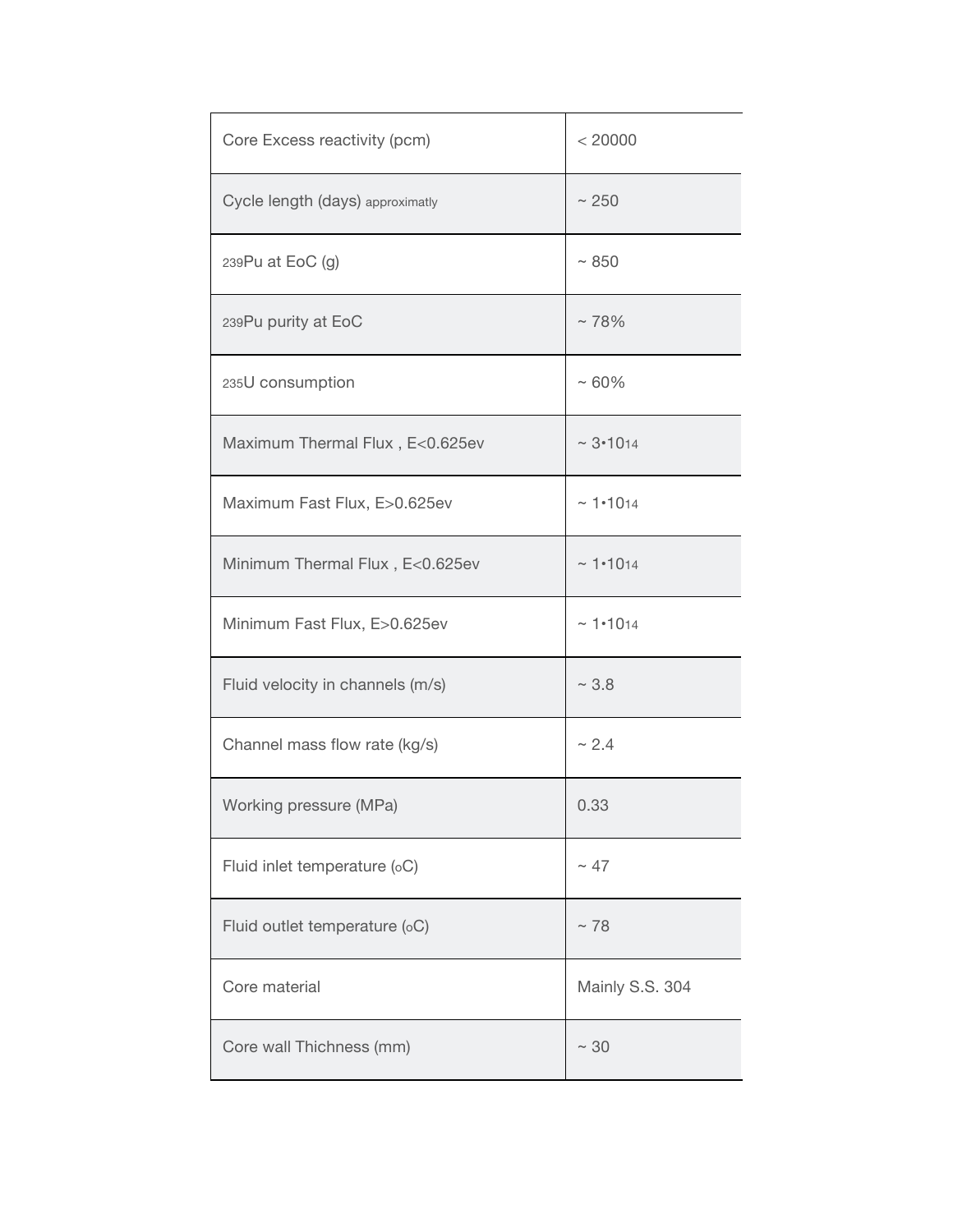| Core Excess reactivity (pcm)     | < 20000             |
|----------------------------------|---------------------|
| Cycle length (days) approximatly | ~250                |
| 239Pu at EoC (g)                 | $~1$ 850            |
| 239Pu purity at EoC              | ~178%               |
| 235U consumption                 | $~10\%$             |
| Maximum Thermal Flux, E<0.625ev  | $\sim 3 \cdot 1014$ |
| Maximum Fast Flux, E>0.625ev     | $\sim 1.1014$       |
| Minimum Thermal Flux, E<0.625ev  | ~1.1014             |
| Minimum Fast Flux, E>0.625ev     | $\sim 1.1014$       |
| Fluid velocity in channels (m/s) | ~1.8                |
| Channel mass flow rate (kg/s)    | ~2.4                |
| Working pressure (MPa)           | 0.33                |
| Fluid inlet temperature (oC)     | $~\sim$ 47          |
| Fluid outlet temperature (oC)    | $~\sim 78$          |
| Core material                    | Mainly S.S. 304     |
| Core wall Thichness (mm)         | $~\sim$ 30          |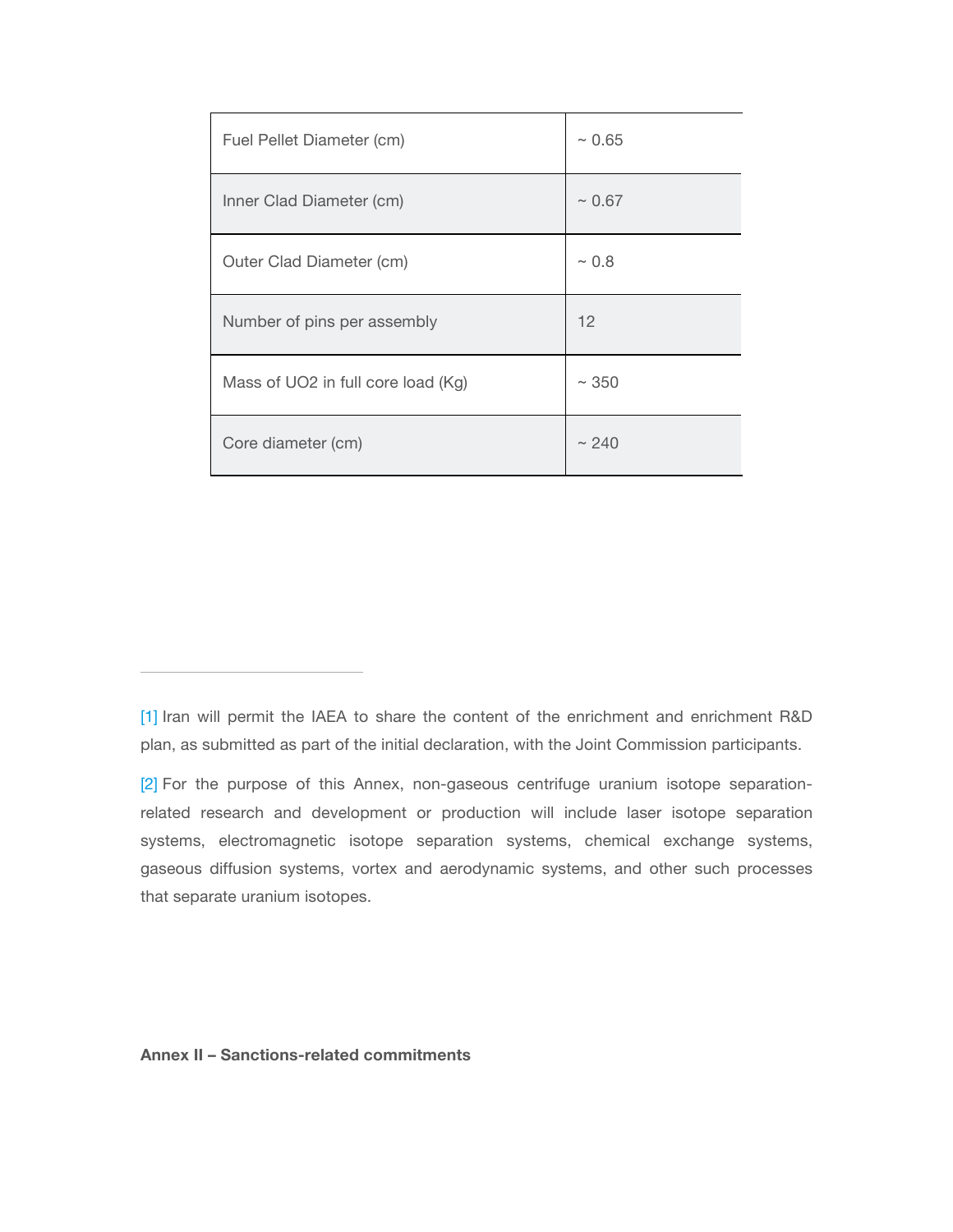| Fuel Pellet Diameter (cm)          | ~0.65       |
|------------------------------------|-------------|
| Inner Clad Diameter (cm)           | ~0.67       |
| Outer Clad Diameter (cm)           | ~0.8        |
| Number of pins per assembly        | 12          |
| Mass of UO2 in full core load (Kg) | $~\sim$ 350 |
| Core diameter (cm)                 | ~240        |

[\[1\]](http://www.mid.ru/foreign_policy/news/-/asset_publisher/cKNonkJE02Bw/content/id/1571042#_ftnref1) Iran will permit the IAEA to share the content of the enrichment and enrichment R&D plan, as submitted as part of the initial declaration, with the Joint Commission participants.

**Annex II – Sanctions-related commitments** 

[<sup>\[2\]</sup>](http://www.mid.ru/foreign_policy/news/-/asset_publisher/cKNonkJE02Bw/content/id/1571042#_ftnref2) For the purpose of this Annex, non-gaseous centrifuge uranium isotope separationrelated research and development or production will include laser isotope separation systems, electromagnetic isotope separation systems, chemical exchange systems, gaseous diffusion systems, vortex and aerodynamic systems, and other such processes that separate uranium isotopes.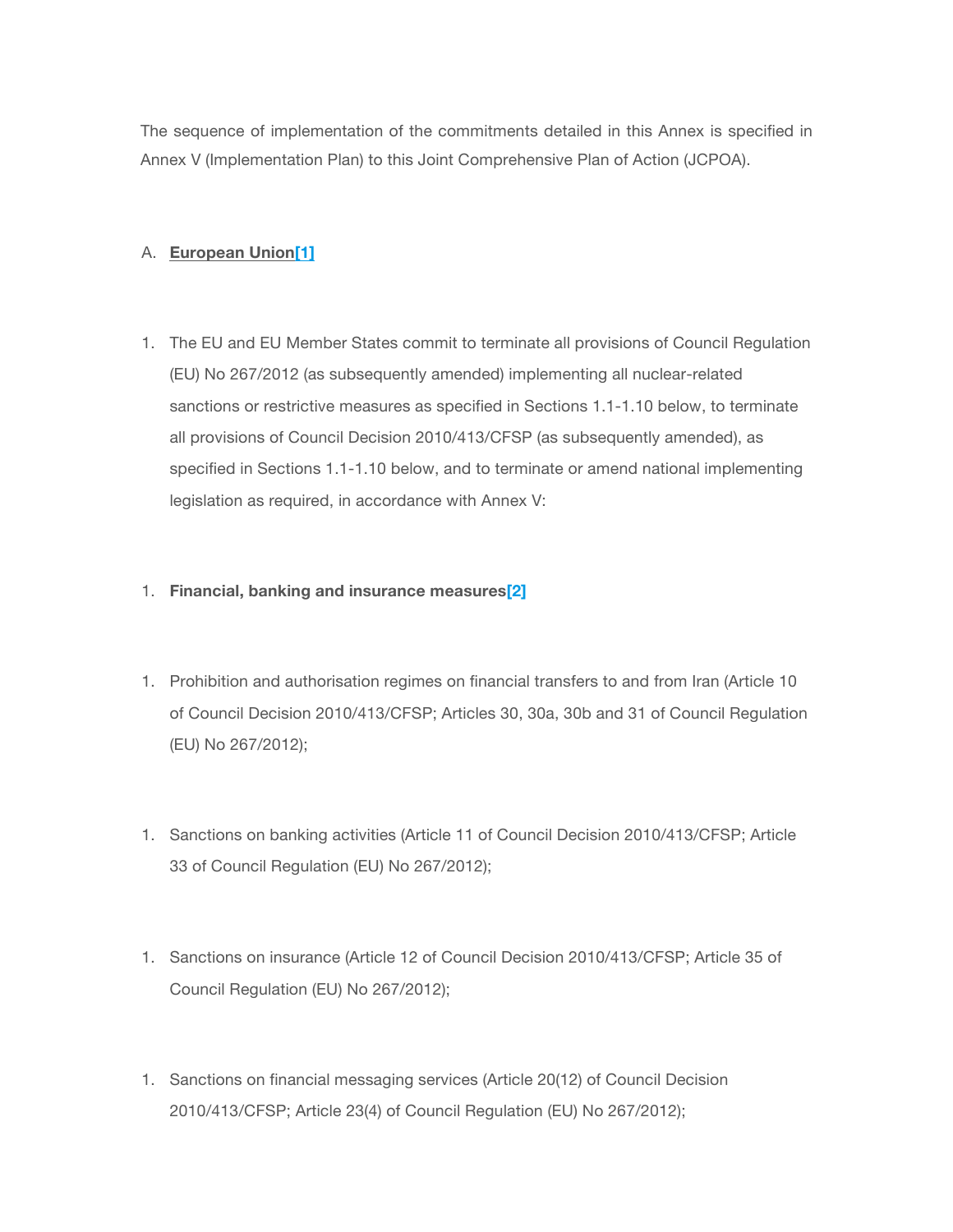The sequence of implementation of the commitments detailed in this Annex is specified in Annex V (Implementation Plan) to this Joint Comprehensive Plan of Action (JCPOA).

# A. **European Union[1]**

1. The EU and EU Member States commit to terminate all provisions of Council Regulation (EU) No 267/2012 (as subsequently amended) implementing all nuclear-related sanctions or restrictive measures as specified in Sections 1.1-1.10 below, to terminate all provisions of Council Decision 2010/413/CFSP (as subsequently amended), as specified in Sections 1.1-1.10 below, and to terminate or amend national implementing legislation as required, in accordance with Annex V:

# 1. **Financial, banking and insurance measures[2]**

- 1. Prohibition and authorisation regimes on financial transfers to and from Iran (Article 10 of Council Decision 2010/413/CFSP; Articles 30, 30a, 30b and 31 of Council Regulation (EU) No 267/2012);
- 1. Sanctions on banking activities (Article 11 of Council Decision 2010/413/CFSP; Article 33 of Council Regulation (EU) No 267/2012);
- 1. Sanctions on insurance (Article 12 of Council Decision 2010/413/CFSP; Article 35 of Council Regulation (EU) No 267/2012);
- 1. Sanctions on financial messaging services (Article 20(12) of Council Decision 2010/413/CFSP; Article 23(4) of Council Regulation (EU) No 267/2012);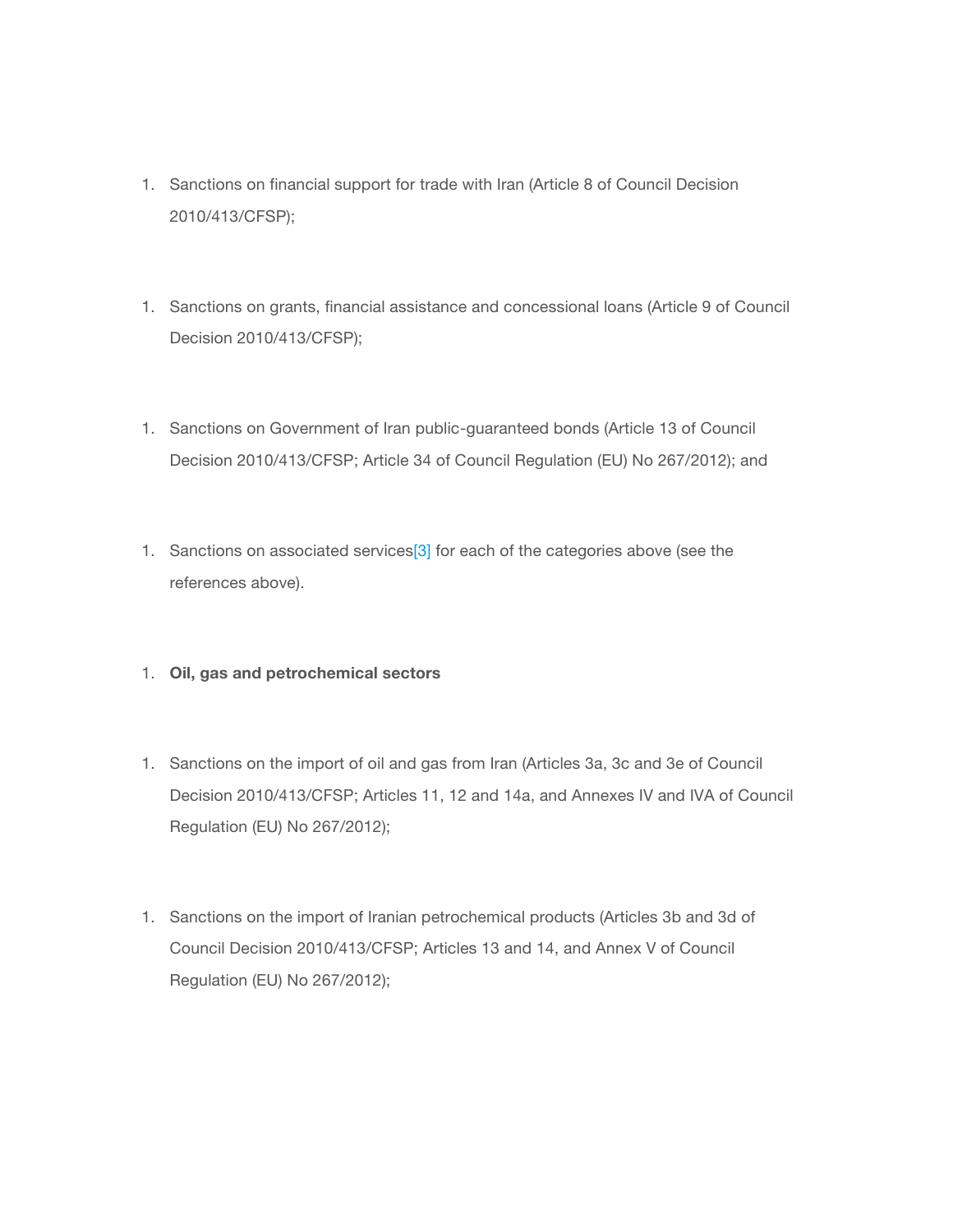- 1. Sanctions on financial support for trade with Iran (Article 8 of Council Decision 2010/413/CFSP);
- 1. Sanctions on grants, financial assistance and concessional loans (Article 9 of Council Decision 2010/413/CFSP);
- 1. Sanctions on Government of Iran public-guaranteed bonds (Article 13 of Council Decision 2010/413/CFSP; Article 34 of Council Regulation (EU) No 267/2012); and
- 1. Sanctions on associated services<sup>[3]</sup> for each of the categories above (see the references above).
- 1. **Oil, gas and petrochemical sectors**
- 1. Sanctions on the import of oil and gas from Iran (Articles 3a, 3c and 3e of Council Decision 2010/413/CFSP; Articles 11, 12 and 14a, and Annexes IV and IVA of Council Regulation (EU) No 267/2012);
- 1. Sanctions on the import of Iranian petrochemical products (Articles 3b and 3d of Council Decision 2010/413/CFSP; Articles 13 and 14, and Annex V of Council Regulation (EU) No 267/2012);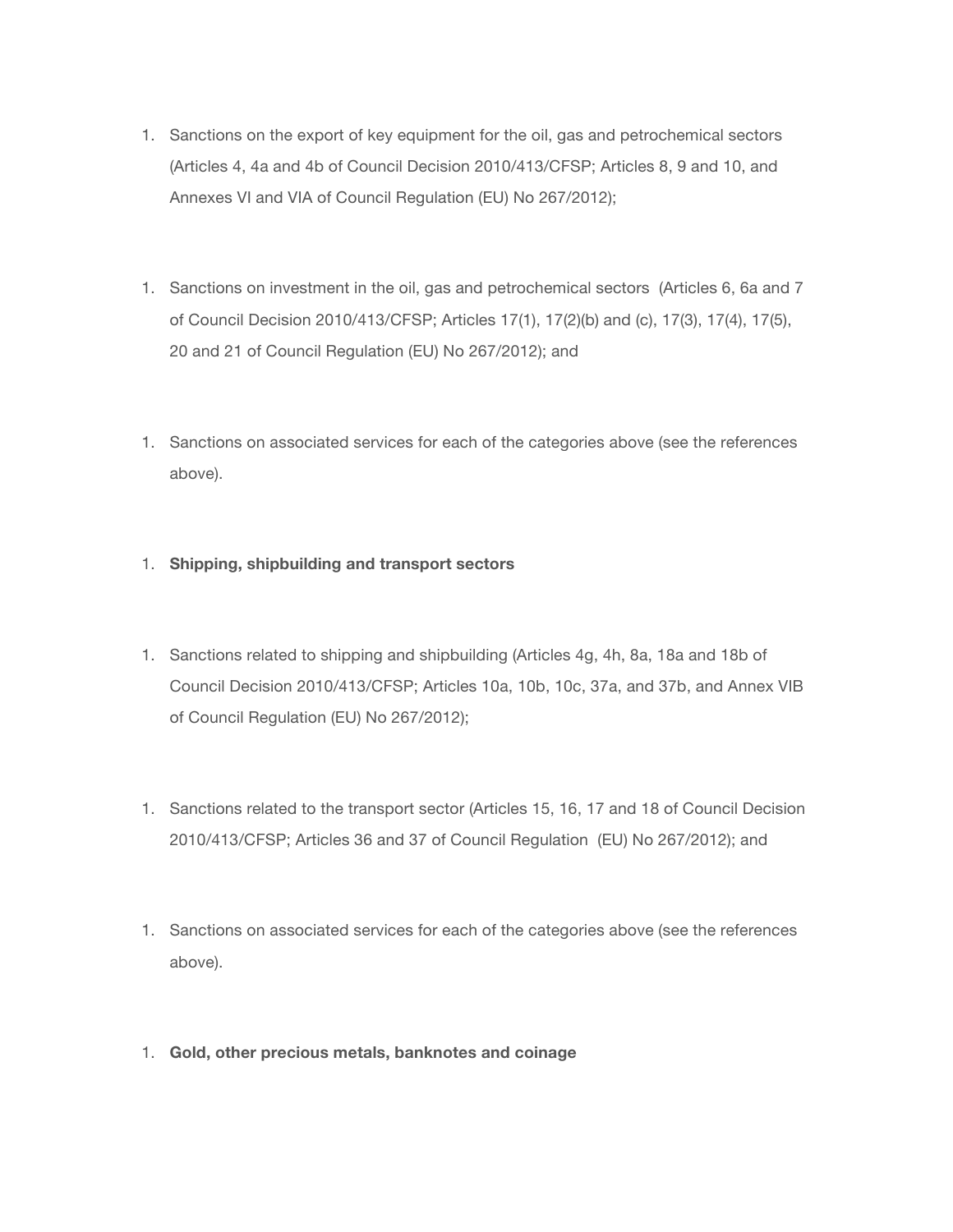- 1. Sanctions on the export of key equipment for the oil, gas and petrochemical sectors (Articles 4, 4a and 4b of Council Decision 2010/413/CFSP; Articles 8, 9 and 10, and Annexes VI and VIA of Council Regulation (EU) No 267/2012);
- 1. Sanctions on investment in the oil, gas and petrochemical sectors (Articles 6, 6a and 7 of Council Decision 2010/413/CFSP; Articles 17(1), 17(2)(b) and (c), 17(3), 17(4), 17(5), 20 and 21 of Council Regulation (EU) No 267/2012); and
- 1. Sanctions on associated services for each of the categories above (see the references above).

# 1. **Shipping, shipbuilding and transport sectors**

- 1. Sanctions related to shipping and shipbuilding (Articles 4g, 4h, 8a, 18a and 18b of Council Decision 2010/413/CFSP; Articles 10a, 10b, 10c, 37a, and 37b, and Annex VIB of Council Regulation (EU) No 267/2012);
- 1. Sanctions related to the transport sector (Articles 15, 16, 17 and 18 of Council Decision 2010/413/CFSP; Articles 36 and 37 of Council Regulation (EU) No 267/2012); and
- 1. Sanctions on associated services for each of the categories above (see the references above).
- 1. **Gold, other precious metals, banknotes and coinage**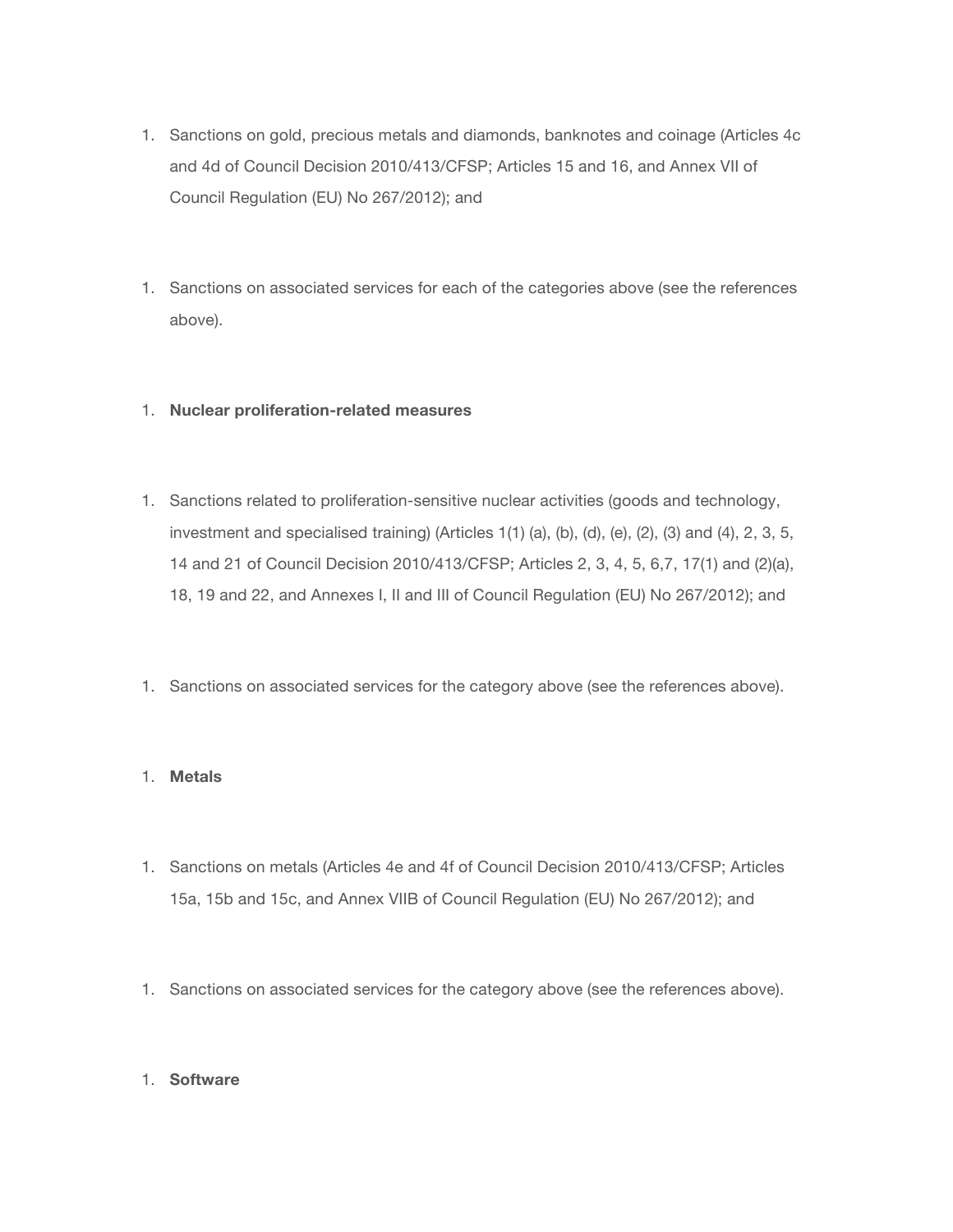- 1. Sanctions on gold, precious metals and diamonds, banknotes and coinage (Articles 4c and 4d of Council Decision 2010/413/CFSP; Articles 15 and 16, and Annex VII of Council Regulation (EU) No 267/2012); and
- 1. Sanctions on associated services for each of the categories above (see the references above).

# 1. **Nuclear proliferation-related measures**

- 1. Sanctions related to proliferation-sensitive nuclear activities (goods and technology, investment and specialised training) (Articles 1(1) (a), (b), (d), (e), (2), (3) and (4), 2, 3, 5, 14 and 21 of Council Decision 2010/413/CFSP; Articles 2, 3, 4, 5, 6,7, 17(1) and (2)(a), 18, 19 and 22, and Annexes I, II and III of Council Regulation (EU) No 267/2012); and
- 1. Sanctions on associated services for the category above (see the references above).

# 1. **Metals**

- 1. Sanctions on metals (Articles 4e and 4f of Council Decision 2010/413/CFSP; Articles 15a, 15b and 15c, and Annex VIIB of Council Regulation (EU) No 267/2012); and
- 1. Sanctions on associated services for the category above (see the references above).

# 1. **Software**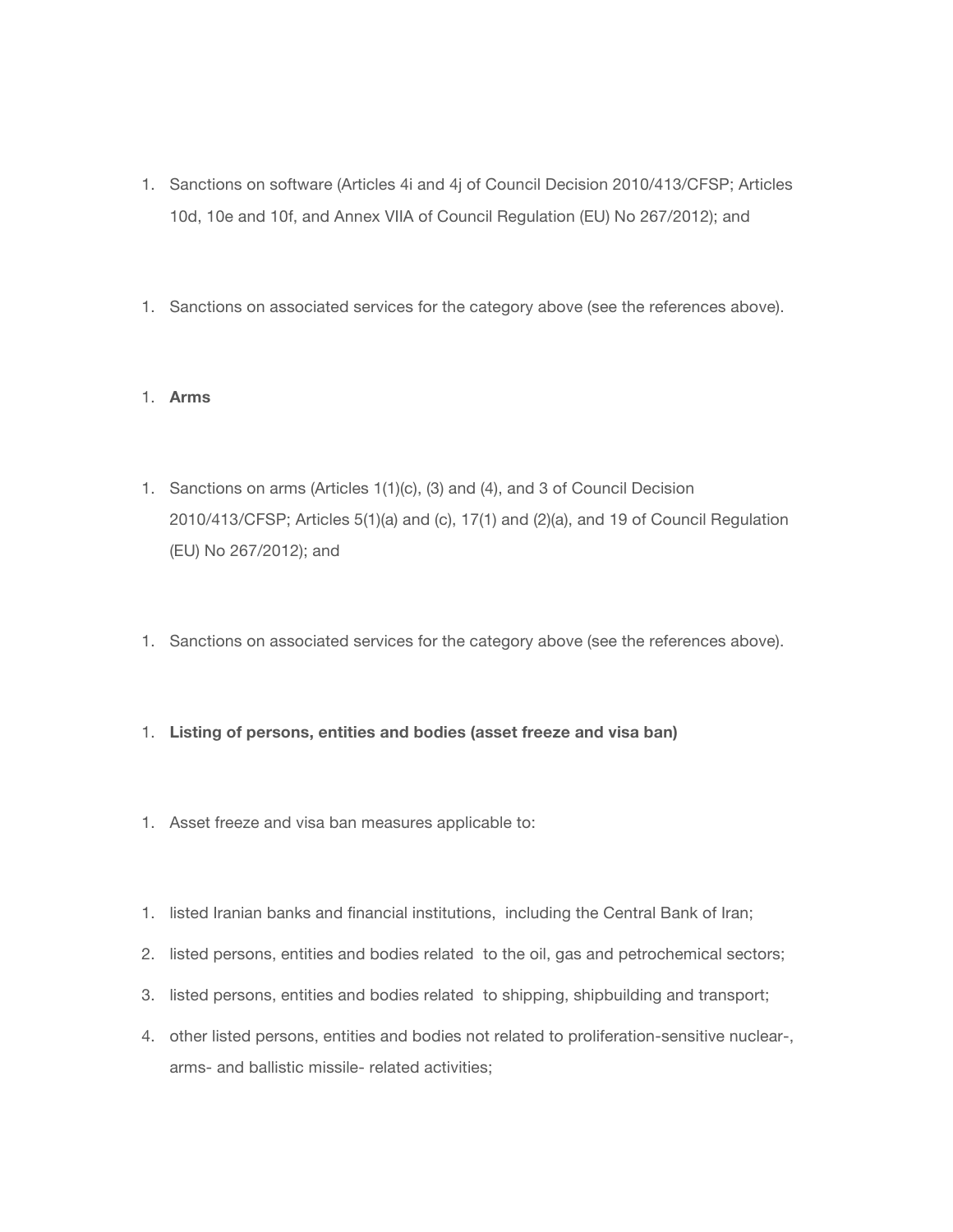- 1. Sanctions on software (Articles 4i and 4j of Council Decision 2010/413/CFSP; Articles 10d, 10e and 10f, and Annex VIIA of Council Regulation (EU) No 267/2012); and
- 1. Sanctions on associated services for the category above (see the references above).

# 1. **Arms**

- 1. Sanctions on arms (Articles 1(1)(c), (3) and (4), and 3 of Council Decision 2010/413/CFSP; Articles 5(1)(a) and (c), 17(1) and (2)(a), and 19 of Council Regulation (EU) No 267/2012); and
- 1. Sanctions on associated services for the category above (see the references above).
- 1. **Listing of persons, entities and bodies (asset freeze and visa ban)**
- 1. Asset freeze and visa ban measures applicable to:
- 1. listed Iranian banks and financial institutions, including the Central Bank of Iran;
- 2. listed persons, entities and bodies related to the oil, gas and petrochemical sectors;
- 3. listed persons, entities and bodies related to shipping, shipbuilding and transport;
- 4. other listed persons, entities and bodies not related to proliferation-sensitive nuclear-, arms- and ballistic missile- related activities;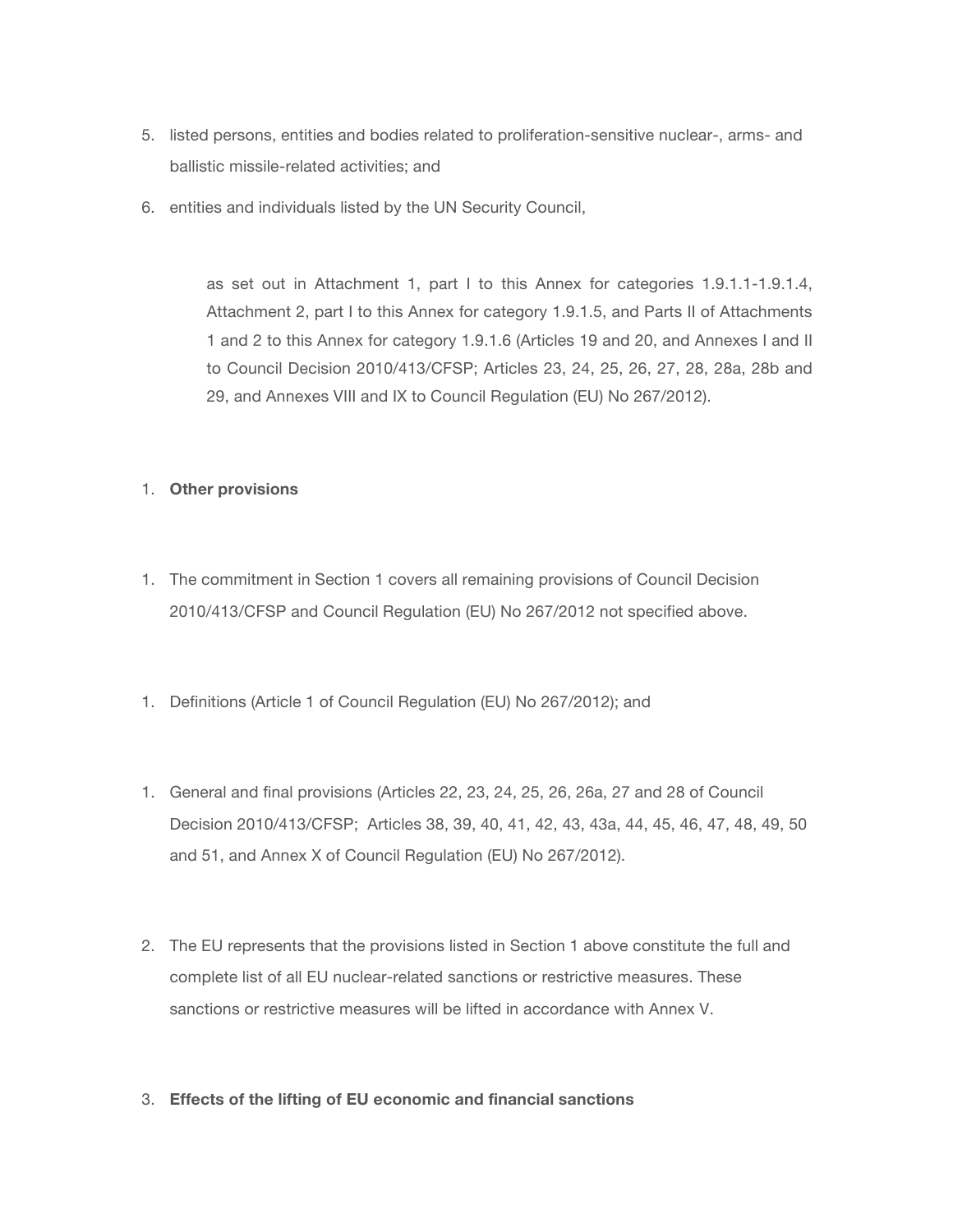- 5. listed persons, entities and bodies related to proliferation-sensitive nuclear-, arms- and ballistic missile-related activities; and
- 6. entities and individuals listed by the UN Security Council,

as set out in Attachment 1, part I to this Annex for categories 1.9.1.1-1.9.1.4, Attachment 2, part I to this Annex for category 1.9.1.5, and Parts II of Attachments 1 and 2 to this Annex for category 1.9.1.6 (Articles 19 and 20, and Annexes I and II to Council Decision 2010/413/CFSP; Articles 23, 24, 25, 26, 27, 28, 28a, 28b and 29, and Annexes VIII and IX to Council Regulation (EU) No 267/2012).

### 1. **Other provisions**

- 1. The commitment in Section 1 covers all remaining provisions of Council Decision 2010/413/CFSP and Council Regulation (EU) No 267/2012 not specified above.
- 1. Definitions (Article 1 of Council Regulation (EU) No 267/2012); and
- 1. General and final provisions (Articles 22, 23, 24, 25, 26, 26a, 27 and 28 of Council Decision 2010/413/CFSP; Articles 38, 39, 40, 41, 42, 43, 43a, 44, 45, 46, 47, 48, 49, 50 and 51, and Annex X of Council Regulation (EU) No 267/2012).
- 2. The EU represents that the provisions listed in Section 1 above constitute the full and complete list of all EU nuclear-related sanctions or restrictive measures. These sanctions or restrictive measures will be lifted in accordance with Annex V.
- 3. **Effects of the lifting of EU economic and financial sanctions**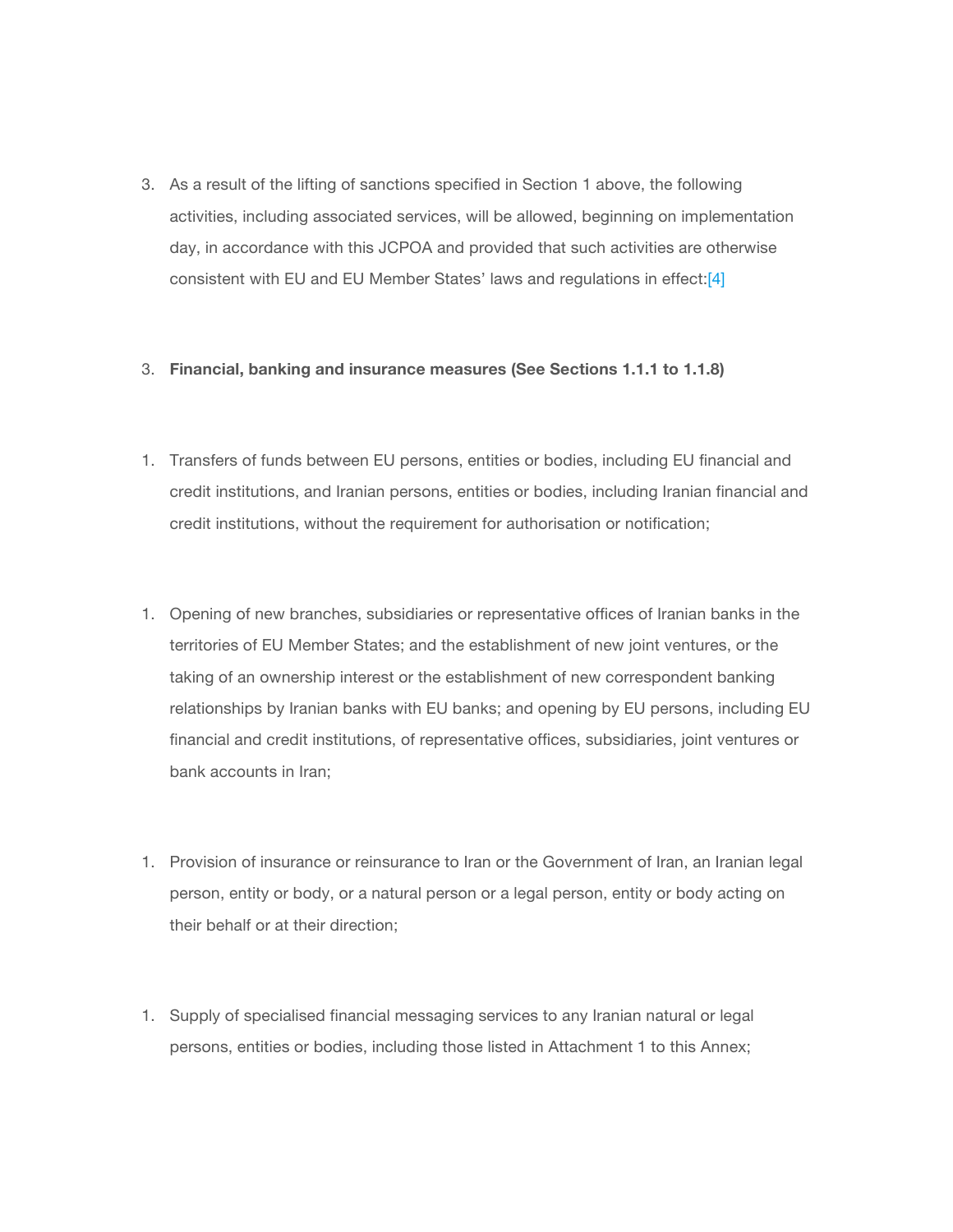3. As a result of the lifting of sanctions specified in Section 1 above, the following activities, including associated services, will be allowed, beginning on implementation day, in accordance with this JCPOA and provided that such activities are otherwise consistent with EU and EU Member States' laws and regulations in effect[:\[4\]](http://www.mid.ru/foreign_policy/news/-/asset_publisher/cKNonkJE02Bw/content/id/1571042#_ftn4)

### 3. **Financial, banking and insurance measures (See Sections 1.1.1 to 1.1.8)**

- 1. Transfers of funds between EU persons, entities or bodies, including EU financial and credit institutions, and Iranian persons, entities or bodies, including Iranian financial and credit institutions, without the requirement for authorisation or notification;
- 1. Opening of new branches, subsidiaries or representative offices of Iranian banks in the territories of EU Member States; and the establishment of new joint ventures, or the taking of an ownership interest or the establishment of new correspondent banking relationships by Iranian banks with EU banks; and opening by EU persons, including EU financial and credit institutions, of representative offices, subsidiaries, joint ventures or bank accounts in Iran;
- 1. Provision of insurance or reinsurance to Iran or the Government of Iran, an Iranian legal person, entity or body, or a natural person or a legal person, entity or body acting on their behalf or at their direction;
- 1. Supply of specialised financial messaging services to any Iranian natural or legal persons, entities or bodies, including those listed in Attachment 1 to this Annex;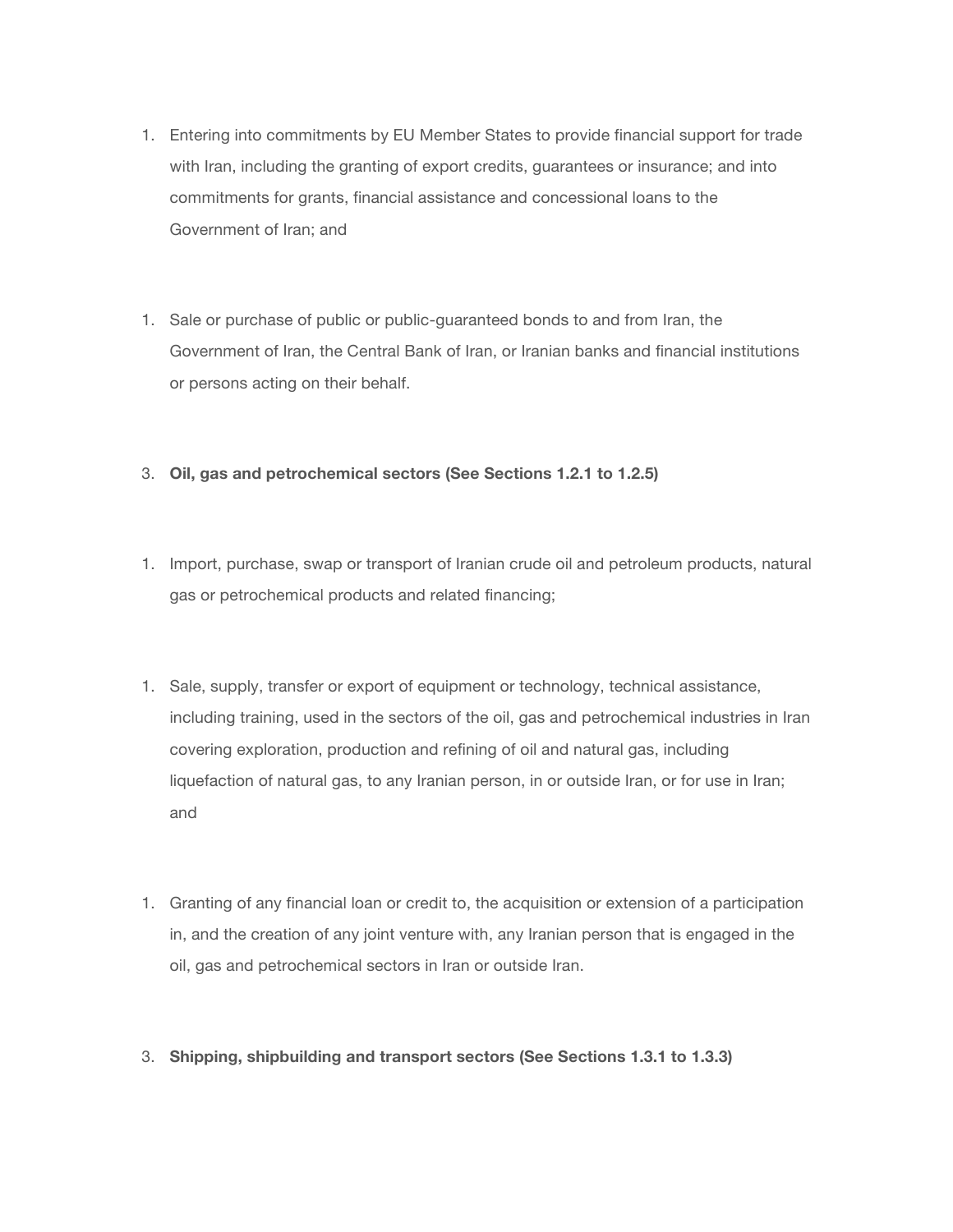- 1. Entering into commitments by EU Member States to provide financial support for trade with Iran, including the granting of export credits, guarantees or insurance; and into commitments for grants, financial assistance and concessional loans to the Government of Iran; and
- 1. Sale or purchase of public or public-guaranteed bonds to and from Iran, the Government of Iran, the Central Bank of Iran, or Iranian banks and financial institutions or persons acting on their behalf.
- 3. **Oil, gas and petrochemical sectors (See Sections 1.2.1 to 1.2.5)**
- 1. Import, purchase, swap or transport of Iranian crude oil and petroleum products, natural gas or petrochemical products and related financing;
- 1. Sale, supply, transfer or export of equipment or technology, technical assistance, including training, used in the sectors of the oil, gas and petrochemical industries in Iran covering exploration, production and refining of oil and natural gas, including liquefaction of natural gas, to any Iranian person, in or outside Iran, or for use in Iran; and
- 1. Granting of any financial loan or credit to, the acquisition or extension of a participation in, and the creation of any joint venture with, any Iranian person that is engaged in the oil, gas and petrochemical sectors in Iran or outside Iran.
- 3. **Shipping, shipbuilding and transport sectors (See Sections 1.3.1 to 1.3.3)**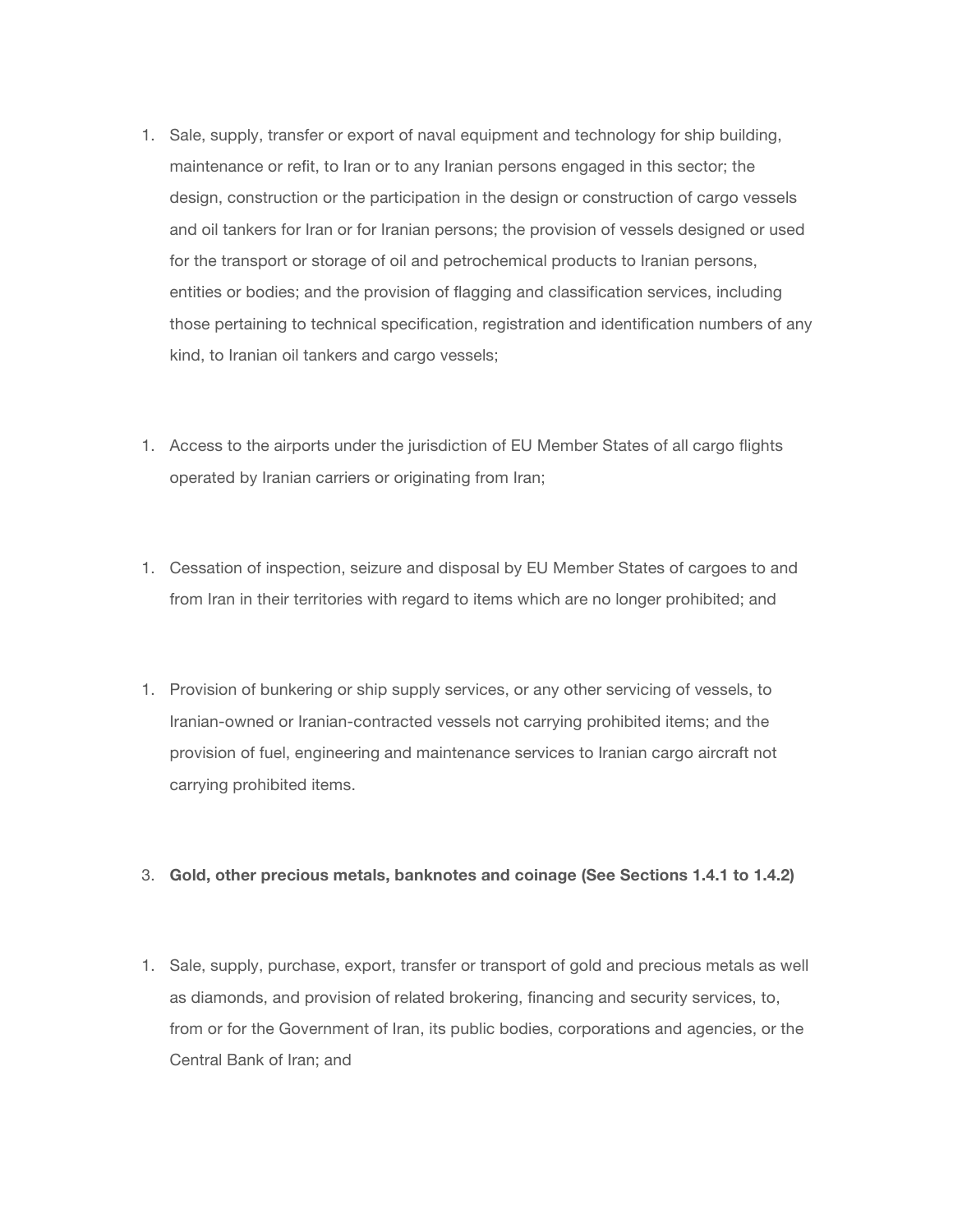- 1. Sale, supply, transfer or export of naval equipment and technology for ship building, maintenance or refit, to Iran or to any Iranian persons engaged in this sector; the design, construction or the participation in the design or construction of cargo vessels and oil tankers for Iran or for Iranian persons; the provision of vessels designed or used for the transport or storage of oil and petrochemical products to Iranian persons, entities or bodies; and the provision of flagging and classification services, including those pertaining to technical specification, registration and identification numbers of any kind, to Iranian oil tankers and cargo vessels;
- 1. Access to the airports under the jurisdiction of EU Member States of all cargo flights operated by Iranian carriers or originating from Iran;
- 1. Cessation of inspection, seizure and disposal by EU Member States of cargoes to and from Iran in their territories with regard to items which are no longer prohibited; and
- 1. Provision of bunkering or ship supply services, or any other servicing of vessels, to Iranian-owned or Iranian-contracted vessels not carrying prohibited items; and the provision of fuel, engineering and maintenance services to Iranian cargo aircraft not carrying prohibited items.

### 3. **Gold, other precious metals, banknotes and coinage (See Sections 1.4.1 to 1.4.2)**

1. Sale, supply, purchase, export, transfer or transport of gold and precious metals as well as diamonds, and provision of related brokering, financing and security services, to, from or for the Government of Iran, its public bodies, corporations and agencies, or the Central Bank of Iran; and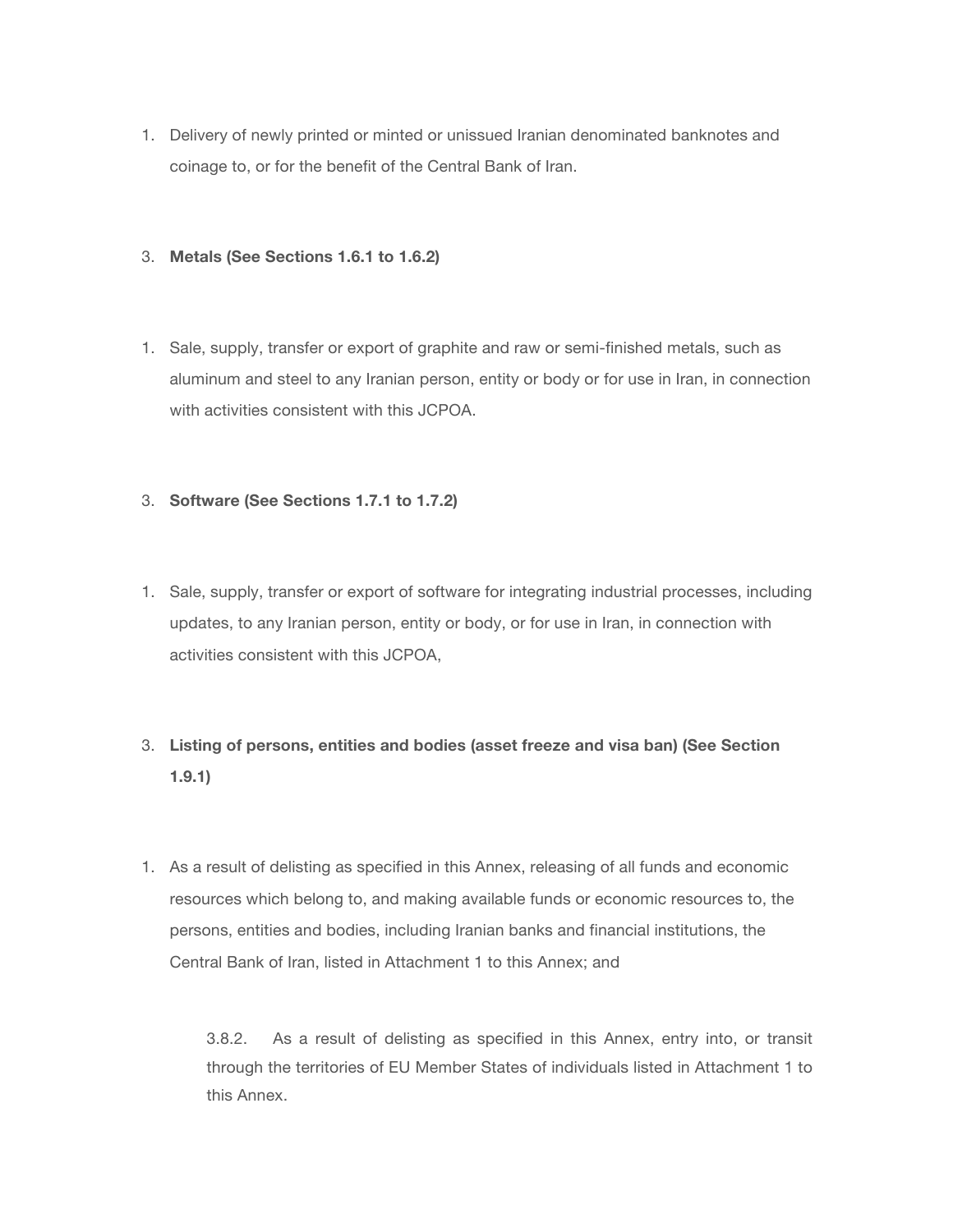1. Delivery of newly printed or minted or unissued Iranian denominated banknotes and coinage to, or for the benefit of the Central Bank of Iran.

# 3. **Metals (See Sections 1.6.1 to 1.6.2)**

1. Sale, supply, transfer or export of graphite and raw or semi-finished metals, such as aluminum and steel to any Iranian person, entity or body or for use in Iran, in connection with activities consistent with this JCPOA.

# 3. **Software (See Sections 1.7.1 to 1.7.2)**

1. Sale, supply, transfer or export of software for integrating industrial processes, including updates, to any Iranian person, entity or body, or for use in Iran, in connection with activities consistent with this JCPOA,

# 3. **Listing of persons, entities and bodies (asset freeze and visa ban) (See Section 1.9.1)**

1. As a result of delisting as specified in this Annex, releasing of all funds and economic resources which belong to, and making available funds or economic resources to, the persons, entities and bodies, including Iranian banks and financial institutions, the Central Bank of Iran, listed in Attachment 1 to this Annex; and

3.8.2. As a result of delisting as specified in this Annex, entry into, or transit through the territories of EU Member States of individuals listed in Attachment 1 to this Annex.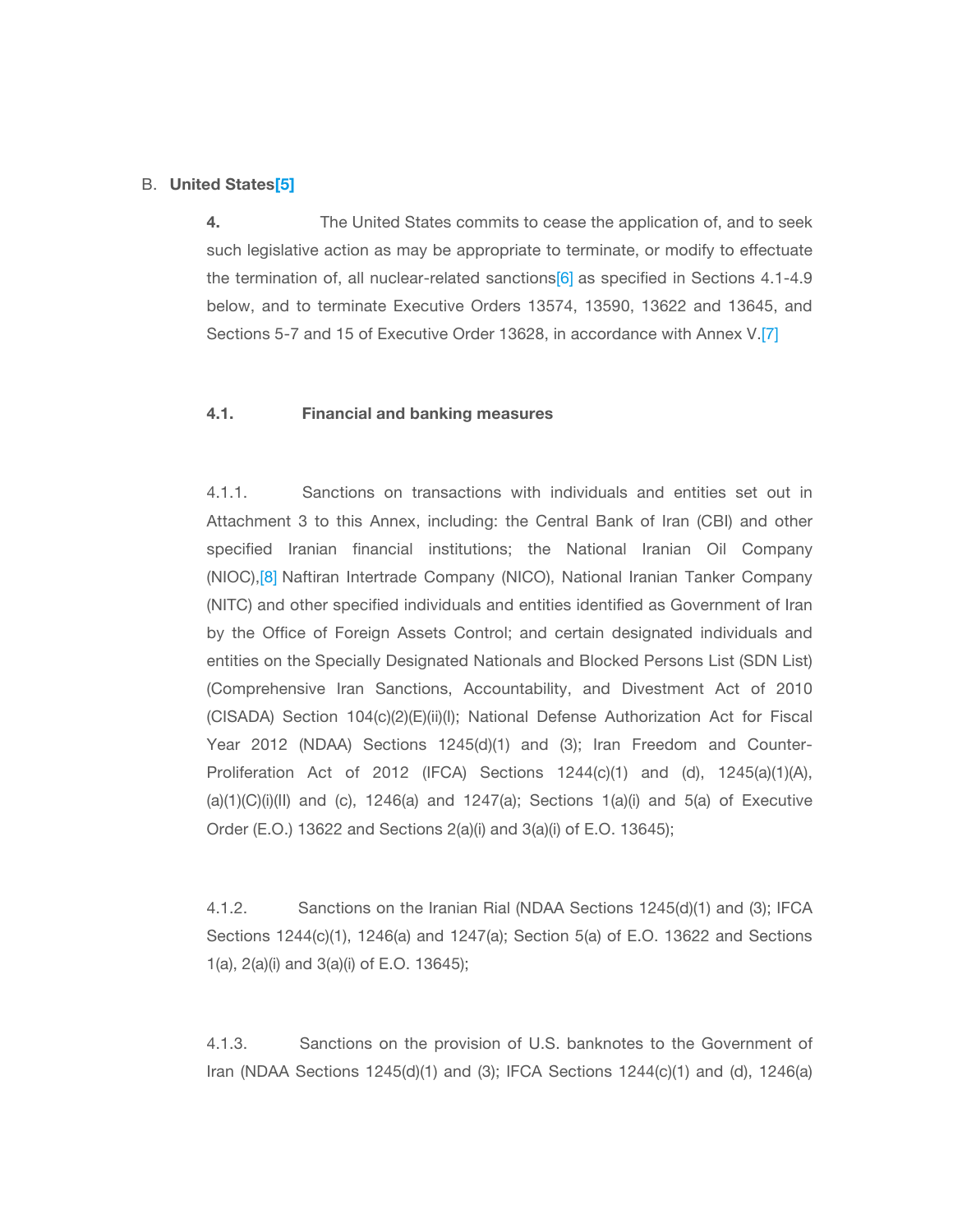### B. **United States[5]**

**4.** The United States commits to cease the application of, and to seek such legislative action as may be appropriate to terminate, or modify to effectuate the termination of, all nuclear-related sanction[s\[6\]](http://www.mid.ru/foreign_policy/news/-/asset_publisher/cKNonkJE02Bw/content/id/1571042#_ftn6) as specified in Sections 4.1-4.9 below, and to terminate Executive Orders 13574, 13590, 13622 and 13645, and Sections 5-7 and 15 of Executive Order 13628, in accordance with Annex V[.\[7\]](http://www.mid.ru/foreign_policy/news/-/asset_publisher/cKNonkJE02Bw/content/id/1571042#_ftn7)

# **4.1. Financial and banking measures**

4.1.1. Sanctions on transactions with individuals and entities set out in Attachment 3 to this Annex, including: the Central Bank of Iran (CBI) and other specified Iranian financial institutions; the National Iranian Oil Company (NIOC)[,\[8\]](http://www.mid.ru/foreign_policy/news/-/asset_publisher/cKNonkJE02Bw/content/id/1571042#_ftn8) Naftiran Intertrade Company (NICO), National Iranian Tanker Company (NITC) and other specified individuals and entities identified as Government of Iran by the Office of Foreign Assets Control; and certain designated individuals and entities on the Specially Designated Nationals and Blocked Persons List (SDN List) (Comprehensive Iran Sanctions, Accountability, and Divestment Act of 2010 (CISADA) Section 104(c)(2)(E)(ii)(I); National Defense Authorization Act for Fiscal Year 2012 (NDAA) Sections 1245(d)(1) and (3); Iran Freedom and Counter-Proliferation Act of 2012 (IFCA) Sections  $1244(c)(1)$  and  $(d)$ ,  $1245(a)(1)(A)$ ,  $(a)(1)(C)(i)(II)$  and  $(C)$ , 1246(a) and 1247(a); Sections 1(a)(i) and 5(a) of Executive Order (E.O.) 13622 and Sections 2(a)(i) and 3(a)(i) of E.O. 13645);

4.1.2. Sanctions on the Iranian Rial (NDAA Sections 1245(d)(1) and (3); IFCA Sections 1244(c)(1), 1246(a) and 1247(a); Section 5(a) of E.O. 13622 and Sections 1(a), 2(a)(i) and 3(a)(i) of E.O. 13645);

4.1.3. Sanctions on the provision of U.S. banknotes to the Government of Iran (NDAA Sections 1245(d)(1) and (3); IFCA Sections 1244(c)(1) and (d), 1246(a)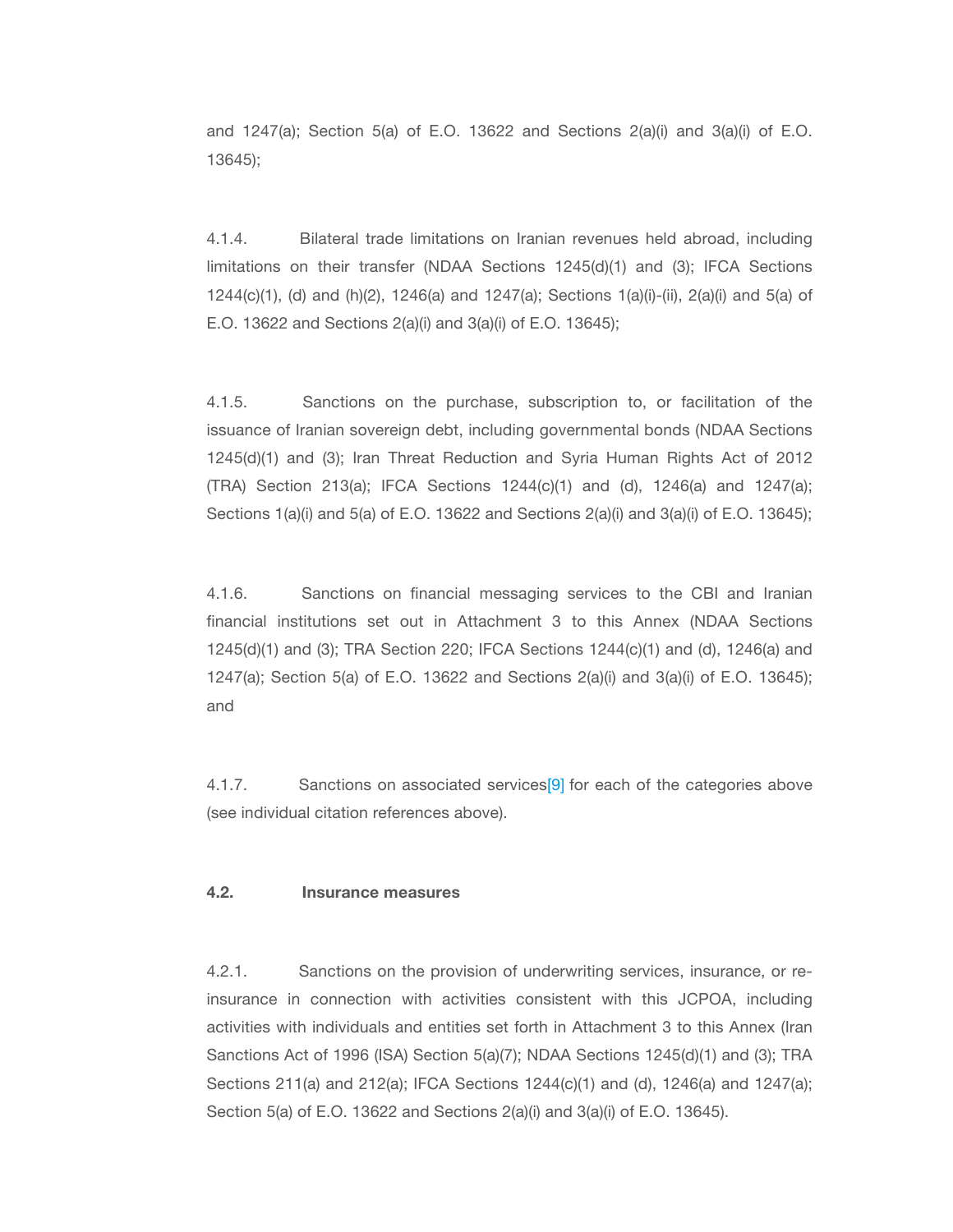and 1247(a); Section 5(a) of E.O. 13622 and Sections  $2(a)(i)$  and  $3(a)(i)$  of E.O. 13645);

4.1.4. Bilateral trade limitations on Iranian revenues held abroad, including limitations on their transfer (NDAA Sections 1245(d)(1) and (3); IFCA Sections 1244(c)(1), (d) and (h)(2), 1246(a) and 1247(a); Sections 1(a)(i)-(ii), 2(a)(i) and 5(a) of E.O. 13622 and Sections 2(a)(i) and 3(a)(i) of E.O. 13645);

4.1.5. Sanctions on the purchase, subscription to, or facilitation of the issuance of Iranian sovereign debt, including governmental bonds (NDAA Sections 1245(d)(1) and (3); Iran Threat Reduction and Syria Human Rights Act of 2012 (TRA) Section 213(a); IFCA Sections 1244(c)(1) and (d), 1246(a) and 1247(a); Sections 1(a)(i) and 5(a) of E.O. 13622 and Sections 2(a)(i) and 3(a)(i) of E.O. 13645);

4.1.6. Sanctions on financial messaging services to the CBI and Iranian financial institutions set out in Attachment 3 to this Annex (NDAA Sections 1245(d)(1) and (3); TRA Section 220; IFCA Sections 1244(c)(1) and (d), 1246(a) and 1247(a); Section 5(a) of E.O. 13622 and Sections 2(a)(i) and 3(a)(i) of E.O. 13645); and

4.1.7. Sanctions on associated services<sup>[9]</sup> for each of the categories above (see individual citation references above).

### **4.2. Insurance measures**

4.2.1. Sanctions on the provision of underwriting services, insurance, or reinsurance in connection with activities consistent with this JCPOA, including activities with individuals and entities set forth in Attachment 3 to this Annex (Iran Sanctions Act of 1996 (ISA) Section 5(a)(7); NDAA Sections 1245(d)(1) and (3); TRA Sections 211(a) and 212(a); IFCA Sections 1244(c)(1) and (d), 1246(a) and 1247(a); Section 5(a) of E.O. 13622 and Sections 2(a)(i) and 3(a)(i) of E.O. 13645).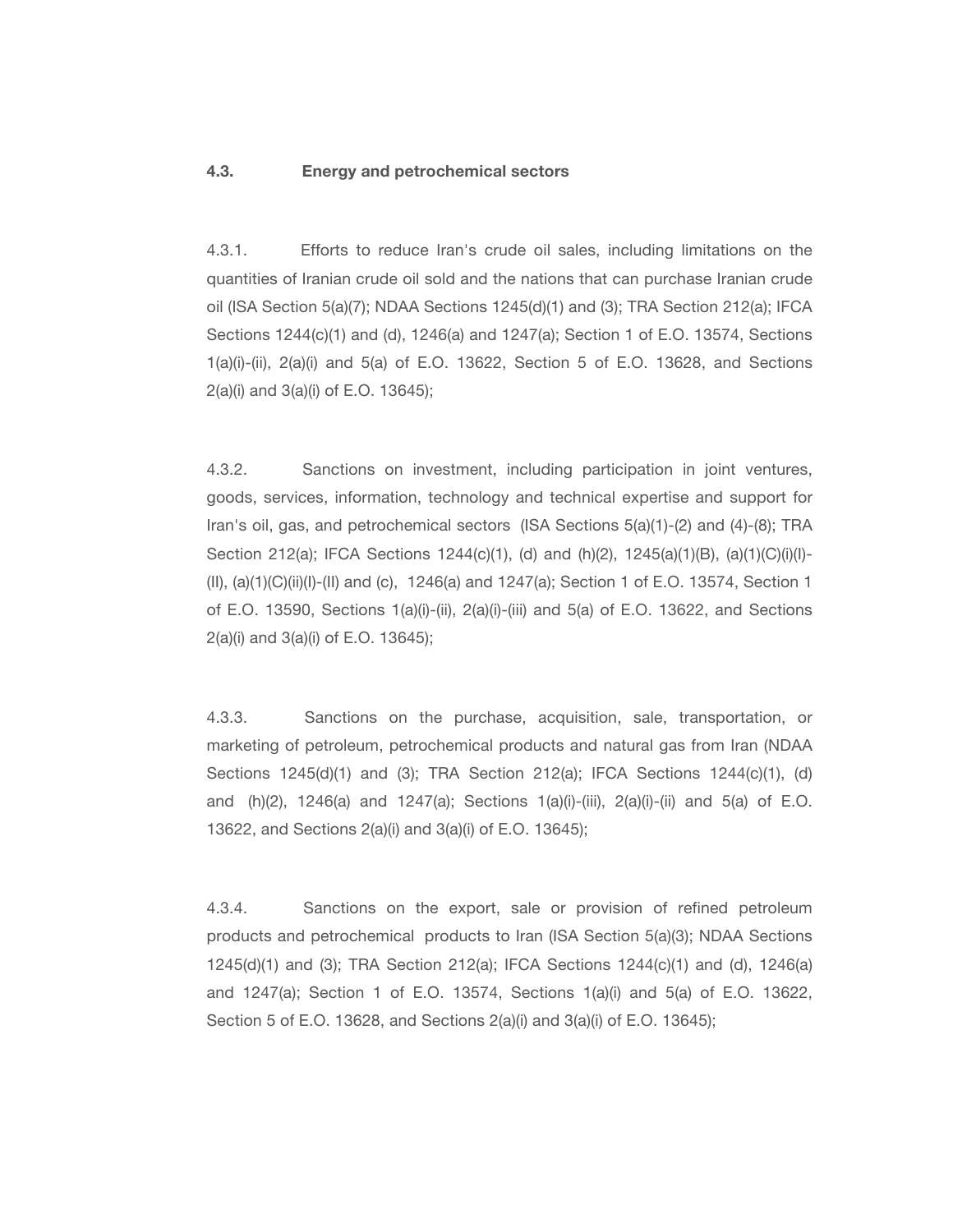# **4.3. Energy and petrochemical sectors**

4.3.1. Efforts to reduce Iran's crude oil sales, including limitations on the quantities of Iranian crude oil sold and the nations that can purchase Iranian crude oil (ISA Section 5(a)(7); NDAA Sections 1245(d)(1) and (3); TRA Section 212(a); IFCA Sections 1244(c)(1) and (d), 1246(a) and 1247(a); Section 1 of E.O. 13574, Sections 1(a)(i)-(ii), 2(a)(i) and 5(a) of E.O. 13622, Section 5 of E.O. 13628, and Sections 2(a)(i) and 3(a)(i) of E.O. 13645);

4.3.2. Sanctions on investment, including participation in joint ventures, goods, services, information, technology and technical expertise and support for Iran's oil, gas, and petrochemical sectors (ISA Sections 5(a)(1)-(2) and (4)-(8); TRA Section 212(a); IFCA Sections 1244(c)(1), (d) and (h)(2), 1245(a)(1)(B), (a)(1)(C)(i)(I)- (II), (a)(1)(C)(ii)(I)-(II) and (c), 1246(a) and 1247(a); Section 1 of E.O. 13574, Section 1 of E.O. 13590, Sections 1(a)(i)-(ii), 2(a)(i)-(iii) and 5(a) of E.O. 13622, and Sections 2(a)(i) and 3(a)(i) of E.O. 13645);

4.3.3. Sanctions on the purchase, acquisition, sale, transportation, or marketing of petroleum, petrochemical products and natural gas from Iran (NDAA Sections 1245(d)(1) and (3); TRA Section 212(a); IFCA Sections 1244(c)(1), (d) and  $(h)(2)$ , 1246(a) and 1247(a); Sections 1(a)(i)-(iii), 2(a)(i)-(iii) and 5(a) of E.O. 13622, and Sections 2(a)(i) and 3(a)(i) of E.O. 13645);

4.3.4. Sanctions on the export, sale or provision of refined petroleum products and petrochemical products to Iran (ISA Section 5(a)(3); NDAA Sections 1245(d)(1) and (3); TRA Section 212(a); IFCA Sections 1244(c)(1) and (d), 1246(a) and 1247(a); Section 1 of E.O. 13574, Sections 1(a)(i) and 5(a) of E.O. 13622, Section 5 of E.O. 13628, and Sections 2(a)(i) and 3(a)(i) of E.O. 13645);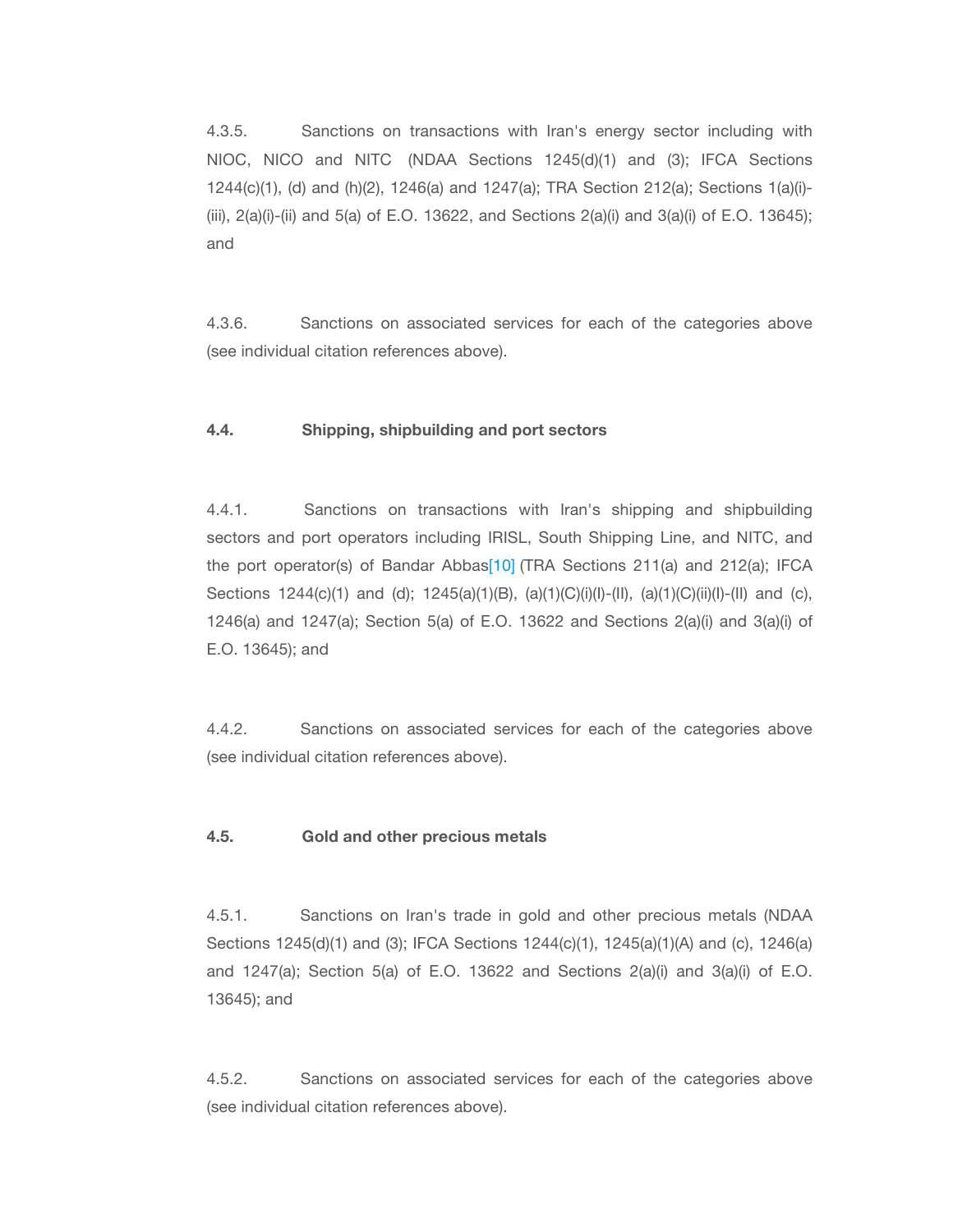4.3.5. Sanctions on transactions with Iran's energy sector including with NIOC, NICO and NITC (NDAA Sections 1245(d)(1) and (3); IFCA Sections 1244(c)(1), (d) and (h)(2), 1246(a) and 1247(a); TRA Section 212(a); Sections 1(a)(i)- (iii),  $2(a)(i)$ -(ii) and 5(a) of E.O. 13622, and Sections  $2(a)(i)$  and  $3(a)(i)$  of E.O. 13645); and

4.3.6. Sanctions on associated services for each of the categories above (see individual citation references above).

### **4.4. Shipping, shipbuilding and port sectors**

4.4.1. Sanctions on transactions with Iran's shipping and shipbuilding sectors and port operators including IRISL, South Shipping Line, and NITC, and the port operator(s) of Bandar Abba[s\[10\]](http://www.mid.ru/foreign_policy/news/-/asset_publisher/cKNonkJE02Bw/content/id/1571042#_ftn10) (TRA Sections 211(a) and 212(a); IFCA Sections 1244(c)(1) and (d); 1245(a)(1)(B), (a)(1)(C)(i)(l)-(II), (a)(1)(C)(ii)(l)-(II) and (c), 1246(a) and 1247(a); Section 5(a) of E.O. 13622 and Sections 2(a)(i) and 3(a)(i) of E.O. 13645); and

4.4.2. Sanctions on associated services for each of the categories above (see individual citation references above).

### **4.5. Gold and other precious metals**

4.5.1. Sanctions on Iran's trade in gold and other precious metals (NDAA Sections 1245(d)(1) and (3); IFCA Sections 1244(c)(1), 1245(a)(1)(A) and (c), 1246(a) and 1247(a); Section 5(a) of E.O. 13622 and Sections  $2(a)(i)$  and  $3(a)(i)$  of E.O. 13645); and

4.5.2. Sanctions on associated services for each of the categories above (see individual citation references above).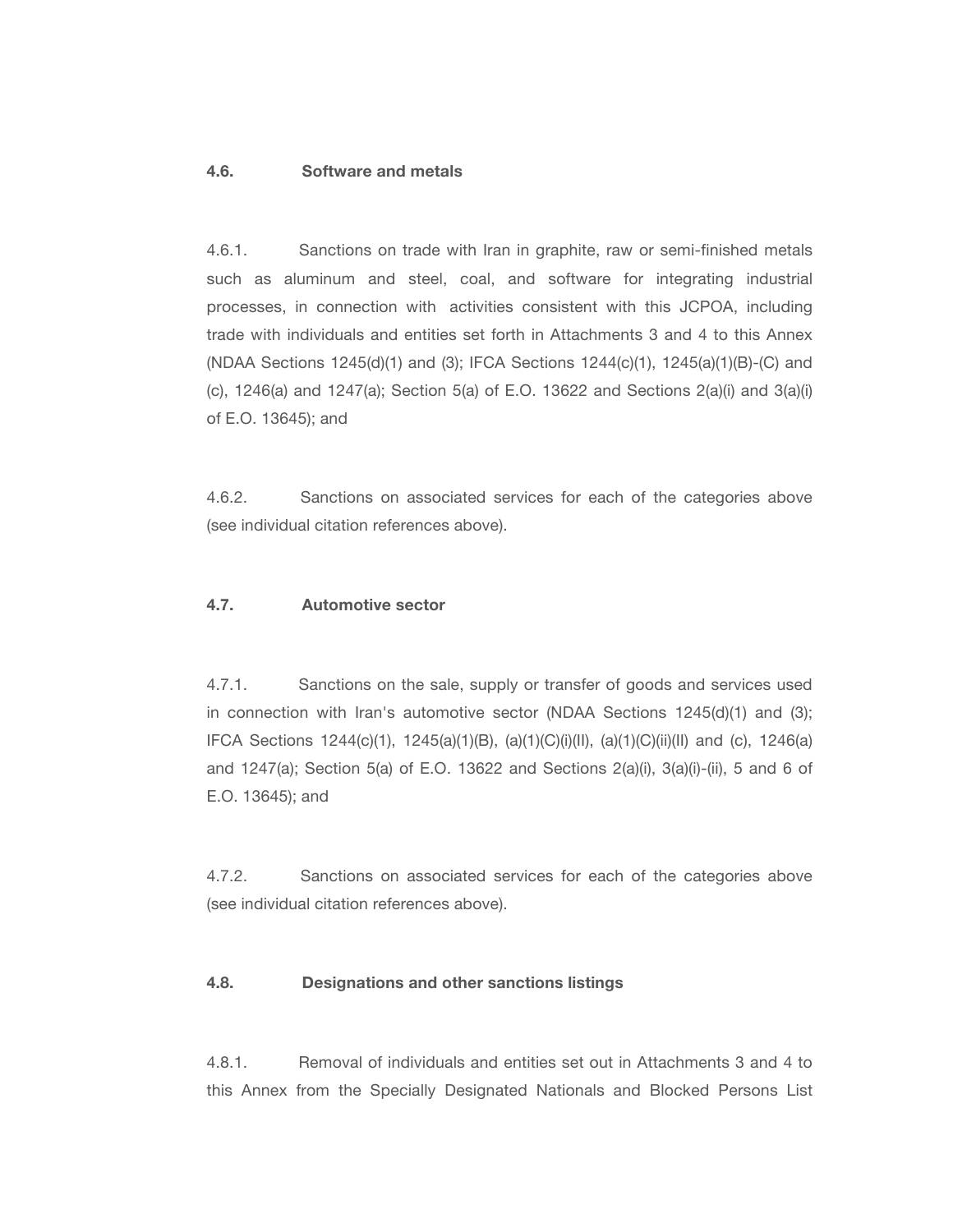### **4.6. Software and metals**

4.6.1. Sanctions on trade with Iran in graphite, raw or semi-finished metals such as aluminum and steel, coal, and software for integrating industrial processes, in connection with activities consistent with this JCPOA, including trade with individuals and entities set forth in Attachments 3 and 4 to this Annex (NDAA Sections  $1245(d)(1)$  and (3); IFCA Sections  $1244(c)(1)$ ,  $1245(a)(1)(B)-(C)$  and (c), 1246(a) and 1247(a); Section 5(a) of E.O. 13622 and Sections 2(a)(i) and 3(a)(i) of E.O. 13645); and

4.6.2. Sanctions on associated services for each of the categories above (see individual citation references above).

### **4.7. Automotive sector**

4.7.1. Sanctions on the sale, supply or transfer of goods and services used in connection with Iran's automotive sector (NDAA Sections 1245(d)(1) and (3); IFCA Sections 1244(c)(1), 1245(a)(1)(B), (a)(1)(C)(i)(II), (a)(1)(C)(ii)(II) and (c), 1246(a) and  $1247(a)$ ; Section 5(a) of E.O. 13622 and Sections  $2(a)(i)$ ,  $3(a)(i)-(ii)$ , 5 and 6 of E.O. 13645); and

4.7.2. Sanctions on associated services for each of the categories above (see individual citation references above).

### **4.8. Designations and other sanctions listings**

4.8.1. Removal of individuals and entities set out in Attachments 3 and 4 to this Annex from the Specially Designated Nationals and Blocked Persons List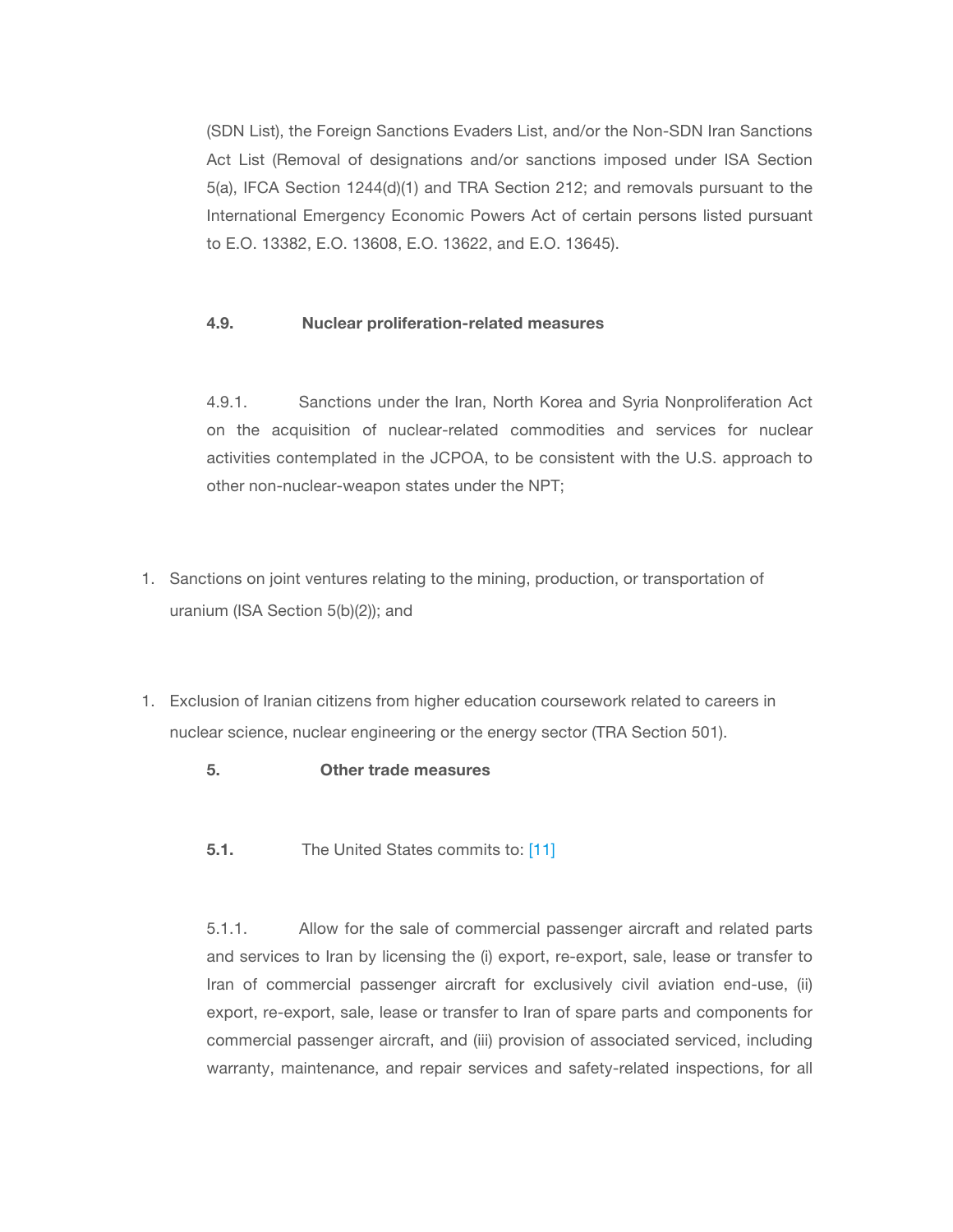(SDN List), the Foreign Sanctions Evaders List, and/or the Non-SDN Iran Sanctions Act List (Removal of designations and/or sanctions imposed under ISA Section 5(a), IFCA Section 1244(d)(1) and TRA Section 212; and removals pursuant to the International Emergency Economic Powers Act of certain persons listed pursuant to E.O. 13382, E.O. 13608, E.O. 13622, and E.O. 13645).

# **4.9. Nuclear proliferation-related measures**

4.9.1. Sanctions under the Iran, North Korea and Syria Nonproliferation Act on the acquisition of nuclear-related commodities and services for nuclear activities contemplated in the JCPOA, to be consistent with the U.S. approach to other non-nuclear-weapon states under the NPT;

- 1. Sanctions on joint ventures relating to the mining, production, or transportation of uranium (ISA Section 5(b)(2)); and
- 1. Exclusion of Iranian citizens from higher education coursework related to careers in nuclear science, nuclear engineering or the energy sector (TRA Section 501).
	- **5. Other trade measures**
	- **5.1.** The United States commits to: [\[11\]](http://www.mid.ru/foreign_policy/news/-/asset_publisher/cKNonkJE02Bw/content/id/1571042#_ftn11)

5.1.1. Allow for the sale of commercial passenger aircraft and related parts and services to Iran by licensing the (i) export, re-export, sale, lease or transfer to Iran of commercial passenger aircraft for exclusively civil aviation end-use, (ii) export, re-export, sale, lease or transfer to Iran of spare parts and components for commercial passenger aircraft, and (iii) provision of associated serviced, including warranty, maintenance, and repair services and safety-related inspections, for all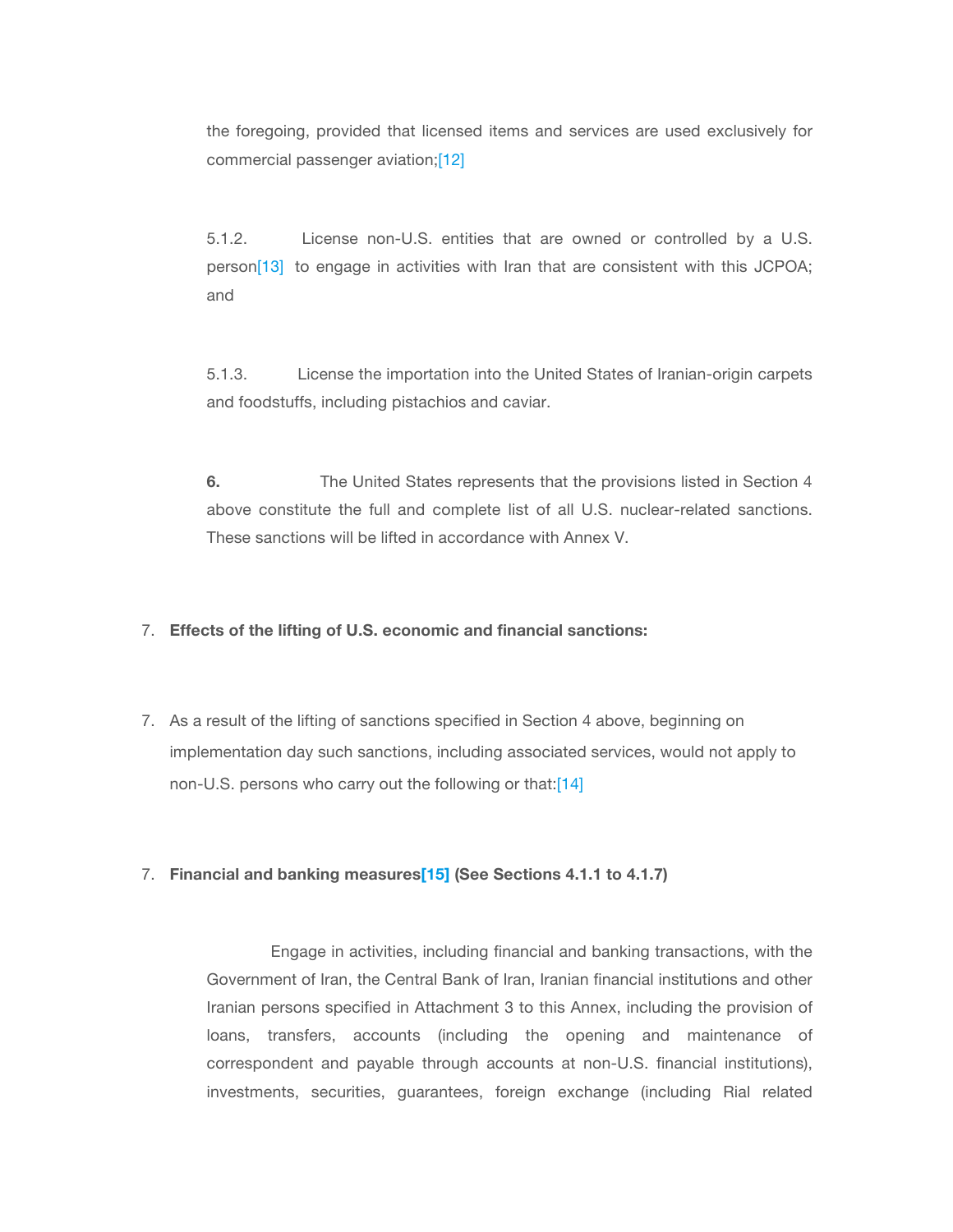the foregoing, provided that licensed items and services are used exclusively for commercial passenger aviation[;\[12\]](http://www.mid.ru/foreign_policy/news/-/asset_publisher/cKNonkJE02Bw/content/id/1571042#_ftn12)

5.1.2. License non-U.S. entities that are owned or controlled by a U.S. perso[n\[13\]](http://www.mid.ru/foreign_policy/news/-/asset_publisher/cKNonkJE02Bw/content/id/1571042#_ftn13) to engage in activities with Iran that are consistent with this JCPOA; and

5.1.3. License the importation into the United States of Iranian-origin carpets and foodstuffs, including pistachios and caviar.

**6.** The United States represents that the provisions listed in Section 4 above constitute the full and complete list of all U.S. nuclear-related sanctions. These sanctions will be lifted in accordance with Annex V.

### 7. **Effects of the lifting of U.S. economic and financial sanctions:**

- 7. As a result of the lifting of sanctions specified in Section 4 above, beginning on implementation day such sanctions, including associated services, would not apply to non-U.S. persons who carry out the following or that[:\[14\]](http://www.mid.ru/foreign_policy/news/-/asset_publisher/cKNonkJE02Bw/content/id/1571042#_ftn14)
- 7. **Financial and banking measures[15] (See Sections 4.1.1 to 4.1.7)**

Engage in activities, including financial and banking transactions, with the Government of Iran, the Central Bank of Iran, Iranian financial institutions and other Iranian persons specified in Attachment 3 to this Annex, including the provision of loans, transfers, accounts (including the opening and maintenance of correspondent and payable through accounts at non-U.S. financial institutions), investments, securities, guarantees, foreign exchange (including Rial related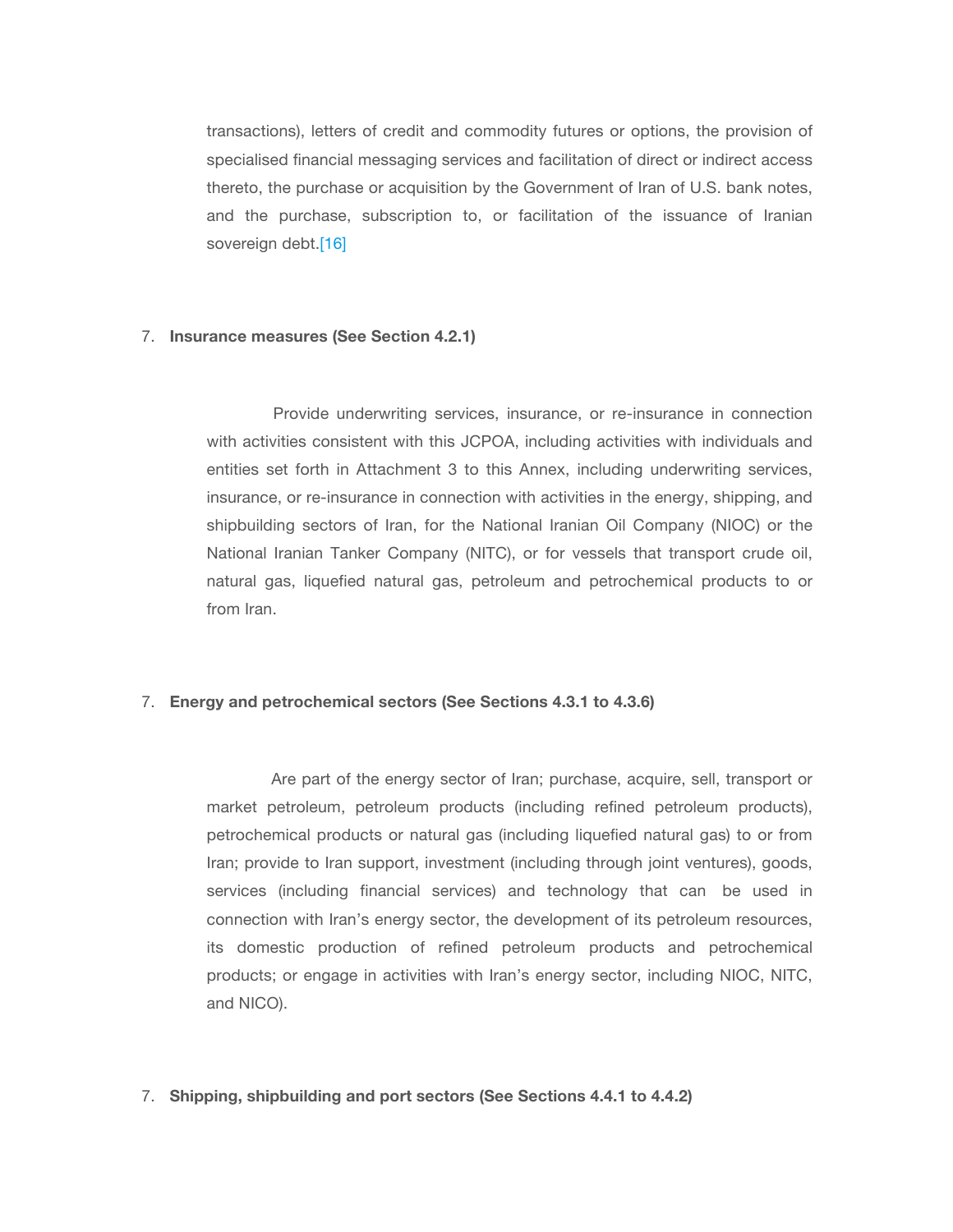transactions), letters of credit and commodity futures or options, the provision of specialised financial messaging services and facilitation of direct or indirect access thereto, the purchase or acquisition by the Government of Iran of U.S. bank notes, and the purchase, subscription to, or facilitation of the issuance of Iranian sovereign debt[.\[16\]](http://www.mid.ru/foreign_policy/news/-/asset_publisher/cKNonkJE02Bw/content/id/1571042#_ftn16)

### 7. **Insurance measures (See Section 4.2.1)**

Provide underwriting services, insurance, or re-insurance in connection with activities consistent with this JCPOA, including activities with individuals and entities set forth in Attachment 3 to this Annex, including underwriting services, insurance, or re-insurance in connection with activities in the energy, shipping, and shipbuilding sectors of Iran, for the National Iranian Oil Company (NIOC) or the National Iranian Tanker Company (NITC), or for vessels that transport crude oil, natural gas, liquefied natural gas, petroleum and petrochemical products to or from Iran.

### 7. **Energy and petrochemical sectors (See Sections 4.3.1 to 4.3.6)**

Are part of the energy sector of Iran; purchase, acquire, sell, transport or market petroleum, petroleum products (including refined petroleum products), petrochemical products or natural gas (including liquefied natural gas) to or from Iran; provide to Iran support, investment (including through joint ventures), goods, services (including financial services) and technology that can be used in connection with Iran's energy sector, the development of its petroleum resources, its domestic production of refined petroleum products and petrochemical products; or engage in activities with Iran's energy sector, including NIOC, NITC, and NICO).

### 7. **Shipping, shipbuilding and port sectors (See Sections 4.4.1 to 4.4.2)**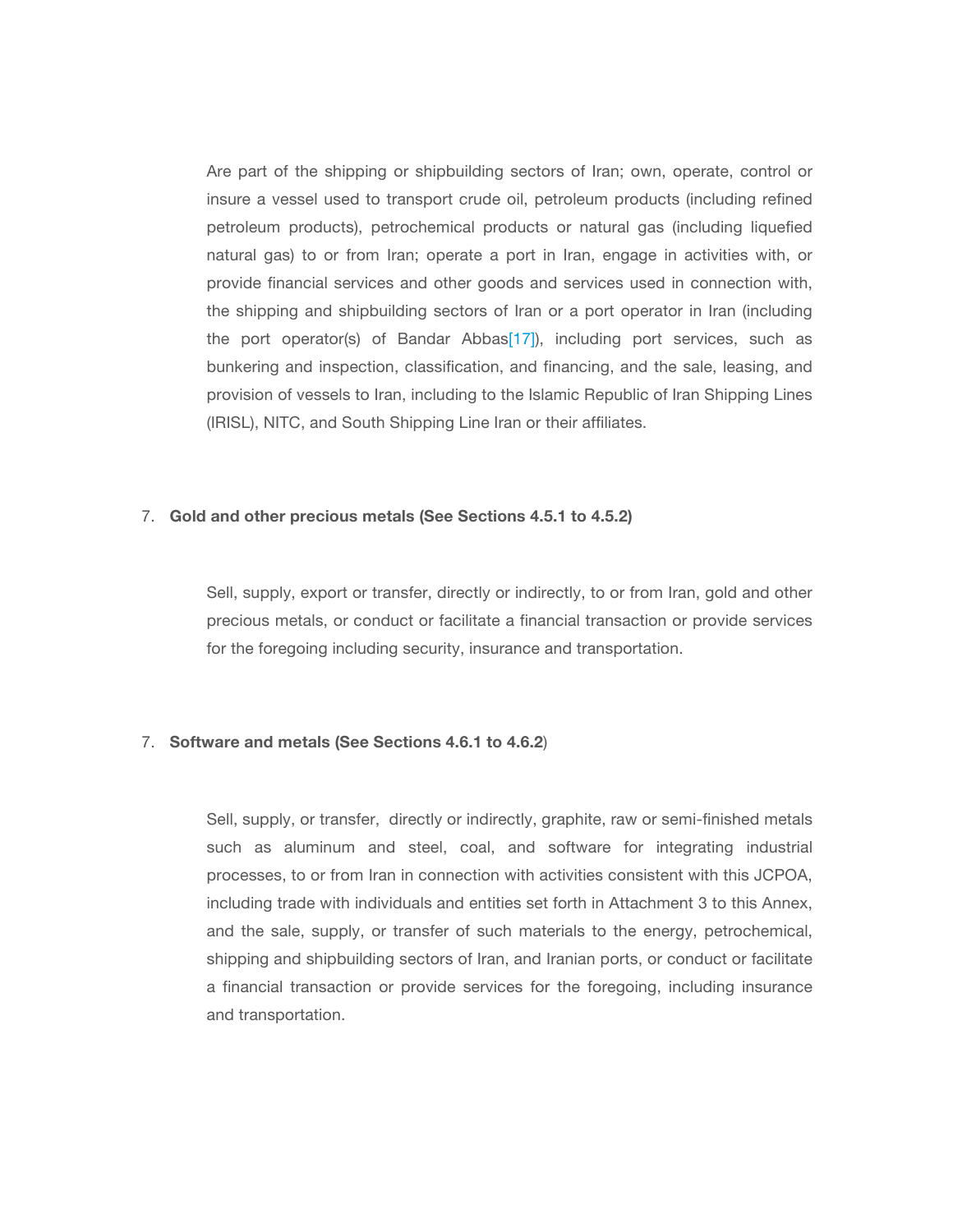Are part of the shipping or shipbuilding sectors of Iran; own, operate, control or insure a vessel used to transport crude oil, petroleum products (including refined petroleum products), petrochemical products or natural gas (including liquefied natural gas) to or from Iran; operate a port in Iran, engage in activities with, or provide financial services and other goods and services used in connection with, the shipping and shipbuilding sectors of Iran or a port operator in Iran (including the port operator(s) of Bandar Abba[s\[17\]](http://www.mid.ru/foreign_policy/news/-/asset_publisher/cKNonkJE02Bw/content/id/1571042#_ftn17)), including port services, such as bunkering and inspection, classification, and financing, and the sale, leasing, and provision of vessels to Iran, including to the Islamic Republic of Iran Shipping Lines (IRISL), NITC, and South Shipping Line Iran or their affiliates.

### 7. **Gold and other precious metals (See Sections 4.5.1 to 4.5.2)**

Sell, supply, export or transfer, directly or indirectly, to or from Iran, gold and other precious metals, or conduct or facilitate a financial transaction or provide services for the foregoing including security, insurance and transportation.

### 7. **Software and metals (See Sections 4.6.1 to 4.6.2**)

Sell, supply, or transfer, directly or indirectly, graphite, raw or semi-finished metals such as aluminum and steel, coal, and software for integrating industrial processes, to or from Iran in connection with activities consistent with this JCPOA, including trade with individuals and entities set forth in Attachment 3 to this Annex, and the sale, supply, or transfer of such materials to the energy, petrochemical, shipping and shipbuilding sectors of Iran, and Iranian ports, or conduct or facilitate a financial transaction or provide services for the foregoing, including insurance and transportation.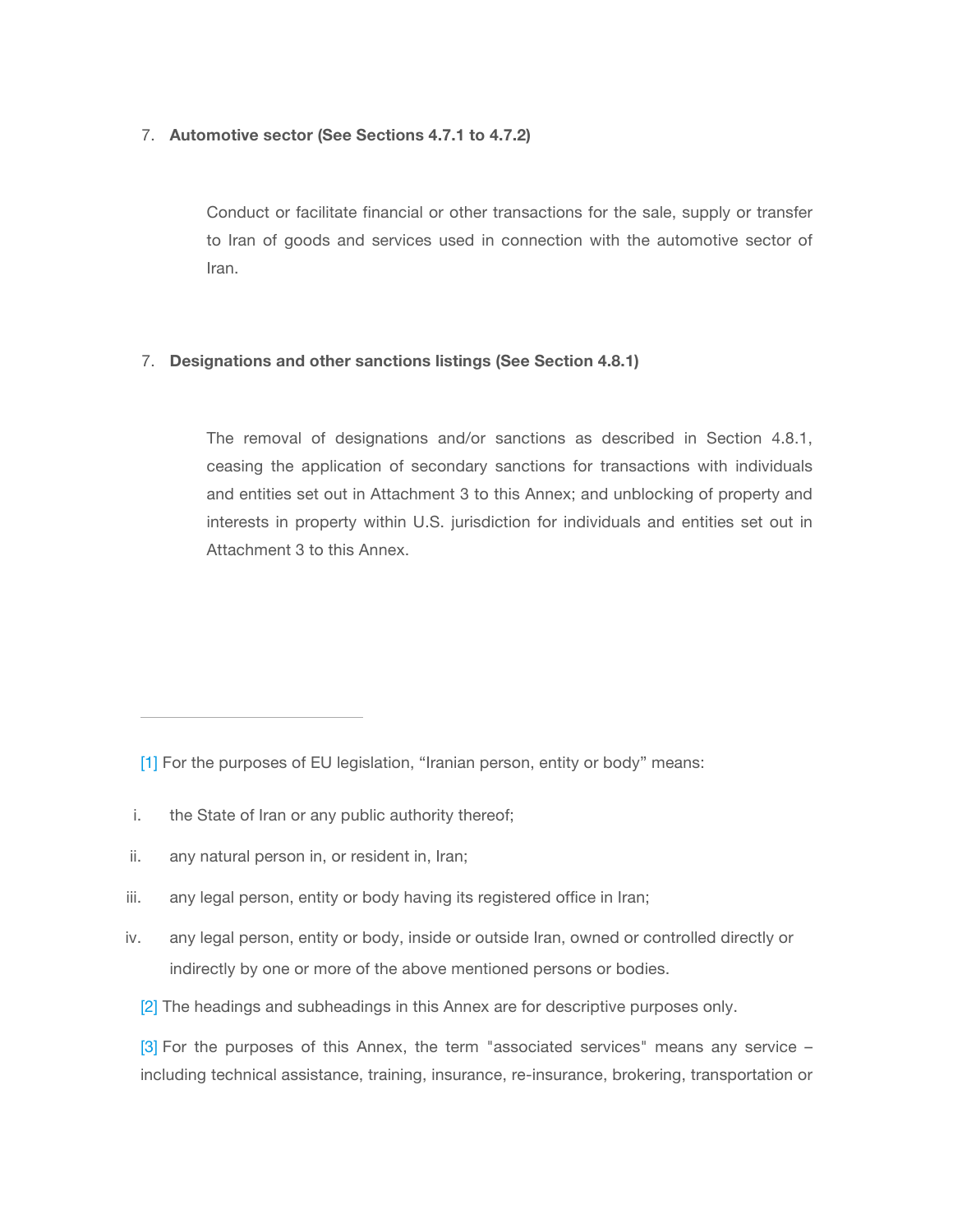### 7. **Automotive sector (See Sections 4.7.1 to 4.7.2)**

Conduct or facilitate financial or other transactions for the sale, supply or transfer to Iran of goods and services used in connection with the automotive sector of Iran.

# 7. **Designations and other sanctions listings (See Section 4.8.1)**

The removal of designations and/or sanctions as described in Section 4.8.1, ceasing the application of secondary sanctions for transactions with individuals and entities set out in Attachment 3 to this Annex; and unblocking of property and interests in property within U.S. jurisdiction for individuals and entities set out in Attachment 3 to this Annex.

[\[1\]](http://www.mid.ru/foreign_policy/news/-/asset_publisher/cKNonkJE02Bw/content/id/1571042#_ftnref1) For the purposes of EU legislation, "Iranian person, entity or body" means:

- i. the State of Iran or any public authority thereof;
- ii. any natural person in, or resident in, Iran;
- iii. any legal person, entity or body having its registered office in Iran;
- iv. any legal person, entity or body, inside or outside Iran, owned or controlled directly or indirectly by one or more of the above mentioned persons or bodies.
	- [\[2\]](http://www.mid.ru/foreign_policy/news/-/asset_publisher/cKNonkJE02Bw/content/id/1571042#_ftnref2) The headings and subheadings in this Annex are for descriptive purposes only.

[\[3\]](http://www.mid.ru/foreign_policy/news/-/asset_publisher/cKNonkJE02Bw/content/id/1571042#_ftnref3) For the purposes of this Annex, the term "associated services" means any service – including technical assistance, training, insurance, re-insurance, brokering, transportation or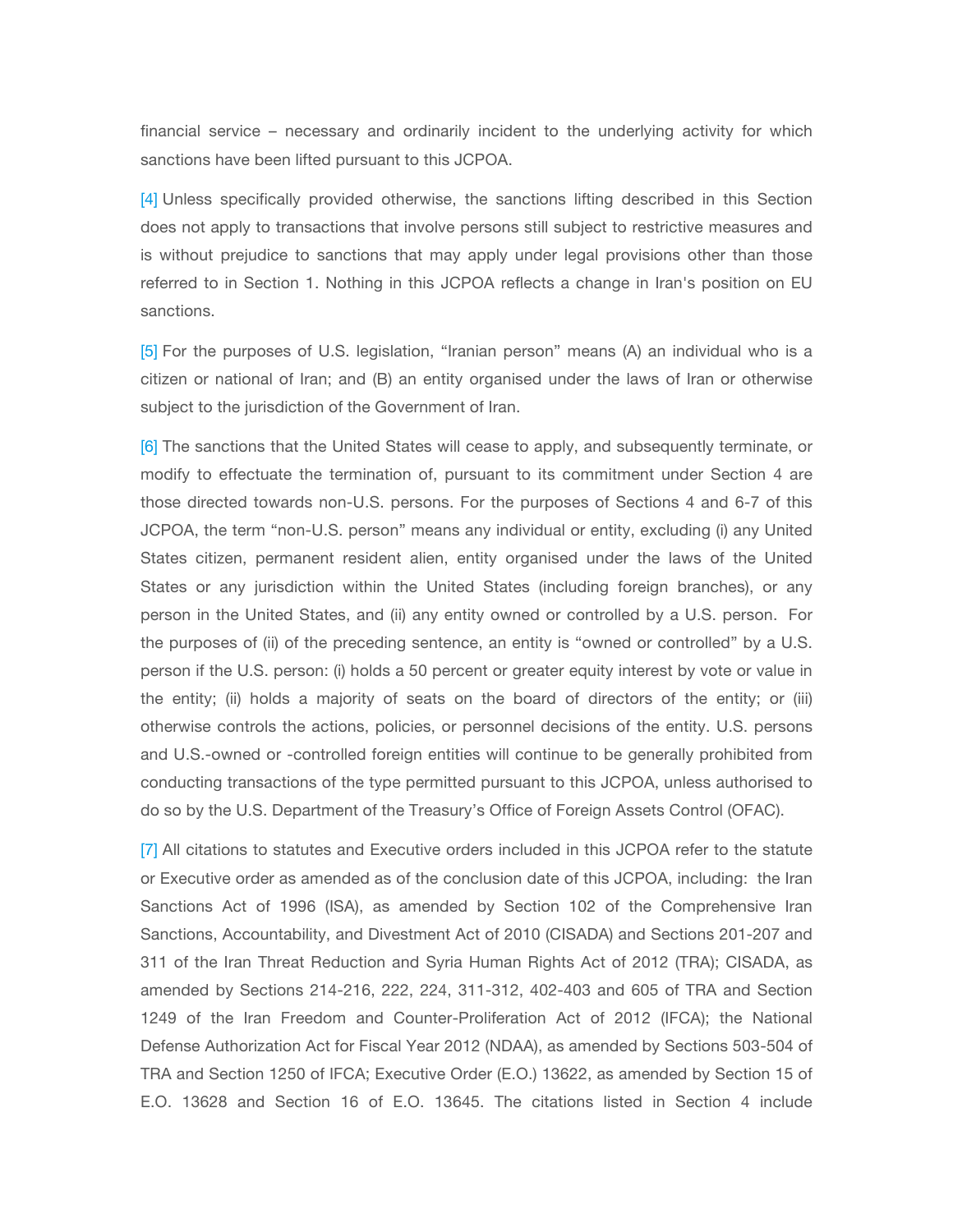financial service – necessary and ordinarily incident to the underlying activity for which sanctions have been lifted pursuant to this JCPOA.

[\[4\]](http://www.mid.ru/foreign_policy/news/-/asset_publisher/cKNonkJE02Bw/content/id/1571042#_ftnref4) Unless specifically provided otherwise, the sanctions lifting described in this Section does not apply to transactions that involve persons still subject to restrictive measures and is without prejudice to sanctions that may apply under legal provisions other than those referred to in Section 1. Nothing in this JCPOA reflects a change in Iran's position on EU sanctions.

[\[5\]](http://www.mid.ru/foreign_policy/news/-/asset_publisher/cKNonkJE02Bw/content/id/1571042#_ftnref5) For the purposes of U.S. legislation, "Iranian person" means (A) an individual who is a citizen or national of Iran; and (B) an entity organised under the laws of Iran or otherwise subject to the jurisdiction of the Government of Iran.

[\[6\]](http://www.mid.ru/foreign_policy/news/-/asset_publisher/cKNonkJE02Bw/content/id/1571042#_ftnref6) The sanctions that the United States will cease to apply, and subsequently terminate, or modify to effectuate the termination of, pursuant to its commitment under Section 4 are those directed towards non-U.S. persons. For the purposes of Sections 4 and 6-7 of this JCPOA, the term "non-U.S. person" means any individual or entity, excluding (i) any United States citizen, permanent resident alien, entity organised under the laws of the United States or any jurisdiction within the United States (including foreign branches), or any person in the United States, and (ii) any entity owned or controlled by a U.S. person. For the purposes of (ii) of the preceding sentence, an entity is "owned or controlled" by a U.S. person if the U.S. person: (i) holds a 50 percent or greater equity interest by vote or value in the entity; (ii) holds a majority of seats on the board of directors of the entity; or (iii) otherwise controls the actions, policies, or personnel decisions of the entity. U.S. persons and U.S.-owned or -controlled foreign entities will continue to be generally prohibited from conducting transactions of the type permitted pursuant to this JCPOA, unless authorised to do so by the U.S. Department of the Treasury's Office of Foreign Assets Control (OFAC).

[\[7\]](http://www.mid.ru/foreign_policy/news/-/asset_publisher/cKNonkJE02Bw/content/id/1571042#_ftnref7) All citations to statutes and Executive orders included in this JCPOA refer to the statute or Executive order as amended as of the conclusion date of this JCPOA, including: the Iran Sanctions Act of 1996 (ISA), as amended by Section 102 of the Comprehensive Iran Sanctions, Accountability, and Divestment Act of 2010 (CISADA) and Sections 201-207 and 311 of the Iran Threat Reduction and Syria Human Rights Act of 2012 (TRA); CISADA, as amended by Sections 214-216, 222, 224, 311-312, 402-403 and 605 of TRA and Section 1249 of the Iran Freedom and Counter-Proliferation Act of 2012 (IFCA); the National Defense Authorization Act for Fiscal Year 2012 (NDAA), as amended by Sections 503-504 of TRA and Section 1250 of IFCA; Executive Order (E.O.) 13622, as amended by Section 15 of E.O. 13628 and Section 16 of E.O. 13645. The citations listed in Section 4 include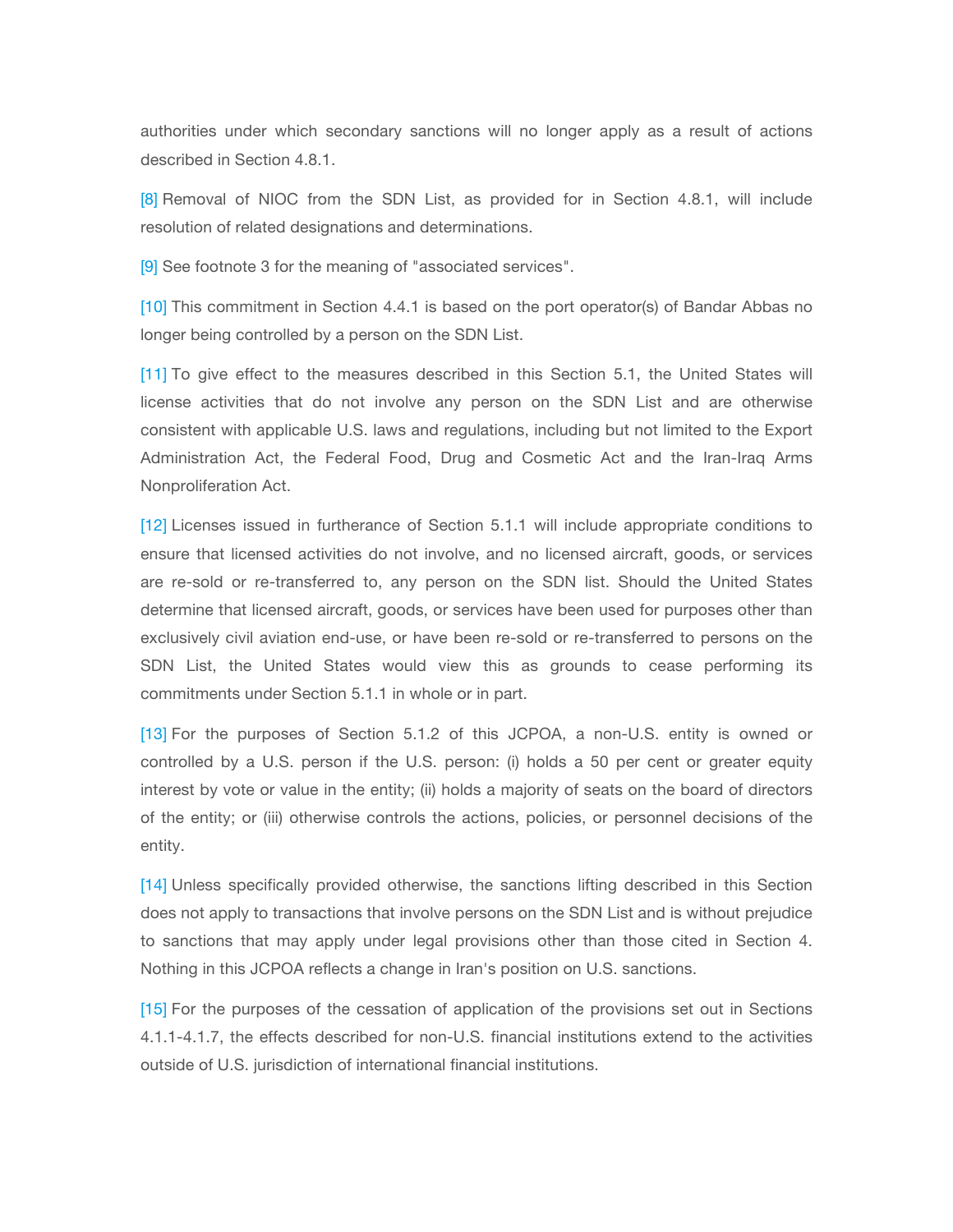authorities under which secondary sanctions will no longer apply as a result of actions described in Section 4.8.1.

[\[8\]](http://www.mid.ru/foreign_policy/news/-/asset_publisher/cKNonkJE02Bw/content/id/1571042#_ftnref8) Removal of NIOC from the SDN List, as provided for in Section 4.8.1, will include resolution of related designations and determinations.

[\[9\]](http://www.mid.ru/foreign_policy/news/-/asset_publisher/cKNonkJE02Bw/content/id/1571042#_ftnref9) See footnote 3 for the meaning of "associated services".

[\[10\]](http://www.mid.ru/foreign_policy/news/-/asset_publisher/cKNonkJE02Bw/content/id/1571042#_ftnref10) This commitment in Section 4.4.1 is based on the port operator(s) of Bandar Abbas no longer being controlled by a person on the SDN List.

[\[11\]](http://www.mid.ru/foreign_policy/news/-/asset_publisher/cKNonkJE02Bw/content/id/1571042#_ftnref11) To give effect to the measures described in this Section 5.1, the United States will license activities that do not involve any person on the SDN List and are otherwise consistent with applicable U.S. laws and regulations, including but not limited to the Export Administration Act, the Federal Food, Drug and Cosmetic Act and the Iran-Iraq Arms Nonproliferation Act.

[\[12\]](http://www.mid.ru/foreign_policy/news/-/asset_publisher/cKNonkJE02Bw/content/id/1571042#_ftnref12) Licenses issued in furtherance of Section 5.1.1 will include appropriate conditions to ensure that licensed activities do not involve, and no licensed aircraft, goods, or services are re-sold or re-transferred to, any person on the SDN list. Should the United States determine that licensed aircraft, goods, or services have been used for purposes other than exclusively civil aviation end-use, or have been re-sold or re-transferred to persons on the SDN List, the United States would view this as grounds to cease performing its commitments under Section 5.1.1 in whole or in part.

[\[13\]](http://www.mid.ru/foreign_policy/news/-/asset_publisher/cKNonkJE02Bw/content/id/1571042#_ftnref13) For the purposes of Section 5.1.2 of this JCPOA, a non-U.S. entity is owned or controlled by a U.S. person if the U.S. person: (i) holds a 50 per cent or greater equity interest by vote or value in the entity; (ii) holds a majority of seats on the board of directors of the entity; or (iii) otherwise controls the actions, policies, or personnel decisions of the entity.

[\[14\]](http://www.mid.ru/foreign_policy/news/-/asset_publisher/cKNonkJE02Bw/content/id/1571042#_ftnref14) Unless specifically provided otherwise, the sanctions lifting described in this Section does not apply to transactions that involve persons on the SDN List and is without prejudice to sanctions that may apply under legal provisions other than those cited in Section 4. Nothing in this JCPOA reflects a change in Iran's position on U.S. sanctions.

[\[15\]](http://www.mid.ru/foreign_policy/news/-/asset_publisher/cKNonkJE02Bw/content/id/1571042#_ftnref15) For the purposes of the cessation of application of the provisions set out in Sections 4.1.1-4.1.7, the effects described for non-U.S. financial institutions extend to the activities outside of U.S. jurisdiction of international financial institutions.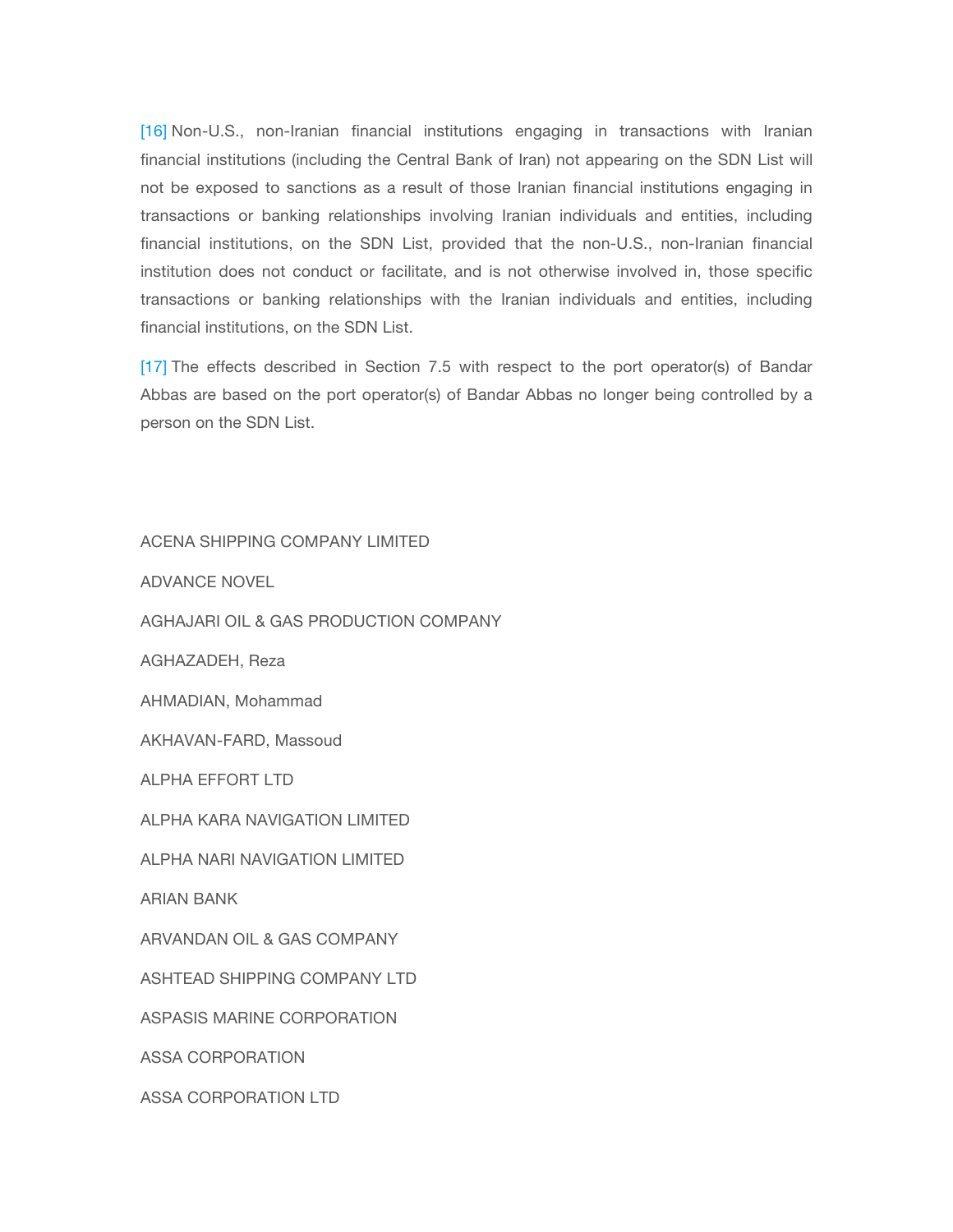[\[16\]](http://www.mid.ru/foreign_policy/news/-/asset_publisher/cKNonkJE02Bw/content/id/1571042#_ftnref16) Non-U.S., non-Iranian financial institutions engaging in transactions with Iranian financial institutions (including the Central Bank of Iran) not appearing on the SDN List will not be exposed to sanctions as a result of those Iranian financial institutions engaging in transactions or banking relationships involving Iranian individuals and entities, including financial institutions, on the SDN List, provided that the non-U.S., non-Iranian financial institution does not conduct or facilitate, and is not otherwise involved in, those specific transactions or banking relationships with the Iranian individuals and entities, including financial institutions, on the SDN List.

[\[17\]](http://www.mid.ru/foreign_policy/news/-/asset_publisher/cKNonkJE02Bw/content/id/1571042#_ftnref17) The effects described in Section 7.5 with respect to the port operator(s) of Bandar Abbas are based on the port operator(s) of Bandar Abbas no longer being controlled by a person on the SDN List.

ACENA SHIPPING COMPANY LIMITED ADVANCE NOVEL AGHAJARI OIL & GAS PRODUCTION COMPANY AGHAZADEH, Reza AHMADIAN, Mohammad AKHAVAN-FARD, Massoud ALPHA EFFORT LTD ALPHA KARA NAVIGATION LIMITED ALPHA NARI NAVIGATION LIMITED ARIAN BANK ARVANDAN OIL & GAS COMPANY ASHTEAD SHIPPING COMPANY LTD ASPASIS MARINE CORPORATION ASSA CORPORATION ASSA CORPORATION LTD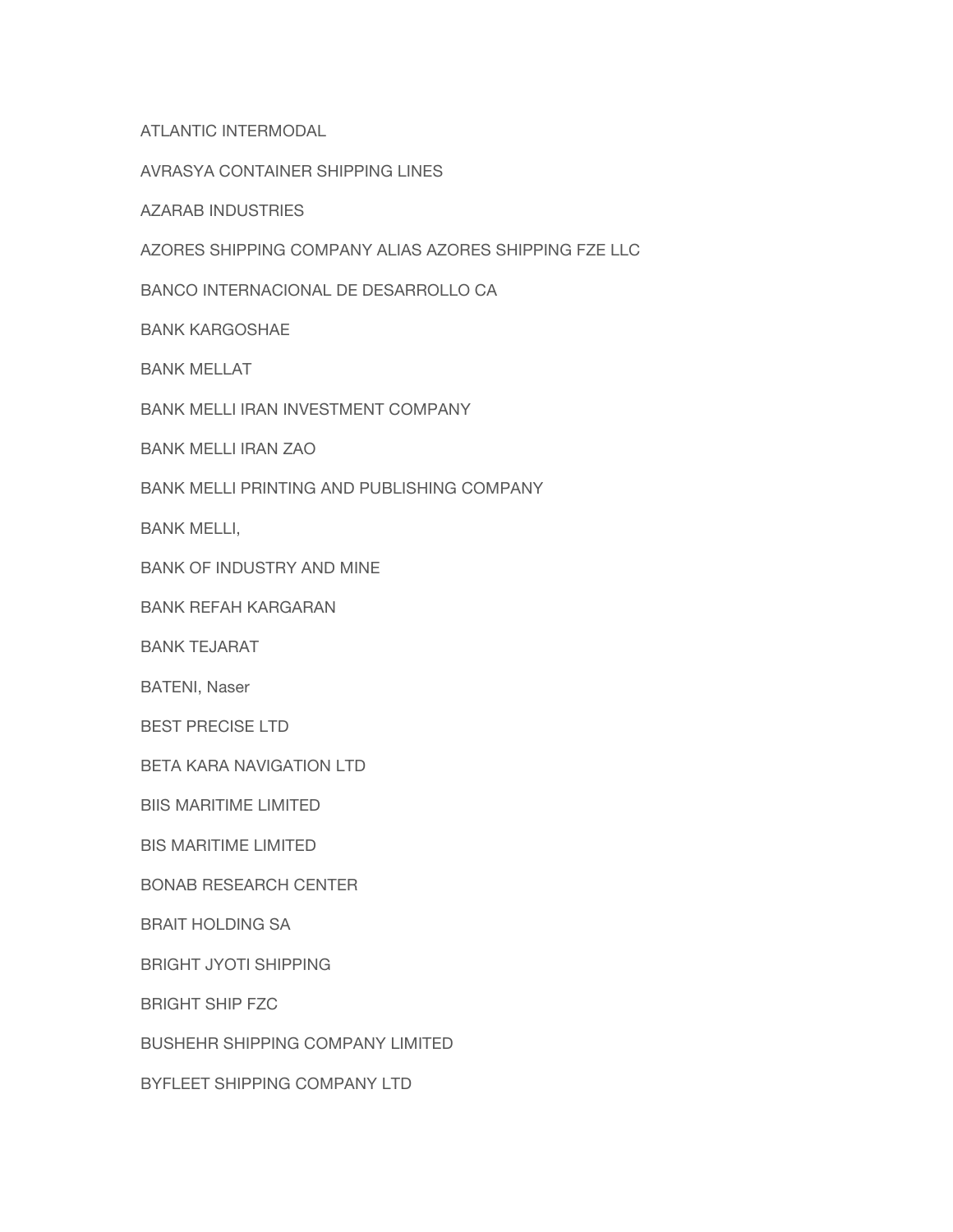ATLANTIC INTERMODAL

AVRASYA CONTAINER SHIPPING LINES

AZARAB INDUSTRIES

AZORES SHIPPING COMPANY ALIAS AZORES SHIPPING FZE LLC

BANCO INTERNACIONAL DE DESARROLLO CA

BANK KARGOSHAE

BANK MELLAT

BANK MELLI IRAN INVESTMENT COMPANY

BANK MELLI IRAN ZAO

BANK MELLI PRINTING AND PUBLISHING COMPANY

BANK MELLI,

BANK OF INDUSTRY AND MINE

BANK REFAH KARGARAN

BANK TEJARAT

BATENI, Naser

BEST PRECISE LTD

BETA KARA NAVIGATION LTD

BIIS MARITIME LIMITED

BIS MARITIME LIMITED

BONAB RESEARCH CENTER

BRAIT HOLDING SA

BRIGHT JYOTI SHIPPING

BRIGHT SHIP FZC

BUSHEHR SHIPPING COMPANY LIMITED

BYFLEET SHIPPING COMPANY LTD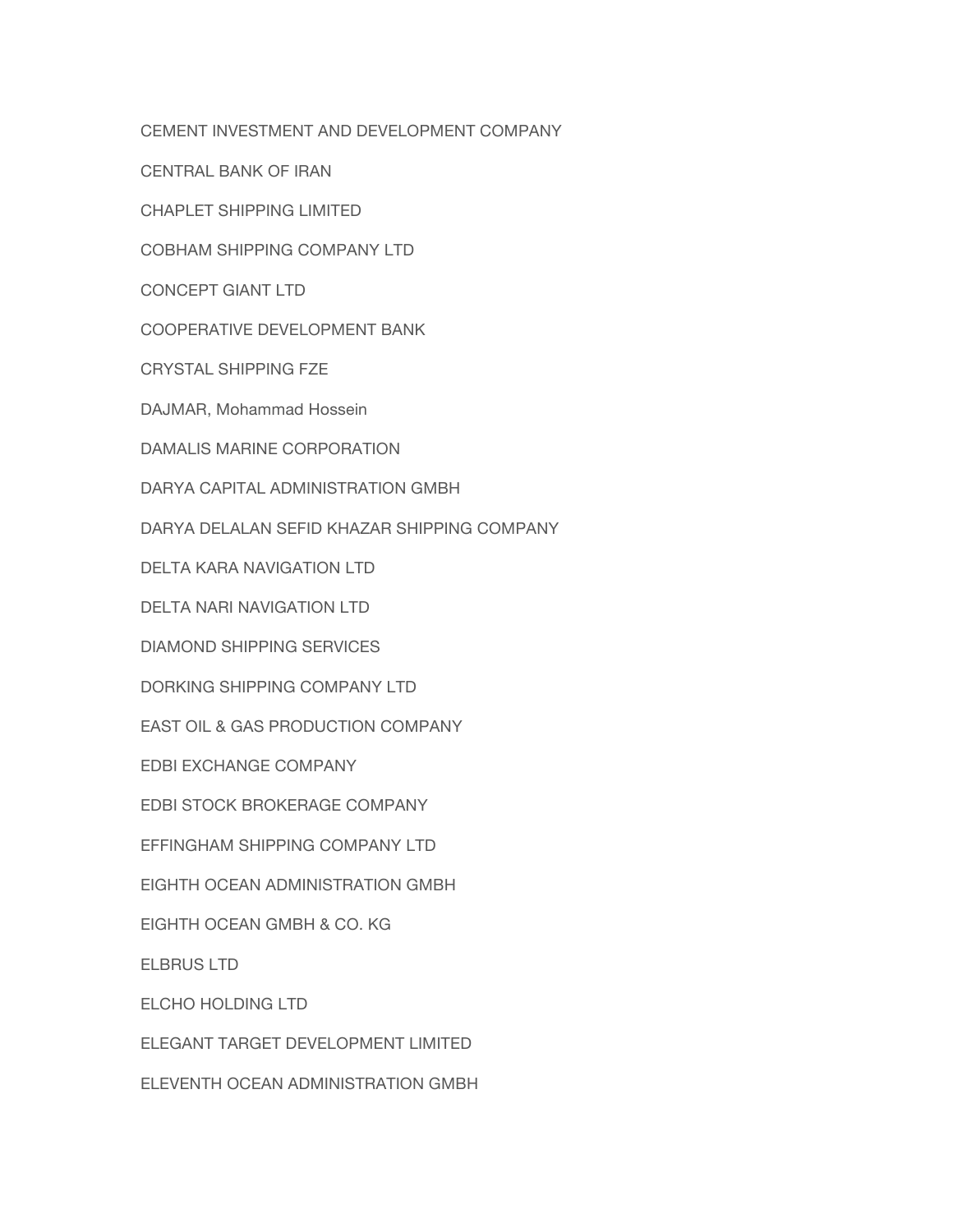# CEMENT INVESTMENT AND DEVELOPMENT COMPANY

CENTRAL BANK OF IRAN

CHAPLET SHIPPING LIMITED

COBHAM SHIPPING COMPANY LTD

CONCEPT GIANT LTD

COOPERATIVE DEVELOPMENT BANK

CRYSTAL SHIPPING FZE

DAJMAR, Mohammad Hossein

DAMALIS MARINE CORPORATION

DARYA CAPITAL ADMINISTRATION GMBH

DARYA DELALAN SEFID KHAZAR SHIPPING COMPANY

DELTA KARA NAVIGATION LTD

DELTA NARI NAVIGATION LTD

DIAMOND SHIPPING SERVICES

DORKING SHIPPING COMPANY LTD

EAST OIL & GAS PRODUCTION COMPANY

EDBI EXCHANGE COMPANY

EDBI STOCK BROKERAGE COMPANY

EFFINGHAM SHIPPING COMPANY LTD

EIGHTH OCEAN ADMINISTRATION GMBH

EIGHTH OCEAN GMBH & CO. KG

ELBRUS LTD

ELCHO HOLDING LTD

ELEGANT TARGET DEVELOPMENT LIMITED

ELEVENTH OCEAN ADMINISTRATION GMBH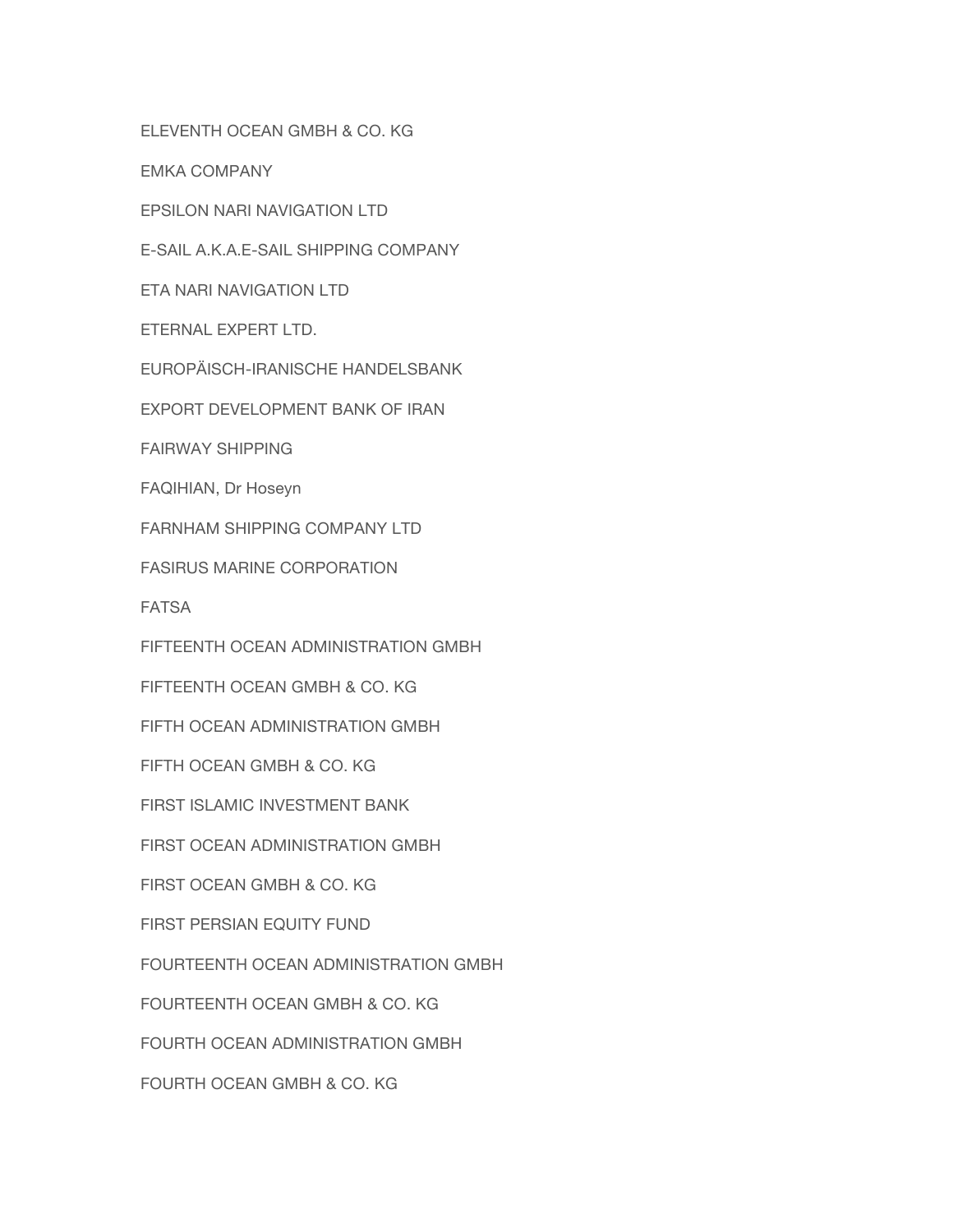ELEVENTH OCEAN GMBH & CO. KG

EMKA COMPANY

EPSILON NARI NAVIGATION LTD

E-SAIL A.K.A.E-SAIL SHIPPING COMPANY

ETA NARI NAVIGATION LTD

ETERNAL EXPERT LTD.

EUROPÄISCH-IRANISCHE HANDELSBANK

EXPORT DEVELOPMENT BANK OF IRAN

FAIRWAY SHIPPING

FAQIHIAN, Dr Hoseyn

FARNHAM SHIPPING COMPANY LTD

FASIRUS MARINE CORPORATION

FATSA

FIFTEENTH OCEAN ADMINISTRATION GMBH

FIFTEENTH OCEAN GMBH & CO. KG

FIFTH OCEAN ADMINISTRATION GMBH

FIFTH OCEAN GMBH & CO. KG

FIRST ISLAMIC INVESTMENT BANK

FIRST OCEAN ADMINISTRATION GMBH

FIRST OCEAN GMBH & CO. KG

FIRST PERSIAN EQUITY FUND

FOURTEENTH OCEAN ADMINISTRATION GMBH

FOURTEENTH OCEAN GMBH & CO. KG

FOURTH OCEAN ADMINISTRATION GMBH

FOURTH OCEAN GMBH & CO. KG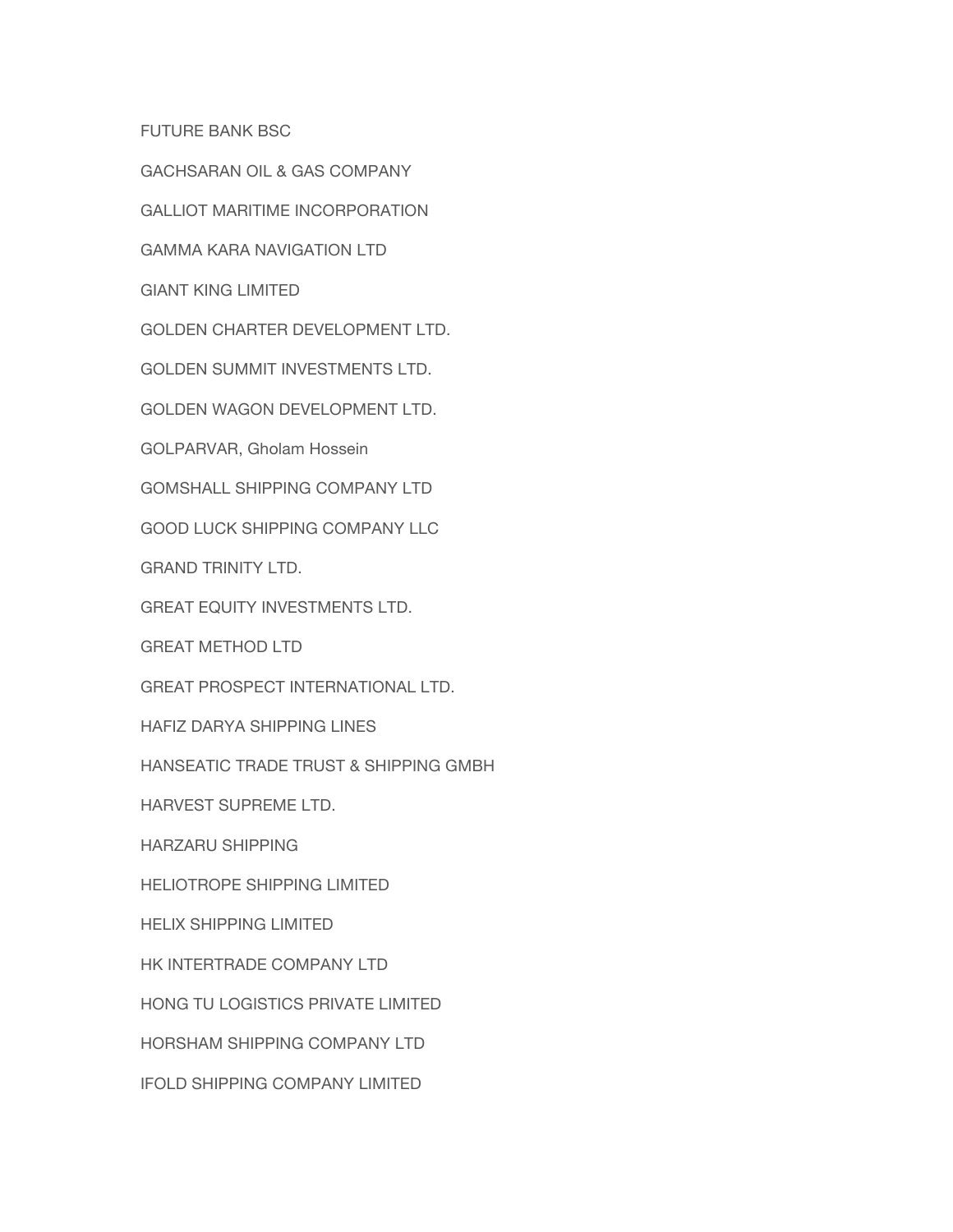FUTURE BANK BSC

GACHSARAN OIL & GAS COMPANY

GALLIOT MARITIME INCORPORATION

GAMMA KARA NAVIGATION LTD

GIANT KING LIMITED

GOLDEN CHARTER DEVELOPMENT LTD.

GOLDEN SUMMIT INVESTMENTS LTD.

GOLDEN WAGON DEVELOPMENT LTD.

GOLPARVAR, Gholam Hossein

GOMSHALL SHIPPING COMPANY LTD

GOOD LUCK SHIPPING COMPANY LLC

GRAND TRINITY LTD.

GREAT EQUITY INVESTMENTS LTD.

GREAT METHOD LTD

GREAT PROSPECT INTERNATIONAL LTD.

HAFIZ DARYA SHIPPING LINES

HANSEATIC TRADE TRUST & SHIPPING GMBH

HARVEST SUPREME LTD.

HARZARU SHIPPING

HELIOTROPE SHIPPING LIMITED

HELIX SHIPPING LIMITED

HK INTERTRADE COMPANY LTD

HONG TU LOGISTICS PRIVATE LIMITED

HORSHAM SHIPPING COMPANY LTD

IFOLD SHIPPING COMPANY LIMITED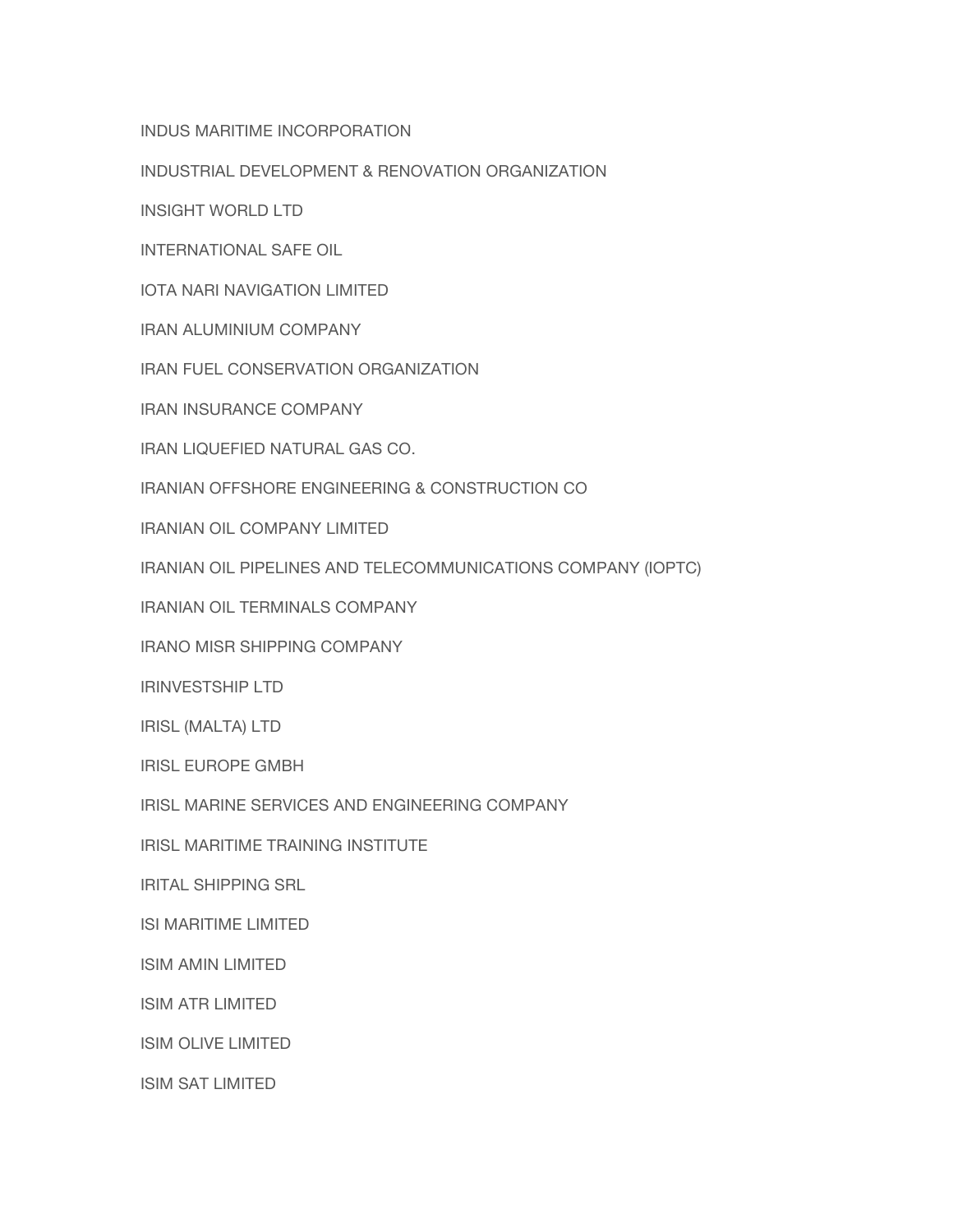INDUS MARITIME INCORPORATION

INDUSTRIAL DEVELOPMENT & RENOVATION ORGANIZATION

INSIGHT WORLD LTD

INTERNATIONAL SAFE OIL

IOTA NARI NAVIGATION LIMITED

IRAN ALUMINIUM COMPANY

IRAN FUEL CONSERVATION ORGANIZATION

IRAN INSURANCE COMPANY

IRAN LIQUEFIED NATURAL GAS CO.

IRANIAN OFFSHORE ENGINEERING & CONSTRUCTION CO

IRANIAN OIL COMPANY LIMITED

IRANIAN OIL PIPELINES AND TELECOMMUNICATIONS COMPANY (IOPTC)

IRANIAN OIL TERMINALS COMPANY

IRANO MISR SHIPPING COMPANY

IRINVESTSHIP LTD

IRISL (MALTA) LTD

IRISL EUROPE GMBH

IRISL MARINE SERVICES AND ENGINEERING COMPANY

IRISL MARITIME TRAINING INSTITUTE

IRITAL SHIPPING SRL

ISI MARITIME LIMITED

ISIM AMIN LIMITED

ISIM ATR LIMITED

ISIM OLIVE LIMITED

ISIM SAT LIMITED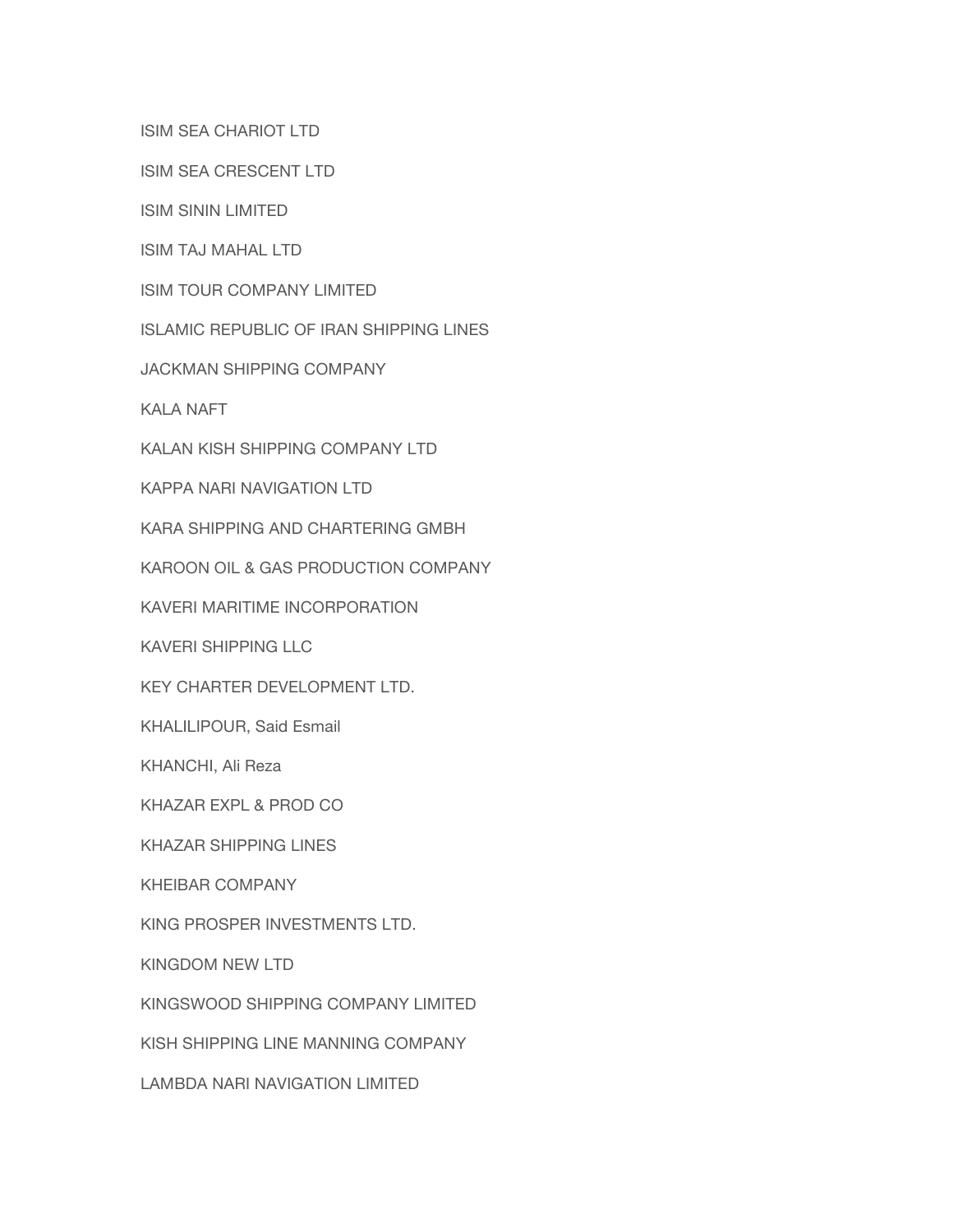ISIM SEA CHARIOT LTD

ISIM SEA CRESCENT LTD

ISIM SININ LIMITED

ISIM TAJ MAHAL LTD

ISIM TOUR COMPANY LIMITED

ISLAMIC REPUBLIC OF IRAN SHIPPING LINES

JACKMAN SHIPPING COMPANY

KALA NAFT

KALAN KISH SHIPPING COMPANY LTD

KAPPA NARI NAVIGATION LTD

KARA SHIPPING AND CHARTERING GMBH

KAROON OIL & GAS PRODUCTION COMPANY

KAVERI MARITIME INCORPORATION

KAVERI SHIPPING LLC

KEY CHARTER DEVELOPMENT LTD.

KHALILIPOUR, Said Esmail

KHANCHI, Ali Reza

KHAZAR EXPL & PROD CO

KHAZAR SHIPPING LINES

KHEIBAR COMPANY

KING PROSPER INVESTMENTS LTD.

KINGDOM NEW LTD

KINGSWOOD SHIPPING COMPANY LIMITED

KISH SHIPPING LINE MANNING COMPANY

LAMBDA NARI NAVIGATION LIMITED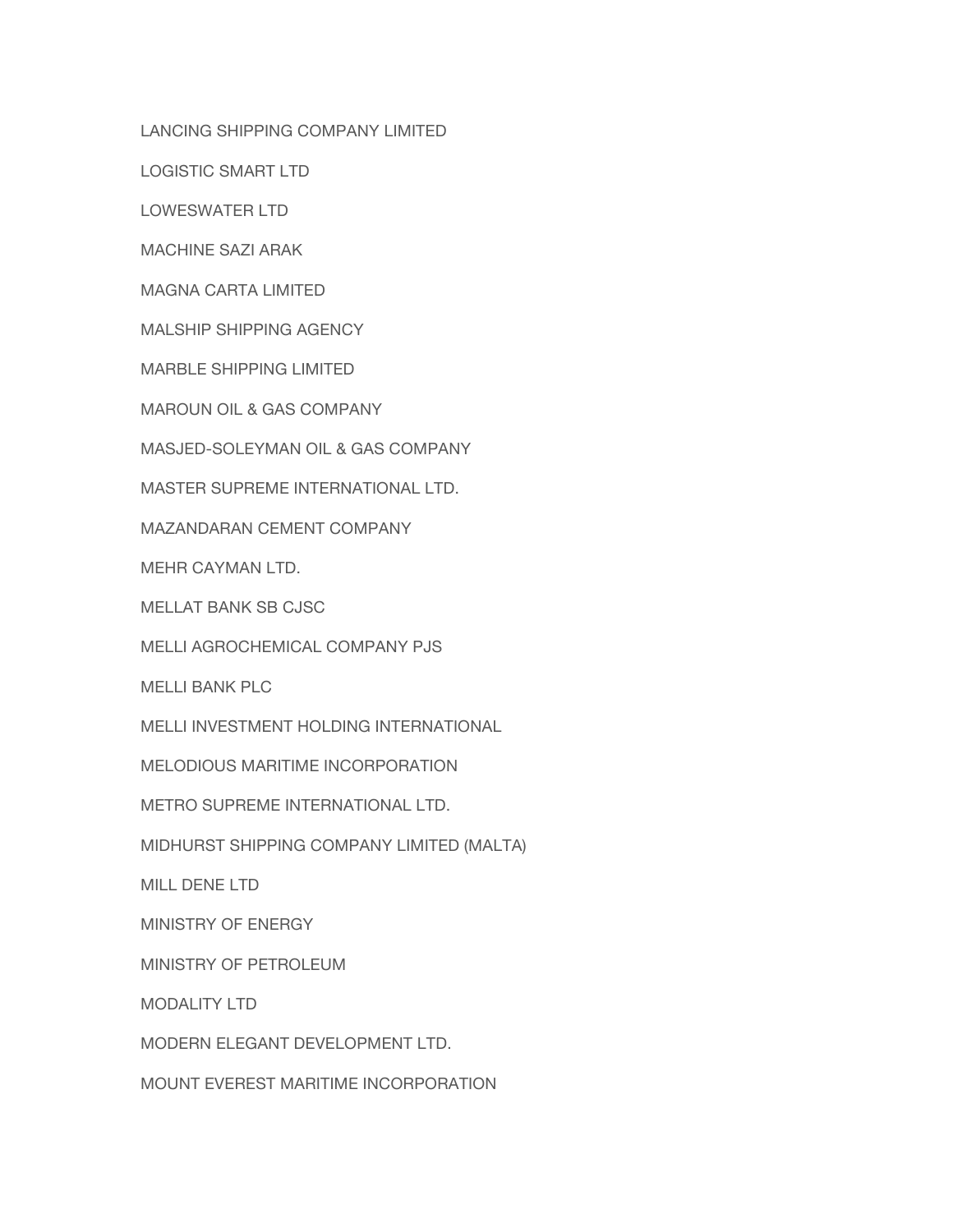LANCING SHIPPING COMPANY LIMITED

LOGISTIC SMART LTD

LOWESWATER LTD

MACHINE SAZI ARAK

MAGNA CARTA LIMITED

MALSHIP SHIPPING AGENCY

MARBLE SHIPPING LIMITED

MAROUN OIL & GAS COMPANY

MASJED-SOLEYMAN OIL & GAS COMPANY

MASTER SUPREME INTERNATIONAL LTD.

MAZANDARAN CEMENT COMPANY

MEHR CAYMAN LTD.

MELLAT BANK SB CJSC

MELLI AGROCHEMICAL COMPANY PJS

MELLI BANK PLC

MELLI INVESTMENT HOLDING INTERNATIONAL

MELODIOUS MARITIME INCORPORATION

METRO SUPREME INTERNATIONAL LTD.

MIDHURST SHIPPING COMPANY LIMITED (MALTA)

MILL DENE LTD

MINISTRY OF ENERGY

MINISTRY OF PETROLEUM

MODALITY LTD

MODERN ELEGANT DEVELOPMENT LTD.

MOUNT EVEREST MARITIME INCORPORATION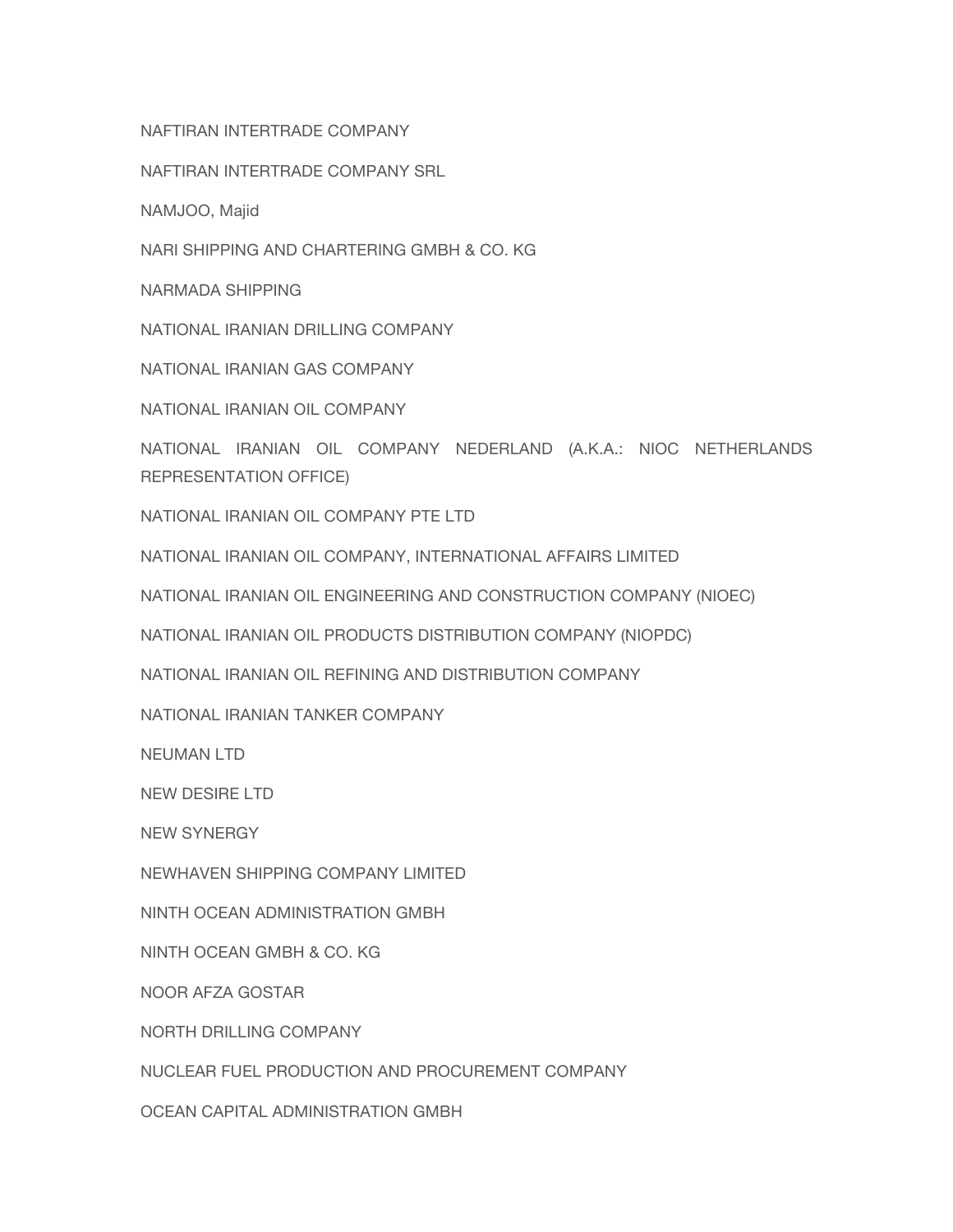### NAFTIRAN INTERTRADE COMPANY

NAFTIRAN INTERTRADE COMPANY SRL

NAMJOO, Majid

NARI SHIPPING AND CHARTERING GMBH & CO. KG

NARMADA SHIPPING

NATIONAL IRANIAN DRILLING COMPANY

NATIONAL IRANIAN GAS COMPANY

NATIONAL IRANIAN OIL COMPANY

NATIONAL IRANIAN OIL COMPANY NEDERLAND (A.K.A.: NIOC NETHERLANDS REPRESENTATION OFFICE)

NATIONAL IRANIAN OIL COMPANY PTE LTD

NATIONAL IRANIAN OIL COMPANY, INTERNATIONAL AFFAIRS LIMITED

NATIONAL IRANIAN OIL ENGINEERING AND CONSTRUCTION COMPANY (NIOEC)

NATIONAL IRANIAN OIL PRODUCTS DISTRIBUTION COMPANY (NIOPDC)

NATIONAL IRANIAN OIL REFINING AND DISTRIBUTION COMPANY

NATIONAL IRANIAN TANKER COMPANY

NEUMAN LTD

NEW DESIRE LTD

NEW SYNERGY

NEWHAVEN SHIPPING COMPANY LIMITED

NINTH OCEAN ADMINISTRATION GMBH

NINTH OCEAN GMBH & CO. KG

NOOR AFZA GOSTAR

NORTH DRILLING COMPANY

NUCLEAR FUEL PRODUCTION AND PROCUREMENT COMPANY

OCEAN CAPITAL ADMINISTRATION GMBH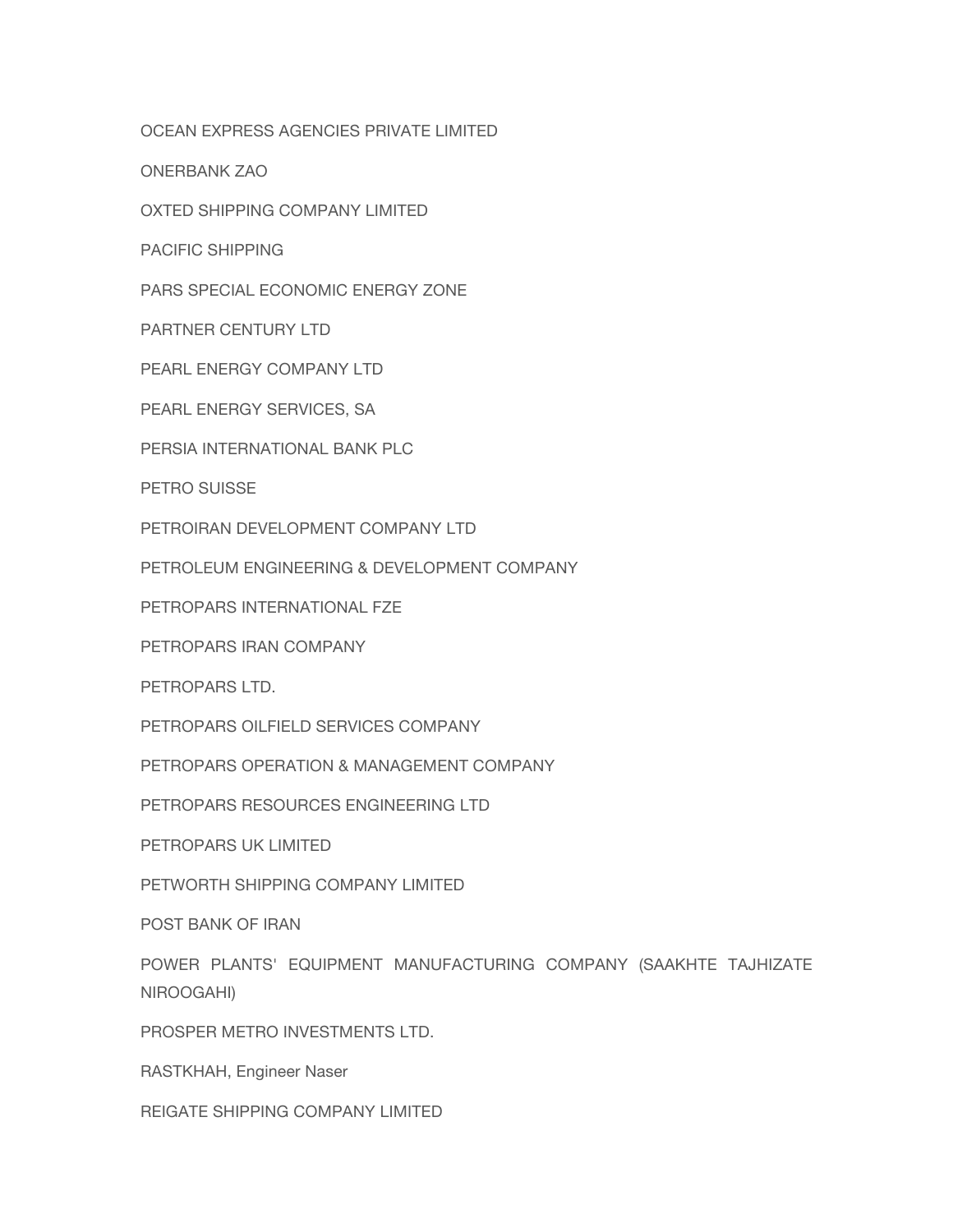# OCEAN EXPRESS AGENCIES PRIVATE LIMITED

ONERBANK ZAO

OXTED SHIPPING COMPANY LIMITED

PACIFIC SHIPPING

PARS SPECIAL ECONOMIC ENERGY ZONE

PARTNER CENTURY LTD

PEARL ENERGY COMPANY LTD

PEARL ENERGY SERVICES, SA

PERSIA INTERNATIONAL BANK PLC

PETRO SUISSE

PETROIRAN DEVELOPMENT COMPANY LTD

PETROLEUM ENGINEERING & DEVELOPMENT COMPANY

PETROPARS INTERNATIONAL FZE

PETROPARS IRAN COMPANY

PETROPARS LTD.

PETROPARS OILFIELD SERVICES COMPANY

PETROPARS OPERATION & MANAGEMENT COMPANY

PETROPARS RESOURCES ENGINEERING LTD

PETROPARS UK LIMITED

PETWORTH SHIPPING COMPANY LIMITED

POST BANK OF IRAN

POWER PLANTS' EQUIPMENT MANUFACTURING COMPANY (SAAKHTE TAJHIZATE NIROOGAHI)

PROSPER METRO INVESTMENTS LTD.

RASTKHAH, Engineer Naser

REIGATE SHIPPING COMPANY LIMITED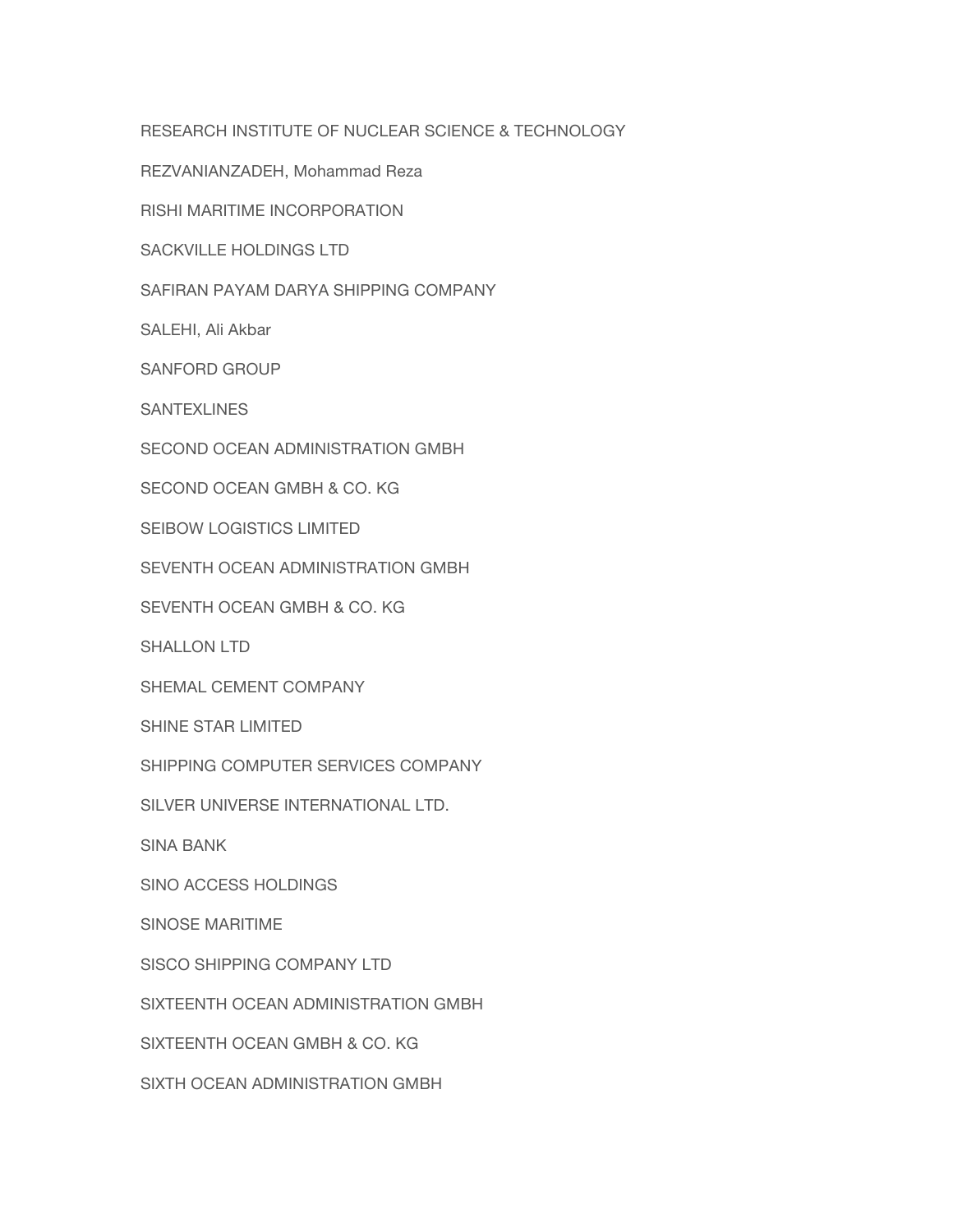RESEARCH INSTITUTE OF NUCLEAR SCIENCE & TECHNOLOGY

REZVANIANZADEH, Mohammad Reza

RISHI MARITIME INCORPORATION

SACKVILLE HOLDINGS LTD

SAFIRAN PAYAM DARYA SHIPPING COMPANY

SALEHI, Ali Akbar

SANFORD GROUP

**SANTEXLINES** 

SECOND OCEAN ADMINISTRATION GMBH

SECOND OCEAN GMBH & CO. KG

SEIBOW LOGISTICS LIMITED

SEVENTH OCEAN ADMINISTRATION GMBH

SEVENTH OCEAN GMBH & CO. KG

SHALLON LTD

SHEMAL CEMENT COMPANY

SHINE STAR LIMITED

SHIPPING COMPUTER SERVICES COMPANY

SILVER UNIVERSE INTERNATIONAL LTD.

SINA BANK

SINO ACCESS HOLDINGS

SINOSE MARITIME

SISCO SHIPPING COMPANY LTD

SIXTEENTH OCEAN ADMINISTRATION GMBH

SIXTEENTH OCEAN GMBH & CO. KG

SIXTH OCEAN ADMINISTRATION GMBH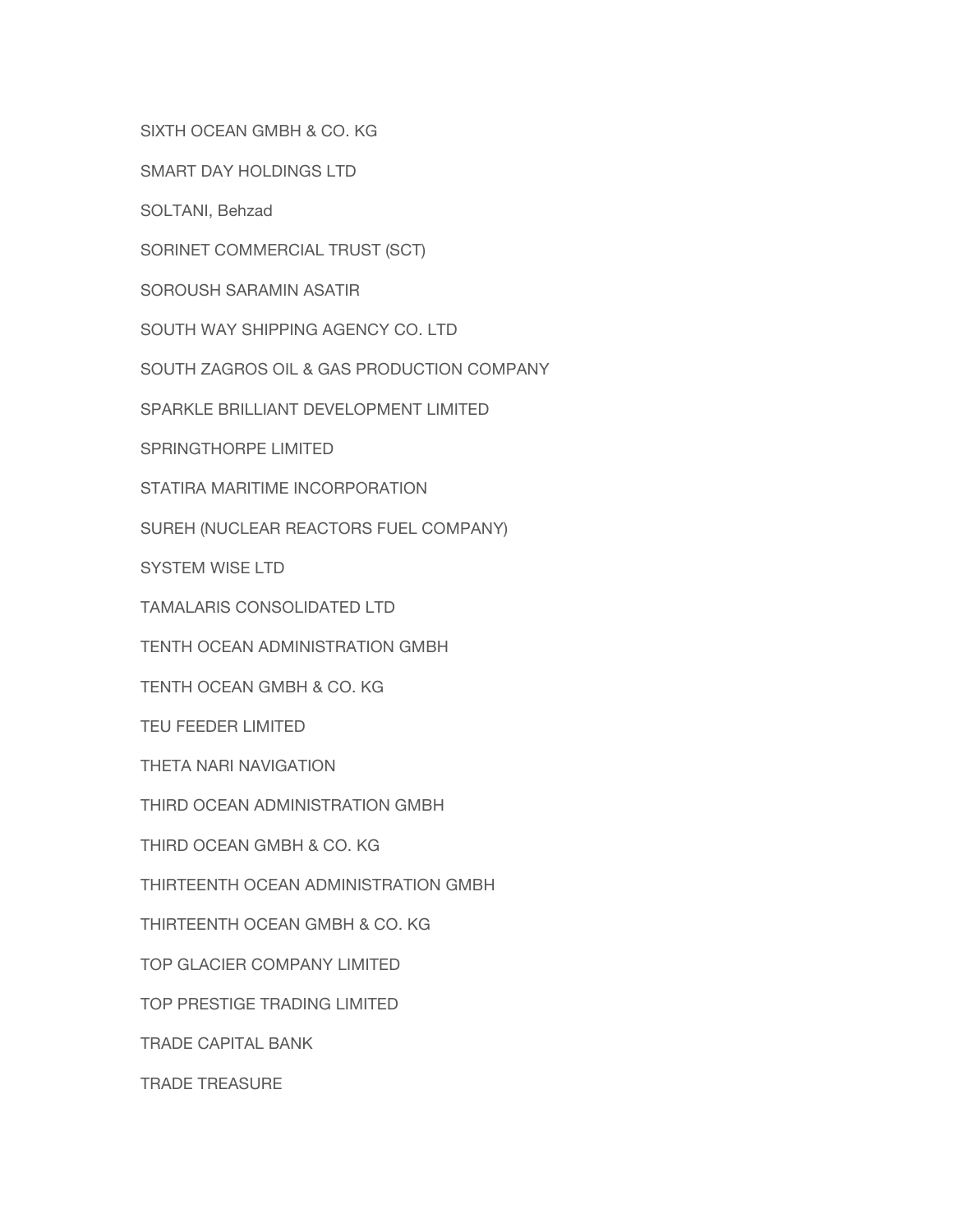SIXTH OCEAN GMBH & CO. KG

SMART DAY HOLDINGS LTD

SOLTANI, Behzad

SORINET COMMERCIAL TRUST (SCT)

SOROUSH SARAMIN ASATIR

SOUTH WAY SHIPPING AGENCY CO. LTD

SOUTH ZAGROS OIL & GAS PRODUCTION COMPANY

SPARKLE BRILLIANT DEVELOPMENT LIMITED

SPRINGTHORPE LIMITED

STATIRA MARITIME INCORPORATION

SUREH (NUCLEAR REACTORS FUEL COMPANY)

SYSTEM WISE LTD

TAMALARIS CONSOLIDATED LTD

TENTH OCEAN ADMINISTRATION GMBH

TENTH OCEAN GMBH & CO. KG

TEU FEEDER LIMITED

THETA NARI NAVIGATION

THIRD OCEAN ADMINISTRATION GMBH

THIRD OCEAN GMBH & CO. KG

THIRTEENTH OCEAN ADMINISTRATION GMBH

THIRTEENTH OCEAN GMBH & CO. KG

TOP GLACIER COMPANY LIMITED

TOP PRESTIGE TRADING LIMITED

TRADE CAPITAL BANK

TRADE TREASURE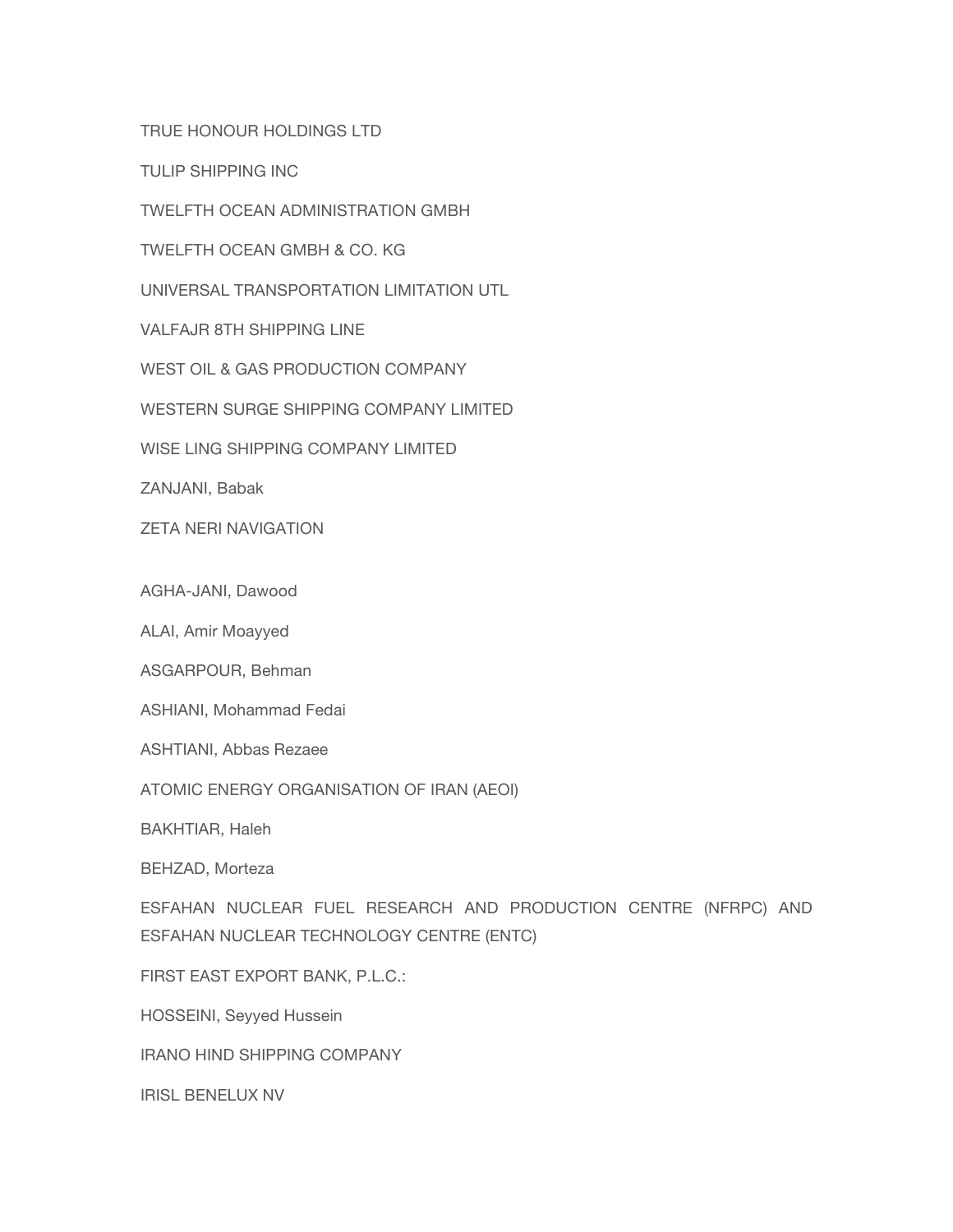TRUE HONOUR HOLDINGS LTD

TULIP SHIPPING INC

TWELFTH OCEAN ADMINISTRATION GMBH

TWELFTH OCEAN GMBH & CO. KG

UNIVERSAL TRANSPORTATION LIMITATION UTL

VALFAJR 8TH SHIPPING LINE

WEST OIL & GAS PRODUCTION COMPANY

WESTERN SURGE SHIPPING COMPANY LIMITED

WISE LING SHIPPING COMPANY LIMITED

ZANJANI, Babak

ZETA NERI NAVIGATION

AGHA-JANI, Dawood

ALAI, Amir Moayyed

ASGARPOUR, Behman

ASHIANI, Mohammad Fedai

ASHTIANI, Abbas Rezaee

ATOMIC ENERGY ORGANISATION OF IRAN (AEOI)

BAKHTIAR, Haleh

BEHZAD, Morteza

ESFAHAN NUCLEAR FUEL RESEARCH AND PRODUCTION CENTRE (NFRPC) AND ESFAHAN NUCLEAR TECHNOLOGY CENTRE (ENTC)

FIRST EAST EXPORT BANK, P.L.C.:

HOSSEINI, Seyyed Hussein

IRANO HIND SHIPPING COMPANY

IRISL BENELUX NV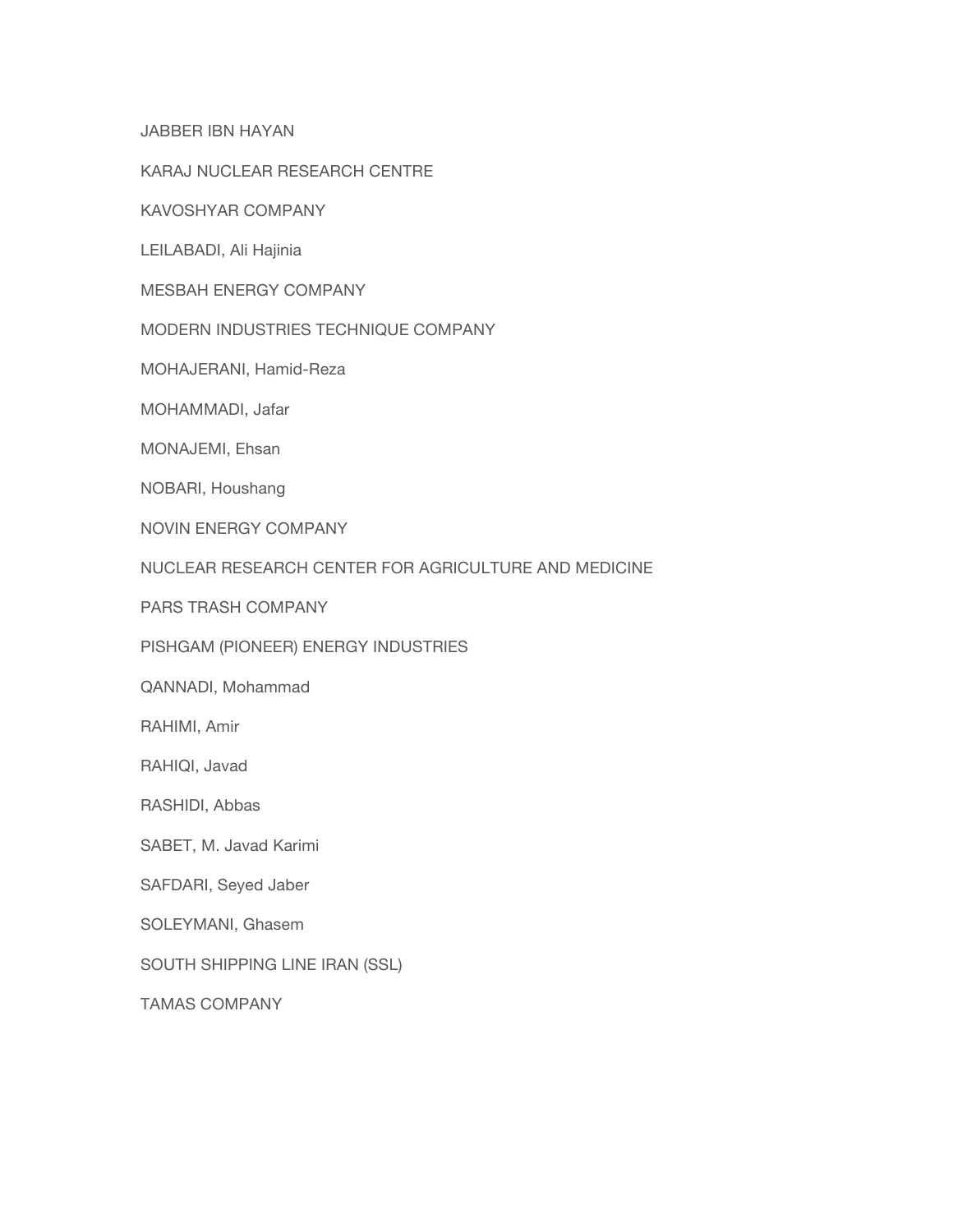JABBER IBN HAYAN

KARAJ NUCLEAR RESEARCH CENTRE

KAVOSHYAR COMPANY

LEILABADI, Ali Hajinia

MESBAH ENERGY COMPANY

MODERN INDUSTRIES TECHNIQUE COMPANY

MOHAJERANI, Hamid-Reza

MOHAMMADI, Jafar

MONAJEMI, Ehsan

NOBARI, Houshang

NOVIN ENERGY COMPANY

NUCLEAR RESEARCH CENTER FOR AGRICULTURE AND MEDICINE

PARS TRASH COMPANY

PISHGAM (PIONEER) ENERGY INDUSTRIES

QANNADI, Mohammad

RAHIMI, Amir

RAHIQI, Javad

RASHIDI, Abbas

SABET, M. Javad Karimi

SAFDARI, Seyed Jaber

SOLEYMANI, Ghasem

SOUTH SHIPPING LINE IRAN (SSL)

TAMAS COMPANY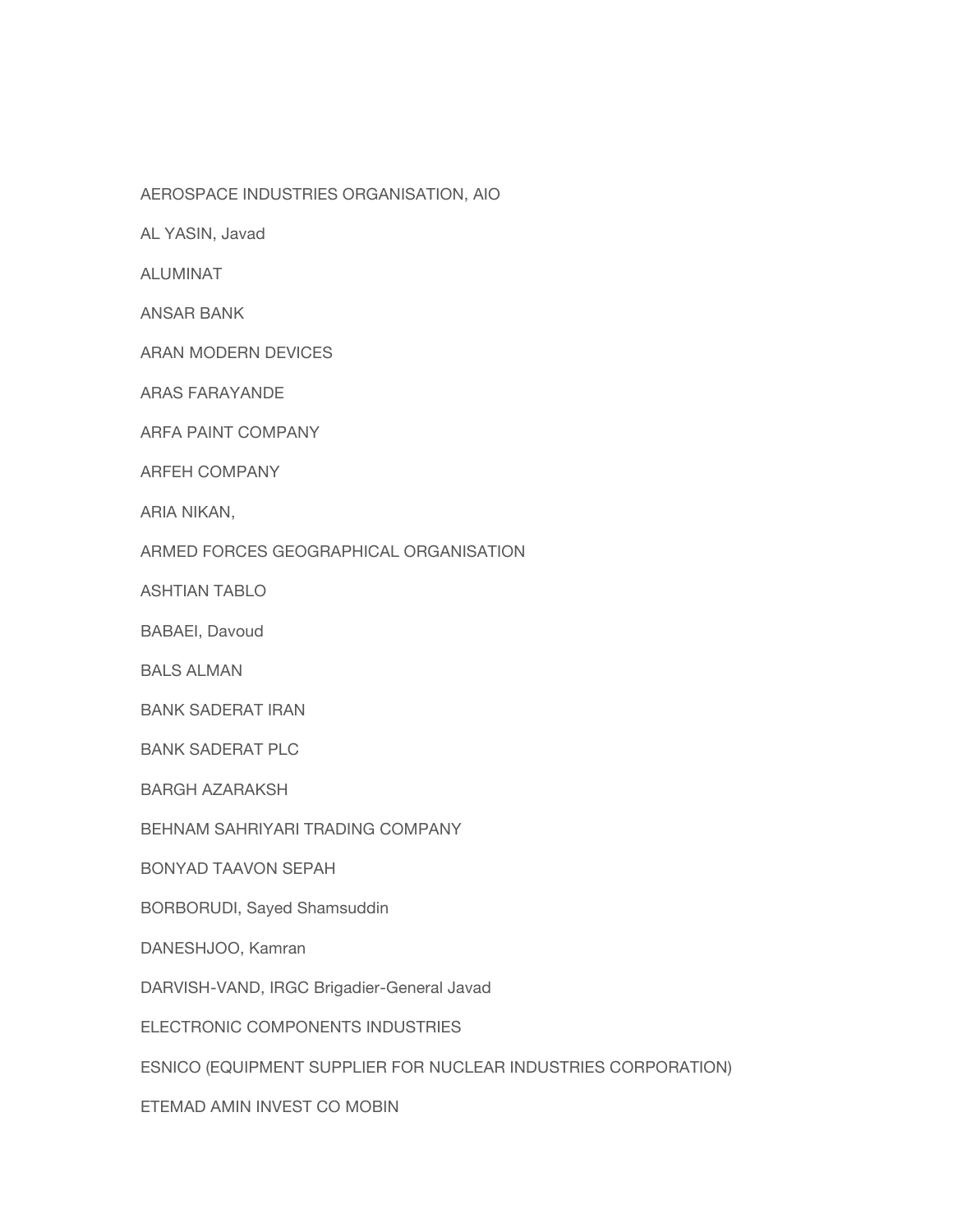#### AEROSPACE INDUSTRIES ORGANISATION, AIO

AL YASIN, Javad

ALUMINAT

ANSAR BANK

ARAN MODERN DEVICES

ARAS FARAYANDE

ARFA PAINT COMPANY

ARFEH COMPANY

ARIA NIKAN,

ARMED FORCES GEOGRAPHICAL ORGANISATION

ASHTIAN TABLO

BABAEI, Davoud

BALS ALMAN

BANK SADERAT IRAN

BANK SADERAT PLC

BARGH AZARAKSH

BEHNAM SAHRIYARI TRADING COMPANY

BONYAD TAAVON SEPAH

BORBORUDI, Sayed Shamsuddin

DANESHJOO, Kamran

DARVISH-VAND, IRGC Brigadier-General Javad

ELECTRONIC COMPONENTS INDUSTRIES

ESNICO (EQUIPMENT SUPPLIER FOR NUCLEAR INDUSTRIES CORPORATION)

ETEMAD AMIN INVEST CO MOBIN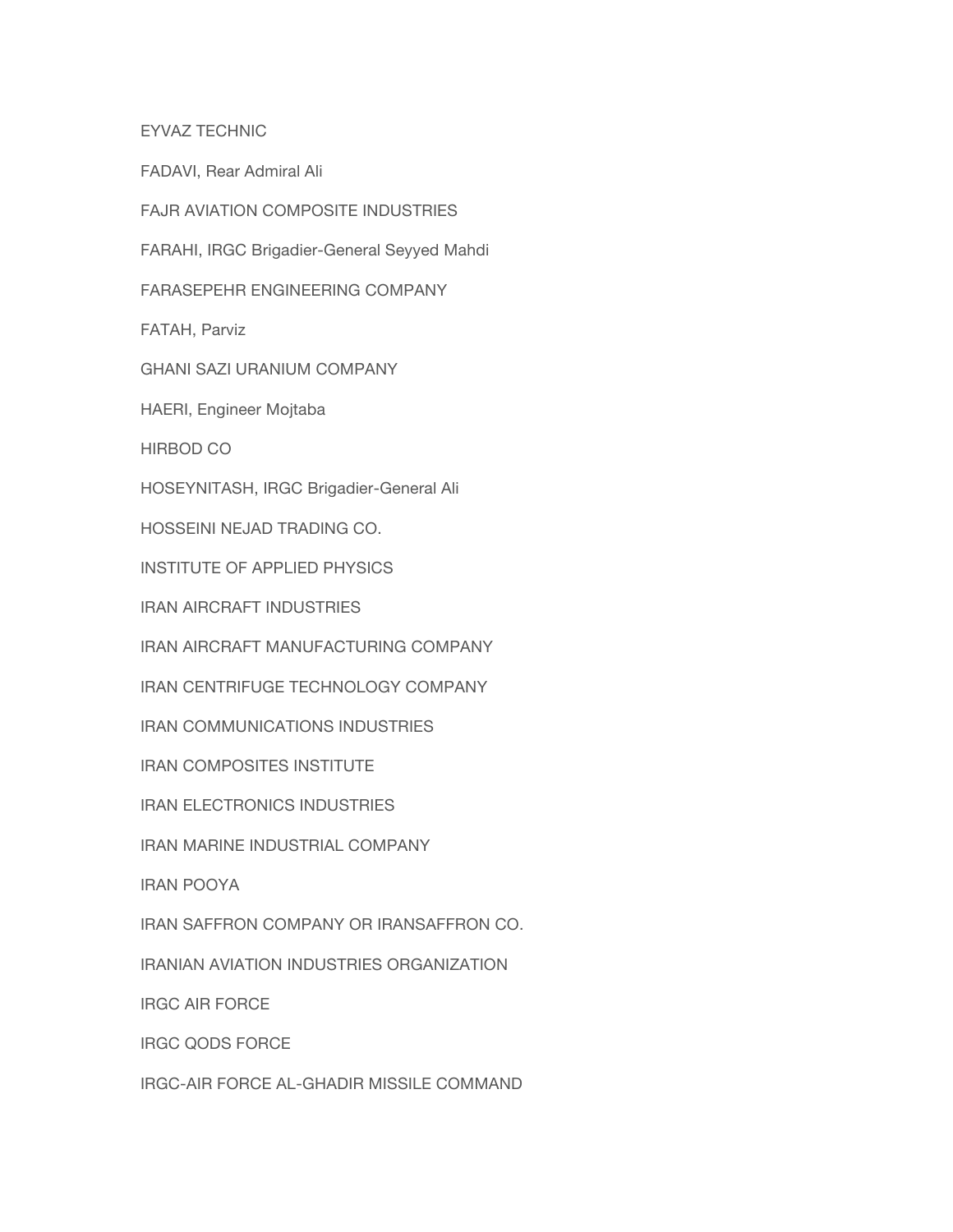EYVAZ TECHNIC

FADAVI, Rear Admiral Ali

FAJR AVIATION COMPOSITE INDUSTRIES

FARAHI, IRGC Brigadier-General Seyyed Mahdi

FARASEPEHR ENGINEERING COMPANY

FATAH, Parviz

GHANI SAZI URANIUM COMPANY

HAERI, Engineer Mojtaba

HIRBOD CO

HOSEYNITASH, IRGC Brigadier-General Ali

HOSSEINI NEJAD TRADING CO.

INSTITUTE OF APPLIED PHYSICS

IRAN AIRCRAFT INDUSTRIES

IRAN AIRCRAFT MANUFACTURING COMPANY

IRAN CENTRIFUGE TECHNOLOGY COMPANY

IRAN COMMUNICATIONS INDUSTRIES

IRAN COMPOSITES INSTITUTE

IRAN ELECTRONICS INDUSTRIES

IRAN MARINE INDUSTRIAL COMPANY

IRAN POOYA

IRAN SAFFRON COMPANY OR IRANSAFFRON CO.

IRANIAN AVIATION INDUSTRIES ORGANIZATION

IRGC AIR FORCE

IRGC QODS FORCE

IRGC-AIR FORCE AL-GHADIR MISSILE COMMAND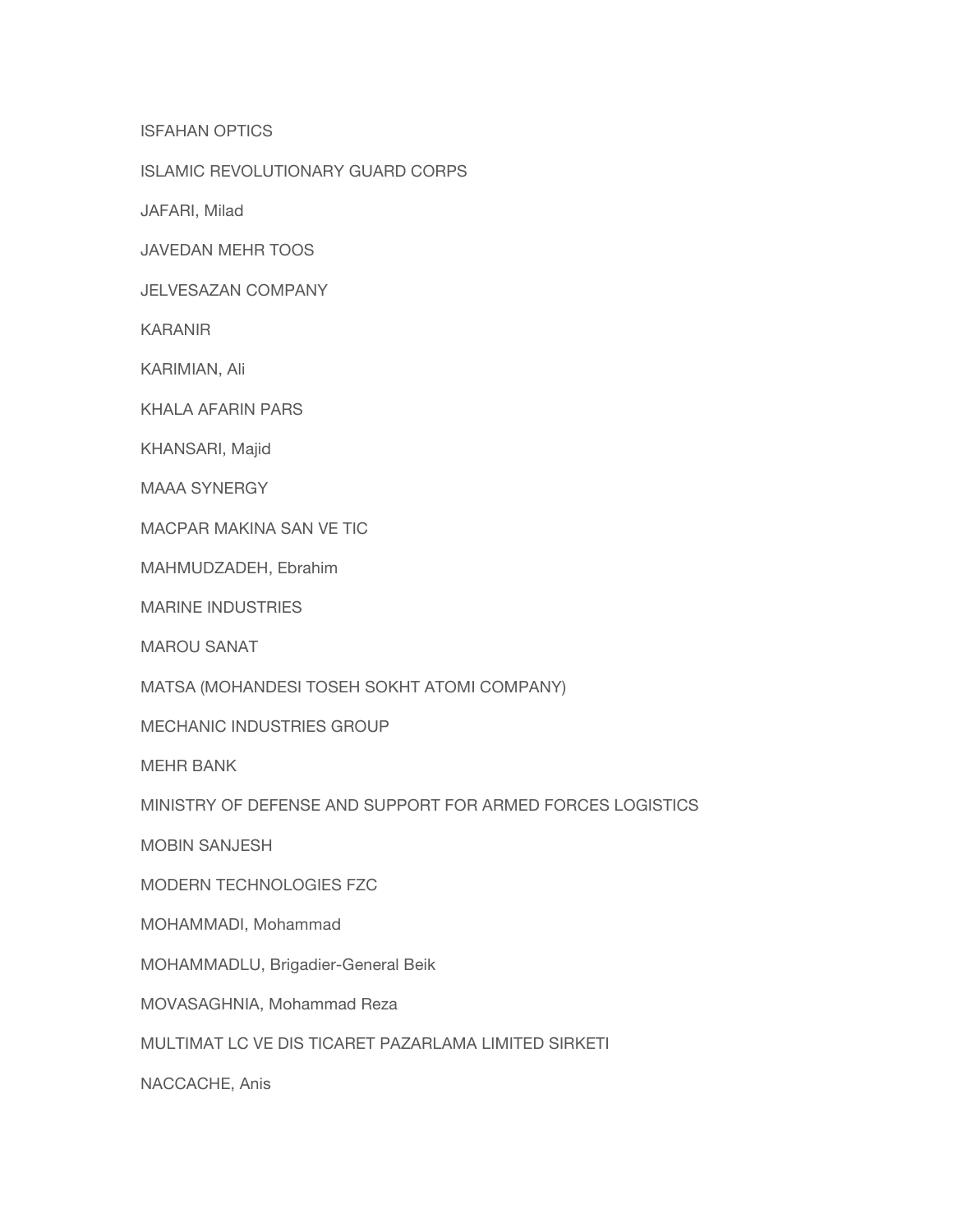ISFAHAN OPTICS

ISLAMIC REVOLUTIONARY GUARD CORPS

JAFARI, Milad

JAVEDAN MEHR TOOS

JELVESAZAN COMPANY

KARANIR

KARIMIAN, Ali

KHALA AFARIN PARS

KHANSARI, Majid

MAAA SYNERGY

MACPAR MAKINA SAN VE TIC

MAHMUDZADEH, Ebrahim

MARINE INDUSTRIES

MAROU SANAT

MATSA (MOHANDESI TOSEH SOKHT ATOMI COMPANY)

MECHANIC INDUSTRIES GROUP

MEHR BANK

MINISTRY OF DEFENSE AND SUPPORT FOR ARMED FORCES LOGISTICS

MOBIN SANJESH

MODERN TECHNOLOGIES FZC

MOHAMMADI, Mohammad

MOHAMMADLU, Brigadier-General Beik

MOVASAGHNIA, Mohammad Reza

MULTIMAT LC VE DIS TICARET PAZARLAMA LIMITED SIRKETI

NACCACHE, Anis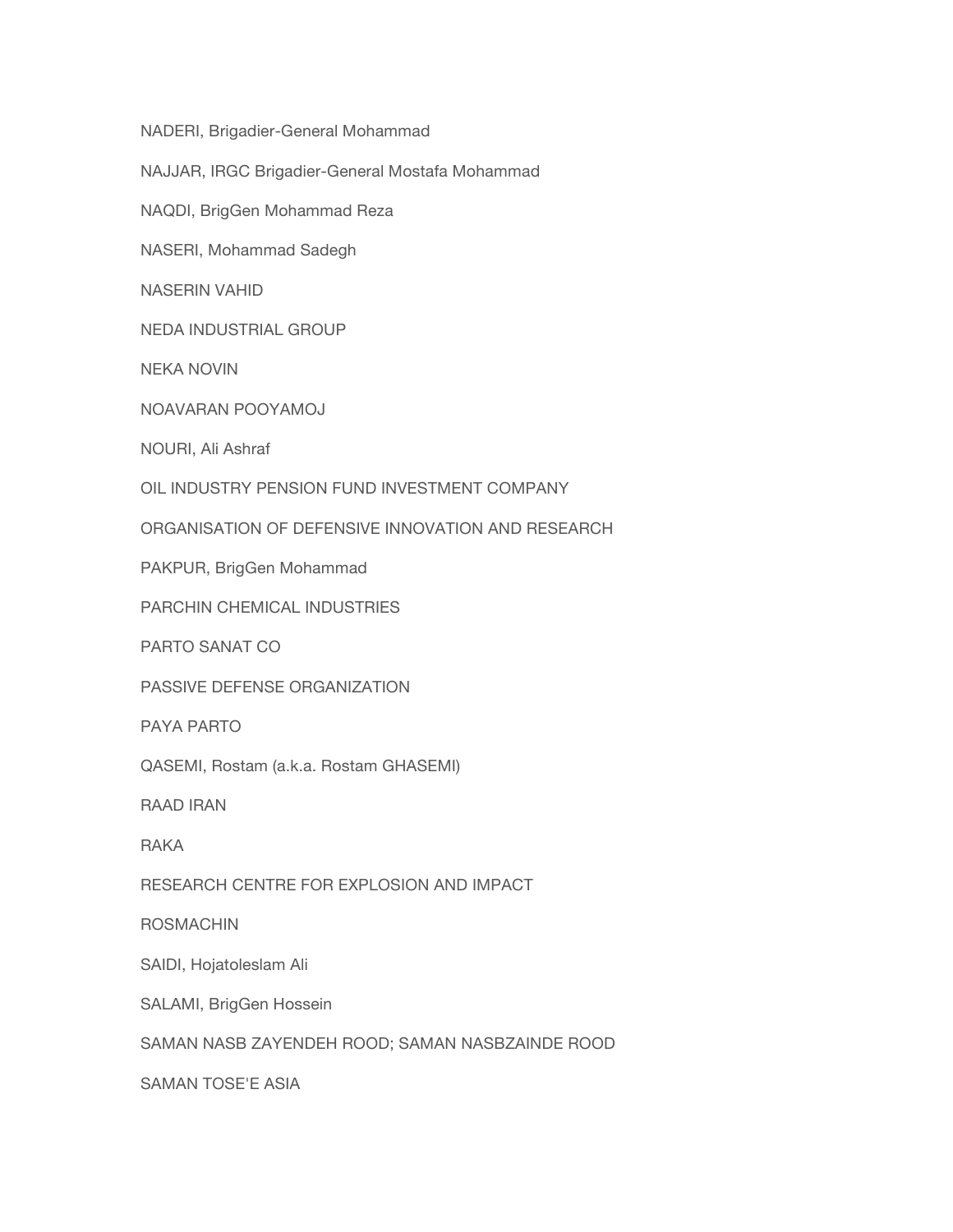NADERI, Brigadier-General Mohammad

NAJJAR, IRGC Brigadier-General Mostafa Mohammad

NAQDI, BrigGen Mohammad Reza

NASERI, Mohammad Sadegh

NASERIN VAHID

NEDA INDUSTRIAL GROUP

NEKA NOVIN

NOAVARAN POOYAMOJ

NOURI, Ali Ashraf

OIL INDUSTRY PENSION FUND INVESTMENT COMPANY

ORGANISATION OF DEFENSIVE INNOVATION AND RESEARCH

PAKPUR, BrigGen Mohammad

PARCHIN CHEMICAL INDUSTRIES

PARTO SANAT CO

PASSIVE DEFENSE ORGANIZATION

PAYA PARTO

QASEMI, Rostam (a.k.a. Rostam GHASEMI)

RAAD IRAN

RAKA

RESEARCH CENTRE FOR EXPLOSION AND IMPACT

ROSMACHIN

SAIDI, Hojatoleslam Ali

SALAMI, BrigGen Hossein

SAMAN NASB ZAYENDEH ROOD; SAMAN NASBZAINDE ROOD

SAMAN TOSE'E ASIA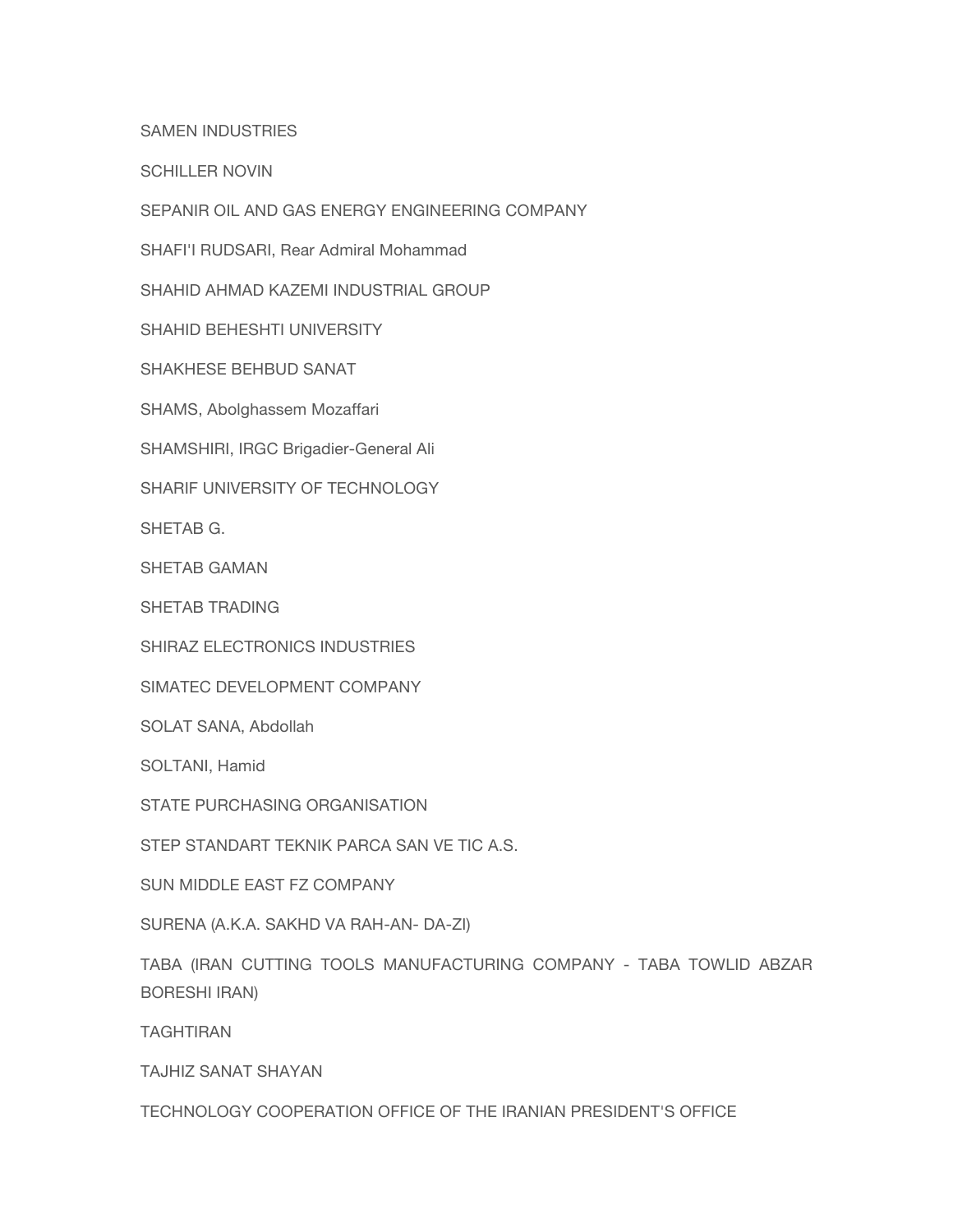SAMEN INDUSTRIES

SCHILLER NOVIN

SEPANIR OIL AND GAS ENERGY ENGINEERING COMPANY

SHAFI'I RUDSARI, Rear Admiral Mohammad

SHAHID AHMAD KAZEMI INDUSTRIAL GROUP

SHAHID BEHESHTI UNIVERSITY

SHAKHESE BEHBUD SANAT

SHAMS, Abolghassem Mozaffari

SHAMSHIRI, IRGC Brigadier-General Ali

SHARIF UNIVERSITY OF TECHNOLOGY

SHETAB G.

SHETAB GAMAN

SHETAB TRADING

SHIRAZ ELECTRONICS INDUSTRIES

SIMATEC DEVELOPMENT COMPANY

SOLAT SANA, Abdollah

SOLTANI, Hamid

STATE PURCHASING ORGANISATION

STEP STANDART TEKNIK PARCA SAN VE TIC A.S.

SUN MIDDLE EAST FZ COMPANY

SURENA (A.K.A. SAKHD VA RAH-AN- DA-ZI)

TABA (IRAN CUTTING TOOLS MANUFACTURING COMPANY - TABA TOWLID ABZAR BORESHI IRAN)

TAGHTIRAN

TAJHIZ SANAT SHAYAN

TECHNOLOGY COOPERATION OFFICE OF THE IRANIAN PRESIDENT'S OFFICE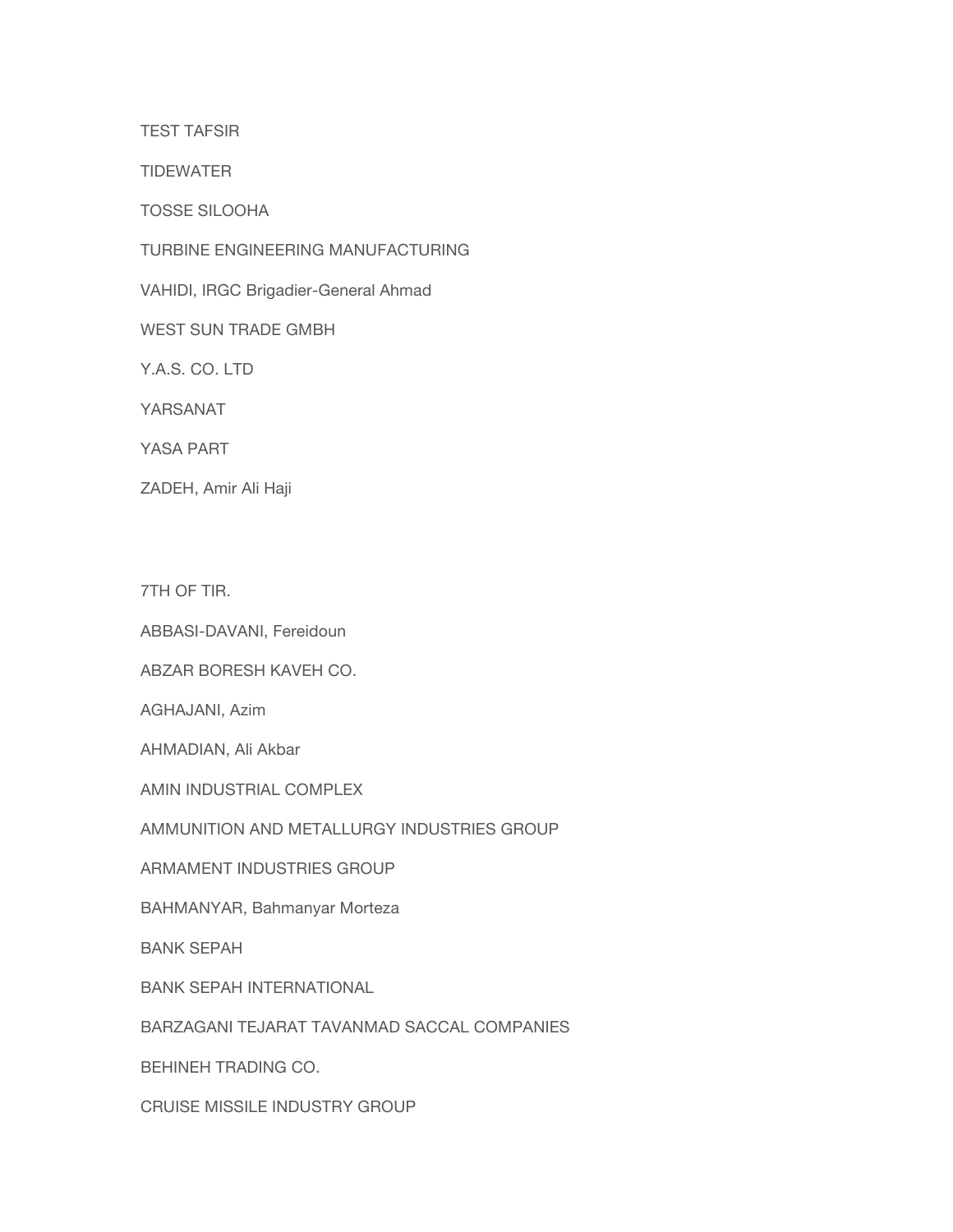TEST TAFSIR

TIDEWATER

TOSSE SILOOHA

TURBINE ENGINEERING MANUFACTURING

VAHIDI, IRGC Brigadier-General Ahmad

WEST SUN TRADE GMBH

Y.A.S. CO. LTD

YARSANAT

YASA PART

ZADEH, Amir Ali Haji

7TH OF TIR.

ABBASI-DAVANI, Fereidoun

ABZAR BORESH KAVEH CO.

AGHAJANI, Azim

AHMADIAN, Ali Akbar

AMIN INDUSTRIAL COMPLEX

AMMUNITION AND METALLURGY INDUSTRIES GROUP

ARMAMENT INDUSTRIES GROUP

BAHMANYAR, Bahmanyar Morteza

BANK SEPAH

BANK SEPAH INTERNATIONAL

BARZAGANI TEJARAT TAVANMAD SACCAL COMPANIES

BEHINEH TRADING CO.

CRUISE MISSILE INDUSTRY GROUP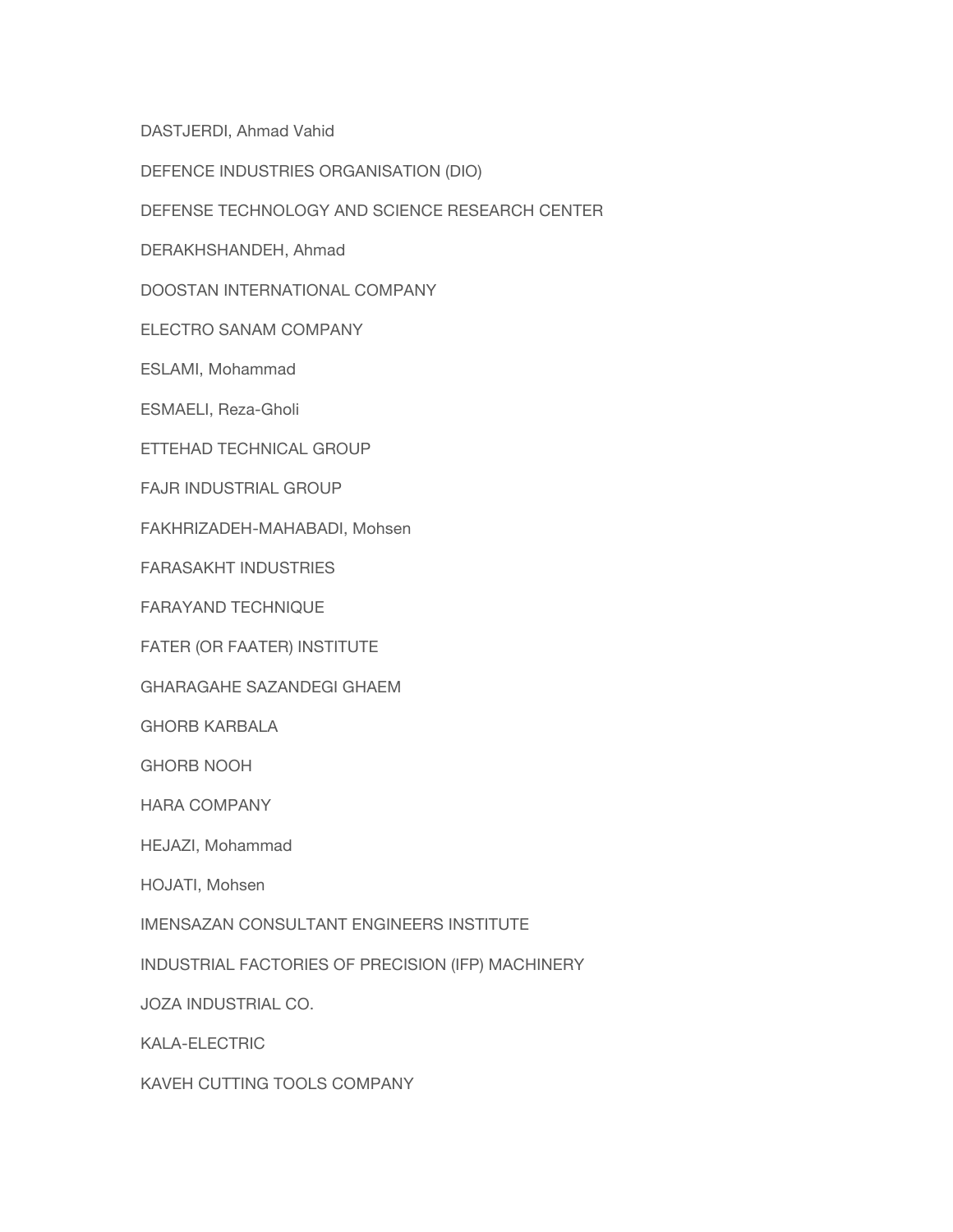DASTJERDI, Ahmad Vahid

DEFENCE INDUSTRIES ORGANISATION (DIO)

DEFENSE TECHNOLOGY AND SCIENCE RESEARCH CENTER

DERAKHSHANDEH, Ahmad

DOOSTAN INTERNATIONAL COMPANY

ELECTRO SANAM COMPANY

ESLAMI, Mohammad

ESMAELI, Reza-Gholi

ETTEHAD TECHNICAL GROUP

FAJR INDUSTRIAL GROUP

FAKHRIZADEH-MAHABADI, Mohsen

FARASAKHT INDUSTRIES

FARAYAND TECHNIQUE

FATER (OR FAATER) INSTITUTE

GHARAGAHE SAZANDEGI GHAEM

GHORB KARBALA

GHORB NOOH

HARA COMPANY

HEJAZI, Mohammad

HOJATI, Mohsen

IMENSAZAN CONSULTANT ENGINEERS INSTITUTE

INDUSTRIAL FACTORIES OF PRECISION (IFP) MACHINERY

JOZA INDUSTRIAL CO.

KALA-ELECTRIC

KAVEH CUTTING TOOLS COMPANY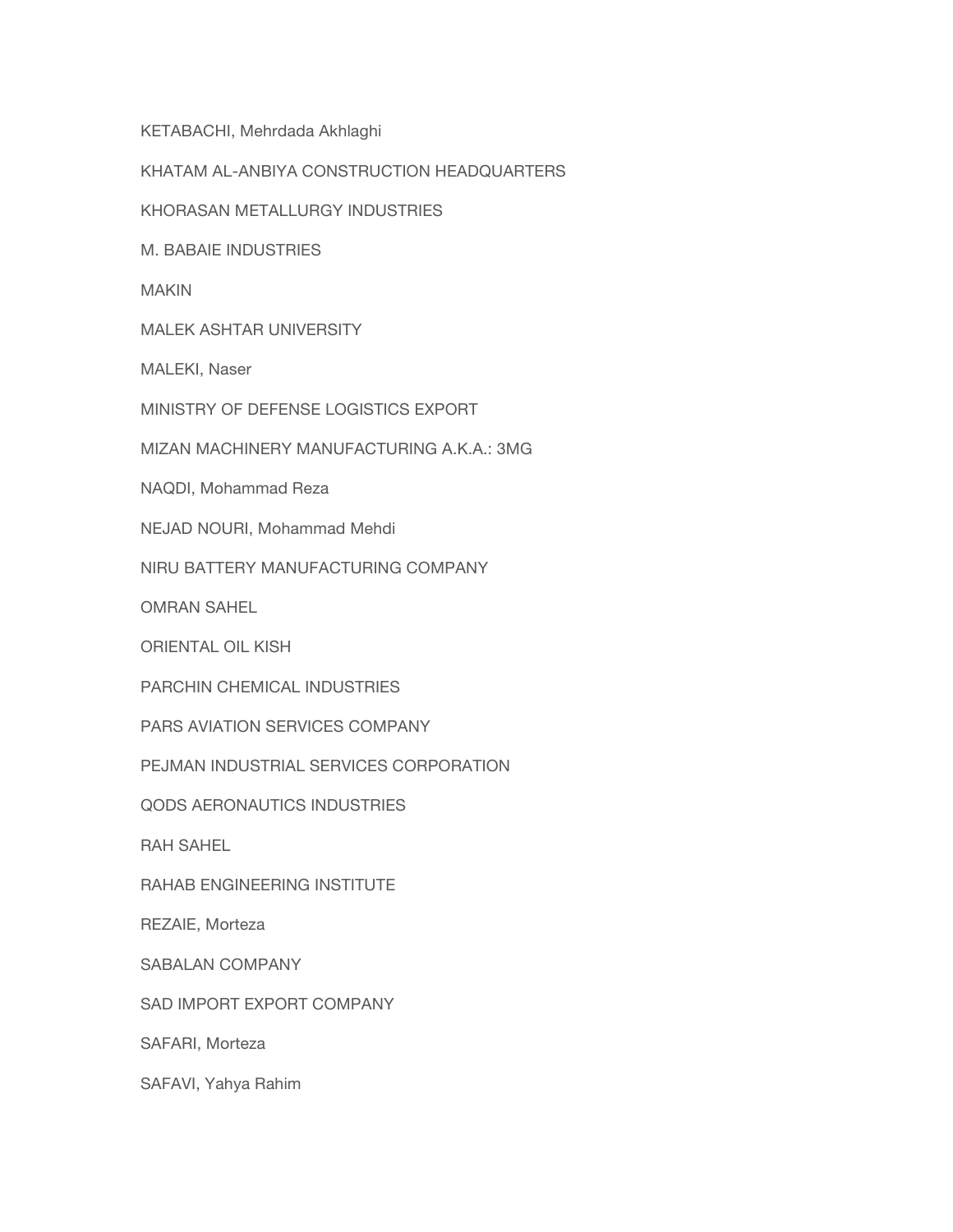KETABACHI, Mehrdada Akhlaghi

KHATAM AL-ANBIYA CONSTRUCTION HEADQUARTERS

KHORASAN METALLURGY INDUSTRIES

M. BABAIE INDUSTRIES

MAKIN

MALEK ASHTAR UNIVERSITY

MALEKI, Naser

MINISTRY OF DEFENSE LOGISTICS EXPORT

MIZAN MACHINERY MANUFACTURING A.K.A.: 3MG

NAQDI, Mohammad Reza

NEJAD NOURI, Mohammad Mehdi

NIRU BATTERY MANUFACTURING COMPANY

OMRAN SAHEL

ORIENTAL OIL KISH

PARCHIN CHEMICAL INDUSTRIES

PARS AVIATION SERVICES COMPANY

PEJMAN INDUSTRIAL SERVICES CORPORATION

QODS AERONAUTICS INDUSTRIES

RAH SAHEL

RAHAB ENGINEERING INSTITUTE

REZAIE, Morteza

SABALAN COMPANY

SAD IMPORT EXPORT COMPANY

SAFARI, Morteza

SAFAVI, Yahya Rahim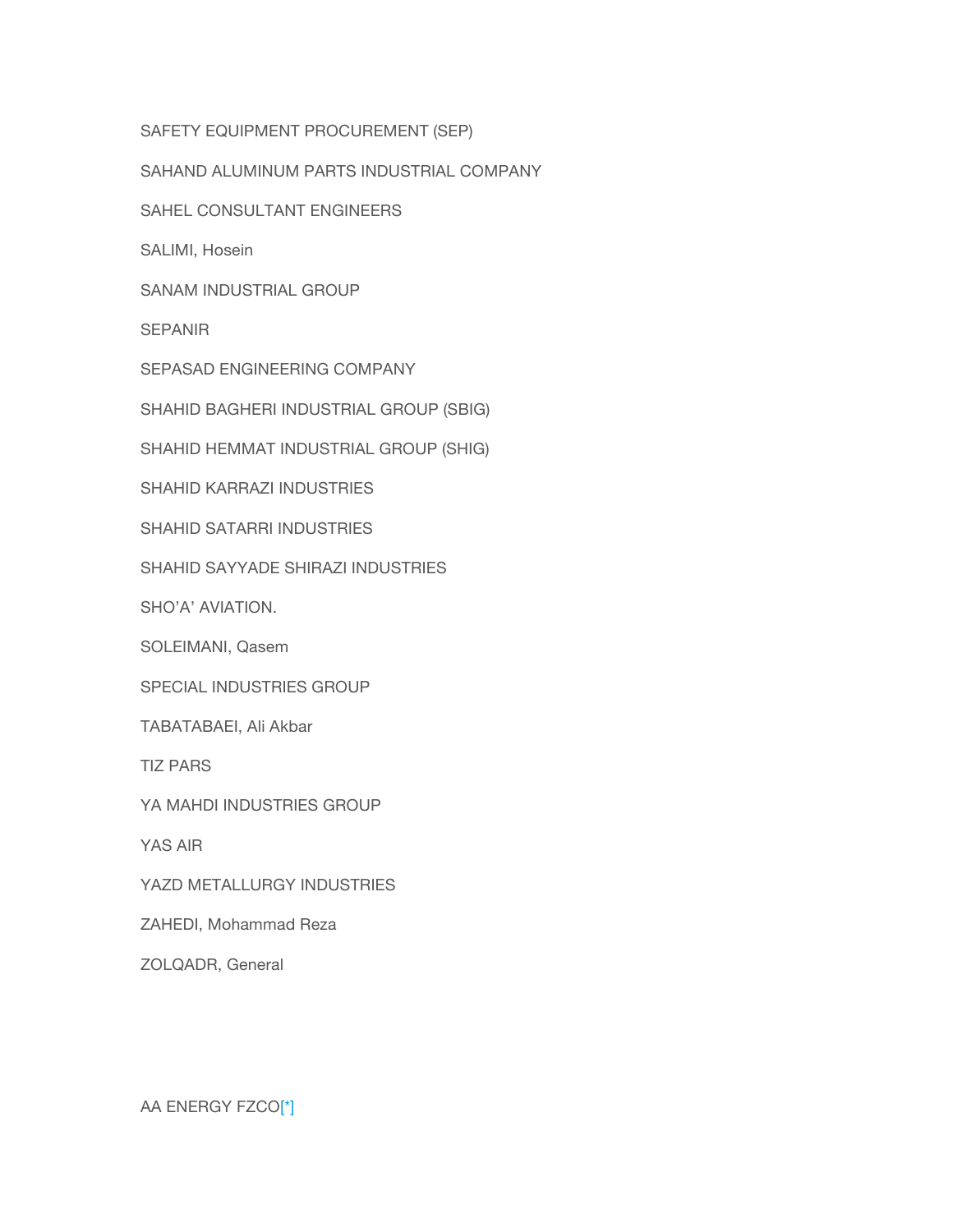# SAFETY EQUIPMENT PROCUREMENT (SEP)

SAHAND ALUMINUM PARTS INDUSTRIAL COMPANY

SAHEL CONSULTANT ENGINEERS

SALIMI, Hosein

SANAM INDUSTRIAL GROUP

**SEPANIR** 

SEPASAD ENGINEERING COMPANY

SHAHID BAGHERI INDUSTRIAL GROUP (SBIG)

SHAHID HEMMAT INDUSTRIAL GROUP (SHIG)

SHAHID KARRAZI INDUSTRIES

SHAHID SATARRI INDUSTRIES

SHAHID SAYYADE SHIRAZI INDUSTRIES

SHO'A' AVIATION.

SOLEIMANI, Qasem

SPECIAL INDUSTRIES GROUP

TABATABAEI, Ali Akbar

TIZ PARS

YA MAHDI INDUSTRIES GROUP

YAS AIR

YAZD METALLURGY INDUSTRIES

ZAHEDI, Mohammad Reza

ZOLQADR, General

AA ENERGY FZC[O\[\\*\]](http://www.mid.ru/foreign_policy/news/-/asset_publisher/cKNonkJE02Bw/content/id/1571042#_ftn1)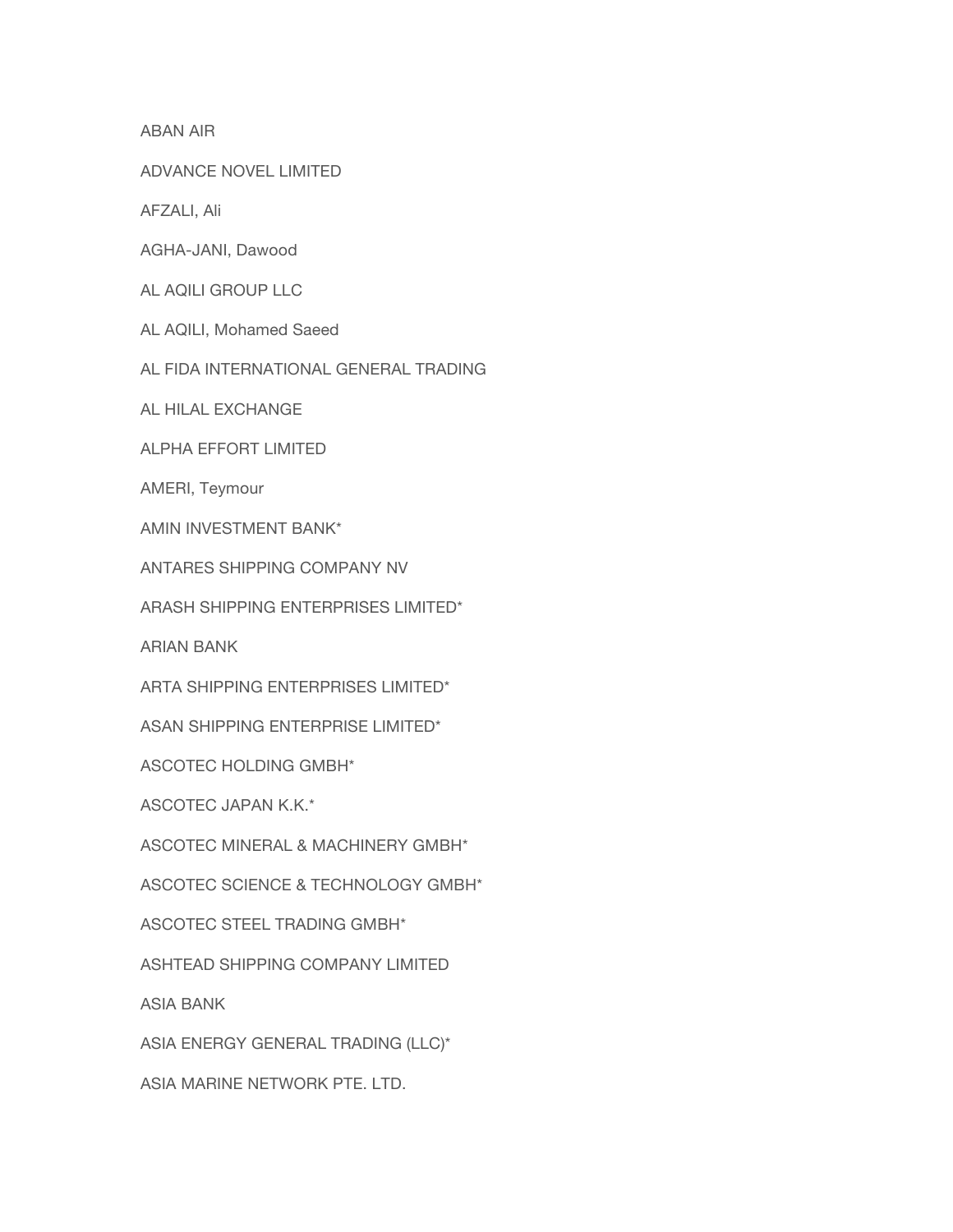ABAN AIR

ADVANCE NOVEL LIMITED

AFZALI, Ali

AGHA-JANI, Dawood

AL AQILI GROUP LLC

AL AQILI, Mohamed Saeed

AL FIDA INTERNATIONAL GENERAL TRADING

AL HILAL EXCHANGE

ALPHA EFFORT LIMITED

AMERI, Teymour

AMIN INVESTMENT BANK\*

ANTARES SHIPPING COMPANY NV

ARASH SHIPPING ENTERPRISES LIMITED\*

ARIAN BANK

ARTA SHIPPING ENTERPRISES LIMITED\*

ASAN SHIPPING ENTERPRISE LIMITED\*

ASCOTEC HOLDING GMBH\*

ASCOTEC JAPAN K.K.\*

ASCOTEC MINERAL & MACHINERY GMBH\*

ASCOTEC SCIENCE & TECHNOLOGY GMBH\*

ASCOTEC STEEL TRADING GMBH\*

ASHTEAD SHIPPING COMPANY LIMITED

ASIA BANK

ASIA ENERGY GENERAL TRADING (LLC)\*

ASIA MARINE NETWORK PTE. LTD.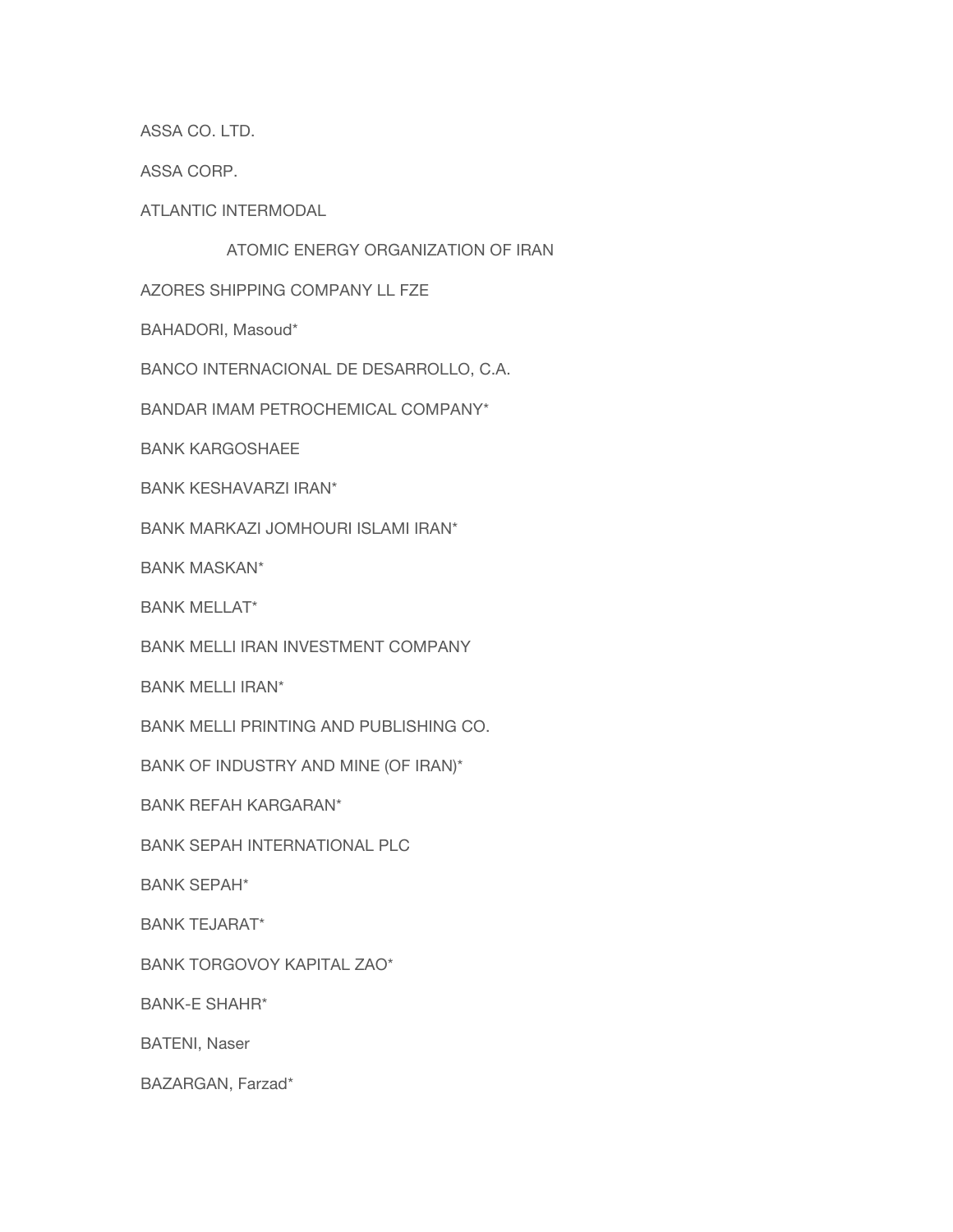ASSA CO. LTD.

ASSA CORP.

ATLANTIC INTERMODAL

ATOMIC ENERGY ORGANIZATION OF IRAN

AZORES SHIPPING COMPANY LL FZE

BAHADORI, Masoud\*

BANCO INTERNACIONAL DE DESARROLLO, C.A.

BANDAR IMAM PETROCHEMICAL COMPANY\*

BANK KARGOSHAEE

BANK KESHAVARZI IRAN\*

BANK MARKAZI JOMHOURI ISLAMI IRAN\*

BANK MASKAN\*

BANK MELLAT\*

BANK MELLI IRAN INVESTMENT COMPANY

BANK MELLI IRAN\*

BANK MELLI PRINTING AND PUBLISHING CO.

BANK OF INDUSTRY AND MINE (OF IRAN)\*

BANK REFAH KARGARAN\*

BANK SEPAH INTERNATIONAL PLC

BANK SEPAH\*

BANK TEJARAT\*

BANK TORGOVOY KAPITAL ZAO\*

BANK-E SHAHR\*

BATENI, Naser

BAZARGAN, Farzad\*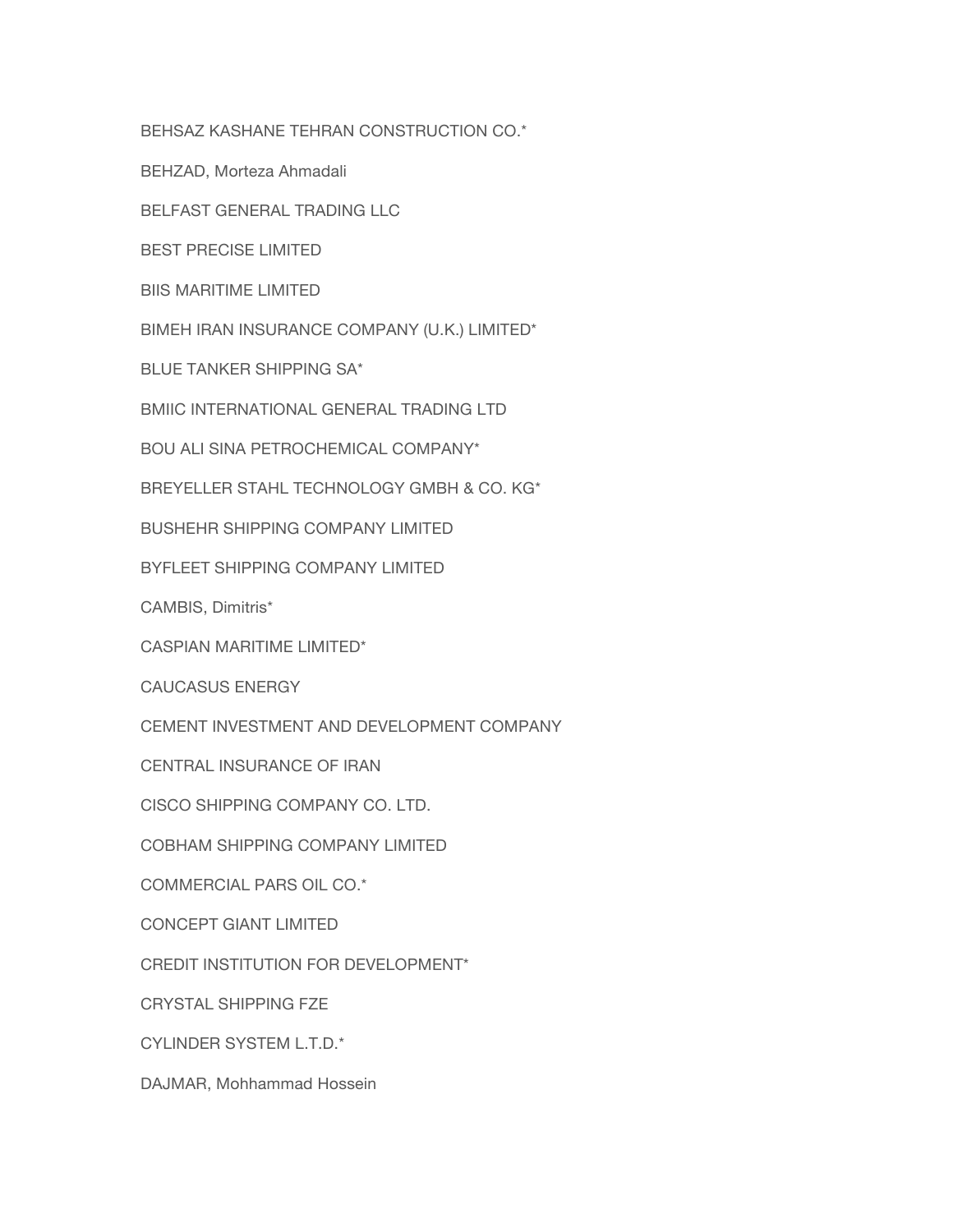BEHSAZ KASHANE TEHRAN CONSTRUCTION CO.\*

BEHZAD, Morteza Ahmadali

BELFAST GENERAL TRADING LLC

BEST PRECISE LIMITED

BIIS MARITIME LIMITED

BIMEH IRAN INSURANCE COMPANY (U.K.) LIMITED\*

BLUE TANKER SHIPPING SA\*

BMIIC INTERNATIONAL GENERAL TRADING LTD

BOU ALI SINA PETROCHEMICAL COMPANY\*

BREYELLER STAHL TECHNOLOGY GMBH & CO. KG\*

BUSHEHR SHIPPING COMPANY LIMITED

BYFLEET SHIPPING COMPANY LIMITED

CAMBIS, Dimitris\*

CASPIAN MARITIME LIMITED\*

CAUCASUS ENERGY

CEMENT INVESTMENT AND DEVELOPMENT COMPANY

CENTRAL INSURANCE OF IRAN

CISCO SHIPPING COMPANY CO. LTD.

COBHAM SHIPPING COMPANY LIMITED

COMMERCIAL PARS OIL CO.\*

CONCEPT GIANT LIMITED

CREDIT INSTITUTION FOR DEVELOPMENT\*

CRYSTAL SHIPPING FZE

CYLINDER SYSTEM L.T.D.\*

DAJMAR, Mohhammad Hossein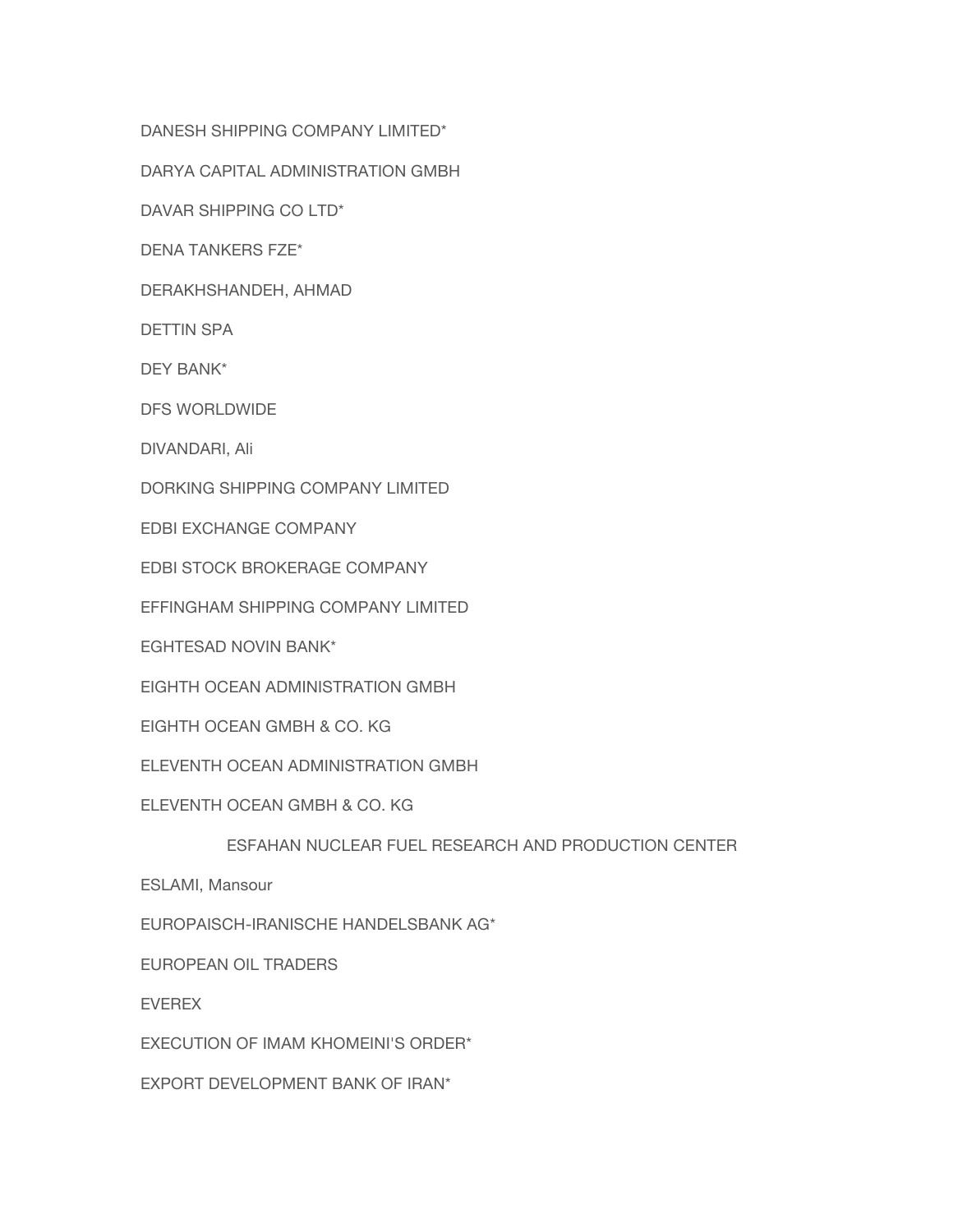DANESH SHIPPING COMPANY LIMITED\*

DARYA CAPITAL ADMINISTRATION GMBH

DAVAR SHIPPING CO LTD\*

DENA TANKERS FZE\*

DERAKHSHANDEH, AHMAD

DETTIN SPA

DEY BANK\*

DFS WORLDWIDE

DIVANDARI, Ali

DORKING SHIPPING COMPANY LIMITED

EDBI EXCHANGE COMPANY

EDBI STOCK BROKERAGE COMPANY

EFFINGHAM SHIPPING COMPANY LIMITED

EGHTESAD NOVIN BANK\*

EIGHTH OCEAN ADMINISTRATION GMBH

EIGHTH OCEAN GMBH & CO. KG

ELEVENTH OCEAN ADMINISTRATION GMBH

ELEVENTH OCEAN GMBH & CO. KG

ESFAHAN NUCLEAR FUEL RESEARCH AND PRODUCTION CENTER

ESLAMI, Mansour

EUROPAISCH-IRANISCHE HANDELSBANK AG\*

EUROPEAN OIL TRADERS

EVEREX

EXECUTION OF IMAM KHOMEINI'S ORDER\*

EXPORT DEVELOPMENT BANK OF IRAN\*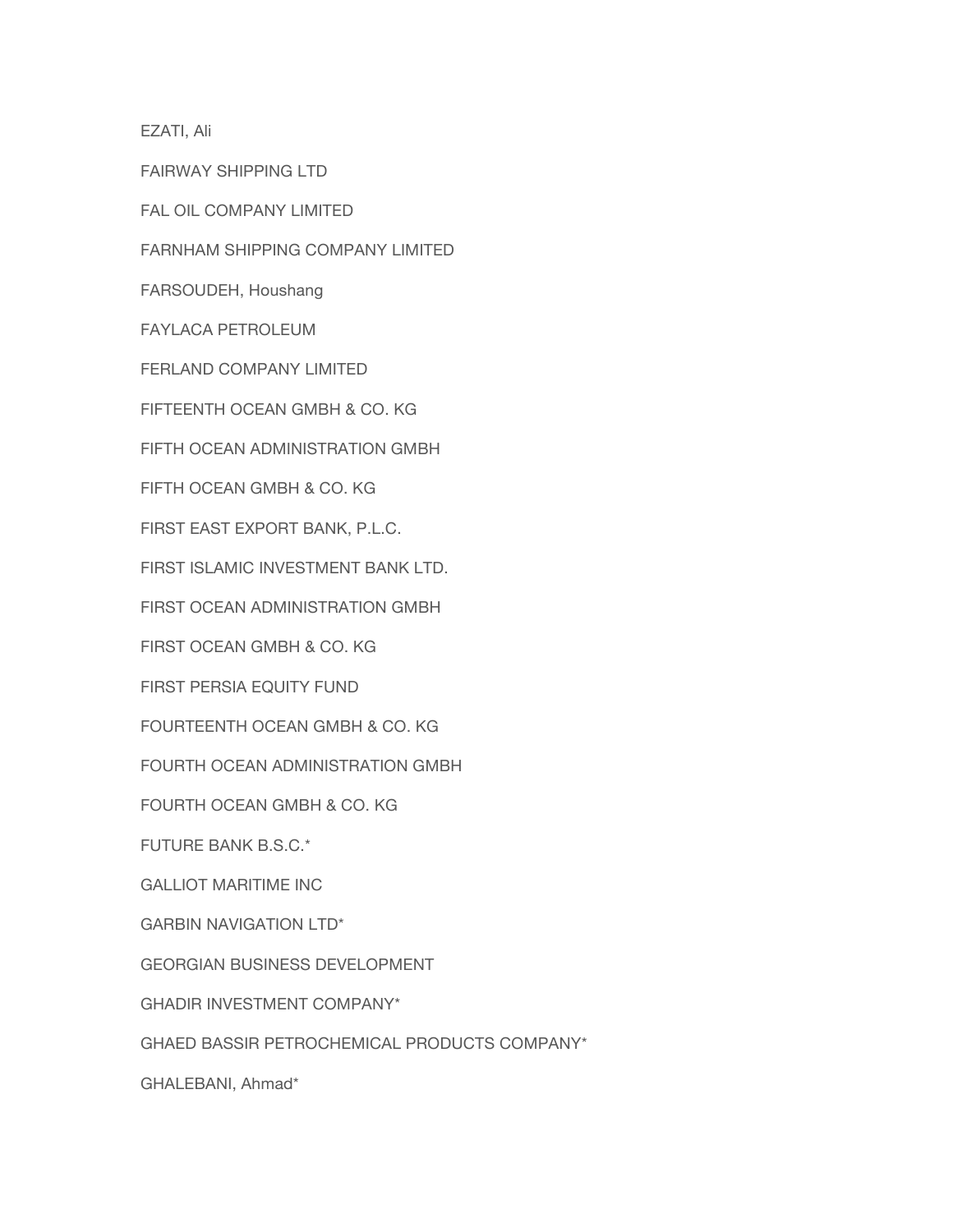EZATI, Ali

FAIRWAY SHIPPING LTD

FAL OIL COMPANY LIMITED

FARNHAM SHIPPING COMPANY LIMITED

FARSOUDEH, Houshang

FAYLACA PETROLEUM

FERLAND COMPANY LIMITED

FIFTEENTH OCEAN GMBH & CO. KG

FIFTH OCEAN ADMINISTRATION GMBH

FIFTH OCEAN GMBH & CO. KG

FIRST EAST EXPORT BANK, P.L.C.

FIRST ISLAMIC INVESTMENT BANK LTD.

FIRST OCEAN ADMINISTRATION GMBH

FIRST OCEAN GMBH & CO. KG

FIRST PERSIA EQUITY FUND

FOURTEENTH OCEAN GMBH & CO. KG

FOURTH OCEAN ADMINISTRATION GMBH

FOURTH OCEAN GMBH & CO. KG

FUTURE BANK B.S.C.\*

GALLIOT MARITIME INC

GARBIN NAVIGATION LTD\*

GEORGIAN BUSINESS DEVELOPMENT

GHADIR INVESTMENT COMPANY\*

GHAED BASSIR PETROCHEMICAL PRODUCTS COMPANY\*

GHALEBANI, Ahmad\*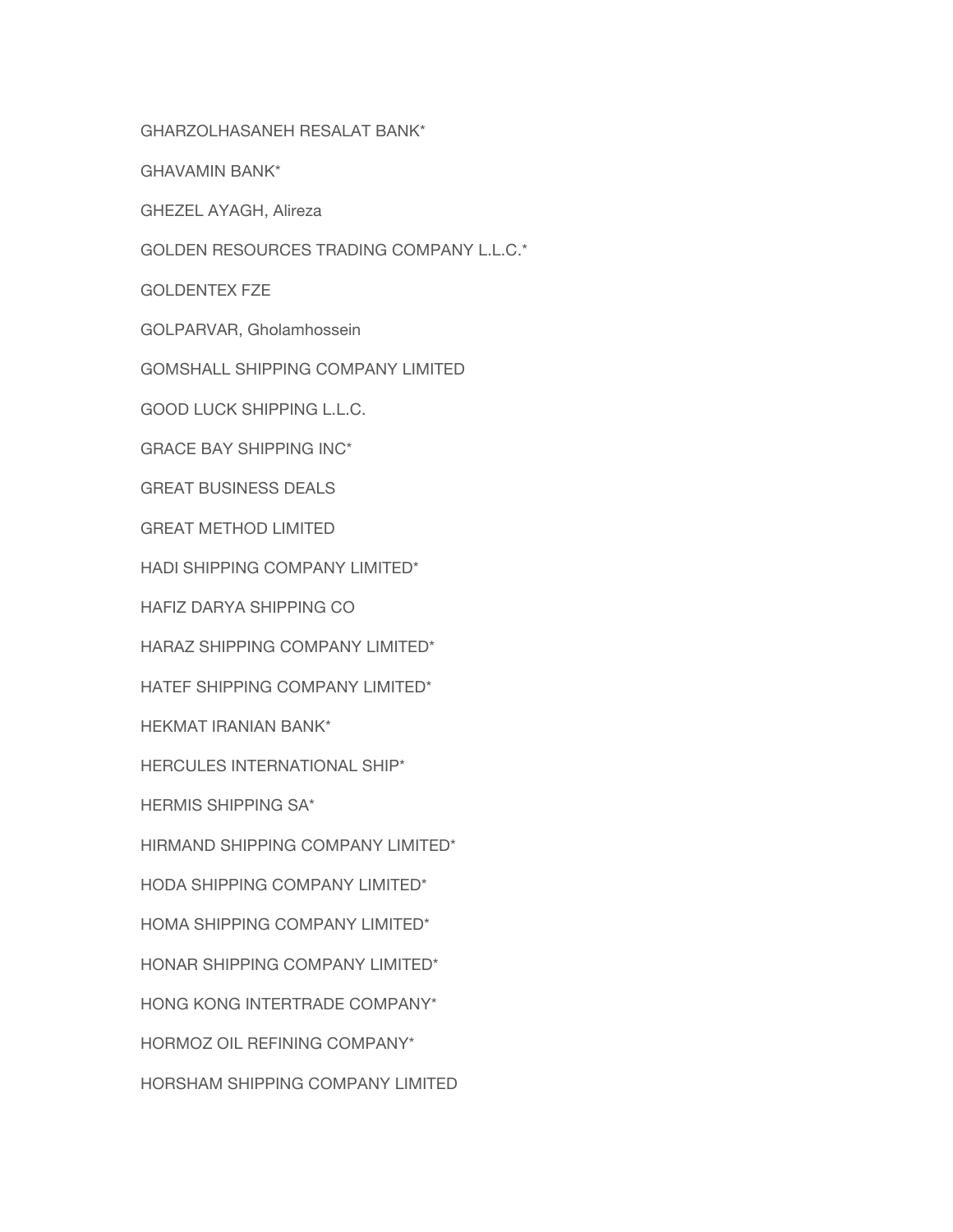GHARZOLHASANEH RESALAT BANK\*

GHAVAMIN BANK\*

GHEZEL AYAGH, Alireza

GOLDEN RESOURCES TRADING COMPANY L.L.C.\*

GOLDENTEX FZE

GOLPARVAR, Gholamhossein

GOMSHALL SHIPPING COMPANY LIMITED

GOOD LUCK SHIPPING L.L.C.

GRACE BAY SHIPPING INC\*

GREAT BUSINESS DEALS

GREAT METHOD LIMITED

HADI SHIPPING COMPANY LIMITED\*

HAFIZ DARYA SHIPPING CO

HARAZ SHIPPING COMPANY LIMITED\*

HATEF SHIPPING COMPANY LIMITED\*

HEKMAT IRANIAN BANK\*

HERCULES INTERNATIONAL SHIP\*

HERMIS SHIPPING SA\*

HIRMAND SHIPPING COMPANY LIMITED\*

HODA SHIPPING COMPANY LIMITED\*

HOMA SHIPPING COMPANY LIMITED\*

HONAR SHIPPING COMPANY LIMITED\*

HONG KONG INTERTRADE COMPANY\*

HORMOZ OIL REFINING COMPANY\*

HORSHAM SHIPPING COMPANY LIMITED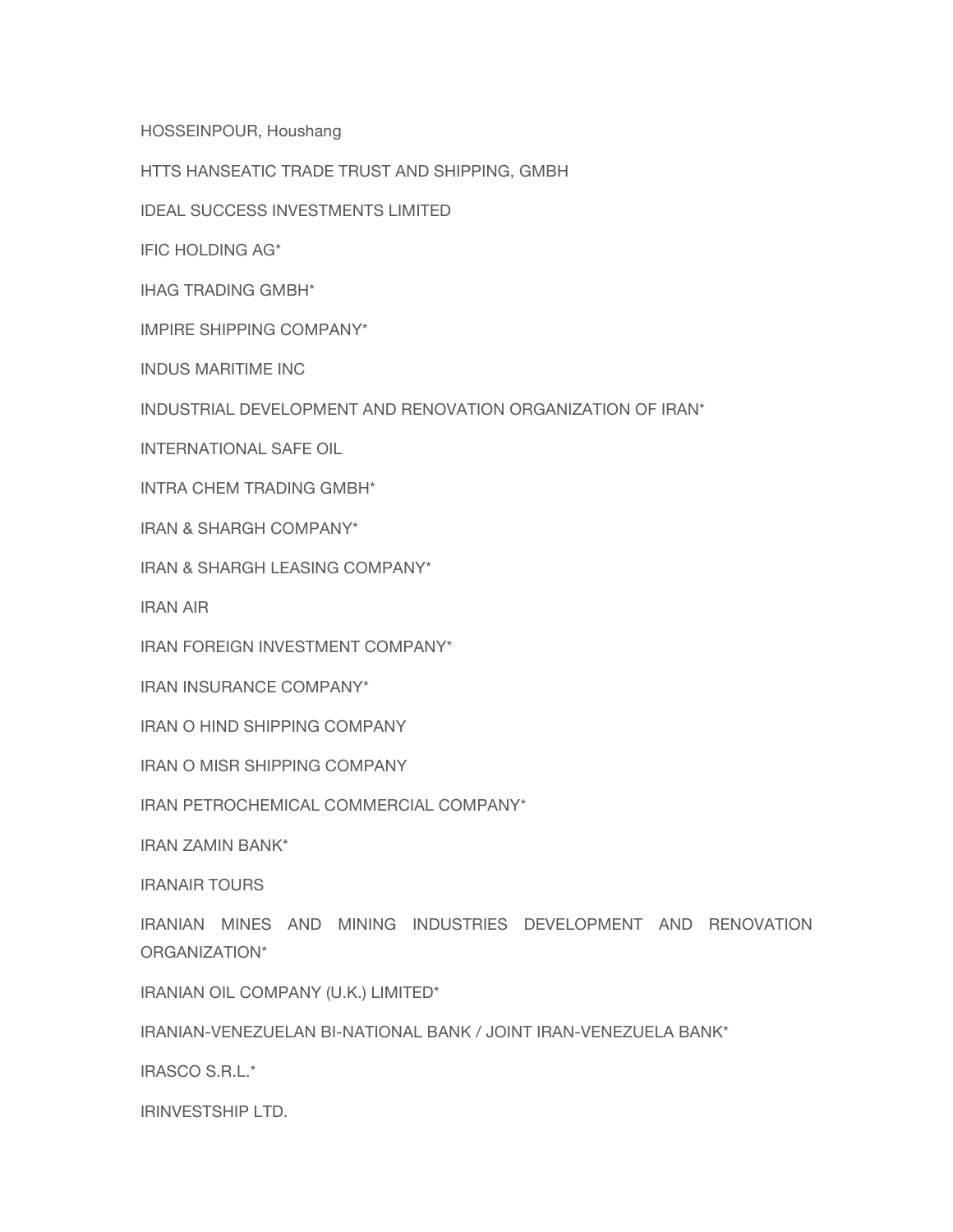HOSSEINPOUR, Houshang

HTTS HANSEATIC TRADE TRUST AND SHIPPING, GMBH

IDEAL SUCCESS INVESTMENTS LIMITED

IFIC HOLDING AG\*

IHAG TRADING GMBH\*

IMPIRE SHIPPING COMPANY\*

INDUS MARITIME INC

INDUSTRIAL DEVELOPMENT AND RENOVATION ORGANIZATION OF IRAN\*

INTERNATIONAL SAFE OIL

INTRA CHEM TRADING GMBH\*

IRAN & SHARGH COMPANY\*

IRAN & SHARGH LEASING COMPANY\*

IRAN AIR

IRAN FOREIGN INVESTMENT COMPANY\*

IRAN INSURANCE COMPANY\*

IRAN O HIND SHIPPING COMPANY

IRAN O MISR SHIPPING COMPANY

IRAN PETROCHEMICAL COMMERCIAL COMPANY\*

IRAN ZAMIN BANK\*

IRANAIR TOURS

IRANIAN MINES AND MINING INDUSTRIES DEVELOPMENT AND RENOVATION ORGANIZATION\*

IRANIAN OIL COMPANY (U.K.) LIMITED\*

IRANIAN-VENEZUELAN BI-NATIONAL BANK / JOINT IRAN-VENEZUELA BANK\*

IRASCO S.R.L.\*

IRINVESTSHIP LTD.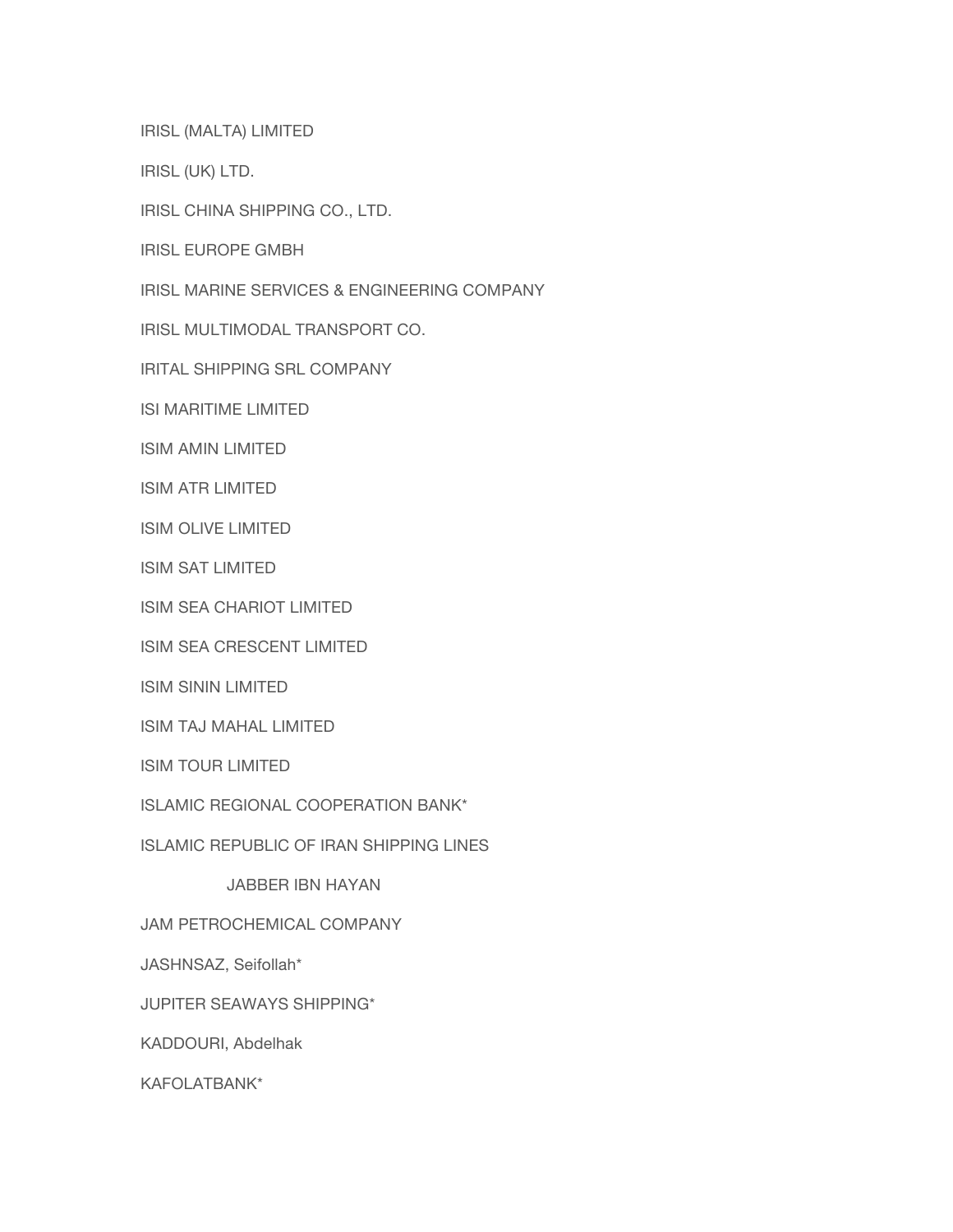IRISL (MALTA) LIMITED

IRISL (UK) LTD.

IRISL CHINA SHIPPING CO., LTD.

IRISL EUROPE GMBH

IRISL MARINE SERVICES & ENGINEERING COMPANY

IRISL MULTIMODAL TRANSPORT CO.

IRITAL SHIPPING SRL COMPANY

ISI MARITIME LIMITED

ISIM AMIN LIMITED

ISIM ATR LIMITED

ISIM OLIVE LIMITED

ISIM SAT LIMITED

ISIM SEA CHARIOT LIMITED

ISIM SEA CRESCENT LIMITED

ISIM SININ LIMITED

ISIM TAJ MAHAL LIMITED

ISIM TOUR LIMITED

ISLAMIC REGIONAL COOPERATION BANK\*

ISLAMIC REPUBLIC OF IRAN SHIPPING LINES

JABBER IBN HAYAN

JAM PETROCHEMICAL COMPANY

JASHNSAZ, Seifollah\*

JUPITER SEAWAYS SHIPPING\*

KADDOURI, Abdelhak

KAFOLATBANK\*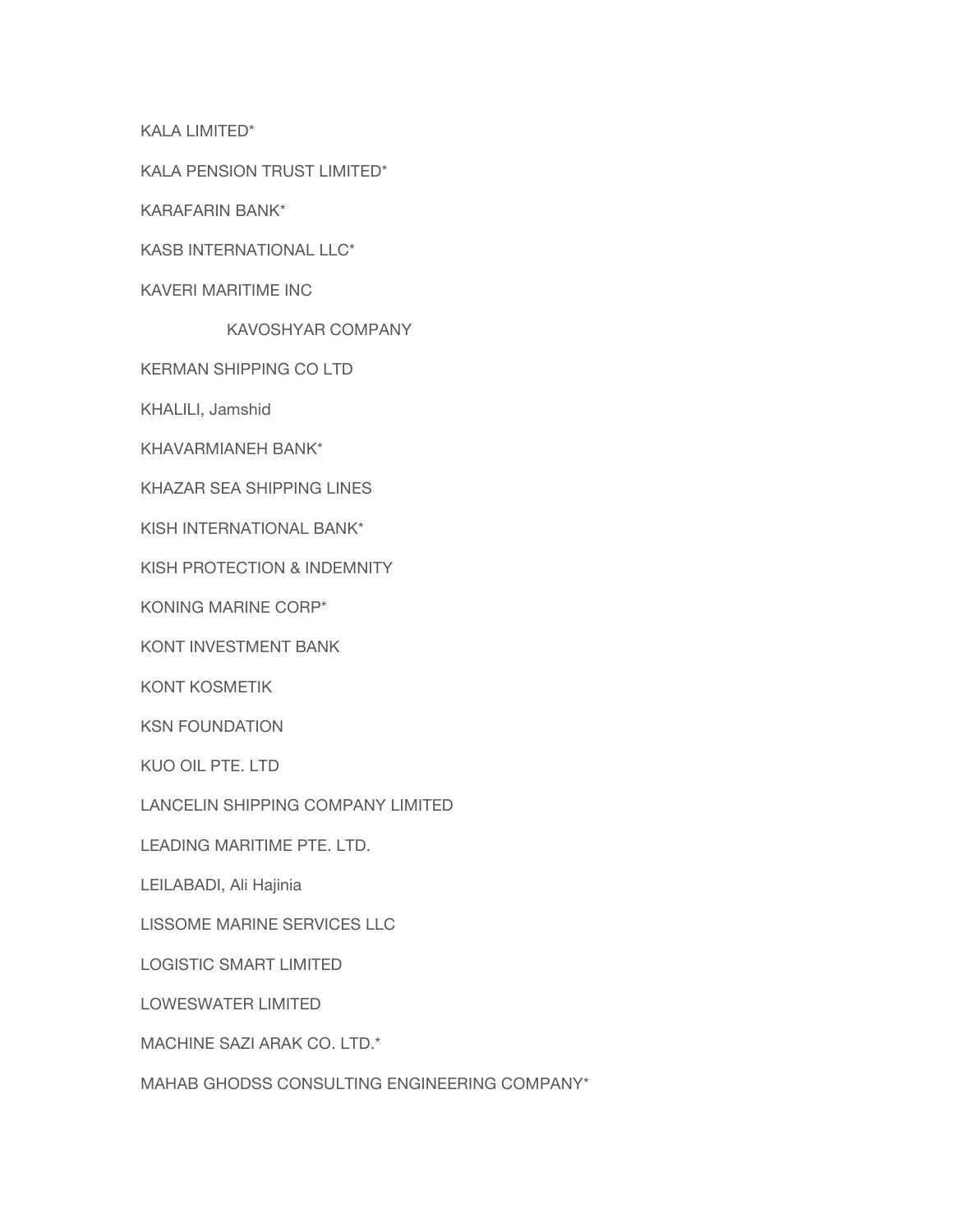KALA LIMITED\*

KALA PENSION TRUST LIMITED\*

KARAFARIN BANK\*

KASB INTERNATIONAL LLC\*

KAVERI MARITIME INC

KAVOSHYAR COMPANY

KERMAN SHIPPING CO LTD

KHALILI, Jamshid

KHAVARMIANEH BANK\*

KHAZAR SEA SHIPPING LINES

KISH INTERNATIONAL BANK\*

KISH PROTECTION & INDEMNITY

KONING MARINE CORP\*

KONT INVESTMENT BANK

KONT KOSMETIK

KSN FOUNDATION

KUO OIL PTE. LTD

LANCELIN SHIPPING COMPANY LIMITED

LEADING MARITIME PTE. LTD.

LEILABADI, Ali Hajinia

LISSOME MARINE SERVICES LLC

LOGISTIC SMART LIMITED

LOWESWATER LIMITED

MACHINE SAZI ARAK CO. LTD.\*

MAHAB GHODSS CONSULTING ENGINEERING COMPANY\*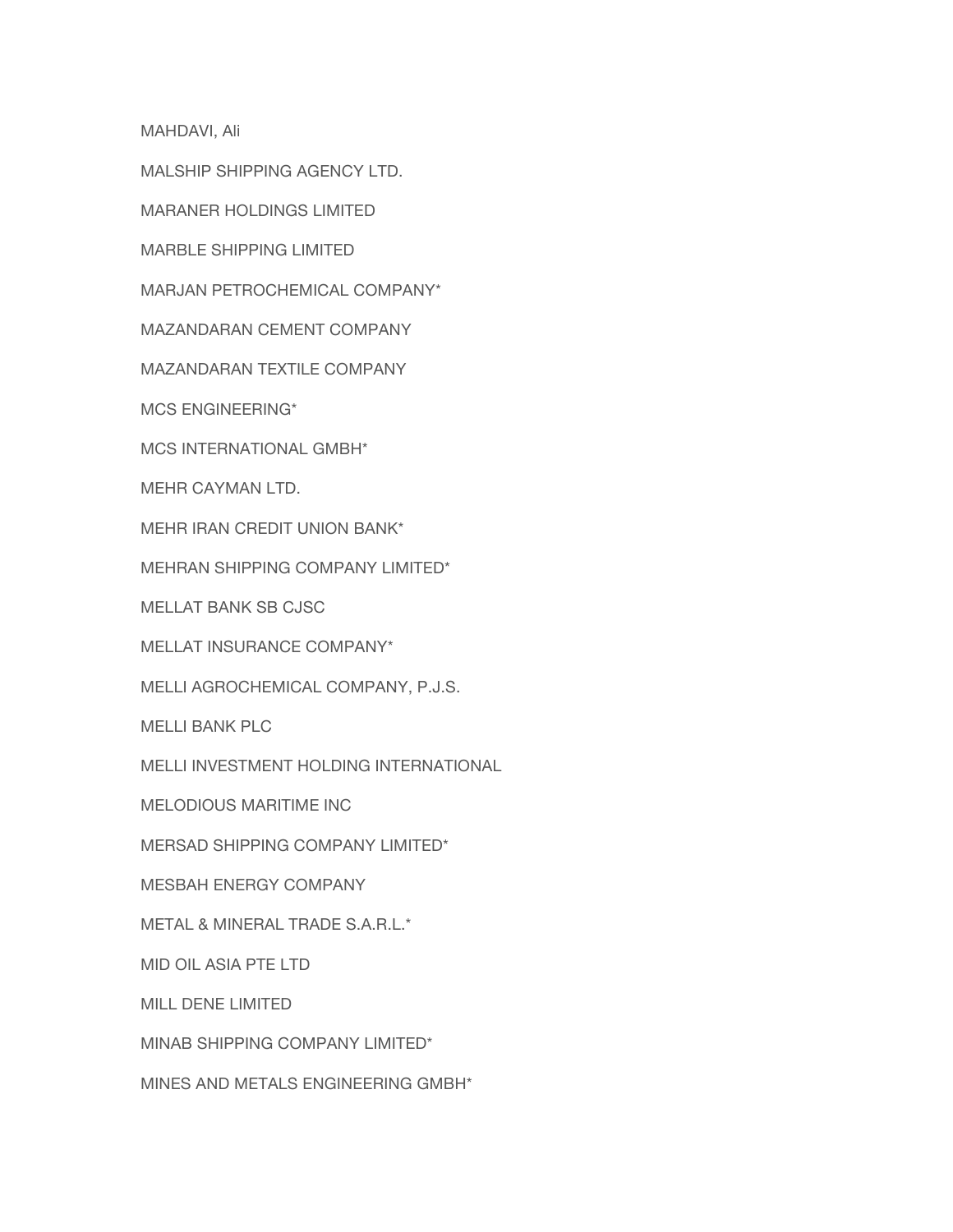MAHDAVI, Ali

MALSHIP SHIPPING AGENCY LTD.

MARANER HOLDINGS LIMITED

MARBLE SHIPPING LIMITED

MARJAN PETROCHEMICAL COMPANY\*

MAZANDARAN CEMENT COMPANY

MAZANDARAN TEXTILE COMPANY

MCS ENGINEERING\*

MCS INTERNATIONAL GMBH\*

MEHR CAYMAN LTD.

MEHR IRAN CREDIT UNION BANK\*

MEHRAN SHIPPING COMPANY LIMITED\*

MELLAT BANK SB CJSC

MELLAT INSURANCE COMPANY\*

MELLI AGROCHEMICAL COMPANY, P.J.S.

MELLI BANK PLC

MELLI INVESTMENT HOLDING INTERNATIONAL

MELODIOUS MARITIME INC

MERSAD SHIPPING COMPANY LIMITED\*

MESBAH ENERGY COMPANY

METAL & MINERAL TRADE S.A.R.L.\*

MID OIL ASIA PTE LTD

MILL DENE LIMITED

MINAB SHIPPING COMPANY LIMITED\*

MINES AND METALS ENGINEERING GMBH\*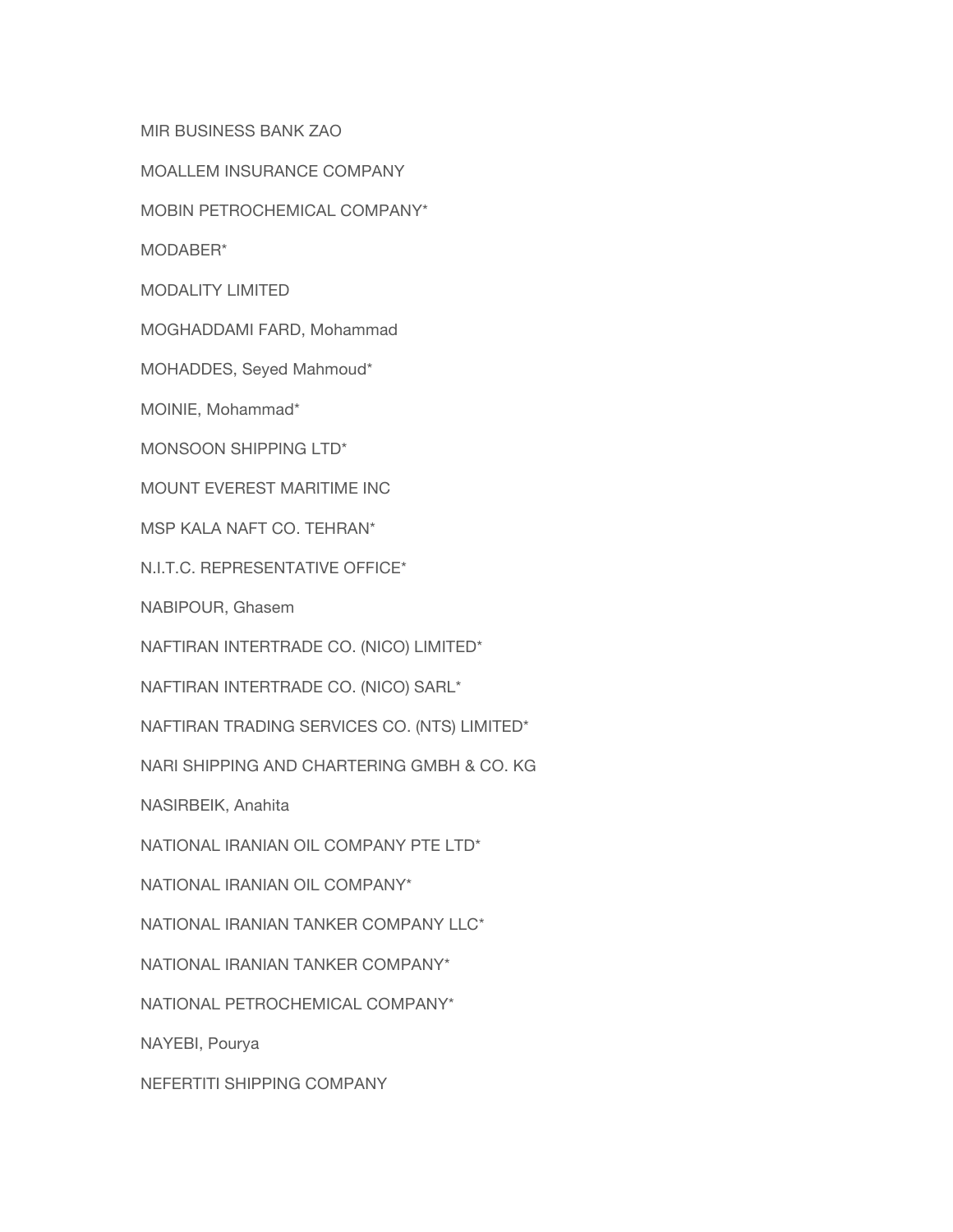MIR BUSINESS BANK ZAO

MOALLEM INSURANCE COMPANY

MOBIN PETROCHEMICAL COMPANY\*

MODABER\*

MODALITY LIMITED

MOGHADDAMI FARD, Mohammad

MOHADDES, Seyed Mahmoud\*

MOINIE, Mohammad\*

MONSOON SHIPPING LTD\*

MOUNT EVEREST MARITIME INC

MSP KALA NAFT CO. TEHRAN\*

N.I.T.C. REPRESENTATIVE OFFICE\*

NABIPOUR, Ghasem

NAFTIRAN INTERTRADE CO. (NICO) LIMITED\*

NAFTIRAN INTERTRADE CO. (NICO) SARL\*

NAFTIRAN TRADING SERVICES CO. (NTS) LIMITED\*

NARI SHIPPING AND CHARTERING GMBH & CO. KG

NASIRBEIK, Anahita

NATIONAL IRANIAN OIL COMPANY PTE LTD\*

NATIONAL IRANIAN OIL COMPANY\*

NATIONAL IRANIAN TANKER COMPANY LLC\*

NATIONAL IRANIAN TANKER COMPANY\*

NATIONAL PETROCHEMICAL COMPANY\*

NAYEBI, Pourya

NEFERTITI SHIPPING COMPANY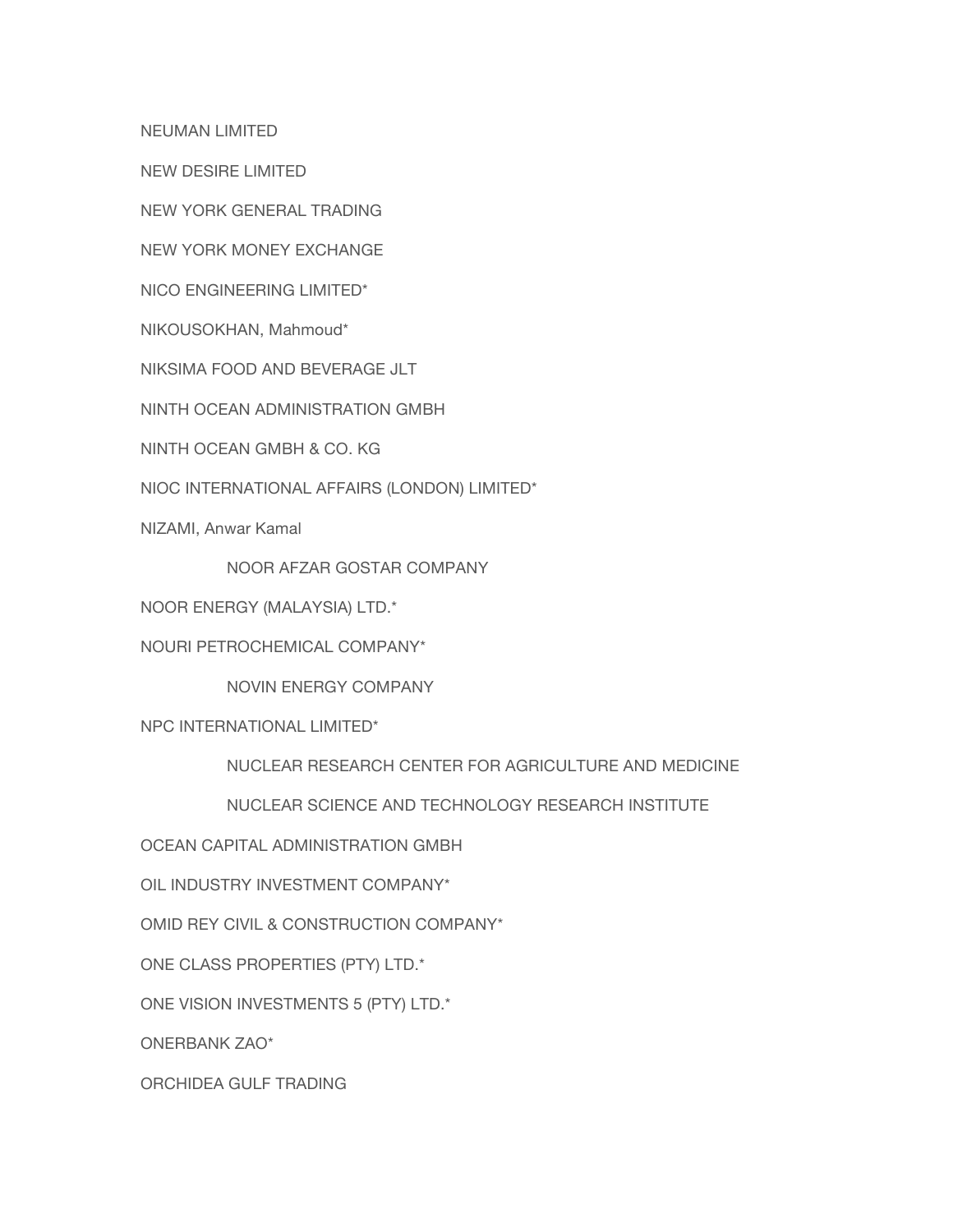NEUMAN LIMITED

NEW DESIRE LIMITED

NEW YORK GENERAL TRADING

NEW YORK MONEY EXCHANGE

NICO ENGINEERING LIMITED\*

NIKOUSOKHAN, Mahmoud\*

NIKSIMA FOOD AND BEVERAGE JLT

NINTH OCEAN ADMINISTRATION GMBH

NINTH OCEAN GMBH & CO. KG

NIOC INTERNATIONAL AFFAIRS (LONDON) LIMITED\*

NIZAMI, Anwar Kamal

NOOR AFZAR GOSTAR COMPANY

NOOR ENERGY (MALAYSIA) LTD.\*

NOURI PETROCHEMICAL COMPANY\*

NOVIN ENERGY COMPANY

NPC INTERNATIONAL LIMITED\*

NUCLEAR RESEARCH CENTER FOR AGRICULTURE AND MEDICINE

NUCLEAR SCIENCE AND TECHNOLOGY RESEARCH INSTITUTE

OCEAN CAPITAL ADMINISTRATION GMBH

OIL INDUSTRY INVESTMENT COMPANY\*

OMID REY CIVIL & CONSTRUCTION COMPANY\*

ONE CLASS PROPERTIES (PTY) LTD.\*

ONE VISION INVESTMENTS 5 (PTY) LTD.\*

ONERBANK ZAO\*

ORCHIDEA GULF TRADING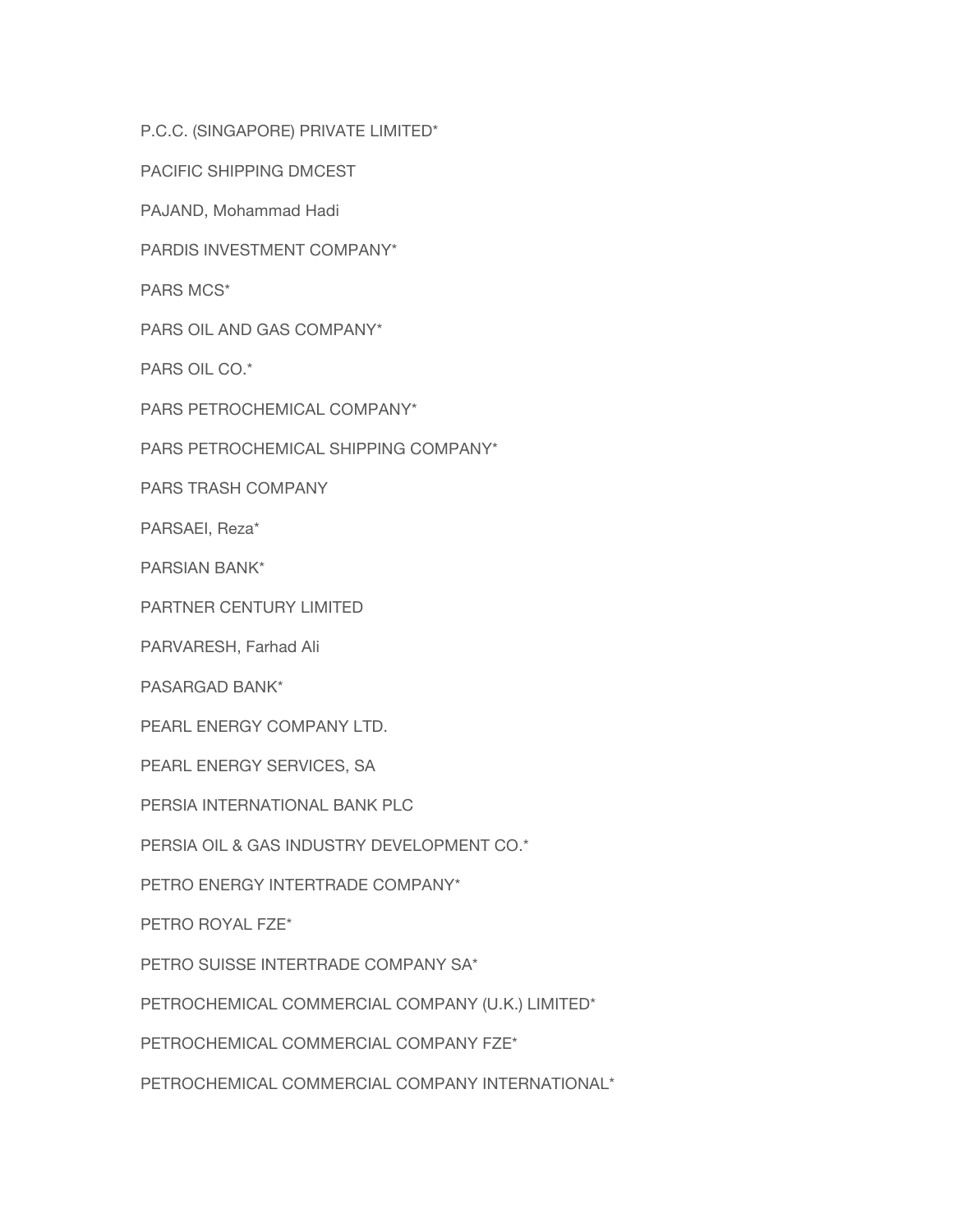P.C.C. (SINGAPORE) PRIVATE LIMITED\*

PACIFIC SHIPPING DMCEST

PAJAND, Mohammad Hadi

PARDIS INVESTMENT COMPANY\*

PARS MCS\*

PARS OIL AND GAS COMPANY\*

PARS OIL CO.\*

PARS PETROCHEMICAL COMPANY\*

PARS PETROCHEMICAL SHIPPING COMPANY\*

PARS TRASH COMPANY

PARSAEI, Reza\*

PARSIAN BANK\*

PARTNER CENTURY LIMITED

PARVARESH, Farhad Ali

PASARGAD BANK\*

PEARL ENERGY COMPANY LTD.

PEARL ENERGY SERVICES, SA

PERSIA INTERNATIONAL BANK PLC

PERSIA OIL & GAS INDUSTRY DEVELOPMENT CO.\*

PETRO ENERGY INTERTRADE COMPANY\*

PETRO ROYAL FZE\*

PETRO SUISSE INTERTRADE COMPANY SA\*

PETROCHEMICAL COMMERCIAL COMPANY (U.K.) LIMITED\*

PETROCHEMICAL COMMERCIAL COMPANY FZE\*

PETROCHEMICAL COMMERCIAL COMPANY INTERNATIONAL\*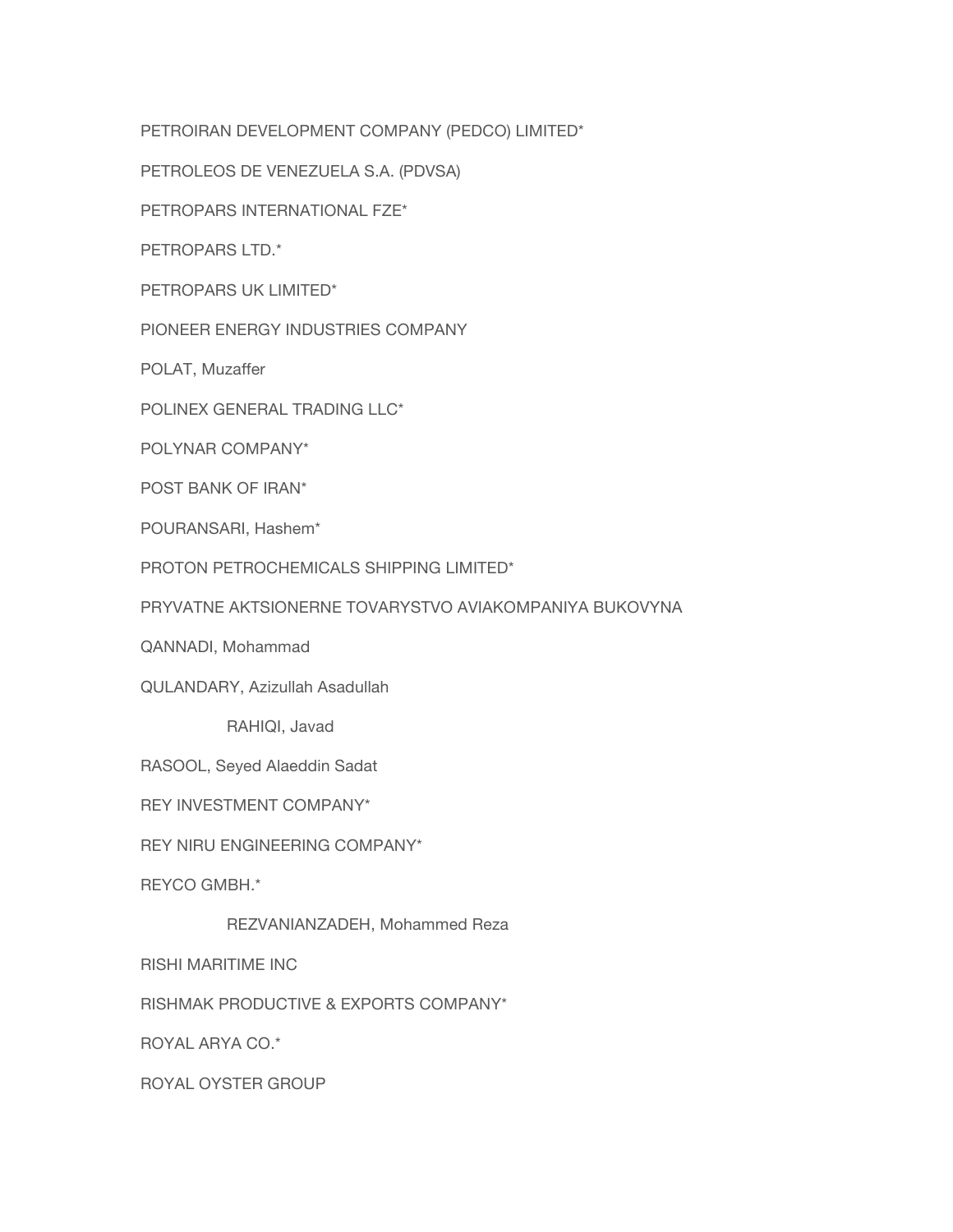PETROIRAN DEVELOPMENT COMPANY (PEDCO) LIMITED\*

PETROLEOS DE VENEZUELA S.A. (PDVSA)

PETROPARS INTERNATIONAL FZE\*

PETROPARS LTD.\*

PETROPARS UK LIMITED\*

PIONEER ENERGY INDUSTRIES COMPANY

POLAT, Muzaffer

POLINEX GENERAL TRADING LLC\*

POLYNAR COMPANY\*

POST BANK OF IRAN\*

POURANSARI, Hashem\*

PROTON PETROCHEMICALS SHIPPING LIMITED\*

PRYVATNE AKTSIONERNE TOVARYSTVO AVIAKOMPANIYA BUKOVYNA

QANNADI, Mohammad

QULANDARY, Azizullah Asadullah

RAHIQI, Javad

RASOOL, Seyed Alaeddin Sadat

REY INVESTMENT COMPANY\*

REY NIRU ENGINEERING COMPANY\*

REYCO GMBH.\*

REZVANIANZADEH, Mohammed Reza

RISHI MARITIME INC

RISHMAK PRODUCTIVE & EXPORTS COMPANY\*

ROYAL ARYA CO.\*

ROYAL OYSTER GROUP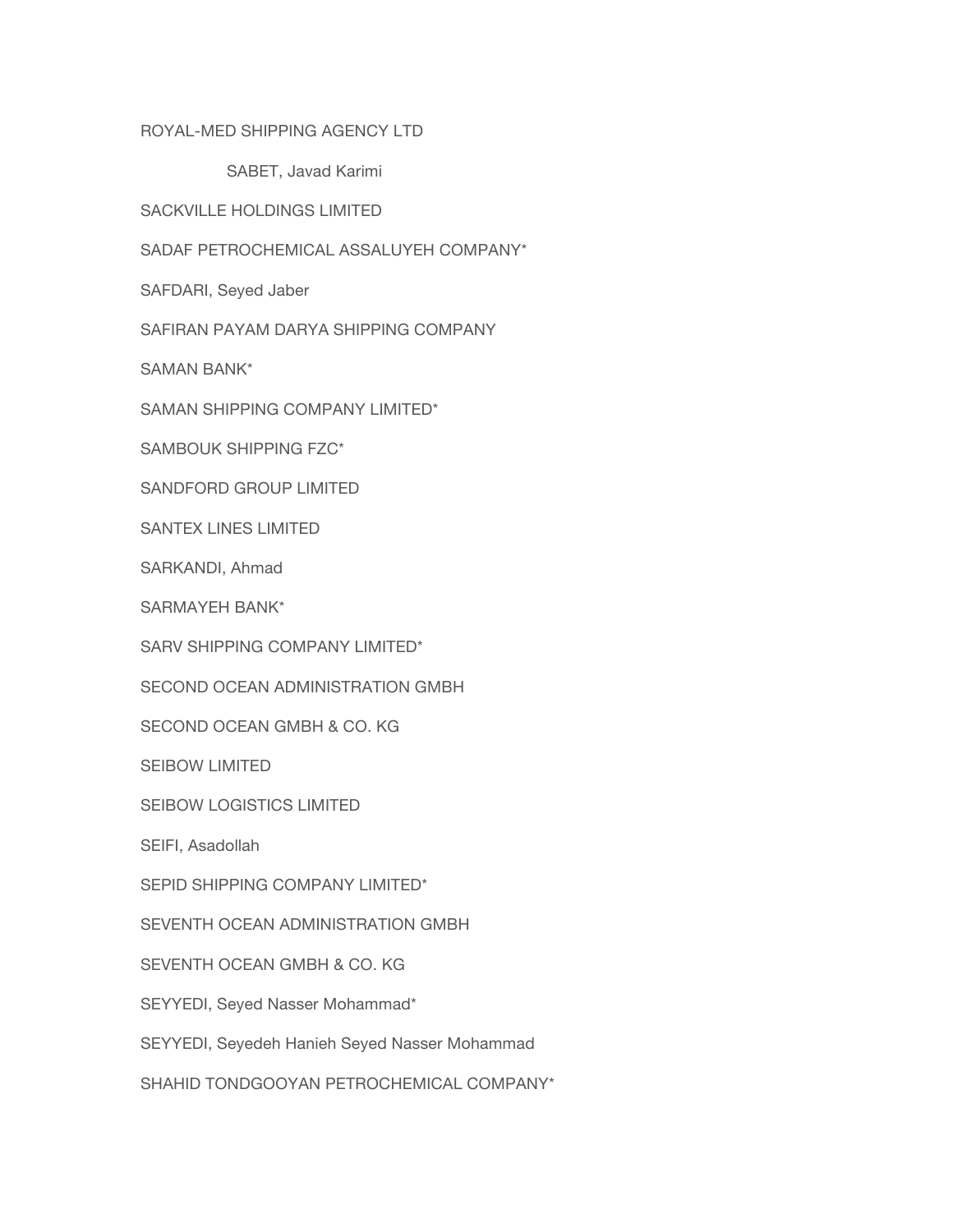ROYAL-MED SHIPPING AGENCY LTD

SABET, Javad Karimi

SACKVILLE HOLDINGS LIMITED

SADAF PETROCHEMICAL ASSALUYEH COMPANY\*

SAFDARI, Seyed Jaber

SAFIRAN PAYAM DARYA SHIPPING COMPANY

SAMAN BANK\*

SAMAN SHIPPING COMPANY LIMITED\*

SAMBOUK SHIPPING FZC\*

SANDFORD GROUP LIMITED

SANTEX LINES LIMITED

SARKANDI, Ahmad

SARMAYEH BANK\*

SARV SHIPPING COMPANY LIMITED\*

SECOND OCEAN ADMINISTRATION GMBH

SECOND OCEAN GMBH & CO. KG

SEIBOW LIMITED

SEIBOW LOGISTICS LIMITED

SEIFI, Asadollah

SEPID SHIPPING COMPANY LIMITED\*

SEVENTH OCEAN ADMINISTRATION GMBH

SEVENTH OCEAN GMBH & CO. KG

SEYYEDI, Seyed Nasser Mohammad\*

SEYYEDI, Seyedeh Hanieh Seyed Nasser Mohammad

SHAHID TONDGOOYAN PETROCHEMICAL COMPANY\*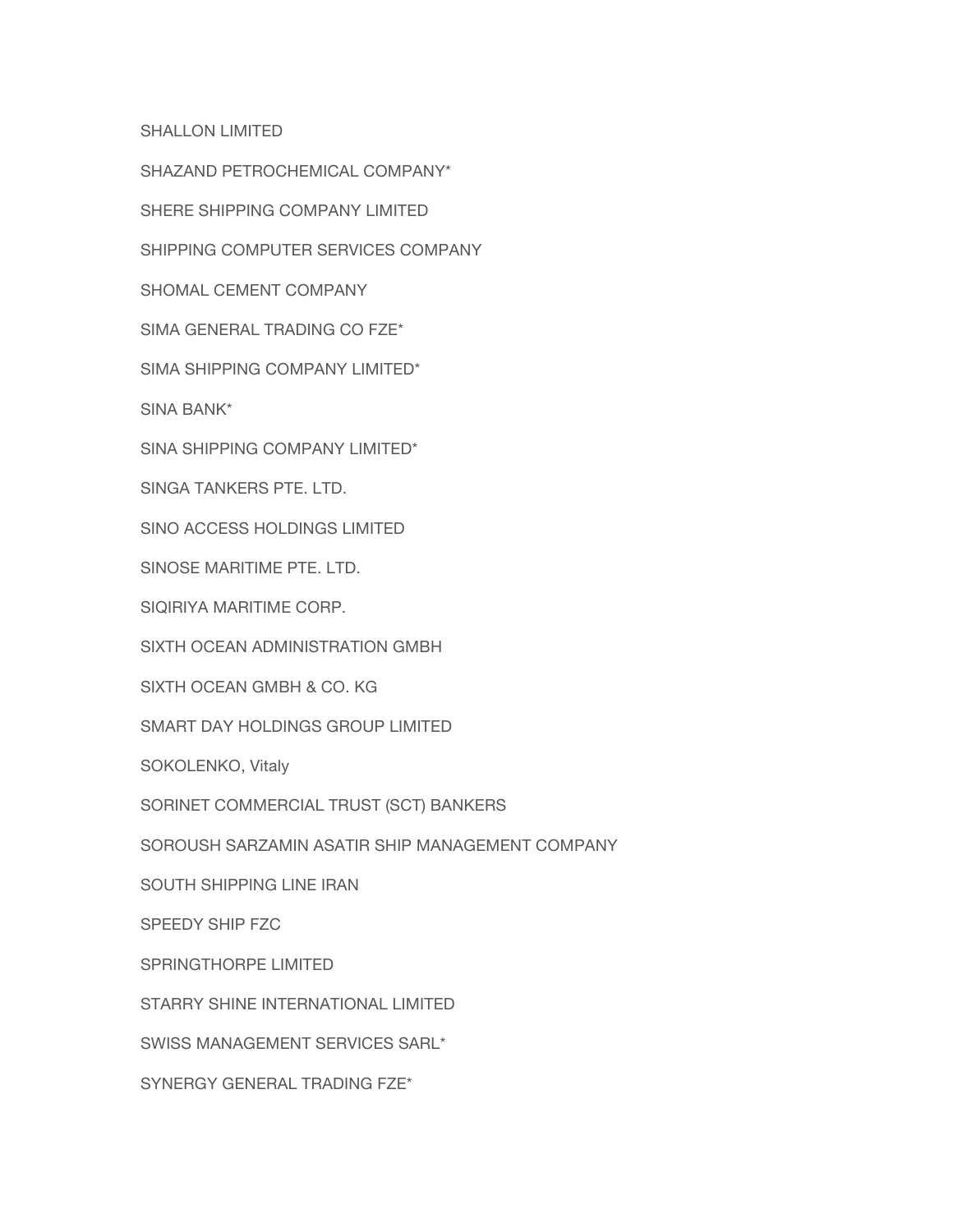SHALLON LIMITED

SHAZAND PETROCHEMICAL COMPANY\*

SHERE SHIPPING COMPANY LIMITED

SHIPPING COMPUTER SERVICES COMPANY

SHOMAL CEMENT COMPANY

SIMA GENERAL TRADING CO FZE\*

SIMA SHIPPING COMPANY LIMITED\*

SINA BANK\*

SINA SHIPPING COMPANY LIMITED\*

SINGA TANKERS PTE. LTD.

SINO ACCESS HOLDINGS LIMITED

SINOSE MARITIME PTE. LTD.

SIQIRIYA MARITIME CORP.

SIXTH OCEAN ADMINISTRATION GMBH

SIXTH OCEAN GMBH & CO. KG

SMART DAY HOLDINGS GROUP LIMITED

SOKOLENKO, Vitaly

SORINET COMMERCIAL TRUST (SCT) BANKERS

SOROUSH SARZAMIN ASATIR SHIP MANAGEMENT COMPANY

SOUTH SHIPPING LINE IRAN

SPEEDY SHIP FZC

SPRINGTHORPE LIMITED

STARRY SHINE INTERNATIONAL LIMITED

SWISS MANAGEMENT SERVICES SARL\*

SYNERGY GENERAL TRADING FZE\*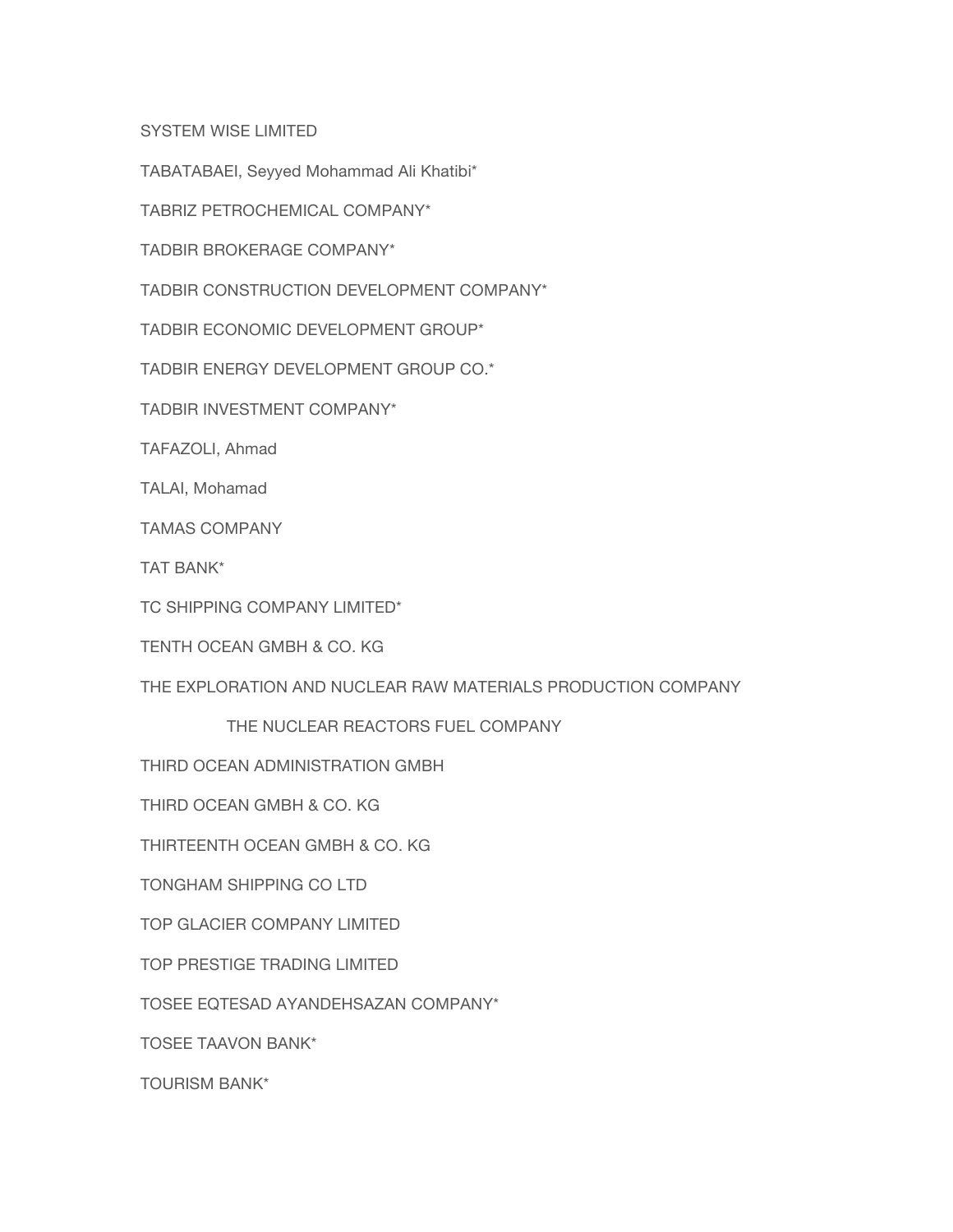SYSTEM WISE LIMITED

TABATABAEI, Seyyed Mohammad Ali Khatibi\*

TABRIZ PETROCHEMICAL COMPANY\*

TADBIR BROKERAGE COMPANY\*

TADBIR CONSTRUCTION DEVELOPMENT COMPANY\*

TADBIR ECONOMIC DEVELOPMENT GROUP\*

TADBIR ENERGY DEVELOPMENT GROUP CO.\*

TADBIR INVESTMENT COMPANY\*

TAFAZOLI, Ahmad

TALAI, Mohamad

TAMAS COMPANY

TAT BANK\*

TC SHIPPING COMPANY LIMITED\*

TENTH OCEAN GMBH & CO. KG

THE EXPLORATION AND NUCLEAR RAW MATERIALS PRODUCTION COMPANY

THE NUCLEAR REACTORS FUEL COMPANY

THIRD OCEAN ADMINISTRATION GMBH

THIRD OCEAN GMBH & CO. KG

THIRTEENTH OCEAN GMBH & CO. KG

TONGHAM SHIPPING CO LTD

TOP GLACIER COMPANY LIMITED

TOP PRESTIGE TRADING LIMITED

TOSEE EQTESAD AYANDEHSAZAN COMPANY\*

TOSEE TAAVON BANK\*

TOURISM BANK\*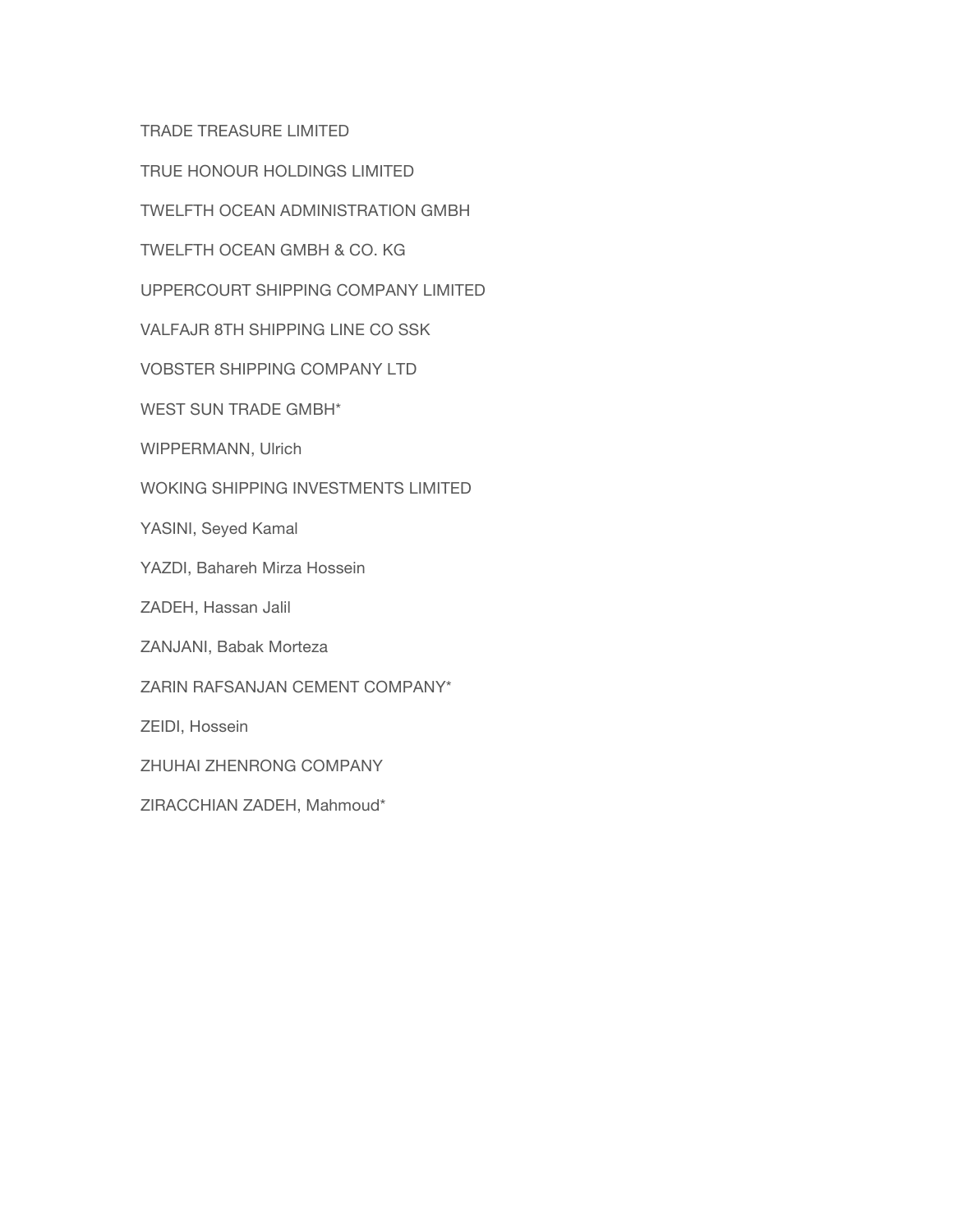TRADE TREASURE LIMITED

TRUE HONOUR HOLDINGS LIMITED

TWELFTH OCEAN ADMINISTRATION GMBH

TWELFTH OCEAN GMBH & CO. KG

UPPERCOURT SHIPPING COMPANY LIMITED

VALFAJR 8TH SHIPPING LINE CO SSK

VOBSTER SHIPPING COMPANY LTD

WEST SUN TRADE GMBH\*

WIPPERMANN, Ulrich

WOKING SHIPPING INVESTMENTS LIMITED

YASINI, Seyed Kamal

YAZDI, Bahareh Mirza Hossein

ZADEH, Hassan Jalil

ZANJANI, Babak Morteza

ZARIN RAFSANJAN CEMENT COMPANY\*

ZEIDI, Hossein

ZHUHAI ZHENRONG COMPANY

ZIRACCHIAN ZADEH, Mahmoud\*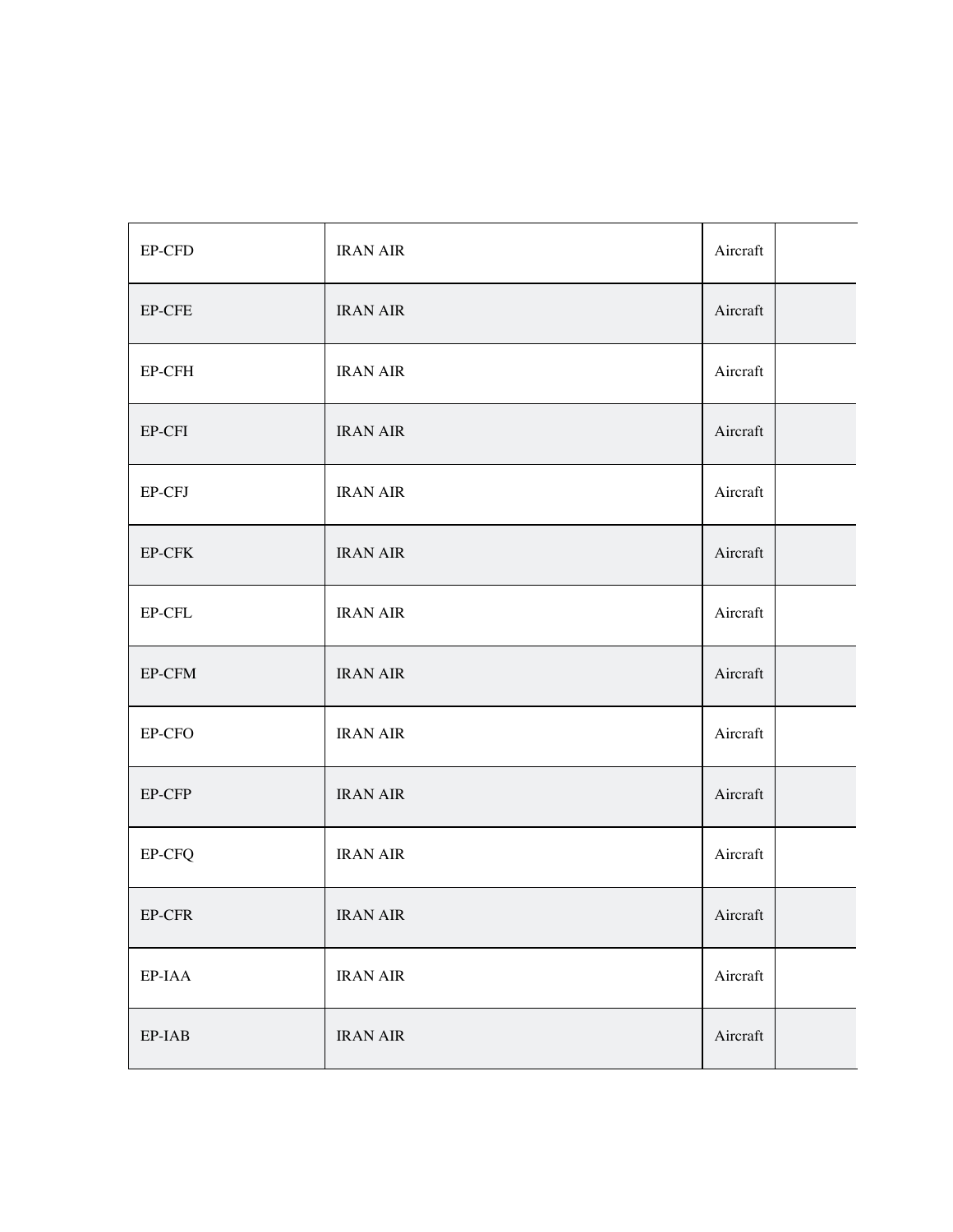| $EP-CFD$                | <b>IRAN AIR</b> | Aircraft |  |
|-------------------------|-----------------|----------|--|
| EP-CFE                  | <b>IRAN AIR</b> | Aircraft |  |
| EP-CFH                  | <b>IRAN AIR</b> | Aircraft |  |
| EP-CFI                  | <b>IRAN AIR</b> | Aircraft |  |
| EP-CFJ                  | <b>IRAN AIR</b> | Aircraft |  |
| $EP-CFK$                | <b>IRAN AIR</b> | Aircraft |  |
| EP-CFL                  | <b>IRAN AIR</b> | Aircraft |  |
| EP-CFM                  | <b>IRAN AIR</b> | Aircraft |  |
| EP-CFO                  | <b>IRAN AIR</b> | Aircraft |  |
| EP-CFP                  | <b>IRAN AIR</b> | Aircraft |  |
| EP-CFQ                  | <b>IRAN AIR</b> | Aircraft |  |
| $EP-CFR$                | <b>IRAN AIR</b> | Aircraft |  |
| $\operatorname{EP-IAA}$ | <b>IRAN AIR</b> | Aircraft |  |
| $EP-IAB$                | <b>IRAN AIR</b> | Aircraft |  |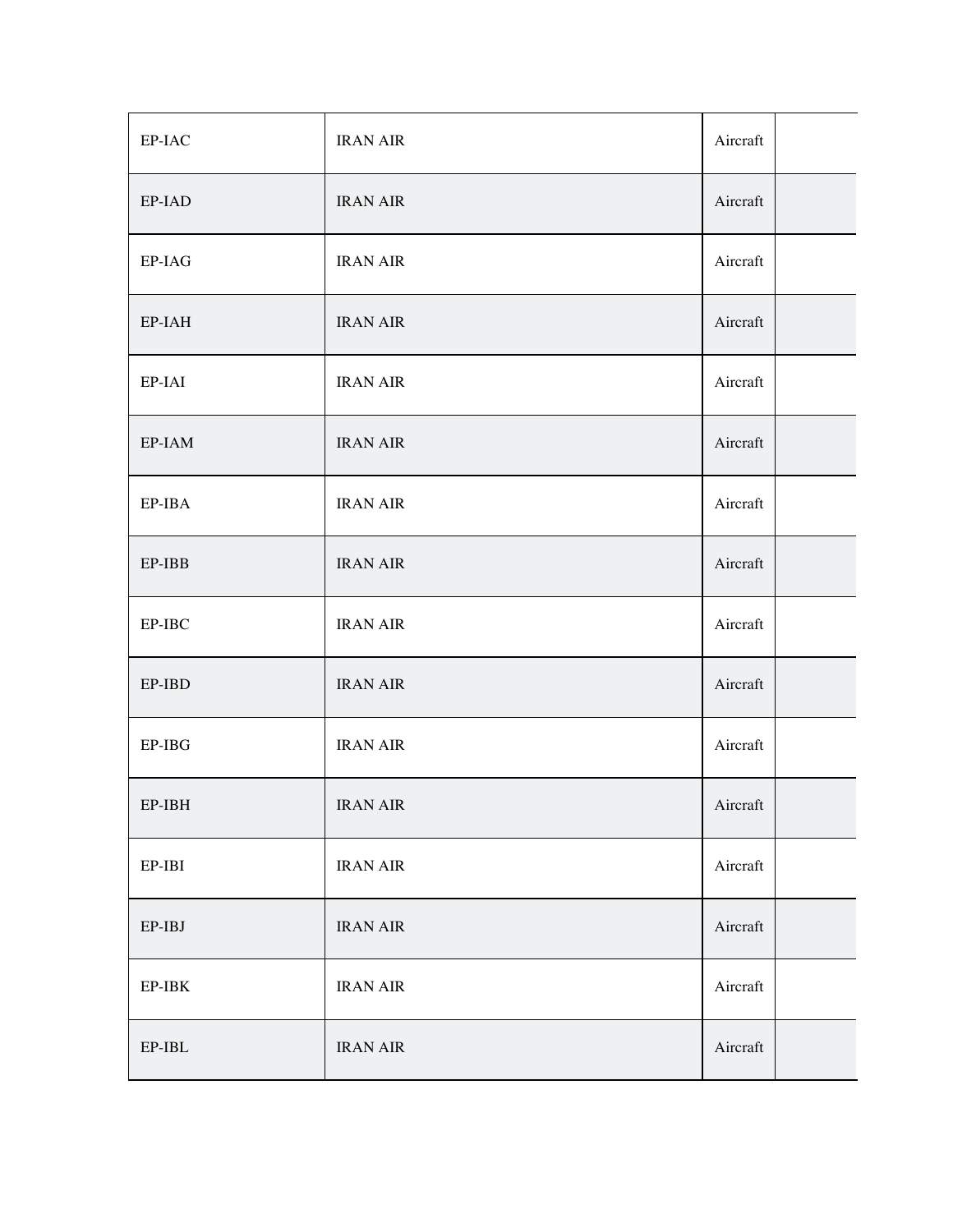| EP-IAC                  | <b>IRAN AIR</b> | Aircraft |  |
|-------------------------|-----------------|----------|--|
| EP-IAD                  | <b>IRAN AIR</b> | Aircraft |  |
| EP-IAG                  | <b>IRAN AIR</b> | Aircraft |  |
| EP-IAH                  | <b>IRAN AIR</b> | Aircraft |  |
| EP-IAI                  | <b>IRAN AIR</b> | Aircraft |  |
| EP-IAM                  | <b>IRAN AIR</b> | Aircraft |  |
| EP-IBA                  | <b>IRAN AIR</b> | Aircraft |  |
| EP-IBB                  | <b>IRAN AIR</b> | Aircraft |  |
| $\operatorname{EP-IBC}$ | <b>IRAN AIR</b> | Aircraft |  |
| $EP-IBD$                | <b>IRAN AIR</b> | Aircraft |  |
| $EP-IBG$                | <b>IRAN AIR</b> | Aircraft |  |
| EP-IBH                  | <b>IRAN AIR</b> | Aircraft |  |
| $EP-IBI$                | <b>IRAN AIR</b> | Aircraft |  |
| EP-IBJ                  | <b>IRAN AIR</b> | Aircraft |  |
| $\operatorname{EP-IBK}$ | <b>IRAN AIR</b> | Aircraft |  |
| $\operatorname{EP-IBL}$ | <b>IRAN AIR</b> | Aircraft |  |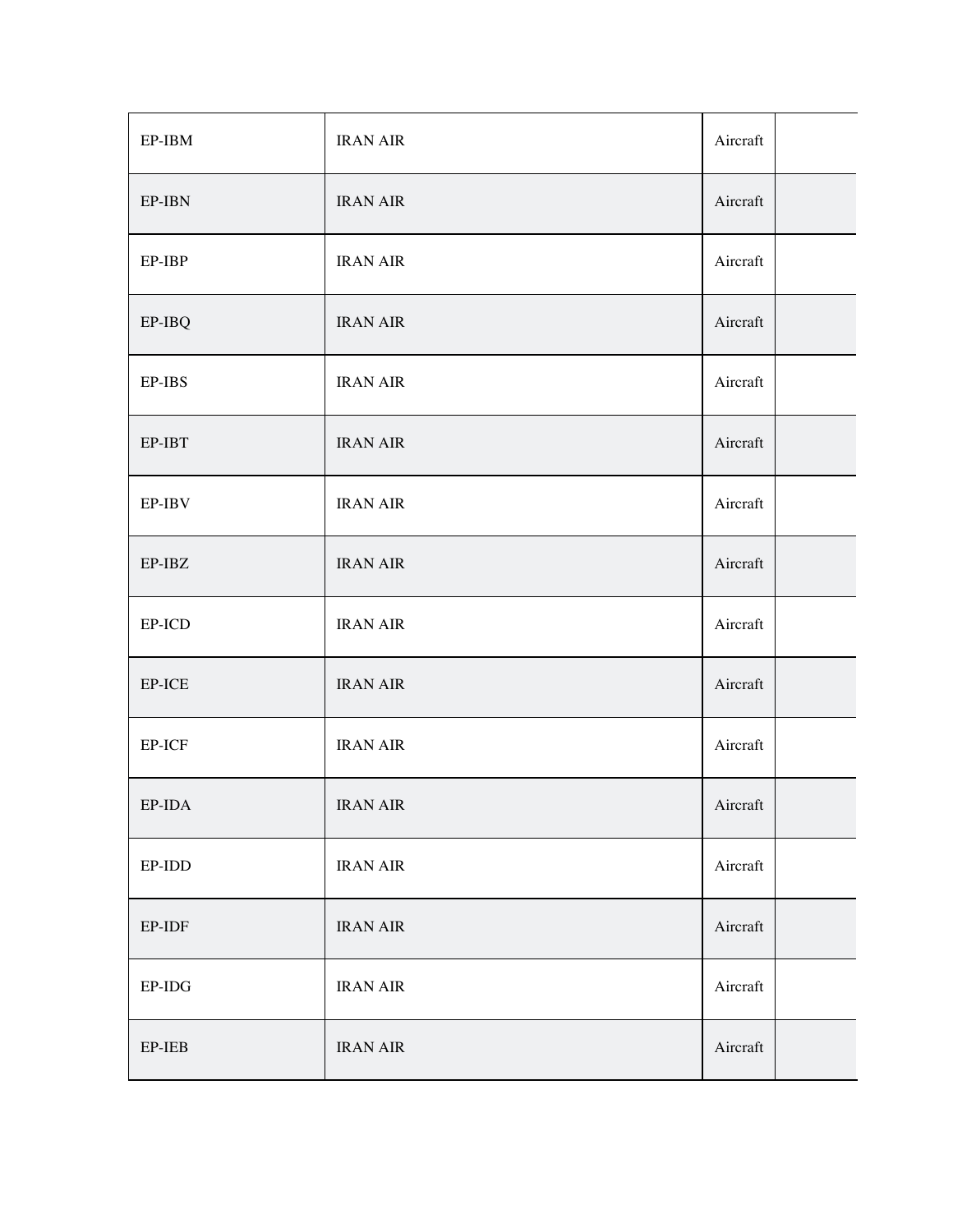| $EP-IBM$                | <b>IRAN AIR</b> | Aircraft |  |
|-------------------------|-----------------|----------|--|
| EP-IBN                  | <b>IRAN AIR</b> | Aircraft |  |
| EP-IBP                  | <b>IRAN AIR</b> | Aircraft |  |
| $EP-IBQ$                | <b>IRAN AIR</b> | Aircraft |  |
| EP-IBS                  | <b>IRAN AIR</b> | Aircraft |  |
| EP-IBT                  | <b>IRAN AIR</b> | Aircraft |  |
| EP-IBV                  | <b>IRAN AIR</b> | Aircraft |  |
| EP-IBZ                  | <b>IRAN AIR</b> | Aircraft |  |
| $\operatorname{EP-ICD}$ | <b>IRAN AIR</b> | Aircraft |  |
| $\operatorname{EP-ICE}$ | <b>IRAN AIR</b> | Aircraft |  |
| $\operatorname{EP-ICF}$ | <b>IRAN AIR</b> | Aircraft |  |
| EP-IDA                  | <b>IRAN AIR</b> | Aircraft |  |
| $EP-IDD$                | <b>IRAN AIR</b> | Aircraft |  |
| $\operatorname{EP-IDF}$ | <b>IRAN AIR</b> | Aircraft |  |
| $\operatorname{EP-IDG}$ | <b>IRAN AIR</b> | Aircraft |  |
| $\operatorname{EP-IEB}$ | <b>IRAN AIR</b> | Aircraft |  |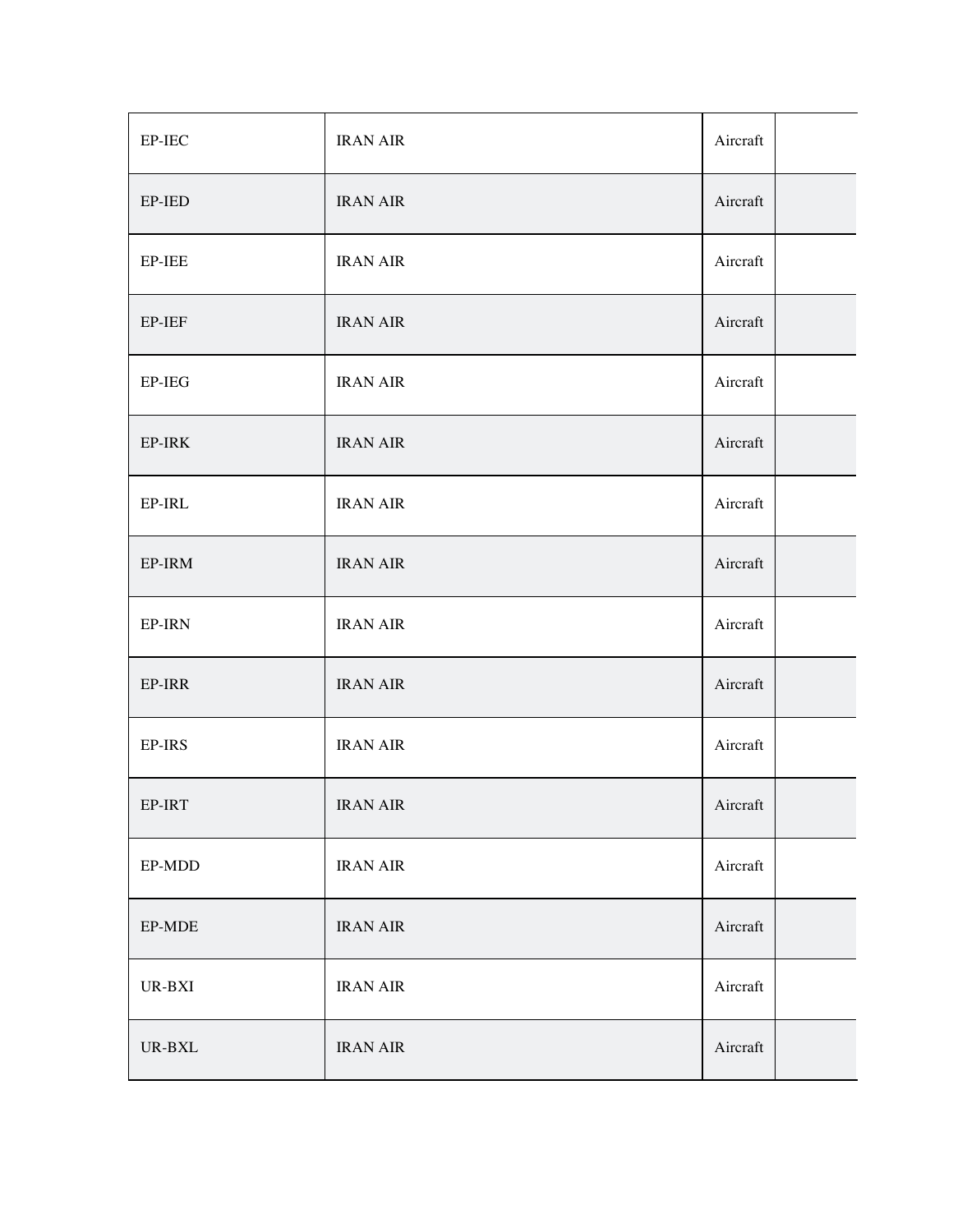| $\operatorname{EP-IEC}$               | <b>IRAN AIR</b> | Aircraft |  |
|---------------------------------------|-----------------|----------|--|
| EP-IED                                | <b>IRAN AIR</b> | Aircraft |  |
| EP-IEE                                | <b>IRAN AIR</b> | Aircraft |  |
| EP-IEF                                | <b>IRAN AIR</b> | Aircraft |  |
| $EP-IEG$                              | <b>IRAN AIR</b> | Aircraft |  |
| EP-IRK                                | <b>IRAN AIR</b> | Aircraft |  |
| EP-IRL                                | <b>IRAN AIR</b> | Aircraft |  |
| EP-IRM                                | <b>IRAN AIR</b> | Aircraft |  |
| EP-IRN                                | <b>IRAN AIR</b> | Aircraft |  |
| $EP-IRR$                              | <b>IRAN AIR</b> | Aircraft |  |
| EP-IRS                                | <b>IRAN AIR</b> | Aircraft |  |
| EP-IRT                                | <b>IRAN AIR</b> | Aircraft |  |
| $\operatorname{EP-MDD}$               | <b>IRAN AIR</b> | Aircraft |  |
| EP-MDE                                | <b>IRAN AIR</b> | Aircraft |  |
| UR-BXI                                | <b>IRAN AIR</b> | Aircraft |  |
| $\ensuremath{\mathsf{UR\text{-}BXL}}$ | <b>IRAN AIR</b> | Aircraft |  |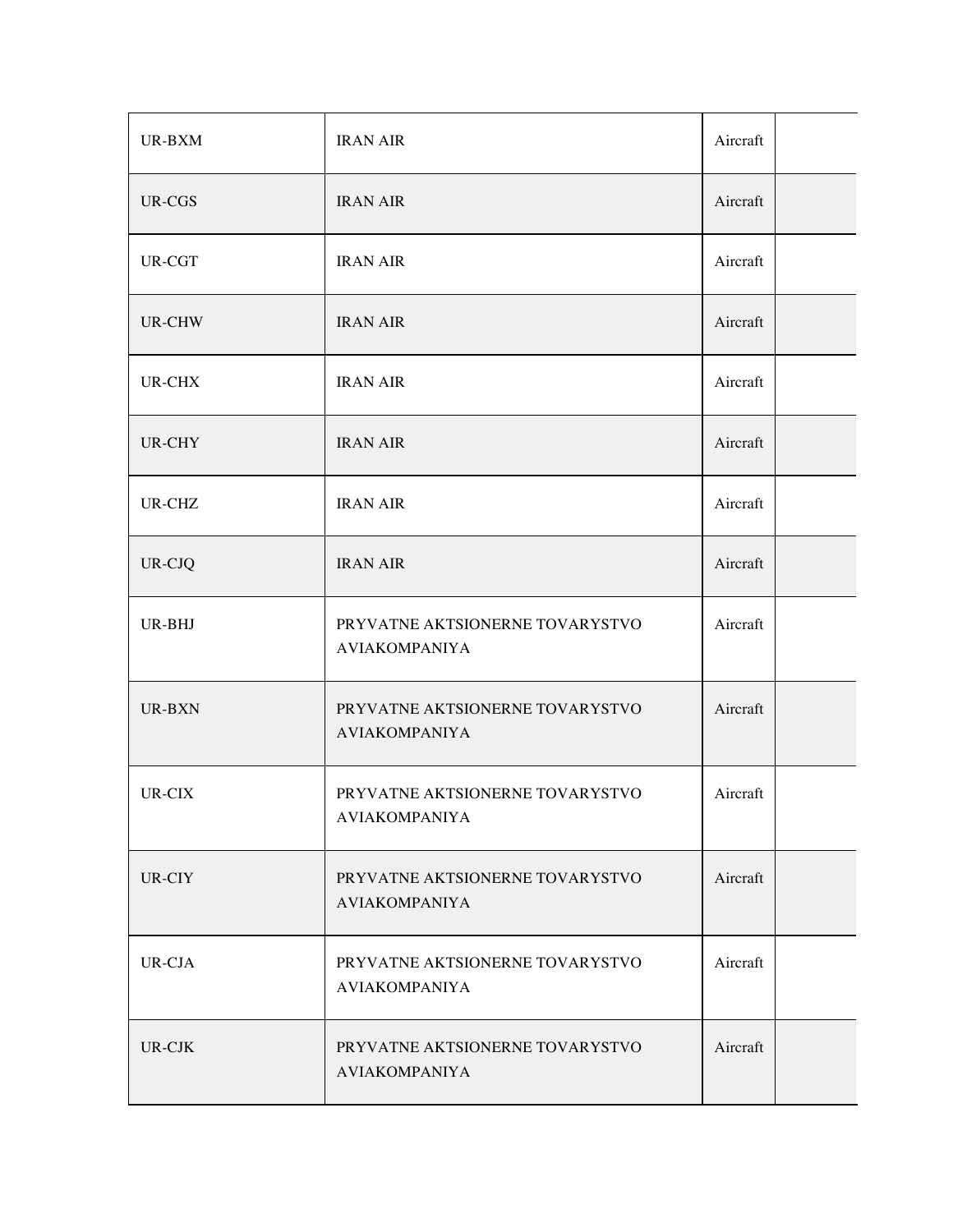| UR-BXM        | <b>IRAN AIR</b>                                         | Aircraft |  |
|---------------|---------------------------------------------------------|----------|--|
| UR-CGS        | <b>IRAN AIR</b>                                         | Aircraft |  |
| UR-CGT        | <b>IRAN AIR</b>                                         | Aircraft |  |
| UR-CHW        | <b>IRAN AIR</b>                                         | Aircraft |  |
| <b>UR-CHX</b> | <b>IRAN AIR</b>                                         | Aircraft |  |
| UR-CHY        | <b>IRAN AIR</b>                                         | Aircraft |  |
| UR-CHZ        | <b>IRAN AIR</b>                                         | Aircraft |  |
| UR-CJQ        | <b>IRAN AIR</b>                                         | Aircraft |  |
| UR-BHJ        | PRYVATNE AKTSIONERNE TOVARYSTVO<br><b>AVIAKOMPANIYA</b> | Aircraft |  |
| UR-BXN        | PRYVATNE AKTSIONERNE TOVARYSTVO<br><b>AVIAKOMPANIYA</b> | Aircraft |  |
| UR-CIX        | PRYVATNE AKTSIONERNE TOVARYSTVO<br><b>AVIAKOMPANIYA</b> | Aircraft |  |
| UR-CIY        | PRYVATNE AKTSIONERNE TOVARYSTVO<br><b>AVIAKOMPANIYA</b> | Aircraft |  |
| UR-CJA        | PRYVATNE AKTSIONERNE TOVARYSTVO<br><b>AVIAKOMPANIYA</b> | Aircraft |  |
| UR-CJK        | PRYVATNE AKTSIONERNE TOVARYSTVO<br><b>AVIAKOMPANIYA</b> | Aircraft |  |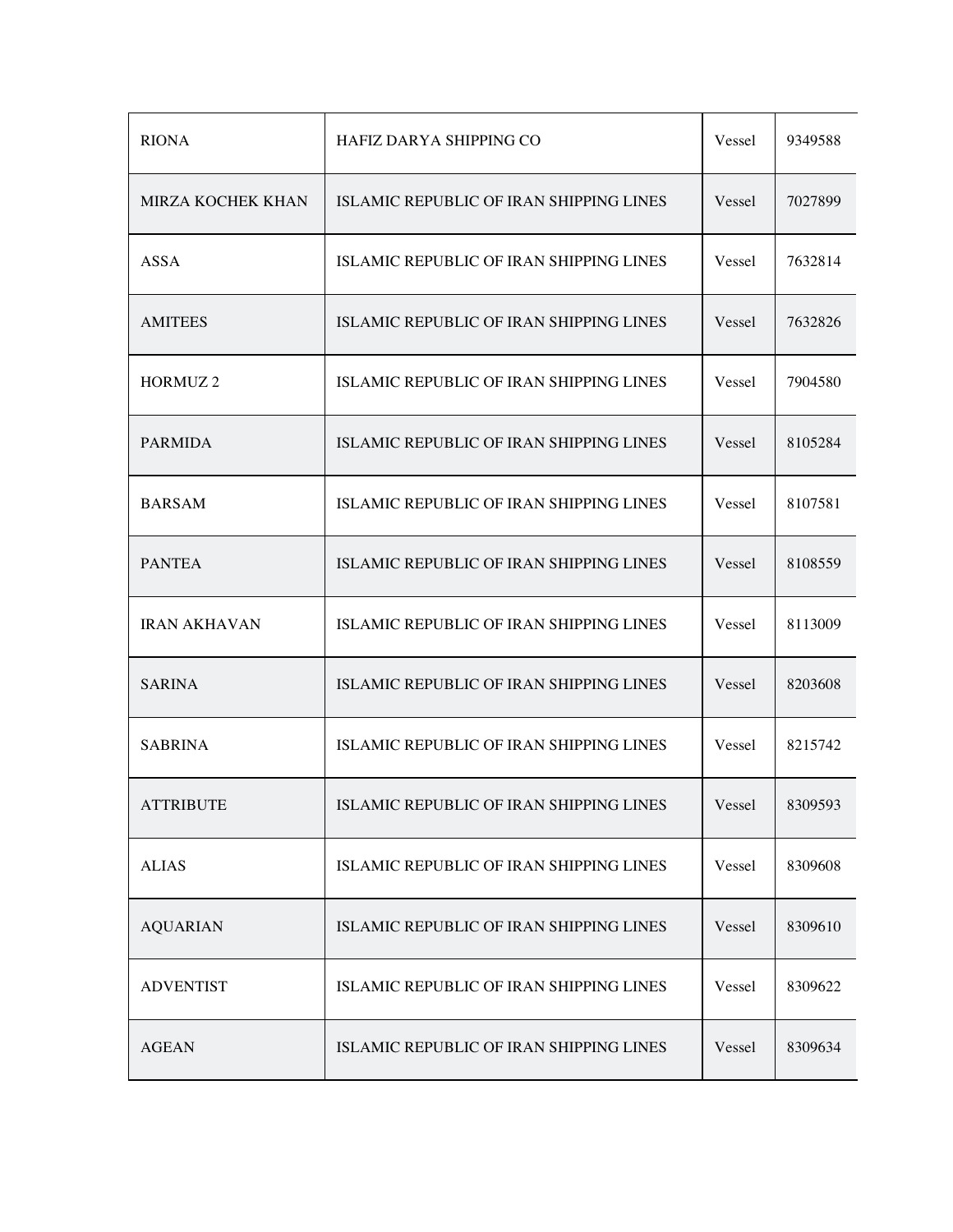| <b>RIONA</b>        | HAFIZ DARYA SHIPPING CO                        | Vessel | 9349588 |
|---------------------|------------------------------------------------|--------|---------|
| MIRZA KOCHEK KHAN   | <b>ISLAMIC REPUBLIC OF IRAN SHIPPING LINES</b> | Vessel | 7027899 |
| ASSA                | ISLAMIC REPUBLIC OF IRAN SHIPPING LINES        | Vessel | 7632814 |
| <b>AMITEES</b>      | <b>ISLAMIC REPUBLIC OF IRAN SHIPPING LINES</b> | Vessel | 7632826 |
| HORMUZ <sub>2</sub> | ISLAMIC REPUBLIC OF IRAN SHIPPING LINES        | Vessel | 7904580 |
| <b>PARMIDA</b>      | <b>ISLAMIC REPUBLIC OF IRAN SHIPPING LINES</b> | Vessel | 8105284 |
| <b>BARSAM</b>       | <b>ISLAMIC REPUBLIC OF IRAN SHIPPING LINES</b> | Vessel | 8107581 |
| <b>PANTEA</b>       | <b>ISLAMIC REPUBLIC OF IRAN SHIPPING LINES</b> | Vessel | 8108559 |
| <b>IRAN AKHAVAN</b> | ISLAMIC REPUBLIC OF IRAN SHIPPING LINES        | Vessel | 8113009 |
| <b>SARINA</b>       | <b>ISLAMIC REPUBLIC OF IRAN SHIPPING LINES</b> | Vessel | 8203608 |
| <b>SABRINA</b>      | ISLAMIC REPUBLIC OF IRAN SHIPPING LINES        | Vessel | 8215742 |
| <b>ATTRIBUTE</b>    | <b>ISLAMIC REPUBLIC OF IRAN SHIPPING LINES</b> | Vessel | 8309593 |
| <b>ALIAS</b>        | ISLAMIC REPUBLIC OF IRAN SHIPPING LINES        | Vessel | 8309608 |
| <b>AQUARIAN</b>     | <b>ISLAMIC REPUBLIC OF IRAN SHIPPING LINES</b> | Vessel | 8309610 |
| <b>ADVENTIST</b>    | ISLAMIC REPUBLIC OF IRAN SHIPPING LINES        | Vessel | 8309622 |
| <b>AGEAN</b>        | ISLAMIC REPUBLIC OF IRAN SHIPPING LINES        | Vessel | 8309634 |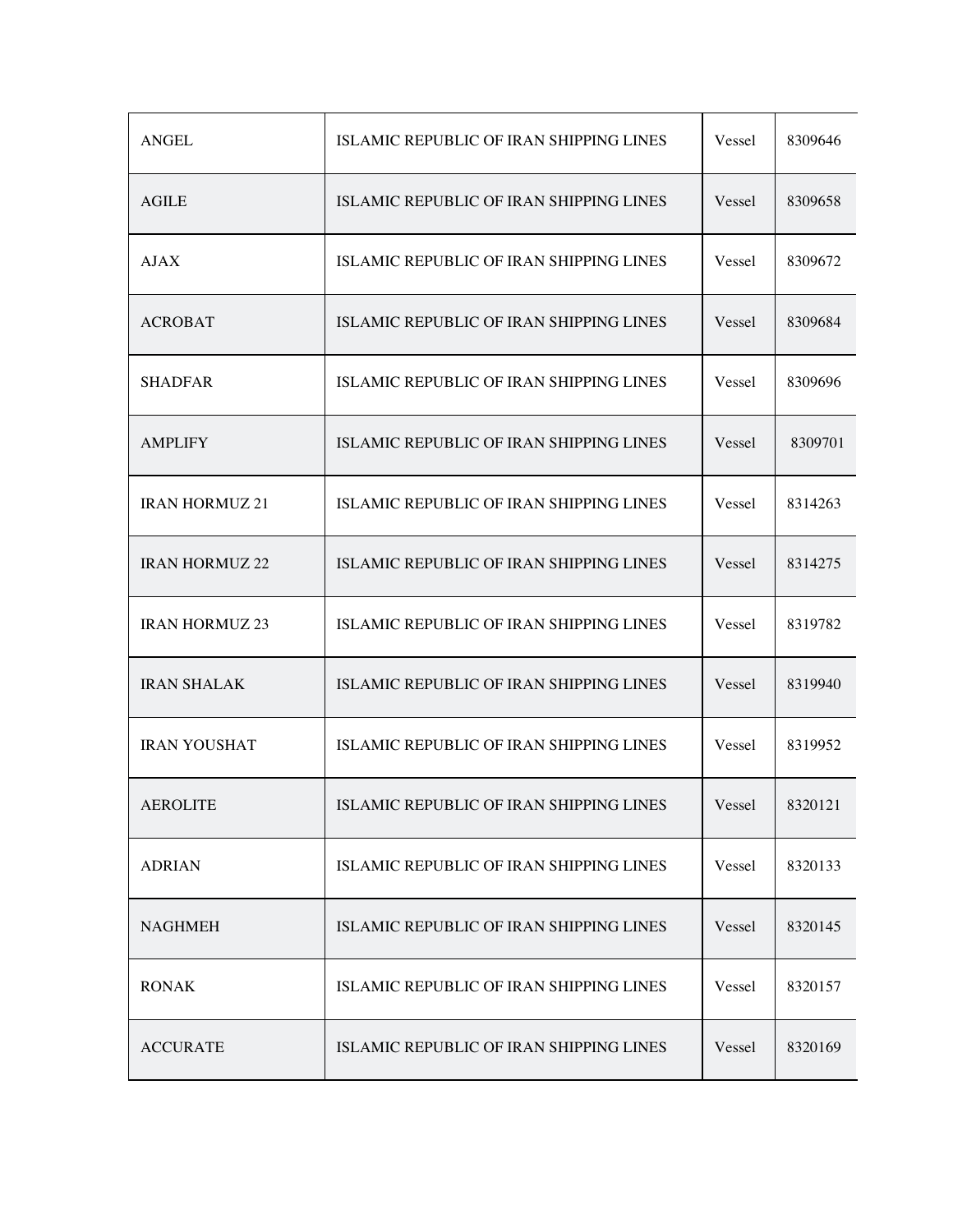| <b>ANGEL</b>          | ISLAMIC REPUBLIC OF IRAN SHIPPING LINES        | Vessel        | 8309646 |
|-----------------------|------------------------------------------------|---------------|---------|
| <b>AGILE</b>          | ISLAMIC REPUBLIC OF IRAN SHIPPING LINES        | Vessel        | 8309658 |
| AJAX                  | ISLAMIC REPUBLIC OF IRAN SHIPPING LINES        | Vessel        | 8309672 |
| <b>ACROBAT</b>        | <b>ISLAMIC REPUBLIC OF IRAN SHIPPING LINES</b> | Vessel        | 8309684 |
| <b>SHADFAR</b>        | ISLAMIC REPUBLIC OF IRAN SHIPPING LINES        | Vessel        | 8309696 |
| <b>AMPLIFY</b>        | ISLAMIC REPUBLIC OF IRAN SHIPPING LINES        | Vessel        | 8309701 |
| <b>IRAN HORMUZ 21</b> | ISLAMIC REPUBLIC OF IRAN SHIPPING LINES        | Vessel        | 8314263 |
| <b>IRAN HORMUZ 22</b> | ISLAMIC REPUBLIC OF IRAN SHIPPING LINES        | <b>Vessel</b> | 8314275 |
| <b>IRAN HORMUZ 23</b> | ISLAMIC REPUBLIC OF IRAN SHIPPING LINES        | Vessel        | 8319782 |
| <b>IRAN SHALAK</b>    | <b>ISLAMIC REPUBLIC OF IRAN SHIPPING LINES</b> | Vessel        | 8319940 |
| <b>IRAN YOUSHAT</b>   | <b>ISLAMIC REPUBLIC OF IRAN SHIPPING LINES</b> | Vessel        | 8319952 |
| <b>AEROLITE</b>       | ISLAMIC REPUBLIC OF IRAN SHIPPING LINES        | Vessel        | 8320121 |
| <b>ADRIAN</b>         | <b>ISLAMIC REPUBLIC OF IRAN SHIPPING LINES</b> | Vessel        | 8320133 |
| <b>NAGHMEH</b>        | <b>ISLAMIC REPUBLIC OF IRAN SHIPPING LINES</b> | Vessel        | 8320145 |
| <b>RONAK</b>          | <b>ISLAMIC REPUBLIC OF IRAN SHIPPING LINES</b> | Vessel        | 8320157 |
| <b>ACCURATE</b>       | ISLAMIC REPUBLIC OF IRAN SHIPPING LINES        | Vessel        | 8320169 |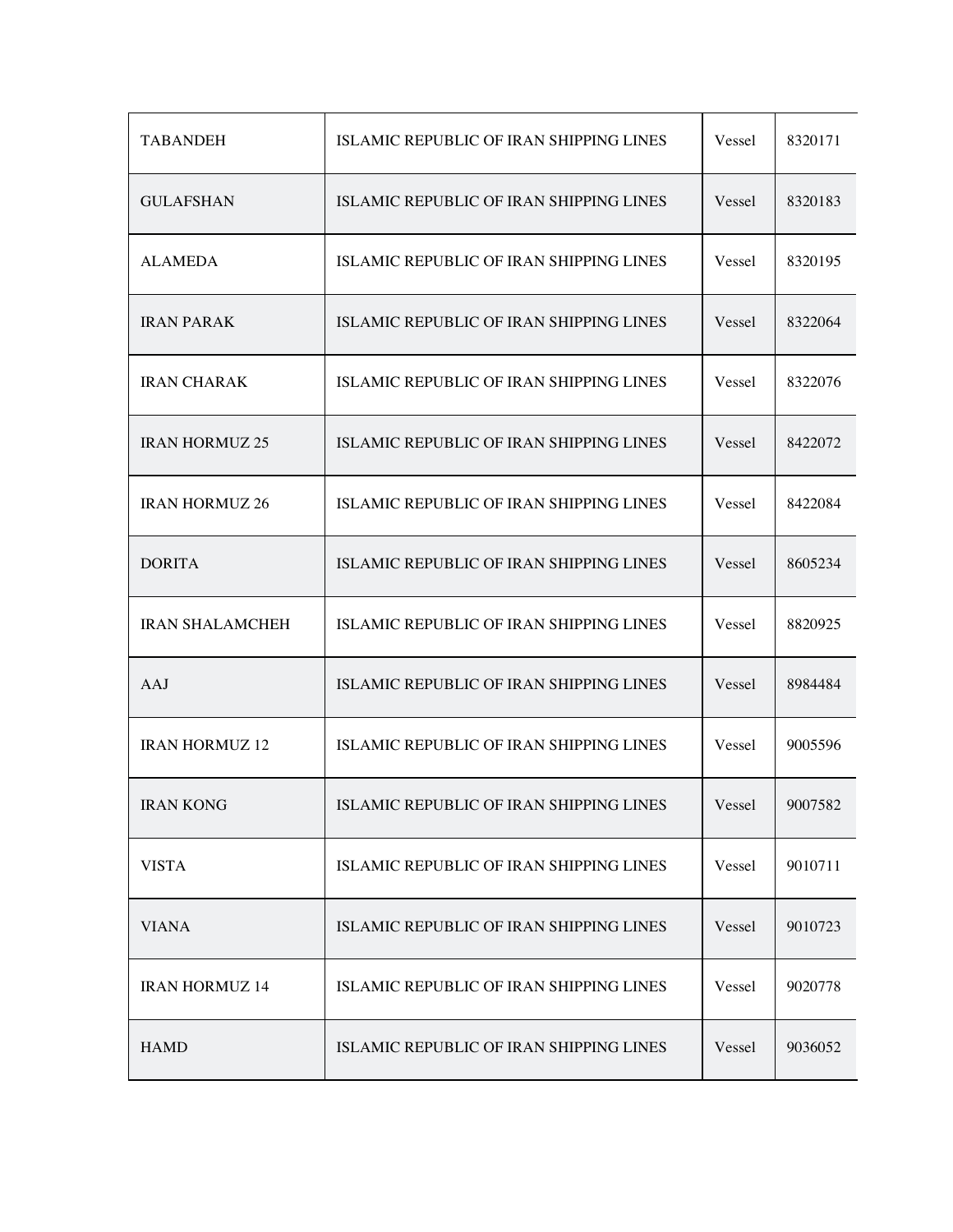| <b>TABANDEH</b>        | ISLAMIC REPUBLIC OF IRAN SHIPPING LINES        | Vessel | 8320171 |
|------------------------|------------------------------------------------|--------|---------|
| <b>GULAFSHAN</b>       | ISLAMIC REPUBLIC OF IRAN SHIPPING LINES        | Vessel | 8320183 |
| <b>ALAMEDA</b>         | ISLAMIC REPUBLIC OF IRAN SHIPPING LINES        | Vessel | 8320195 |
| <b>IRAN PARAK</b>      | ISLAMIC REPUBLIC OF IRAN SHIPPING LINES        | Vessel | 8322064 |
| <b>IRAN CHARAK</b>     | <b>ISLAMIC REPUBLIC OF IRAN SHIPPING LINES</b> | Vessel | 8322076 |
| <b>IRAN HORMUZ 25</b>  | <b>ISLAMIC REPUBLIC OF IRAN SHIPPING LINES</b> | Vessel | 8422072 |
| <b>IRAN HORMUZ 26</b>  | ISLAMIC REPUBLIC OF IRAN SHIPPING LINES        | Vessel | 8422084 |
| <b>DORITA</b>          | ISLAMIC REPUBLIC OF IRAN SHIPPING LINES        | Vessel | 8605234 |
| <b>IRAN SHALAMCHEH</b> | <b>ISLAMIC REPUBLIC OF IRAN SHIPPING LINES</b> | Vessel | 8820925 |
| AAJ                    | <b>ISLAMIC REPUBLIC OF IRAN SHIPPING LINES</b> | Vessel | 8984484 |
| <b>IRAN HORMUZ 12</b>  | ISLAMIC REPUBLIC OF IRAN SHIPPING LINES        | Vessel | 9005596 |
| <b>IRAN KONG</b>       | ISLAMIC REPUBLIC OF IRAN SHIPPING LINES        | Vessel | 9007582 |
| <b>VISTA</b>           | ISLAMIC REPUBLIC OF IRAN SHIPPING LINES        | Vessel | 9010711 |
| <b>VIANA</b>           | <b>ISLAMIC REPUBLIC OF IRAN SHIPPING LINES</b> | Vessel | 9010723 |
| <b>IRAN HORMUZ 14</b>  | <b>ISLAMIC REPUBLIC OF IRAN SHIPPING LINES</b> | Vessel | 9020778 |
| <b>HAMD</b>            | ISLAMIC REPUBLIC OF IRAN SHIPPING LINES        | Vessel | 9036052 |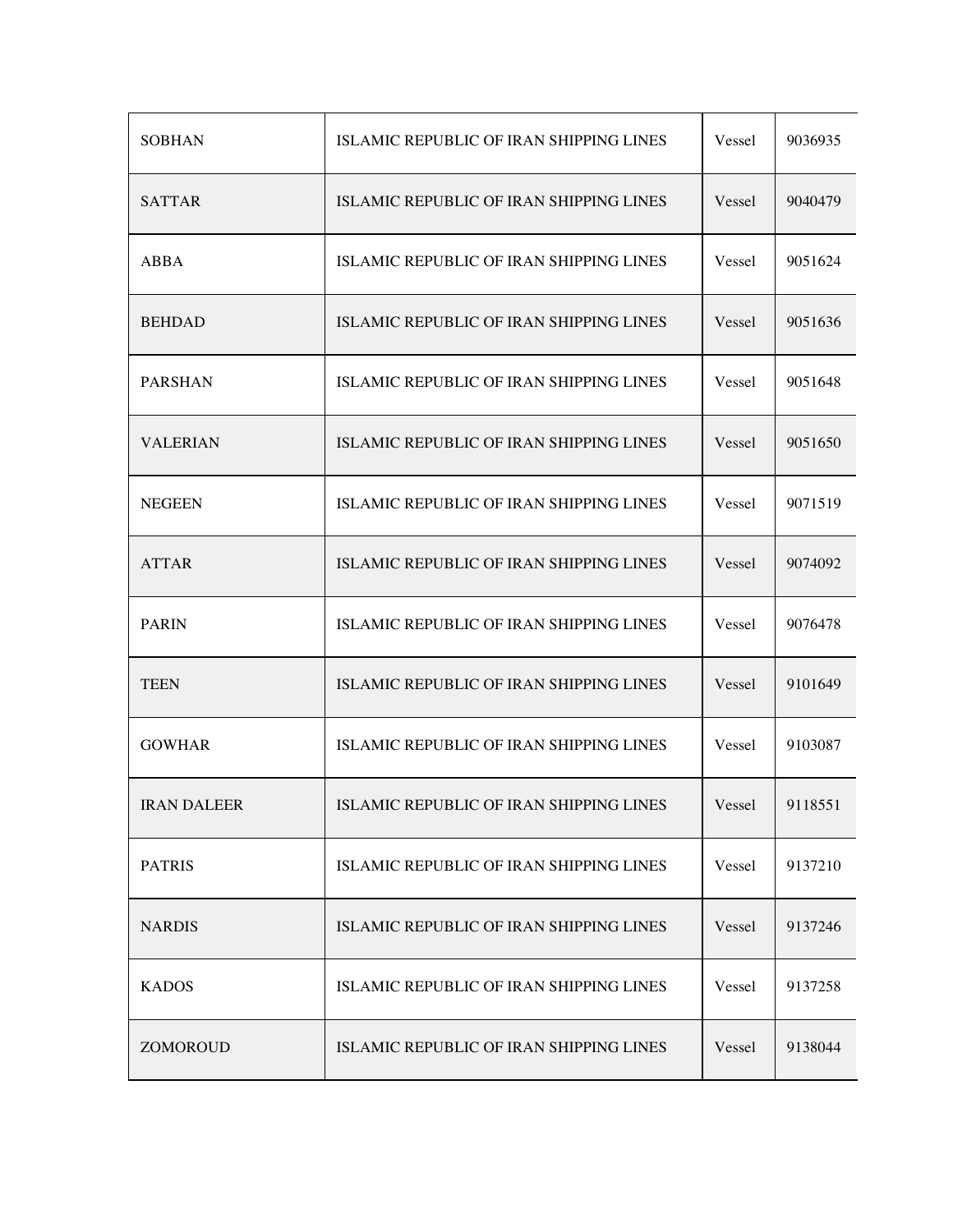| <b>SOBHAN</b>      | ISLAMIC REPUBLIC OF IRAN SHIPPING LINES        | Vessel | 9036935 |
|--------------------|------------------------------------------------|--------|---------|
| <b>SATTAR</b>      | ISLAMIC REPUBLIC OF IRAN SHIPPING LINES        | Vessel | 9040479 |
| ABBA               | ISLAMIC REPUBLIC OF IRAN SHIPPING LINES        | Vessel | 9051624 |
| <b>BEHDAD</b>      | <b>ISLAMIC REPUBLIC OF IRAN SHIPPING LINES</b> | Vessel | 9051636 |
| <b>PARSHAN</b>     | ISLAMIC REPUBLIC OF IRAN SHIPPING LINES        | Vessel | 9051648 |
| <b>VALERIAN</b>    | ISLAMIC REPUBLIC OF IRAN SHIPPING LINES        | Vessel | 9051650 |
| <b>NEGEEN</b>      | ISLAMIC REPUBLIC OF IRAN SHIPPING LINES        | Vessel | 9071519 |
| <b>ATTAR</b>       | <b>ISLAMIC REPUBLIC OF IRAN SHIPPING LINES</b> | Vessel | 9074092 |
| <b>PARIN</b>       | ISLAMIC REPUBLIC OF IRAN SHIPPING LINES        | Vessel | 9076478 |
| <b>TEEN</b>        | <b>ISLAMIC REPUBLIC OF IRAN SHIPPING LINES</b> | Vessel | 9101649 |
| <b>GOWHAR</b>      | <b>ISLAMIC REPUBLIC OF IRAN SHIPPING LINES</b> | Vessel | 9103087 |
| <b>IRAN DALEER</b> | ISLAMIC REPUBLIC OF IRAN SHIPPING LINES        | Vessel | 9118551 |
| <b>PATRIS</b>      | <b>ISLAMIC REPUBLIC OF IRAN SHIPPING LINES</b> | Vessel | 9137210 |
| <b>NARDIS</b>      | <b>ISLAMIC REPUBLIC OF IRAN SHIPPING LINES</b> | Vessel | 9137246 |
| <b>KADOS</b>       | <b>ISLAMIC REPUBLIC OF IRAN SHIPPING LINES</b> | Vessel | 9137258 |
| ZOMOROUD           | ISLAMIC REPUBLIC OF IRAN SHIPPING LINES        | Vessel | 9138044 |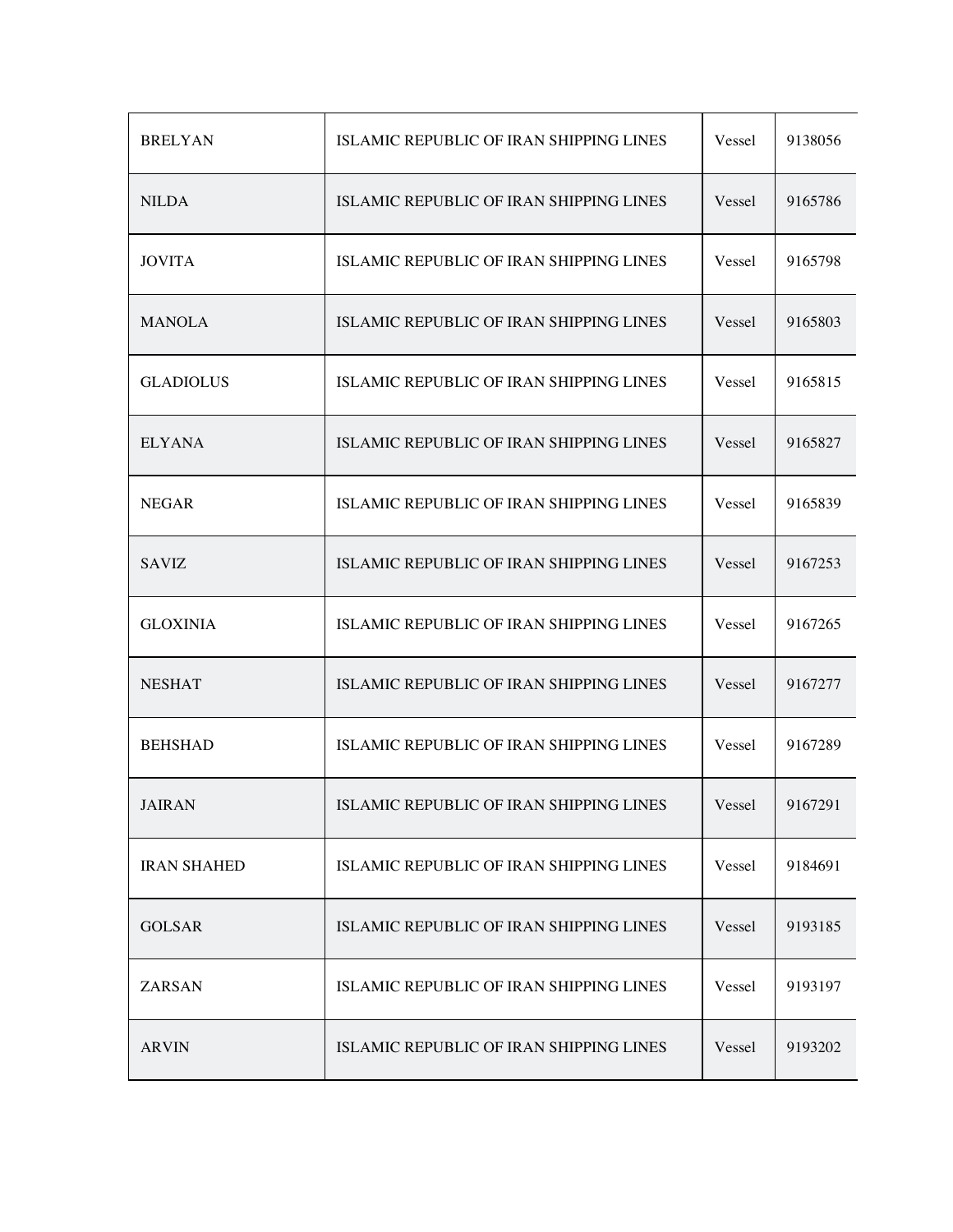| <b>BRELYAN</b>     | ISLAMIC REPUBLIC OF IRAN SHIPPING LINES        | Vessel | 9138056 |
|--------------------|------------------------------------------------|--------|---------|
| <b>NILDA</b>       | ISLAMIC REPUBLIC OF IRAN SHIPPING LINES        | Vessel | 9165786 |
| <b>JOVITA</b>      | ISLAMIC REPUBLIC OF IRAN SHIPPING LINES        | Vessel | 9165798 |
| <b>MANOLA</b>      | <b>ISLAMIC REPUBLIC OF IRAN SHIPPING LINES</b> | Vessel | 9165803 |
| <b>GLADIOLUS</b>   | ISLAMIC REPUBLIC OF IRAN SHIPPING LINES        | Vessel | 9165815 |
| <b>ELYANA</b>      | <b>ISLAMIC REPUBLIC OF IRAN SHIPPING LINES</b> | Vessel | 9165827 |
| <b>NEGAR</b>       | <b>ISLAMIC REPUBLIC OF IRAN SHIPPING LINES</b> | Vessel | 9165839 |
| <b>SAVIZ</b>       | <b>ISLAMIC REPUBLIC OF IRAN SHIPPING LINES</b> | Vessel | 9167253 |
| <b>GLOXINIA</b>    | <b>ISLAMIC REPUBLIC OF IRAN SHIPPING LINES</b> | Vessel | 9167265 |
| <b>NESHAT</b>      | <b>ISLAMIC REPUBLIC OF IRAN SHIPPING LINES</b> | Vessel | 9167277 |
| <b>BEHSHAD</b>     | <b>ISLAMIC REPUBLIC OF IRAN SHIPPING LINES</b> | Vessel | 9167289 |
| <b>JAIRAN</b>      | ISLAMIC REPUBLIC OF IRAN SHIPPING LINES        | Vessel | 9167291 |
| <b>IRAN SHAHED</b> | ISLAMIC REPUBLIC OF IRAN SHIPPING LINES        | Vessel | 9184691 |
| <b>GOLSAR</b>      | <b>ISLAMIC REPUBLIC OF IRAN SHIPPING LINES</b> | Vessel | 9193185 |
| ZARSAN             | <b>ISLAMIC REPUBLIC OF IRAN SHIPPING LINES</b> | Vessel | 9193197 |
| <b>ARVIN</b>       | ISLAMIC REPUBLIC OF IRAN SHIPPING LINES        | Vessel | 9193202 |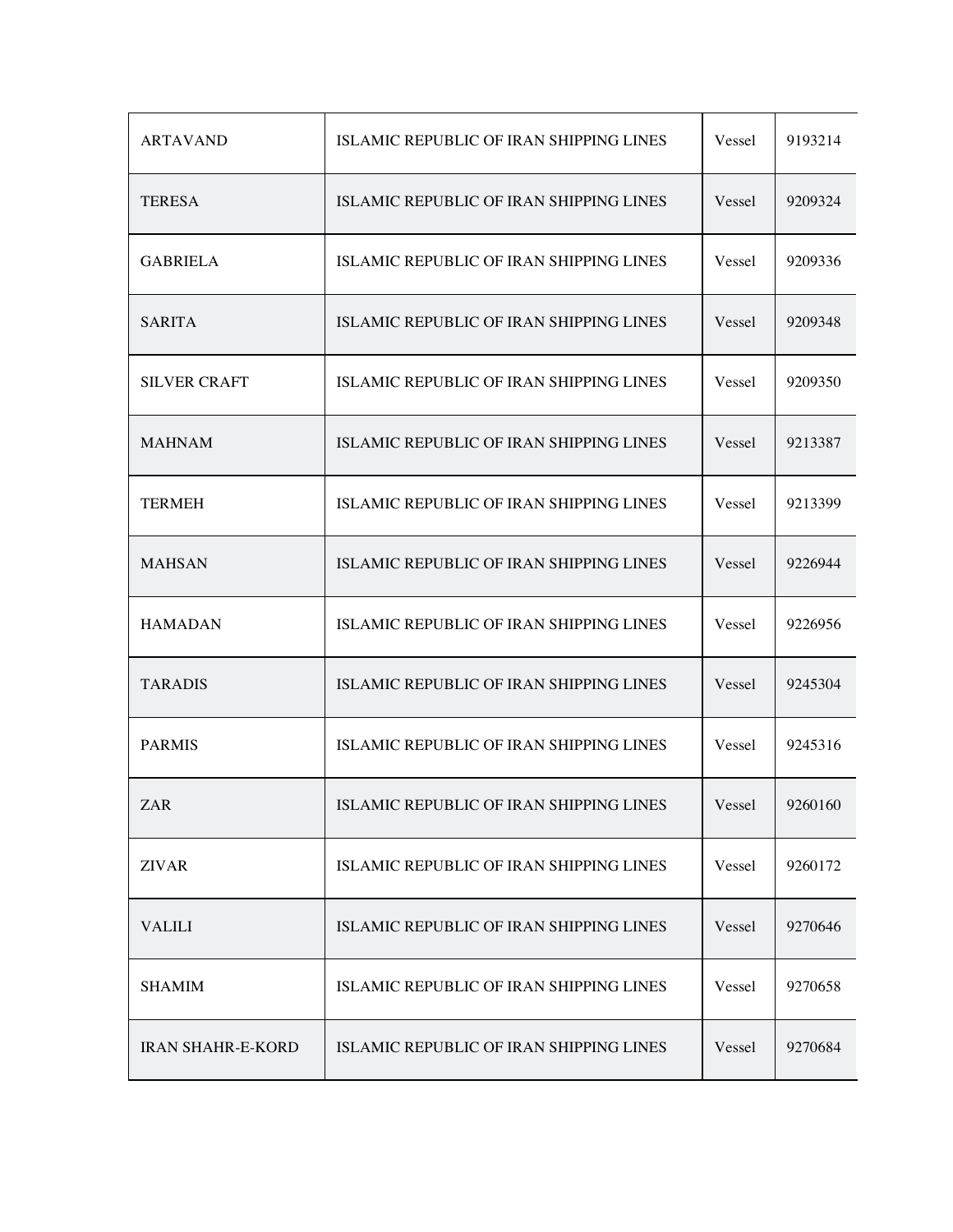| <b>ARTAVAND</b>          | ISLAMIC REPUBLIC OF IRAN SHIPPING LINES        | Vessel | 9193214 |
|--------------------------|------------------------------------------------|--------|---------|
| <b>TERESA</b>            | ISLAMIC REPUBLIC OF IRAN SHIPPING LINES        | Vessel | 9209324 |
| <b>GABRIELA</b>          | <b>ISLAMIC REPUBLIC OF IRAN SHIPPING LINES</b> | Vessel | 9209336 |
| <b>SARITA</b>            | ISLAMIC REPUBLIC OF IRAN SHIPPING LINES        | Vessel | 9209348 |
| <b>SILVER CRAFT</b>      | ISLAMIC REPUBLIC OF IRAN SHIPPING LINES        | Vessel | 9209350 |
| <b>MAHNAM</b>            | <b>ISLAMIC REPUBLIC OF IRAN SHIPPING LINES</b> | Vessel | 9213387 |
| <b>TERMEH</b>            | <b>ISLAMIC REPUBLIC OF IRAN SHIPPING LINES</b> | Vessel | 9213399 |
| <b>MAHSAN</b>            | <b>ISLAMIC REPUBLIC OF IRAN SHIPPING LINES</b> | Vessel | 9226944 |
| <b>HAMADAN</b>           | <b>ISLAMIC REPUBLIC OF IRAN SHIPPING LINES</b> | Vessel | 9226956 |
| <b>TARADIS</b>           | <b>ISLAMIC REPUBLIC OF IRAN SHIPPING LINES</b> | Vessel | 9245304 |
| <b>PARMIS</b>            | <b>ISLAMIC REPUBLIC OF IRAN SHIPPING LINES</b> | Vessel | 9245316 |
| <b>ZAR</b>               | ISLAMIC REPUBLIC OF IRAN SHIPPING LINES        | Vessel | 9260160 |
| <b>ZIVAR</b>             | <b>ISLAMIC REPUBLIC OF IRAN SHIPPING LINES</b> | Vessel | 9260172 |
| <b>VALILI</b>            | <b>ISLAMIC REPUBLIC OF IRAN SHIPPING LINES</b> | Vessel | 9270646 |
| <b>SHAMIM</b>            | <b>ISLAMIC REPUBLIC OF IRAN SHIPPING LINES</b> | Vessel | 9270658 |
| <b>IRAN SHAHR-E-KORD</b> | ISLAMIC REPUBLIC OF IRAN SHIPPING LINES        | Vessel | 9270684 |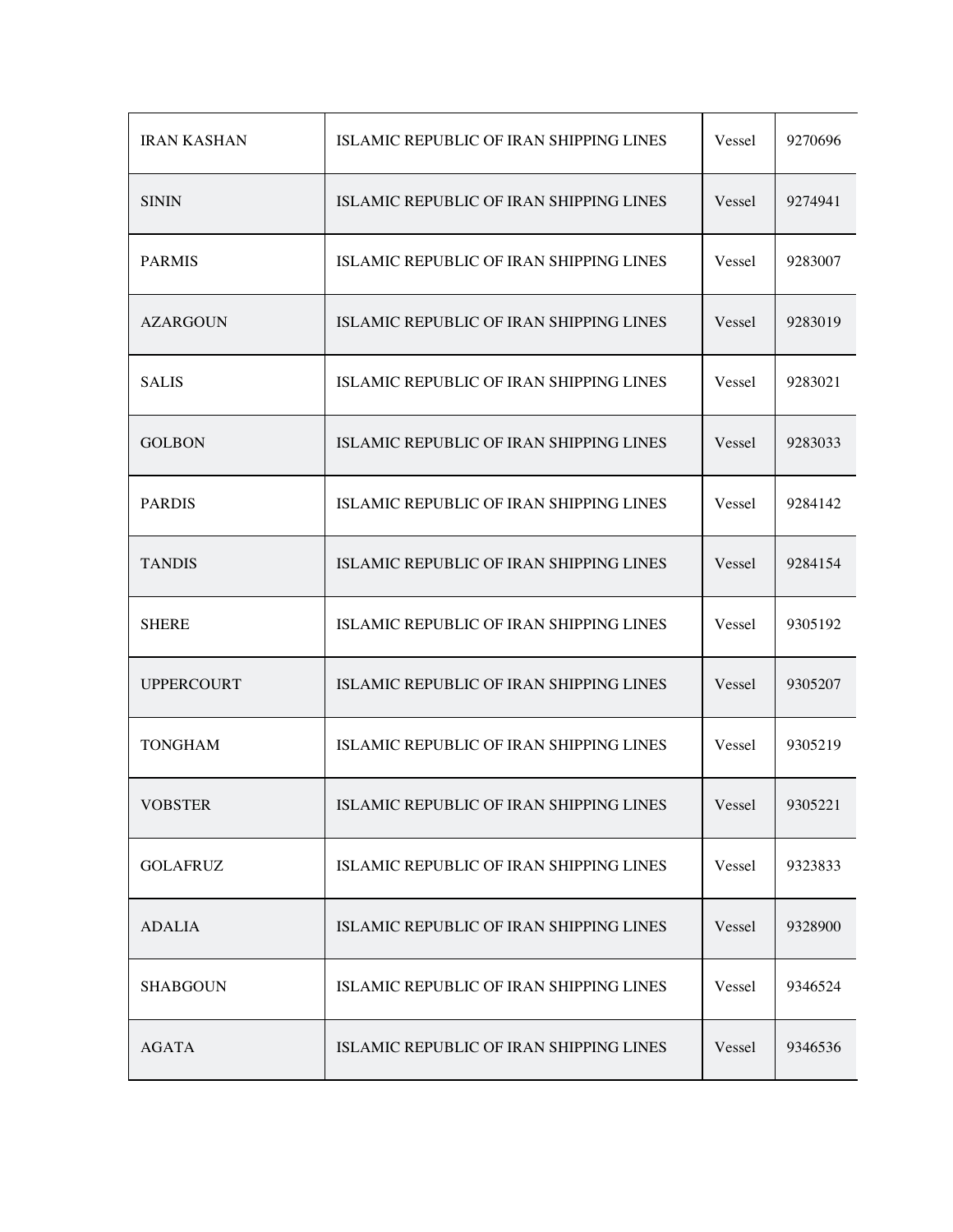| <b>IRAN KASHAN</b> | ISLAMIC REPUBLIC OF IRAN SHIPPING LINES        | Vessel | 9270696 |
|--------------------|------------------------------------------------|--------|---------|
| <b>SININ</b>       | <b>ISLAMIC REPUBLIC OF IRAN SHIPPING LINES</b> | Vessel | 9274941 |
| <b>PARMIS</b>      | ISLAMIC REPUBLIC OF IRAN SHIPPING LINES        | Vessel | 9283007 |
| <b>AZARGOUN</b>    | <b>ISLAMIC REPUBLIC OF IRAN SHIPPING LINES</b> | Vessel | 9283019 |
| <b>SALIS</b>       | <b>ISLAMIC REPUBLIC OF IRAN SHIPPING LINES</b> | Vessel | 9283021 |
| <b>GOLBON</b>      | <b>ISLAMIC REPUBLIC OF IRAN SHIPPING LINES</b> | Vessel | 9283033 |
| <b>PARDIS</b>      | <b>ISLAMIC REPUBLIC OF IRAN SHIPPING LINES</b> | Vessel | 9284142 |
| <b>TANDIS</b>      | <b>ISLAMIC REPUBLIC OF IRAN SHIPPING LINES</b> | Vessel | 9284154 |
| <b>SHERE</b>       | <b>ISLAMIC REPUBLIC OF IRAN SHIPPING LINES</b> | Vessel | 9305192 |
| <b>UPPERCOURT</b>  | <b>ISLAMIC REPUBLIC OF IRAN SHIPPING LINES</b> | Vessel | 9305207 |
| <b>TONGHAM</b>     | <b>ISLAMIC REPUBLIC OF IRAN SHIPPING LINES</b> | Vessel | 9305219 |
| <b>VOBSTER</b>     | ISLAMIC REPUBLIC OF IRAN SHIPPING LINES        | Vessel | 9305221 |
| <b>GOLAFRUZ</b>    | ISLAMIC REPUBLIC OF IRAN SHIPPING LINES        | Vessel | 9323833 |
| <b>ADALIA</b>      | <b>ISLAMIC REPUBLIC OF IRAN SHIPPING LINES</b> | Vessel | 9328900 |
| <b>SHABGOUN</b>    | <b>ISLAMIC REPUBLIC OF IRAN SHIPPING LINES</b> | Vessel | 9346524 |
| <b>AGATA</b>       | <b>ISLAMIC REPUBLIC OF IRAN SHIPPING LINES</b> | Vessel | 9346536 |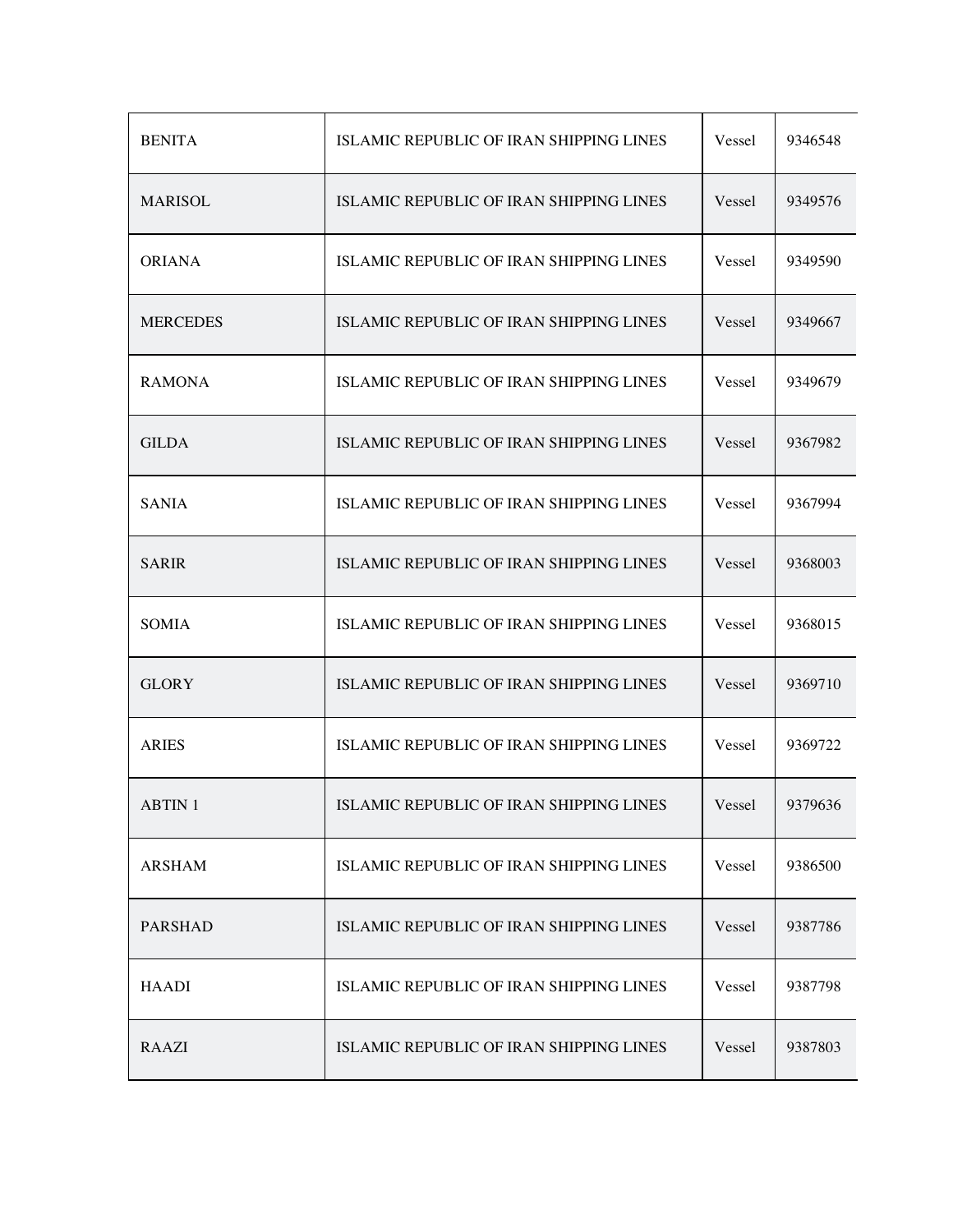| <b>BENITA</b>   | ISLAMIC REPUBLIC OF IRAN SHIPPING LINES        | Vessel | 9346548 |
|-----------------|------------------------------------------------|--------|---------|
| <b>MARISOL</b>  | ISLAMIC REPUBLIC OF IRAN SHIPPING LINES        | Vessel | 9349576 |
| <b>ORIANA</b>   | ISLAMIC REPUBLIC OF IRAN SHIPPING LINES        | Vessel | 9349590 |
| <b>MERCEDES</b> | ISLAMIC REPUBLIC OF IRAN SHIPPING LINES        | Vessel | 9349667 |
| <b>RAMONA</b>   | ISLAMIC REPUBLIC OF IRAN SHIPPING LINES        | Vessel | 9349679 |
| <b>GILDA</b>    | <b>ISLAMIC REPUBLIC OF IRAN SHIPPING LINES</b> | Vessel | 9367982 |
| <b>SANIA</b>    | ISLAMIC REPUBLIC OF IRAN SHIPPING LINES        | Vessel | 9367994 |
| <b>SARIR</b>    | <b>ISLAMIC REPUBLIC OF IRAN SHIPPING LINES</b> | Vessel | 9368003 |
| <b>SOMIA</b>    | <b>ISLAMIC REPUBLIC OF IRAN SHIPPING LINES</b> | Vessel | 9368015 |
| <b>GLORY</b>    | <b>ISLAMIC REPUBLIC OF IRAN SHIPPING LINES</b> | Vessel | 9369710 |
| <b>ARIES</b>    | <b>ISLAMIC REPUBLIC OF IRAN SHIPPING LINES</b> | Vessel | 9369722 |
| <b>ABTIN</b> 1  | ISLAMIC REPUBLIC OF IRAN SHIPPING LINES        | Vessel | 9379636 |
| <b>ARSHAM</b>   | <b>ISLAMIC REPUBLIC OF IRAN SHIPPING LINES</b> | Vessel | 9386500 |
| <b>PARSHAD</b>  | <b>ISLAMIC REPUBLIC OF IRAN SHIPPING LINES</b> | Vessel | 9387786 |
| <b>HAADI</b>    | <b>ISLAMIC REPUBLIC OF IRAN SHIPPING LINES</b> | Vessel | 9387798 |
| <b>RAAZI</b>    | <b>ISLAMIC REPUBLIC OF IRAN SHIPPING LINES</b> | Vessel | 9387803 |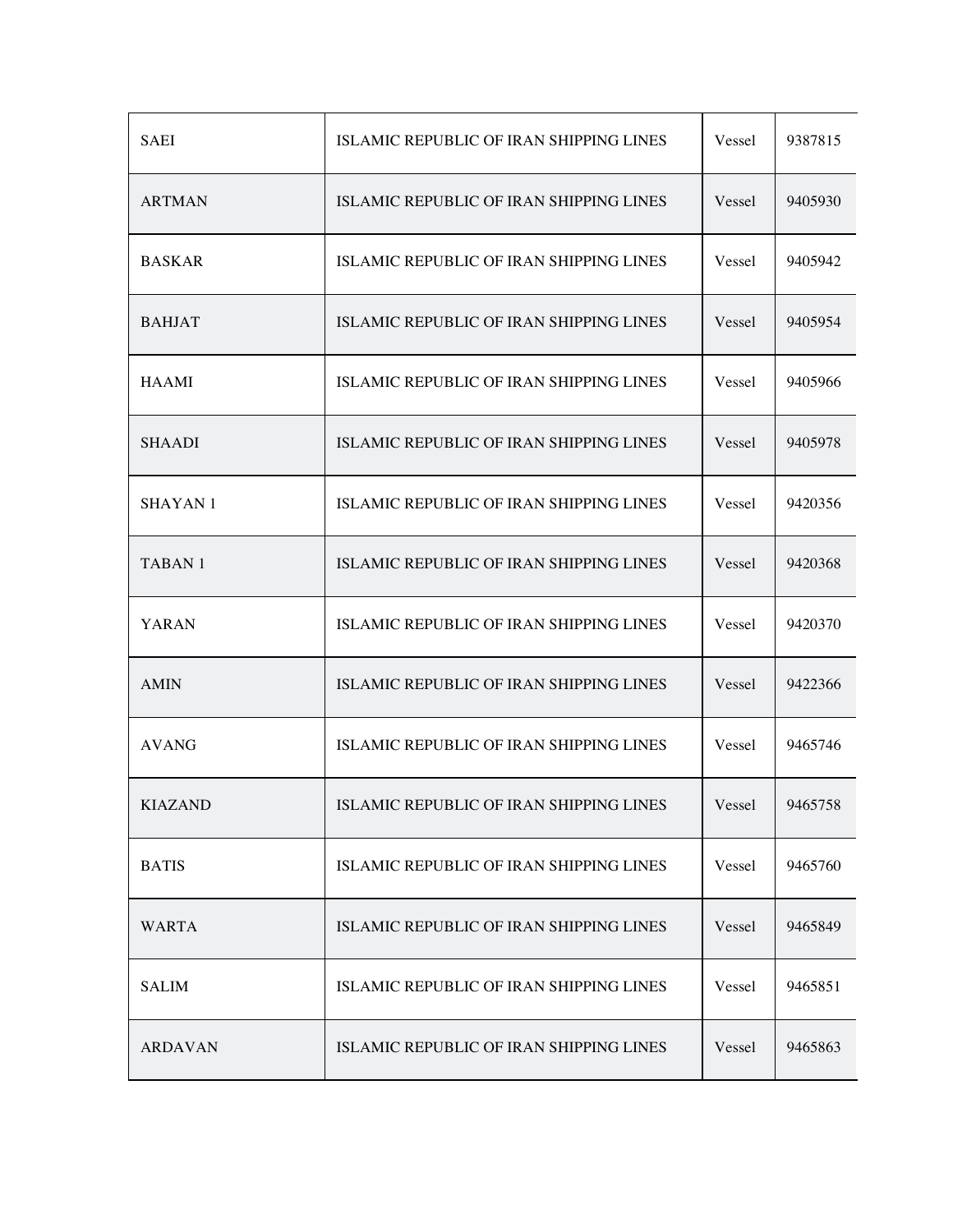| <b>SAEI</b>        | ISLAMIC REPUBLIC OF IRAN SHIPPING LINES        | Vessel | 9387815 |
|--------------------|------------------------------------------------|--------|---------|
| <b>ARTMAN</b>      | ISLAMIC REPUBLIC OF IRAN SHIPPING LINES        | Vessel | 9405930 |
| <b>BASKAR</b>      | ISLAMIC REPUBLIC OF IRAN SHIPPING LINES        | Vessel | 9405942 |
| <b>BAHJAT</b>      | ISLAMIC REPUBLIC OF IRAN SHIPPING LINES        | Vessel | 9405954 |
| <b>HAAMI</b>       | ISLAMIC REPUBLIC OF IRAN SHIPPING LINES        | Vessel | 9405966 |
| <b>SHAADI</b>      | ISLAMIC REPUBLIC OF IRAN SHIPPING LINES        | Vessel | 9405978 |
| <b>SHAYAN1</b>     | ISLAMIC REPUBLIC OF IRAN SHIPPING LINES        | Vessel | 9420356 |
| TABAN <sub>1</sub> | ISLAMIC REPUBLIC OF IRAN SHIPPING LINES        | Vessel | 9420368 |
| <b>YARAN</b>       | ISLAMIC REPUBLIC OF IRAN SHIPPING LINES        | Vessel | 9420370 |
| <b>AMIN</b>        | ISLAMIC REPUBLIC OF IRAN SHIPPING LINES        | Vessel | 9422366 |
| <b>AVANG</b>       | ISLAMIC REPUBLIC OF IRAN SHIPPING LINES        | Vessel | 9465746 |
| <b>KIAZAND</b>     | ISLAMIC REPUBLIC OF IRAN SHIPPING LINES        | Vessel | 9465758 |
| <b>BATIS</b>       | <b>ISLAMIC REPUBLIC OF IRAN SHIPPING LINES</b> | Vessel | 9465760 |
| <b>WARTA</b>       | <b>ISLAMIC REPUBLIC OF IRAN SHIPPING LINES</b> | Vessel | 9465849 |
| <b>SALIM</b>       | <b>ISLAMIC REPUBLIC OF IRAN SHIPPING LINES</b> | Vessel | 9465851 |
| <b>ARDAVAN</b>     | ISLAMIC REPUBLIC OF IRAN SHIPPING LINES        | Vessel | 9465863 |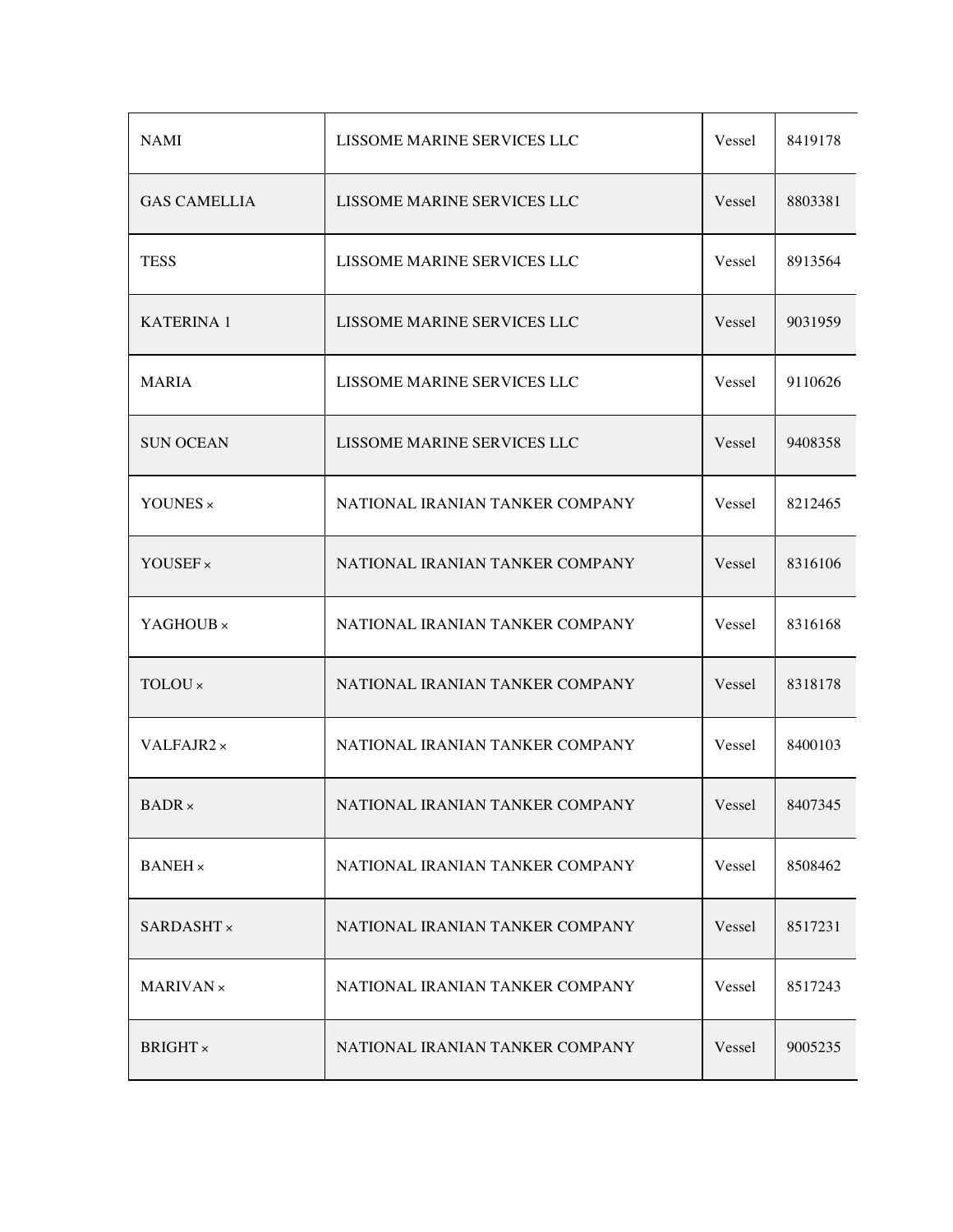| <b>NAMI</b>         | LISSOME MARINE SERVICES LLC     | Vessel | 8419178 |
|---------------------|---------------------------------|--------|---------|
| <b>GAS CAMELLIA</b> | LISSOME MARINE SERVICES LLC     | Vessel | 8803381 |
| <b>TESS</b>         | LISSOME MARINE SERVICES LLC     | Vessel | 8913564 |
| <b>KATERINA 1</b>   | LISSOME MARINE SERVICES LLC     | Vessel | 9031959 |
| <b>MARIA</b>        | LISSOME MARINE SERVICES LLC     | Vessel | 9110626 |
| <b>SUN OCEAN</b>    | LISSOME MARINE SERVICES LLC     | Vessel | 9408358 |
| YOUNES $\times$     | NATIONAL IRANIAN TANKER COMPANY | Vessel | 8212465 |
| YOUSEF ×            | NATIONAL IRANIAN TANKER COMPANY | Vessel | 8316106 |
| YAGHOUB ×           | NATIONAL IRANIAN TANKER COMPANY | Vessel | 8316168 |
| TOLOU ×             | NATIONAL IRANIAN TANKER COMPANY | Vessel | 8318178 |
| VALFAJR2 ×          | NATIONAL IRANIAN TANKER COMPANY | Vessel | 8400103 |
| $BADR \times$       | NATIONAL IRANIAN TANKER COMPANY | Vessel | 8407345 |
| <b>BANEH</b> ×      | NATIONAL IRANIAN TANKER COMPANY | Vessel | 8508462 |
| SARDASHT ×          | NATIONAL IRANIAN TANKER COMPANY | Vessel | 8517231 |
| <b>MARIVAN</b> ×    | NATIONAL IRANIAN TANKER COMPANY | Vessel | 8517243 |
| <b>BRIGHT</b> ×     | NATIONAL IRANIAN TANKER COMPANY | Vessel | 9005235 |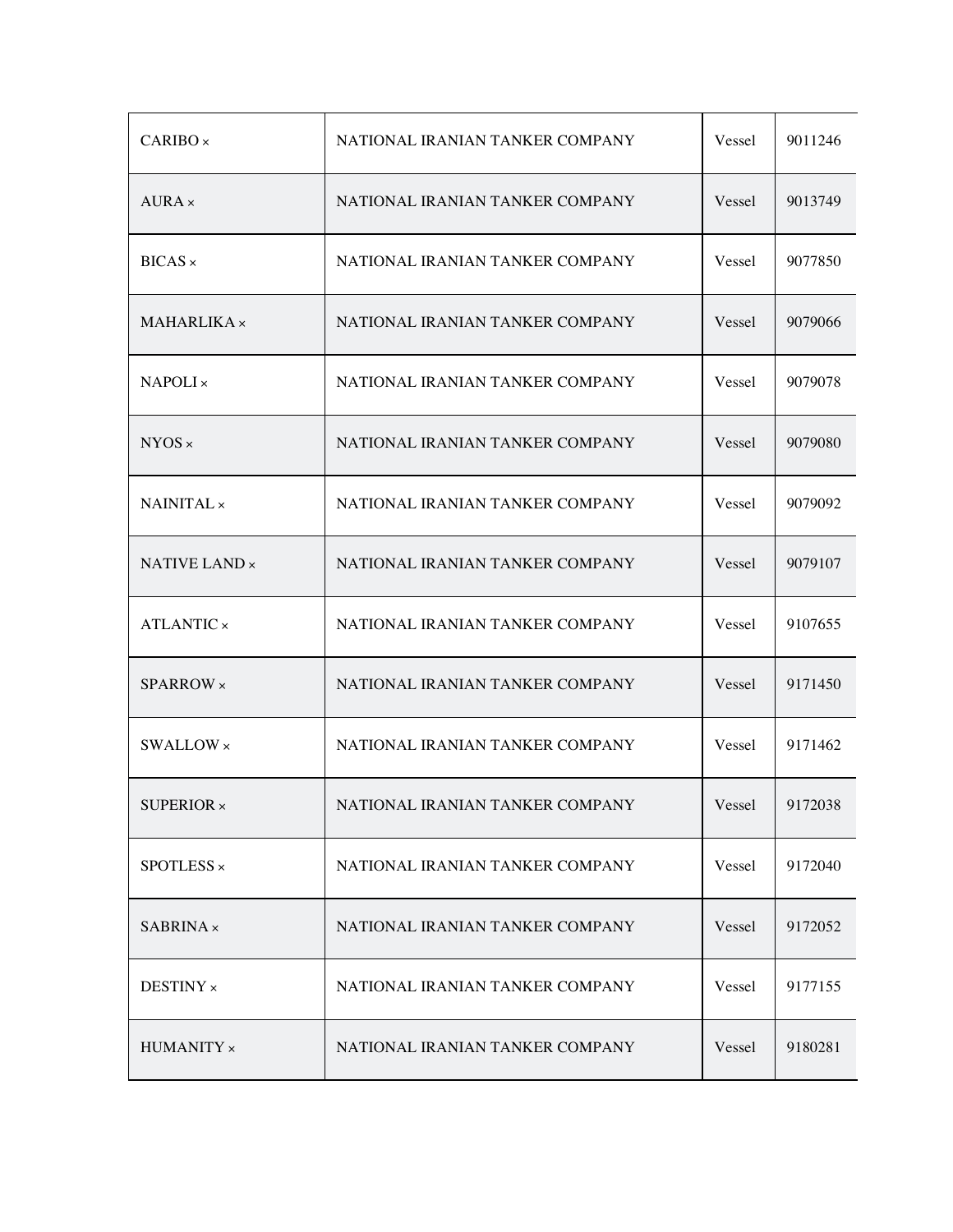| $CARIBO \times$    | NATIONAL IRANIAN TANKER COMPANY | Vessel | 9011246 |
|--------------------|---------------------------------|--------|---------|
| $AURA \times$      | NATIONAL IRANIAN TANKER COMPANY | Vessel | 9013749 |
| $BICAS \times$     | NATIONAL IRANIAN TANKER COMPANY | Vessel | 9077850 |
| <b>MAHARLIKA</b> × | NATIONAL IRANIAN TANKER COMPANY | Vessel | 9079066 |
| <b>NAPOLI</b> ×    | NATIONAL IRANIAN TANKER COMPANY | Vessel | 9079078 |
| $NYOS \times$      | NATIONAL IRANIAN TANKER COMPANY | Vessel | 9079080 |
| <b>NAINITAL</b> ×  | NATIONAL IRANIAN TANKER COMPANY | Vessel | 9079092 |
| NATIVE LAND ×      | NATIONAL IRANIAN TANKER COMPANY | Vessel | 9079107 |
| <b>ATLANTIC</b> ×  | NATIONAL IRANIAN TANKER COMPANY | Vessel | 9107655 |
| SPARROW ×          | NATIONAL IRANIAN TANKER COMPANY | Vessel | 9171450 |
| SWALLOW ×          | NATIONAL IRANIAN TANKER COMPANY | Vessel | 9171462 |
| SUPERIOR $\times$  | NATIONAL IRANIAN TANKER COMPANY | Vessel | 9172038 |
| SPOTLESS ×         | NATIONAL IRANIAN TANKER COMPANY | Vessel | 9172040 |
| SABRINA ×          | NATIONAL IRANIAN TANKER COMPANY | Vessel | 9172052 |
| <b>DESTINY</b> ×   | NATIONAL IRANIAN TANKER COMPANY | Vessel | 9177155 |
| HUMANITY ×         | NATIONAL IRANIAN TANKER COMPANY | Vessel | 9180281 |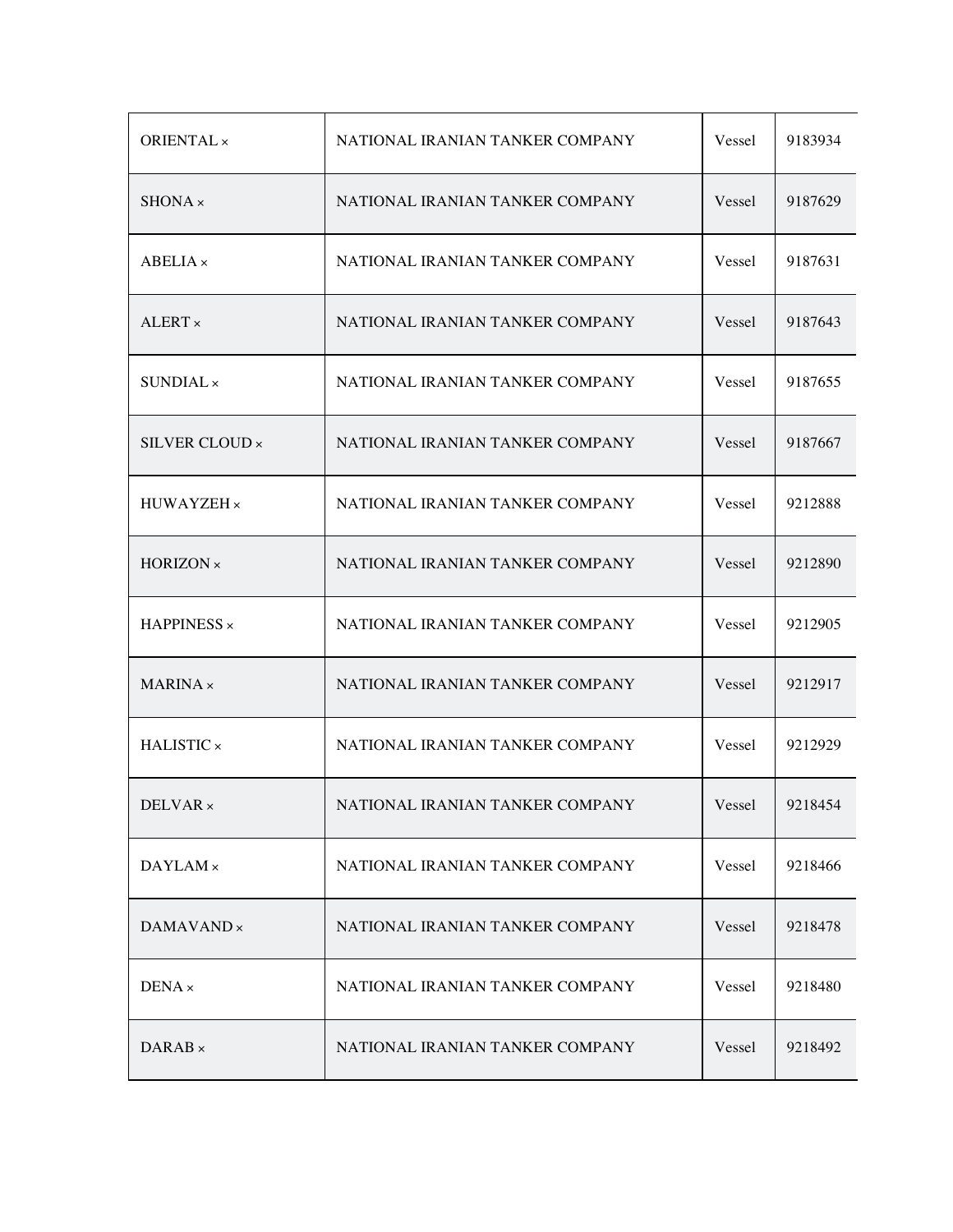| ORIENTAL ×         | NATIONAL IRANIAN TANKER COMPANY | Vessel | 9183934 |
|--------------------|---------------------------------|--------|---------|
| SHONA ×            | NATIONAL IRANIAN TANKER COMPANY | Vessel | 9187629 |
| <b>ABELIA</b> ×    | NATIONAL IRANIAN TANKER COMPANY | Vessel | 9187631 |
| $ALERT \times$     | NATIONAL IRANIAN TANKER COMPANY | Vessel | 9187643 |
| SUNDIAL ×          | NATIONAL IRANIAN TANKER COMPANY | Vessel | 9187655 |
| SILVER CLOUD ×     | NATIONAL IRANIAN TANKER COMPANY | Vessel | 9187667 |
| <b>HUWAYZEH</b> ×  | NATIONAL IRANIAN TANKER COMPANY | Vessel | 9212888 |
| HORIZON ×          | NATIONAL IRANIAN TANKER COMPANY | Vessel | 9212890 |
| <b>HAPPINESS</b> × | NATIONAL IRANIAN TANKER COMPANY | Vessel | 9212905 |
| <b>MARINA</b> ×    | NATIONAL IRANIAN TANKER COMPANY | Vessel | 9212917 |
| <b>HALISTIC</b> ×  | NATIONAL IRANIAN TANKER COMPANY | Vessel | 9212929 |
| DELVAR ×           | NATIONAL IRANIAN TANKER COMPANY | Vessel | 9218454 |
| DAYLAM ×           | NATIONAL IRANIAN TANKER COMPANY | Vessel | 9218466 |
| DAMAVAND ×         | NATIONAL IRANIAN TANKER COMPANY | Vessel | 9218478 |
| $DENA \times$      | NATIONAL IRANIAN TANKER COMPANY | Vessel | 9218480 |
| $DARAB \times$     | NATIONAL IRANIAN TANKER COMPANY | Vessel | 9218492 |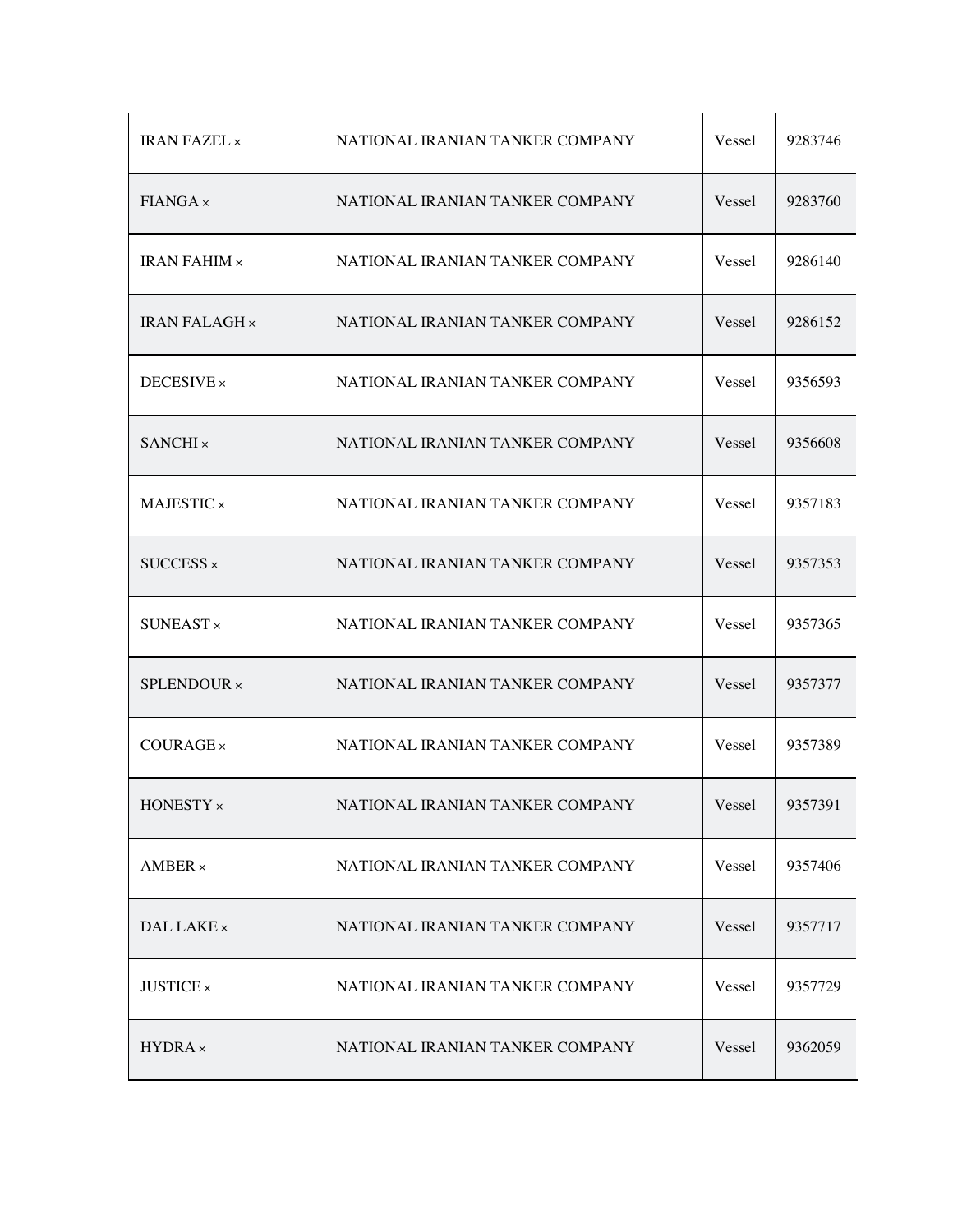| <b>IRAN FAZEL</b> ×  | NATIONAL IRANIAN TANKER COMPANY | Vessel | 9283746 |
|----------------------|---------------------------------|--------|---------|
| FIANGA ×             | NATIONAL IRANIAN TANKER COMPANY | Vessel | 9283760 |
| <b>IRAN FAHIM ×</b>  | NATIONAL IRANIAN TANKER COMPANY | Vessel | 9286140 |
| <b>IRAN FALAGH</b> × | NATIONAL IRANIAN TANKER COMPANY | Vessel | 9286152 |
| DECESIVE ×           | NATIONAL IRANIAN TANKER COMPANY | Vessel | 9356593 |
| <b>SANCHI</b> ×      | NATIONAL IRANIAN TANKER COMPANY | Vessel | 9356608 |
| MAJESTIC ×           | NATIONAL IRANIAN TANKER COMPANY | Vessel | 9357183 |
| $SUCCESS \times$     | NATIONAL IRANIAN TANKER COMPANY | Vessel | 9357353 |
| SUNEAST ×            | NATIONAL IRANIAN TANKER COMPANY | Vessel | 9357365 |
| SPLENDOUR ×          | NATIONAL IRANIAN TANKER COMPANY | Vessel | 9357377 |
| $COUNTAGE \times$    | NATIONAL IRANIAN TANKER COMPANY | Vessel | 9357389 |
| HONESTY ×            | NATIONAL IRANIAN TANKER COMPANY | Vessel | 9357391 |
| AMBER $\times$       | NATIONAL IRANIAN TANKER COMPANY | Vessel | 9357406 |
| DAL LAKE ×           | NATIONAL IRANIAN TANKER COMPANY | Vessel | 9357717 |
| <b>JUSTICE</b> ×     | NATIONAL IRANIAN TANKER COMPANY | Vessel | 9357729 |
| <b>HYDRA</b> ×       | NATIONAL IRANIAN TANKER COMPANY | Vessel | 9362059 |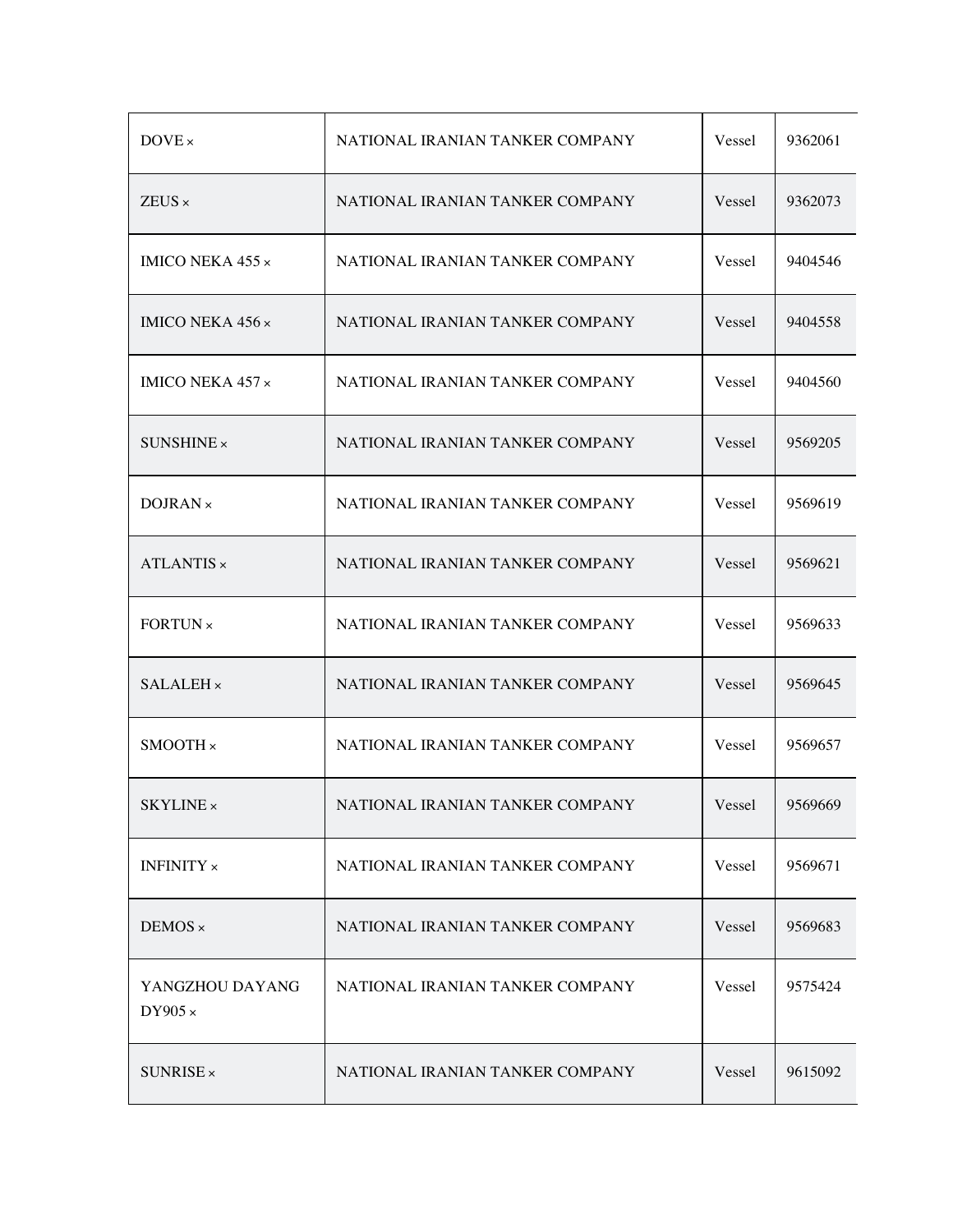| $DOVE \times$                             | NATIONAL IRANIAN TANKER COMPANY | Vessel | 9362061 |
|-------------------------------------------|---------------------------------|--------|---------|
| $ZEUS \times$                             | NATIONAL IRANIAN TANKER COMPANY | Vessel | 9362073 |
| <b>IMICO NEKA 455 <math>\times</math></b> | NATIONAL IRANIAN TANKER COMPANY | Vessel | 9404546 |
| IMICO NEKA $456 \times$                   | NATIONAL IRANIAN TANKER COMPANY | Vessel | 9404558 |
| <b>IMICO NEKA 457 <math>\times</math></b> | NATIONAL IRANIAN TANKER COMPANY | Vessel | 9404560 |
| SUNSHINE ×                                | NATIONAL IRANIAN TANKER COMPANY | Vessel | 9569205 |
| DOJRAN ×                                  | NATIONAL IRANIAN TANKER COMPANY | Vessel | 9569619 |
| <b>ATLANTIS</b> ×                         | NATIONAL IRANIAN TANKER COMPANY | Vessel | 9569621 |
| FORTUN ×                                  | NATIONAL IRANIAN TANKER COMPANY | Vessel | 9569633 |
| <b>SALALEH</b> ×                          | NATIONAL IRANIAN TANKER COMPANY | Vessel | 9569645 |
| SMOOTH ×                                  | NATIONAL IRANIAN TANKER COMPANY | Vessel | 9569657 |
| $SKYLINE \times$                          | NATIONAL IRANIAN TANKER COMPANY | Vessel | 9569669 |
| <b>INFINITY</b> ×                         | NATIONAL IRANIAN TANKER COMPANY | Vessel | 9569671 |
| $DEMOS \times$                            | NATIONAL IRANIAN TANKER COMPANY | Vessel | 9569683 |
| YANGZHOU DAYANG<br>DY905 $\times$         | NATIONAL IRANIAN TANKER COMPANY | Vessel | 9575424 |
| SUNRISE ×                                 | NATIONAL IRANIAN TANKER COMPANY | Vessel | 9615092 |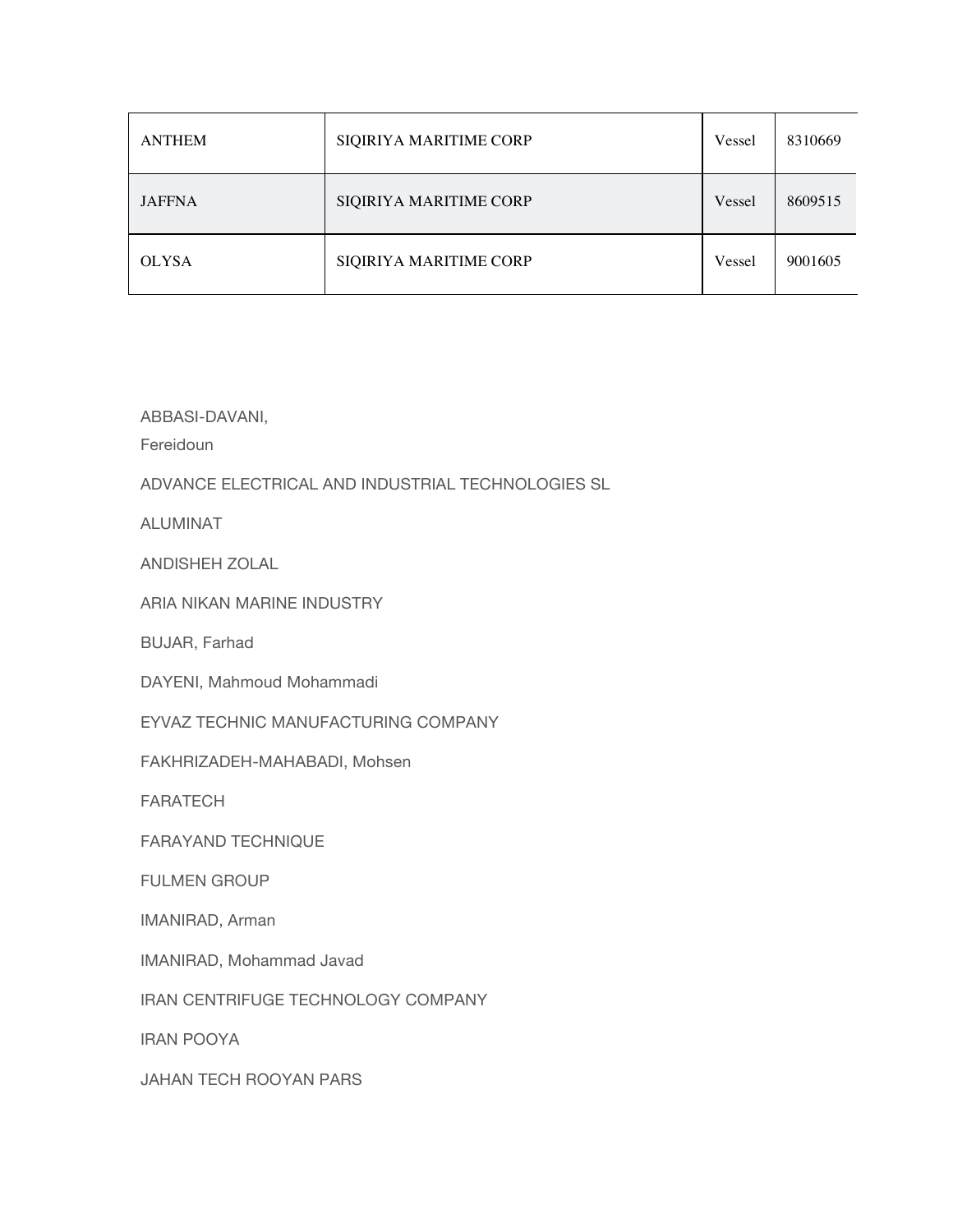| <b>ANTHEM</b> | SIQIRIYA MARITIME CORP | Vessel | 8310669 |
|---------------|------------------------|--------|---------|
| <b>JAFFNA</b> | SIQIRIYA MARITIME CORP | Vessel | 8609515 |
| <b>OLYSA</b>  | SIQIRIYA MARITIME CORP | Vessel | 9001605 |

ABBASI-DAVANI,

Fereidoun

ADVANCE ELECTRICAL AND INDUSTRIAL TECHNOLOGIES SL

ALUMINAT

ANDISHEH ZOLAL

ARIA NIKAN MARINE INDUSTRY

BUJAR, Farhad

DAYENI, Mahmoud Mohammadi

EYVAZ TECHNIC MANUFACTURING COMPANY

FAKHRIZADEH-MAHABADI, Mohsen

FARATECH

FARAYAND TECHNIQUE

FULMEN GROUP

IMANIRAD, Arman

IMANIRAD, Mohammad Javad

IRAN CENTRIFUGE TECHNOLOGY COMPANY

IRAN POOYA

JAHAN TECH ROOYAN PARS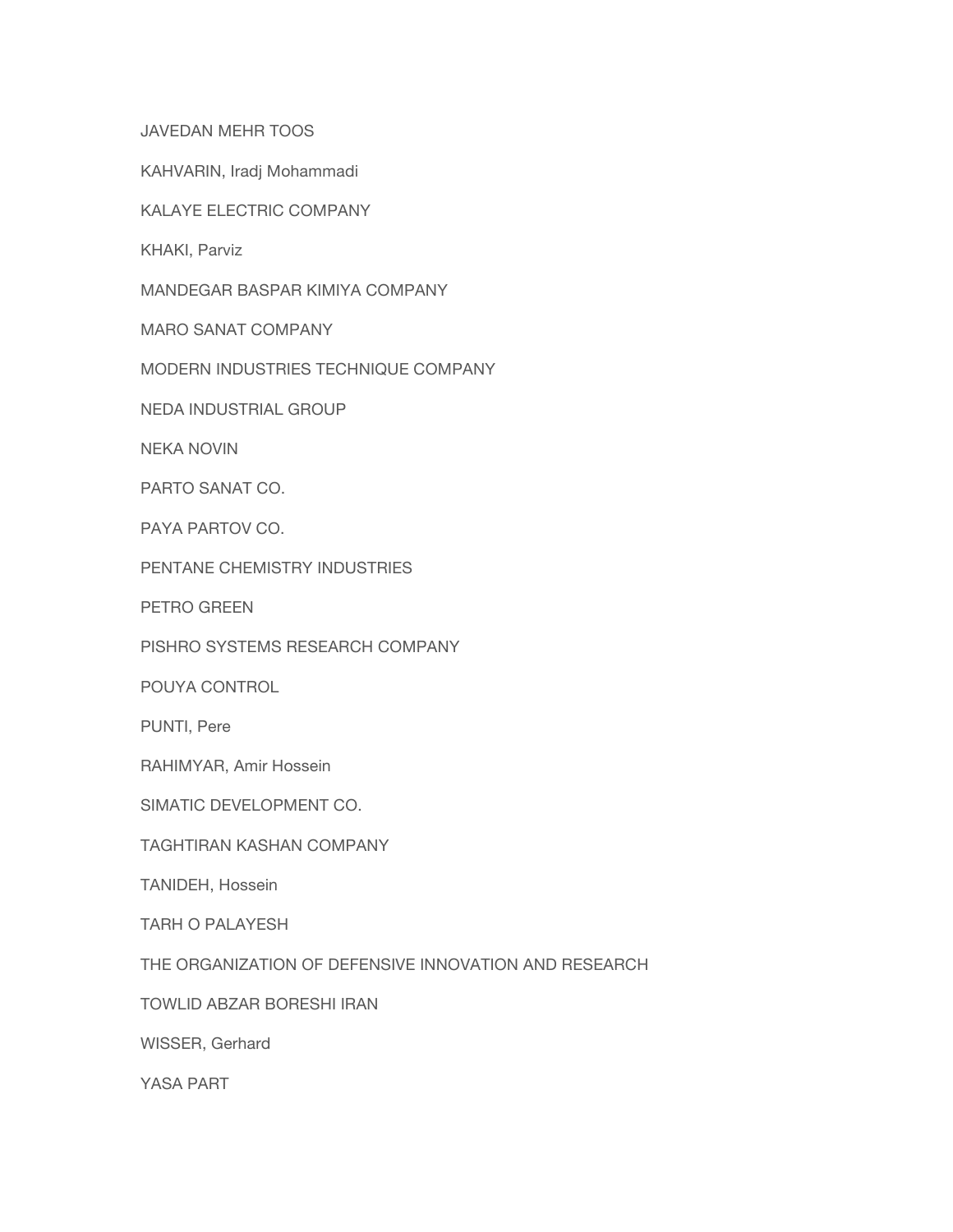JAVEDAN MEHR TOOS

KAHVARIN, Iradj Mohammadi

KALAYE ELECTRIC COMPANY

KHAKI, Parviz

MANDEGAR BASPAR KIMIYA COMPANY

MARO SANAT COMPANY

MODERN INDUSTRIES TECHNIQUE COMPANY

NEDA INDUSTRIAL GROUP

NEKA NOVIN

PARTO SANAT CO.

PAYA PARTOV CO.

PENTANE CHEMISTRY INDUSTRIES

PETRO GREEN

PISHRO SYSTEMS RESEARCH COMPANY

POUYA CONTROL

PUNTI, Pere

RAHIMYAR, Amir Hossein

SIMATIC DEVELOPMENT CO.

TAGHTIRAN KASHAN COMPANY

TANIDEH, Hossein

TARH O PALAYESH

THE ORGANIZATION OF DEFENSIVE INNOVATION AND RESEARCH

TOWLID ABZAR BORESHI IRAN

WISSER, Gerhard

YASA PART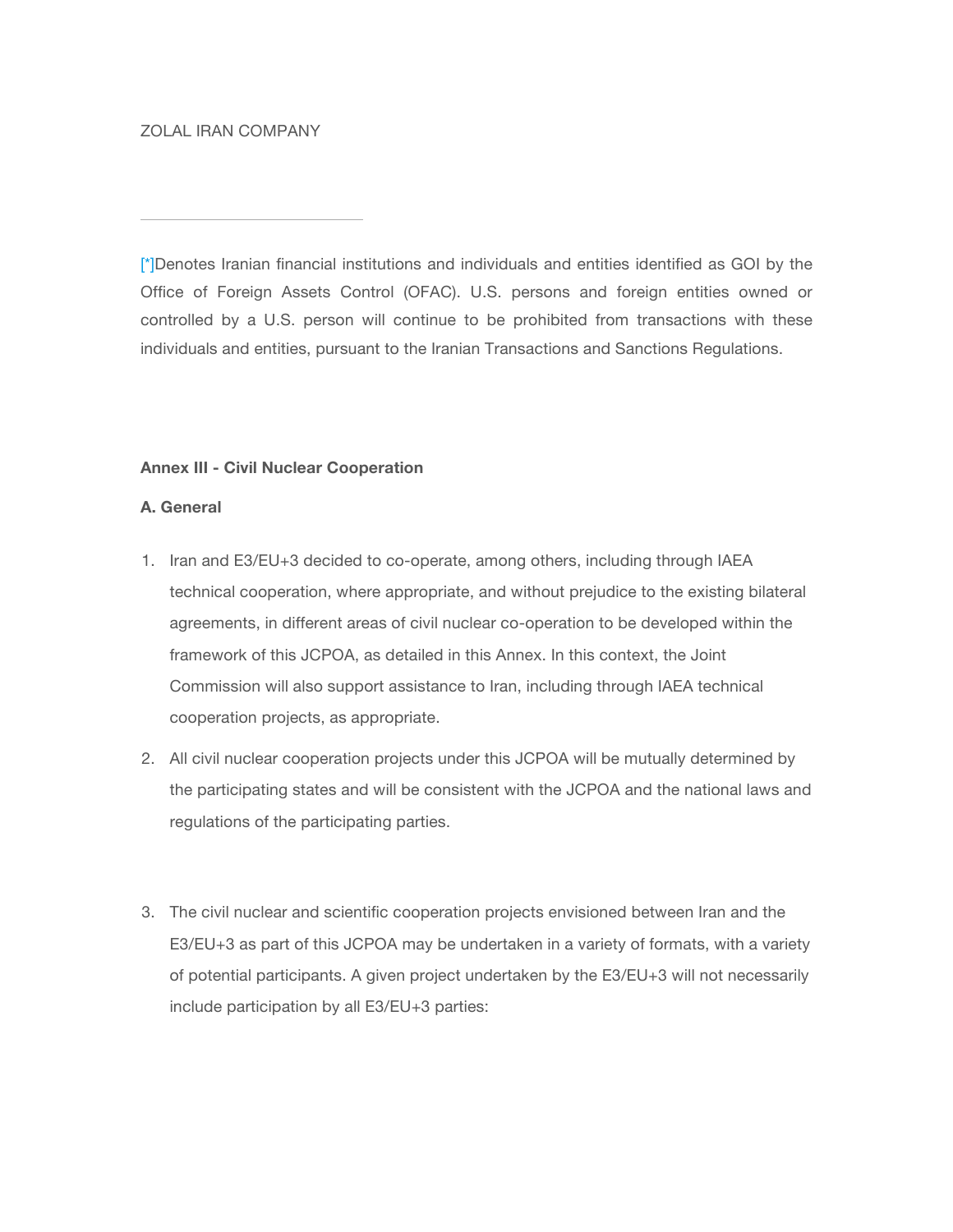#### ZOLAL IRAN COMPANY

[\[\\*\]](http://www.mid.ru/foreign_policy/news/-/asset_publisher/cKNonkJE02Bw/content/id/1571042#_ftnref1)Denotes Iranian financial institutions and individuals and entities identified as GOI by the Office of Foreign Assets Control (OFAC). U.S. persons and foreign entities owned or controlled by a U.S. person will continue to be prohibited from transactions with these individuals and entities, pursuant to the Iranian Transactions and Sanctions Regulations.

#### **Annex III - Civil Nuclear Cooperation**

#### **A. General**

- 1. Iran and E3/EU+3 decided to co-operate, among others, including through IAEA technical cooperation, where appropriate, and without prejudice to the existing bilateral agreements, in different areas of civil nuclear co-operation to be developed within the framework of this JCPOA, as detailed in this Annex. In this context, the Joint Commission will also support assistance to Iran, including through IAEA technical cooperation projects, as appropriate.
- 2. All civil nuclear cooperation projects under this JCPOA will be mutually determined by the participating states and will be consistent with the JCPOA and the national laws and regulations of the participating parties.
- 3. The civil nuclear and scientific cooperation projects envisioned between Iran and the E3/EU+3 as part of this JCPOA may be undertaken in a variety of formats, with a variety of potential participants. A given project undertaken by the E3/EU+3 will not necessarily include participation by all E3/EU+3 parties: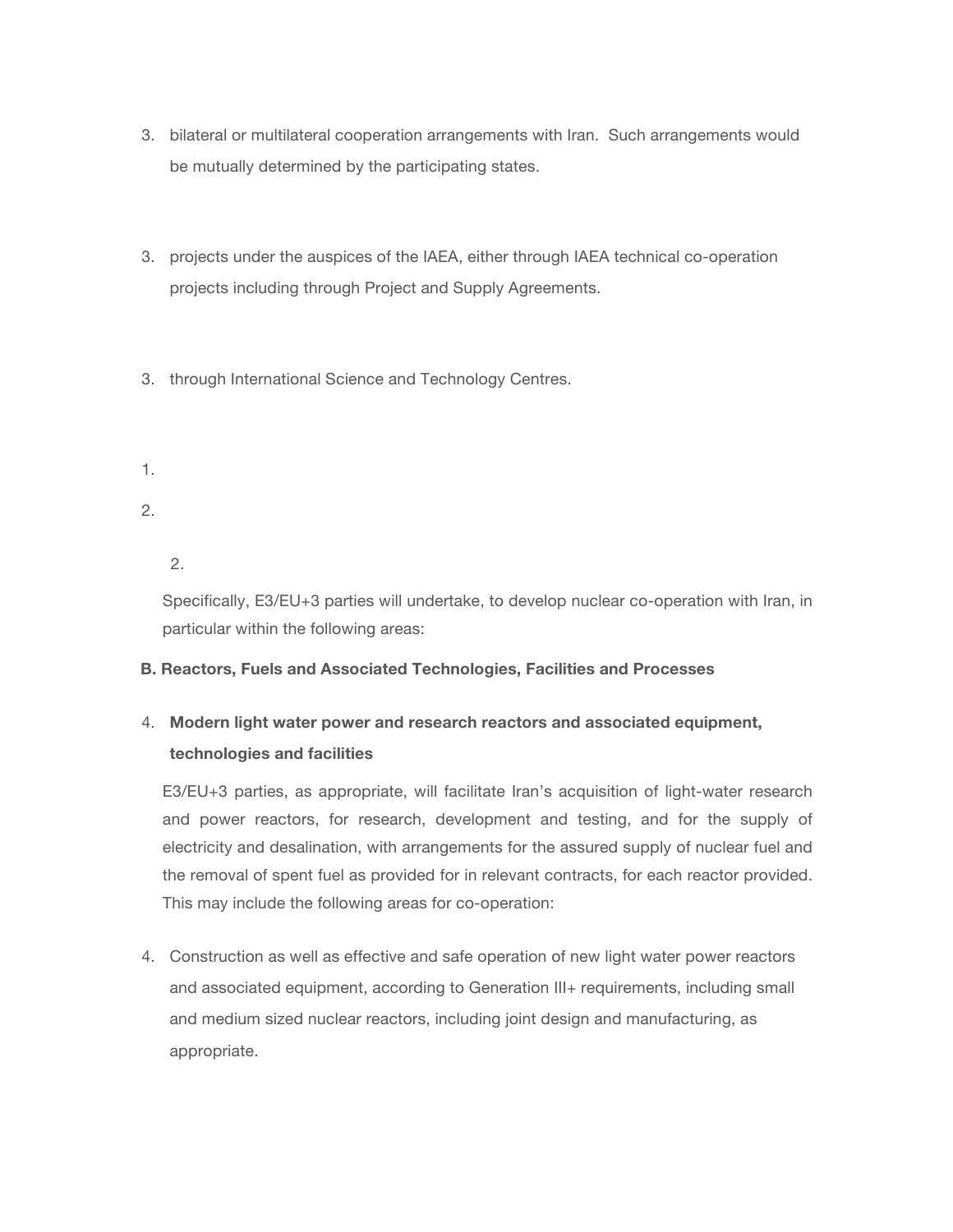- 3. bilateral or multilateral cooperation arrangements with Iran. Such arrangements would be mutually determined by the participating states.
- 3. projects under the auspices of the IAEA, either through IAEA technical co-operation projects including through Project and Supply Agreements.
- 3. through International Science and Technology Centres.

# 1.

# 2.

2.

Specifically, E3/EU+3 parties will undertake, to develop nuclear co-operation with Iran, in particular within the following areas:

# **B. Reactors, Fuels and Associated Technologies, Facilities and Processes**

# 4. **Modern light water power and research reactors and associated equipment, technologies and facilities**

E3/EU+3 parties, as appropriate, will facilitate Iran's acquisition of light-water research and power reactors, for research, development and testing, and for the supply of electricity and desalination, with arrangements for the assured supply of nuclear fuel and the removal of spent fuel as provided for in relevant contracts, for each reactor provided. This may include the following areas for co-operation:

4. Construction as well as effective and safe operation of new light water power reactors and associated equipment, according to Generation III+ requirements, including small and medium sized nuclear reactors, including joint design and manufacturing, as appropriate.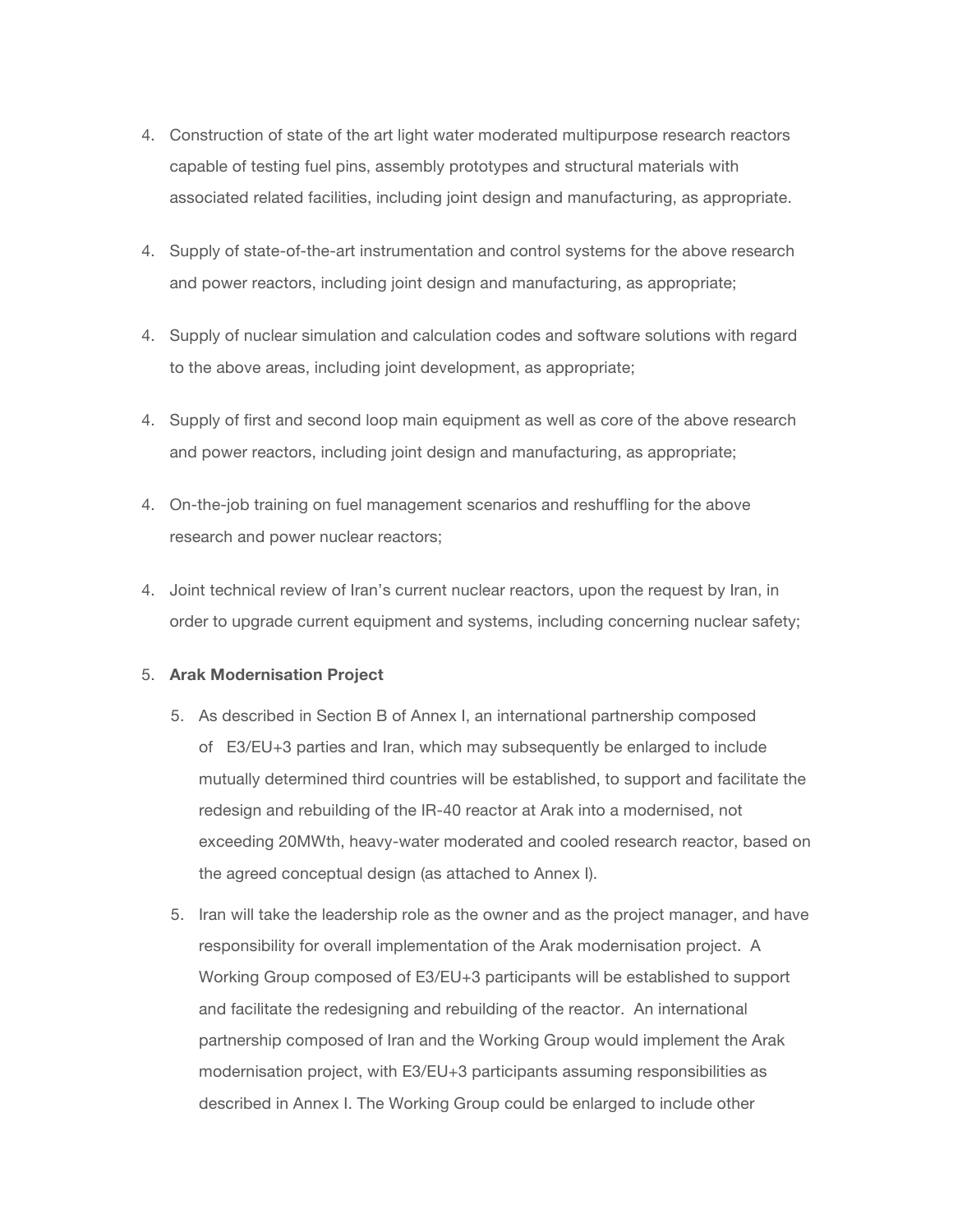- 4. Construction of state of the art light water moderated multipurpose research reactors capable of testing fuel pins, assembly prototypes and structural materials with associated related facilities, including joint design and manufacturing, as appropriate.
- 4. Supply of state-of-the-art instrumentation and control systems for the above research and power reactors, including joint design and manufacturing, as appropriate;
- 4. Supply of nuclear simulation and calculation codes and software solutions with regard to the above areas, including joint development, as appropriate;
- 4. Supply of first and second loop main equipment as well as core of the above research and power reactors, including joint design and manufacturing, as appropriate;
- 4. On-the-job training on fuel management scenarios and reshuffling for the above research and power nuclear reactors;
- 4. Joint technical review of Iran's current nuclear reactors, upon the request by Iran, in order to upgrade current equipment and systems, including concerning nuclear safety;

## 5. **Arak Modernisation Project**

- 5. As described in Section B of Annex I, an international partnership composed of E3/EU+3 parties and Iran, which may subsequently be enlarged to include mutually determined third countries will be established, to support and facilitate the redesign and rebuilding of the IR-40 reactor at Arak into a modernised, not exceeding 20MWth, heavy-water moderated and cooled research reactor, based on the agreed conceptual design (as attached to Annex I).
- 5. Iran will take the leadership role as the owner and as the project manager, and have responsibility for overall implementation of the Arak modernisation project. A Working Group composed of E3/EU+3 participants will be established to support and facilitate the redesigning and rebuilding of the reactor. An international partnership composed of Iran and the Working Group would implement the Arak modernisation project, with E3/EU+3 participants assuming responsibilities as described in Annex I. The Working Group could be enlarged to include other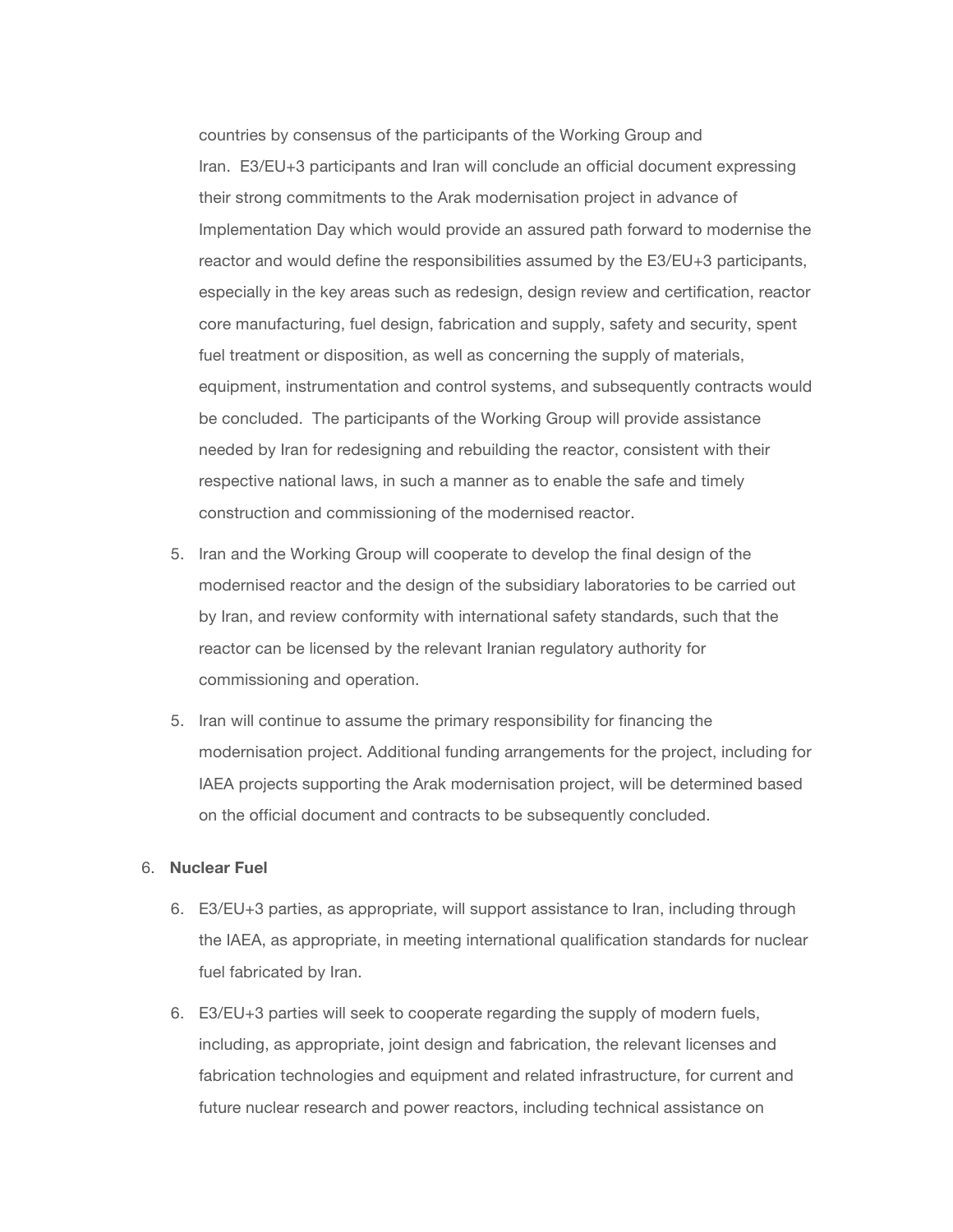countries by consensus of the participants of the Working Group and Iran. E3/EU+3 participants and Iran will conclude an official document expressing their strong commitments to the Arak modernisation project in advance of Implementation Day which would provide an assured path forward to modernise the reactor and would define the responsibilities assumed by the E3/EU+3 participants, especially in the key areas such as redesign, design review and certification, reactor core manufacturing, fuel design, fabrication and supply, safety and security, spent fuel treatment or disposition, as well as concerning the supply of materials, equipment, instrumentation and control systems, and subsequently contracts would be concluded. The participants of the Working Group will provide assistance needed by Iran for redesigning and rebuilding the reactor, consistent with their respective national laws, in such a manner as to enable the safe and timely construction and commissioning of the modernised reactor.

- 5. Iran and the Working Group will cooperate to develop the final design of the modernised reactor and the design of the subsidiary laboratories to be carried out by Iran, and review conformity with international safety standards, such that the reactor can be licensed by the relevant Iranian regulatory authority for commissioning and operation.
- 5. Iran will continue to assume the primary responsibility for financing the modernisation project. Additional funding arrangements for the project, including for IAEA projects supporting the Arak modernisation project, will be determined based on the official document and contracts to be subsequently concluded.

#### 6. **Nuclear Fuel**

- 6. E3/EU+3 parties, as appropriate, will support assistance to Iran, including through the IAEA, as appropriate, in meeting international qualification standards for nuclear fuel fabricated by Iran.
- 6. E3/EU+3 parties will seek to cooperate regarding the supply of modern fuels, including, as appropriate, joint design and fabrication, the relevant licenses and fabrication technologies and equipment and related infrastructure, for current and future nuclear research and power reactors, including technical assistance on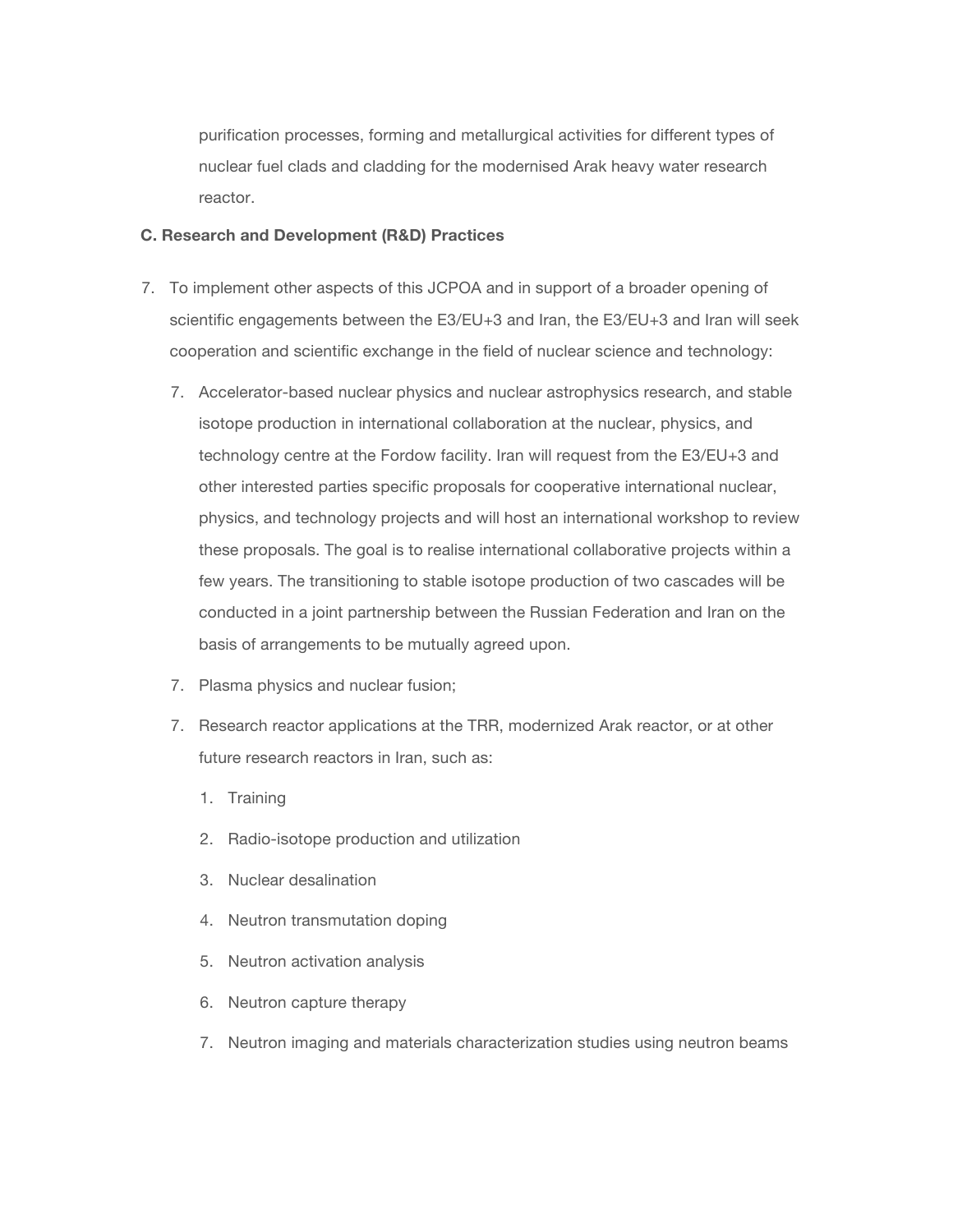purification processes, forming and metallurgical activities for different types of nuclear fuel clads and cladding for the modernised Arak heavy water research reactor.

## **C. Research and Development (R&D) Practices**

- 7. To implement other aspects of this JCPOA and in support of a broader opening of scientific engagements between the E3/EU+3 and Iran, the E3/EU+3 and Iran will seek cooperation and scientific exchange in the field of nuclear science and technology:
	- 7. Accelerator-based nuclear physics and nuclear astrophysics research, and stable isotope production in international collaboration at the nuclear, physics, and technology centre at the Fordow facility. Iran will request from the E3/EU+3 and other interested parties specific proposals for cooperative international nuclear, physics, and technology projects and will host an international workshop to review these proposals. The goal is to realise international collaborative projects within a few years. The transitioning to stable isotope production of two cascades will be conducted in a joint partnership between the Russian Federation and Iran on the basis of arrangements to be mutually agreed upon.
	- 7. Plasma physics and nuclear fusion;
	- 7. Research reactor applications at the TRR, modernized Arak reactor, or at other future research reactors in Iran, such as:
		- 1. Training
		- 2. Radio-isotope production and utilization
		- 3. Nuclear desalination
		- 4. Neutron transmutation doping
		- 5. Neutron activation analysis
		- 6. Neutron capture therapy
		- 7. Neutron imaging and materials characterization studies using neutron beams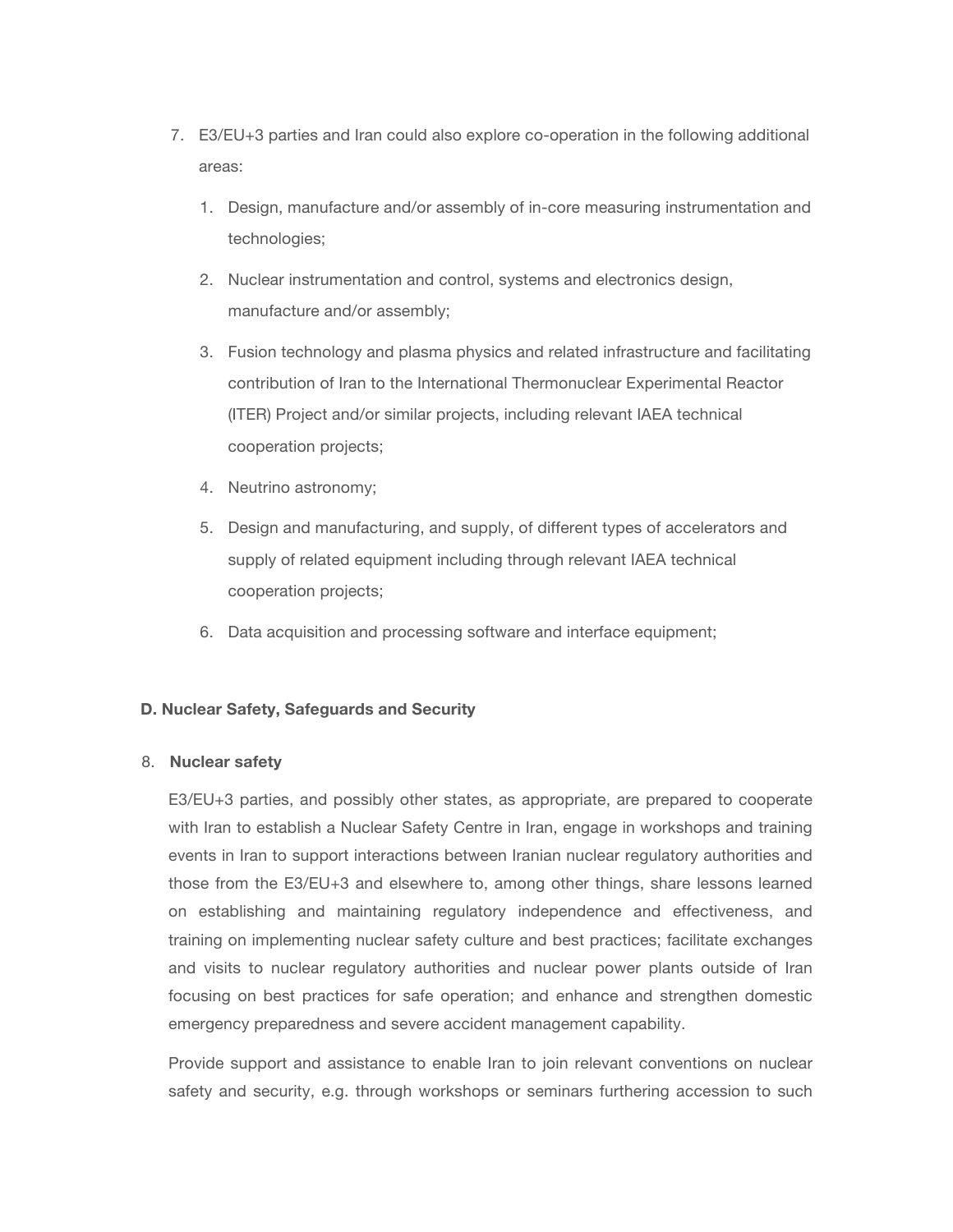- 7. E3/EU+3 parties and Iran could also explore co-operation in the following additional areas:
	- 1. Design, manufacture and/or assembly of in-core measuring instrumentation and technologies;
	- 2. Nuclear instrumentation and control, systems and electronics design, manufacture and/or assembly;
	- 3. Fusion technology and plasma physics and related infrastructure and facilitating contribution of Iran to the International Thermonuclear Experimental Reactor (ITER) Project and/or similar projects, including relevant IAEA technical cooperation projects;
	- 4. Neutrino astronomy;
	- 5. Design and manufacturing, and supply, of different types of accelerators and supply of related equipment including through relevant IAEA technical cooperation projects;
	- 6. Data acquisition and processing software and interface equipment;

## **D. Nuclear Safety, Safeguards and Security**

## 8. **Nuclear safety**

E3/EU+3 parties, and possibly other states, as appropriate, are prepared to cooperate with Iran to establish a Nuclear Safety Centre in Iran, engage in workshops and training events in Iran to support interactions between Iranian nuclear regulatory authorities and those from the E3/EU+3 and elsewhere to, among other things, share lessons learned on establishing and maintaining regulatory independence and effectiveness, and training on implementing nuclear safety culture and best practices; facilitate exchanges and visits to nuclear regulatory authorities and nuclear power plants outside of Iran focusing on best practices for safe operation; and enhance and strengthen domestic emergency preparedness and severe accident management capability.

Provide support and assistance to enable Iran to join relevant conventions on nuclear safety and security, e.g. through workshops or seminars furthering accession to such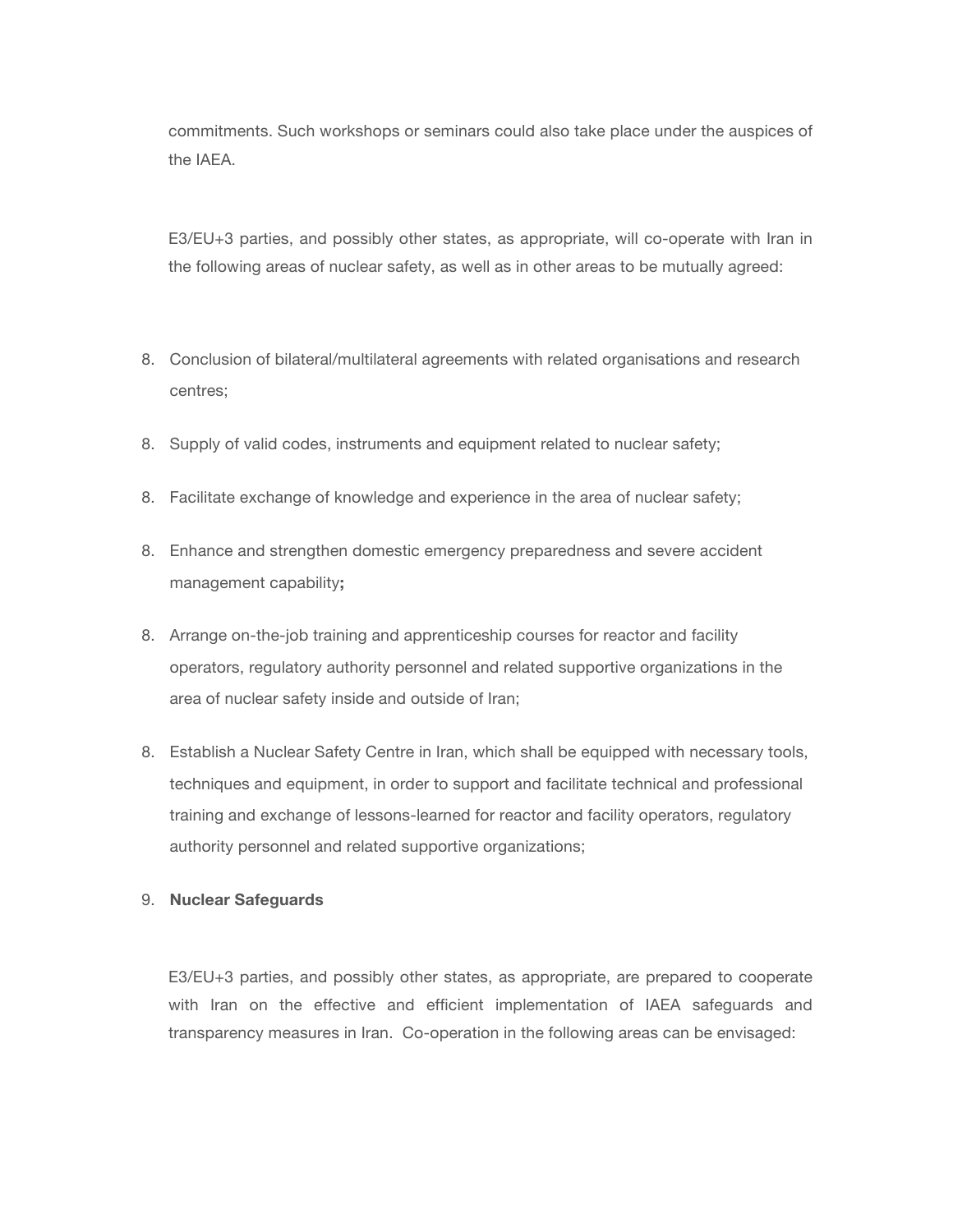commitments. Such workshops or seminars could also take place under the auspices of the IAEA.

E3/EU+3 parties, and possibly other states, as appropriate, will co-operate with Iran in the following areas of nuclear safety, as well as in other areas to be mutually agreed:

- 8. Conclusion of bilateral/multilateral agreements with related organisations and research centres;
- 8. Supply of valid codes, instruments and equipment related to nuclear safety;
- 8. Facilitate exchange of knowledge and experience in the area of nuclear safety;
- 8. Enhance and strengthen domestic emergency preparedness and severe accident management capability**;**
- 8. Arrange on-the-job training and apprenticeship courses for reactor and facility operators, regulatory authority personnel and related supportive organizations in the area of nuclear safety inside and outside of Iran;
- 8. Establish a Nuclear Safety Centre in Iran, which shall be equipped with necessary tools, techniques and equipment, in order to support and facilitate technical and professional training and exchange of lessons-learned for reactor and facility operators, regulatory authority personnel and related supportive organizations;

## 9. **Nuclear Safeguards**

E3/EU+3 parties, and possibly other states, as appropriate, are prepared to cooperate with Iran on the effective and efficient implementation of IAEA safeguards and transparency measures in Iran. Co-operation in the following areas can be envisaged: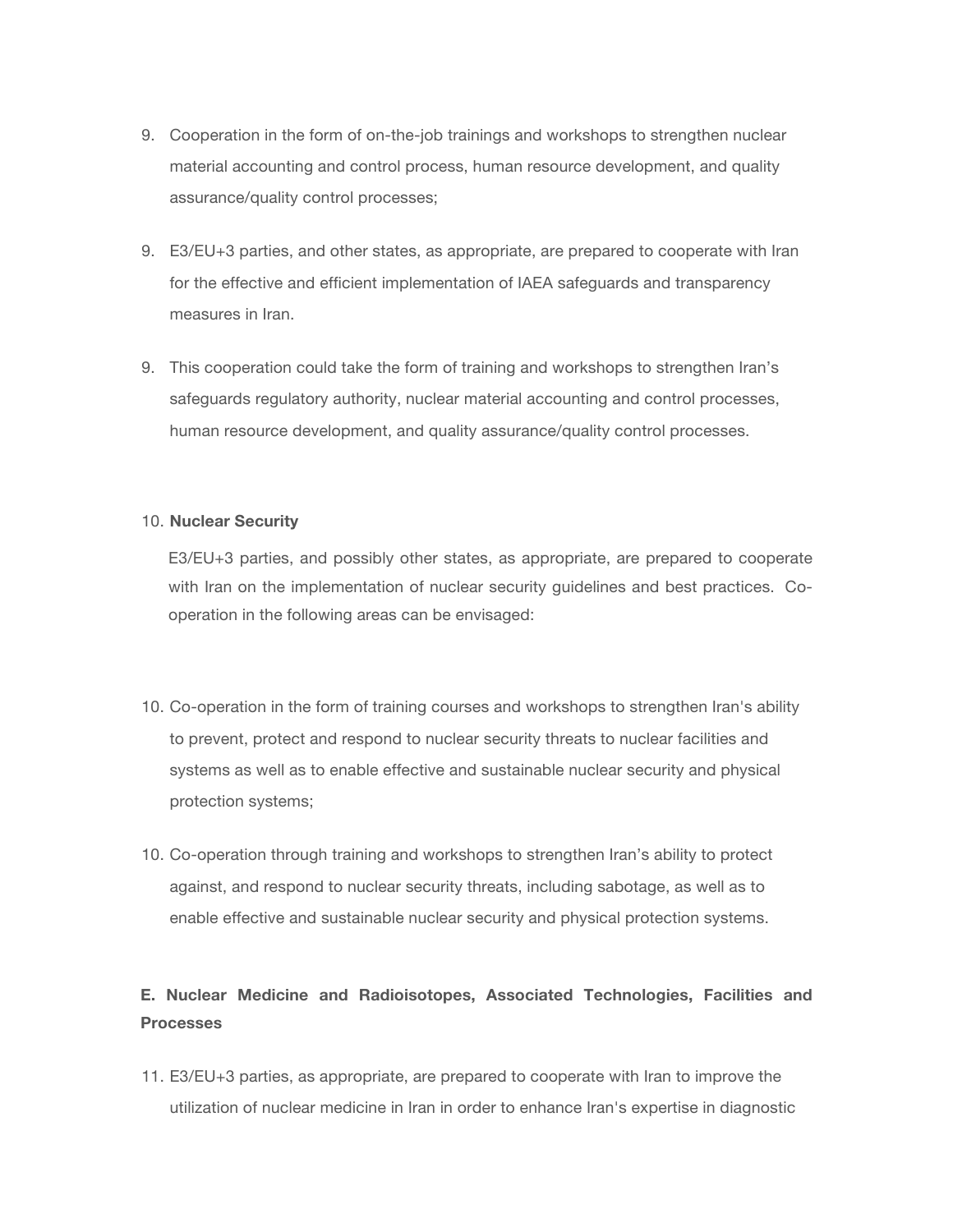- 9. Cooperation in the form of on-the-job trainings and workshops to strengthen nuclear material accounting and control process, human resource development, and quality assurance/quality control processes;
- 9. E3/EU+3 parties, and other states, as appropriate, are prepared to cooperate with Iran for the effective and efficient implementation of IAEA safeguards and transparency measures in Iran.
- 9. This cooperation could take the form of training and workshops to strengthen Iran's safeguards regulatory authority, nuclear material accounting and control processes, human resource development, and quality assurance/quality control processes.

#### 10. **Nuclear Security**

E3/EU+3 parties, and possibly other states, as appropriate, are prepared to cooperate with Iran on the implementation of nuclear security guidelines and best practices. Cooperation in the following areas can be envisaged:

- 10. Co-operation in the form of training courses and workshops to strengthen Iran's ability to prevent, protect and respond to nuclear security threats to nuclear facilities and systems as well as to enable effective and sustainable nuclear security and physical protection systems;
- 10. Co-operation through training and workshops to strengthen Iran's ability to protect against, and respond to nuclear security threats, including sabotage, as well as to enable effective and sustainable nuclear security and physical protection systems.

# **E. Nuclear Medicine and Radioisotopes, Associated Technologies, Facilities and Processes**

11. E3/EU+3 parties, as appropriate, are prepared to cooperate with Iran to improve the utilization of nuclear medicine in Iran in order to enhance Iran's expertise in diagnostic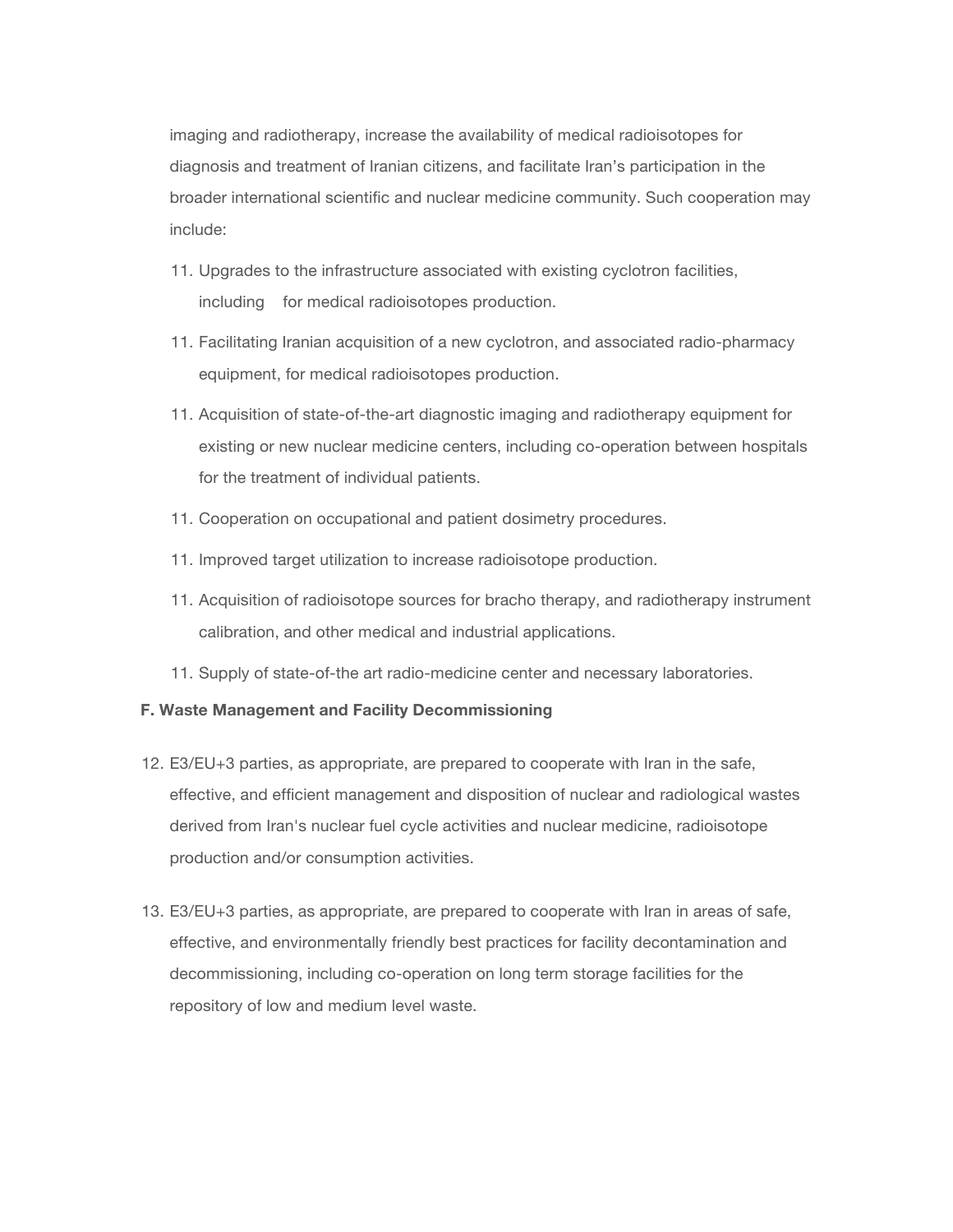imaging and radiotherapy, increase the availability of medical radioisotopes for diagnosis and treatment of Iranian citizens, and facilitate Iran's participation in the broader international scientific and nuclear medicine community. Such cooperation may include:

- 11. Upgrades to the infrastructure associated with existing cyclotron facilities, including for medical radioisotopes production.
- 11. Facilitating Iranian acquisition of a new cyclotron, and associated radio-pharmacy equipment, for medical radioisotopes production.
- 11. Acquisition of state-of-the-art diagnostic imaging and radiotherapy equipment for existing or new nuclear medicine centers, including co-operation between hospitals for the treatment of individual patients.
- 11. Cooperation on occupational and patient dosimetry procedures.
- 11. Improved target utilization to increase radioisotope production.
- 11. Acquisition of radioisotope sources for bracho therapy, and radiotherapy instrument calibration, and other medical and industrial applications.
- 11. Supply of state-of-the art radio-medicine center and necessary laboratories.

# **F. Waste Management and Facility Decommissioning**

- 12. E3/EU+3 parties, as appropriate, are prepared to cooperate with Iran in the safe, effective, and efficient management and disposition of nuclear and radiological wastes derived from Iran's nuclear fuel cycle activities and nuclear medicine, radioisotope production and/or consumption activities.
- 13. E3/EU+3 parties, as appropriate, are prepared to cooperate with Iran in areas of safe, effective, and environmentally friendly best practices for facility decontamination and decommissioning, including co-operation on long term storage facilities for the repository of low and medium level waste.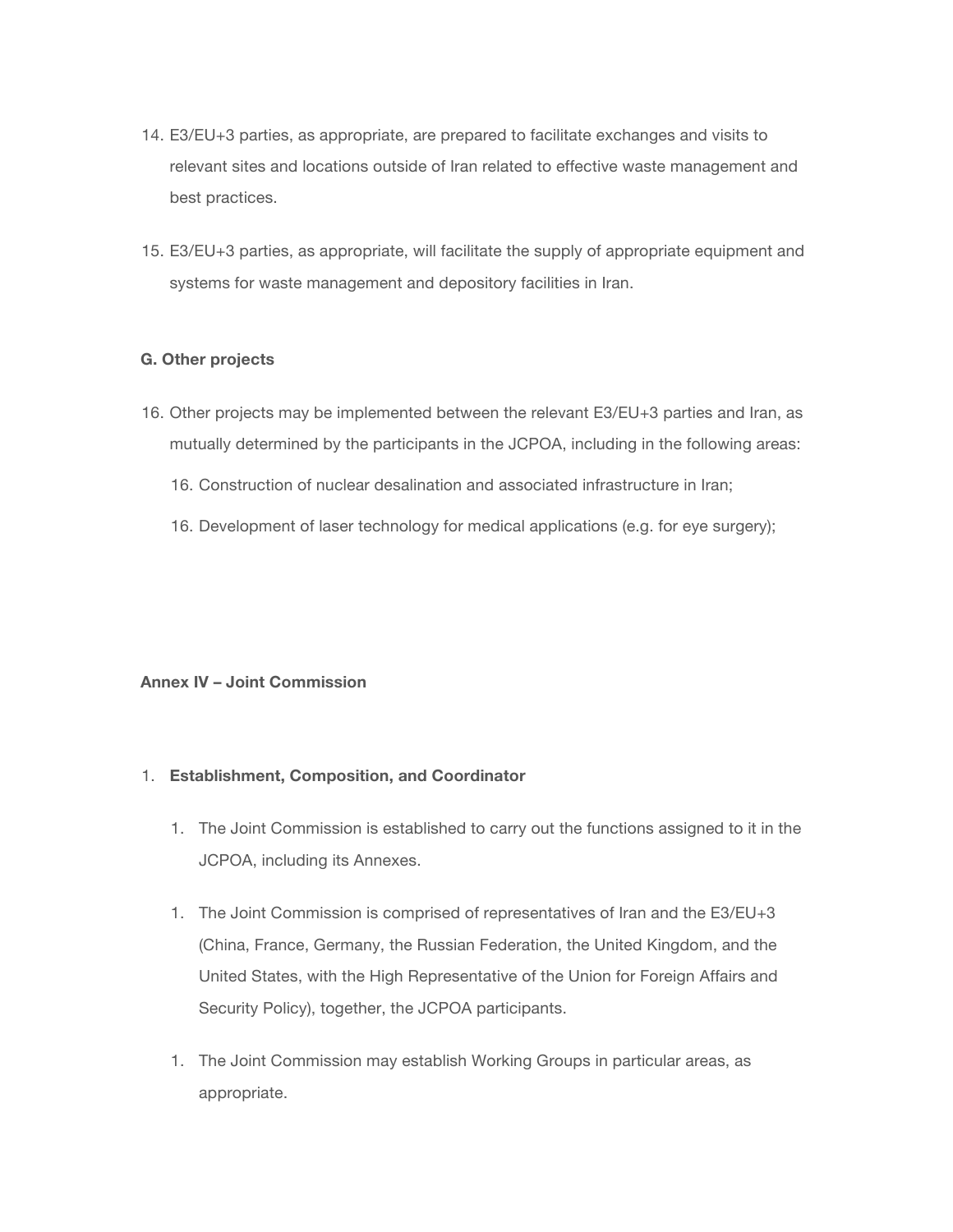- 14. E3/EU+3 parties, as appropriate, are prepared to facilitate exchanges and visits to relevant sites and locations outside of Iran related to effective waste management and best practices.
- 15. E3/EU+3 parties, as appropriate, will facilitate the supply of appropriate equipment and systems for waste management and depository facilities in Iran.

## **G. Other projects**

- 16. Other projects may be implemented between the relevant E3/EU+3 parties and Iran, as mutually determined by the participants in the JCPOA, including in the following areas:
	- 16. Construction of nuclear desalination and associated infrastructure in Iran;
	- 16. Development of laser technology for medical applications (e.g. for eye surgery);

## **Annex IV – Joint Commission**

#### 1. **Establishment, Composition, and Coordinator**

- 1. The Joint Commission is established to carry out the functions assigned to it in the JCPOA, including its Annexes.
- 1. The Joint Commission is comprised of representatives of Iran and the E3/EU+3 (China, France, Germany, the Russian Federation, the United Kingdom, and the United States, with the High Representative of the Union for Foreign Affairs and Security Policy), together, the JCPOA participants.
- 1. The Joint Commission may establish Working Groups in particular areas, as appropriate.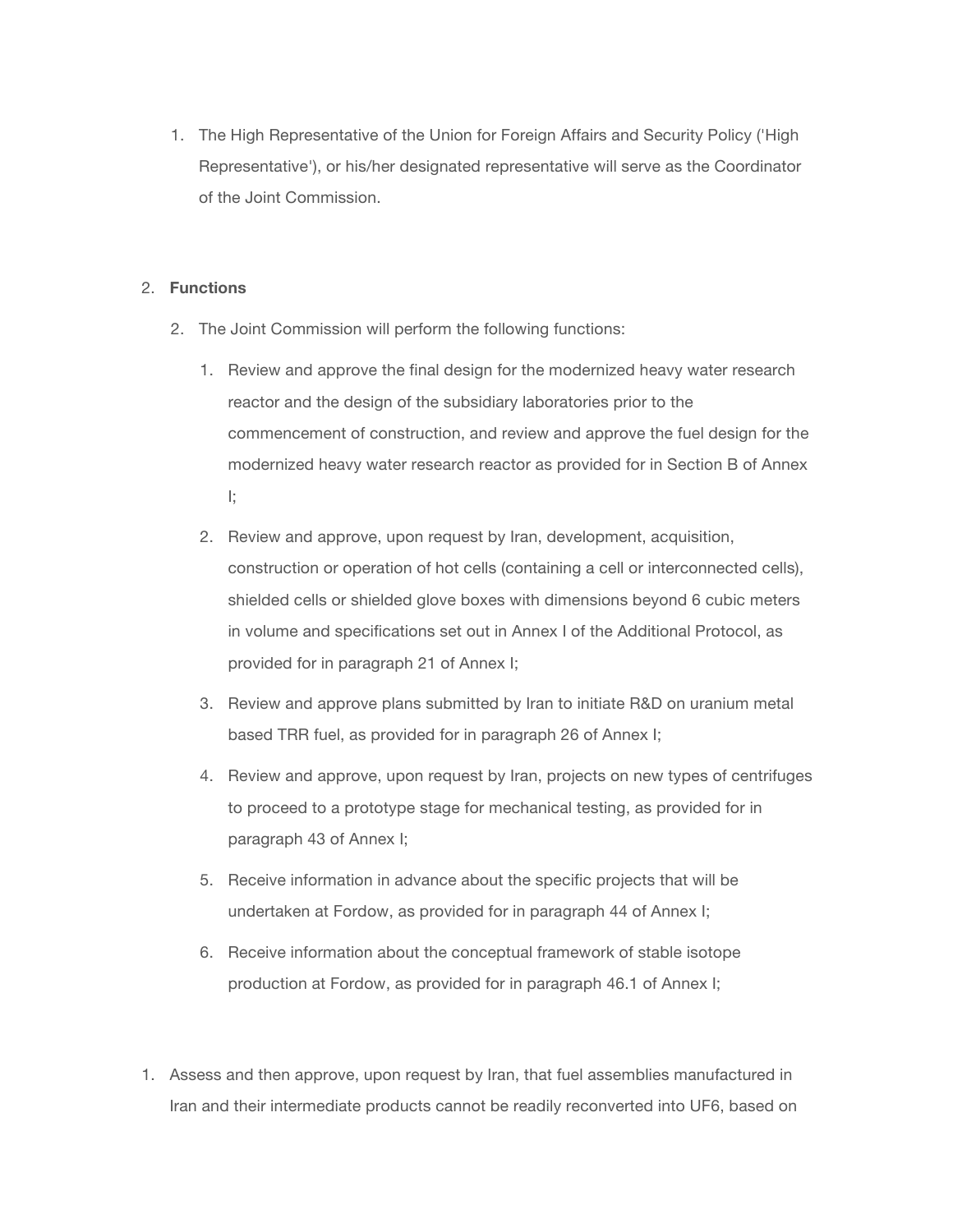1. The High Representative of the Union for Foreign Affairs and Security Policy ('High Representative'), or his/her designated representative will serve as the Coordinator of the Joint Commission.

### 2. **Functions**

- 2. The Joint Commission will perform the following functions:
	- 1. Review and approve the final design for the modernized heavy water research reactor and the design of the subsidiary laboratories prior to the commencement of construction, and review and approve the fuel design for the modernized heavy water research reactor as provided for in Section B of Annex I;
	- 2. Review and approve, upon request by Iran, development, acquisition, construction or operation of hot cells (containing a cell or interconnected cells), shielded cells or shielded glove boxes with dimensions beyond 6 cubic meters in volume and specifications set out in Annex I of the Additional Protocol, as provided for in paragraph 21 of Annex I;
	- 3. Review and approve plans submitted by Iran to initiate R&D on uranium metal based TRR fuel, as provided for in paragraph 26 of Annex I;
	- 4. Review and approve, upon request by Iran, projects on new types of centrifuges to proceed to a prototype stage for mechanical testing, as provided for in paragraph 43 of Annex I;
	- 5. Receive information in advance about the specific projects that will be undertaken at Fordow, as provided for in paragraph 44 of Annex I;
	- 6. Receive information about the conceptual framework of stable isotope production at Fordow, as provided for in paragraph 46.1 of Annex I;
- 1. Assess and then approve, upon request by Iran, that fuel assemblies manufactured in Iran and their intermediate products cannot be readily reconverted into UF6, based on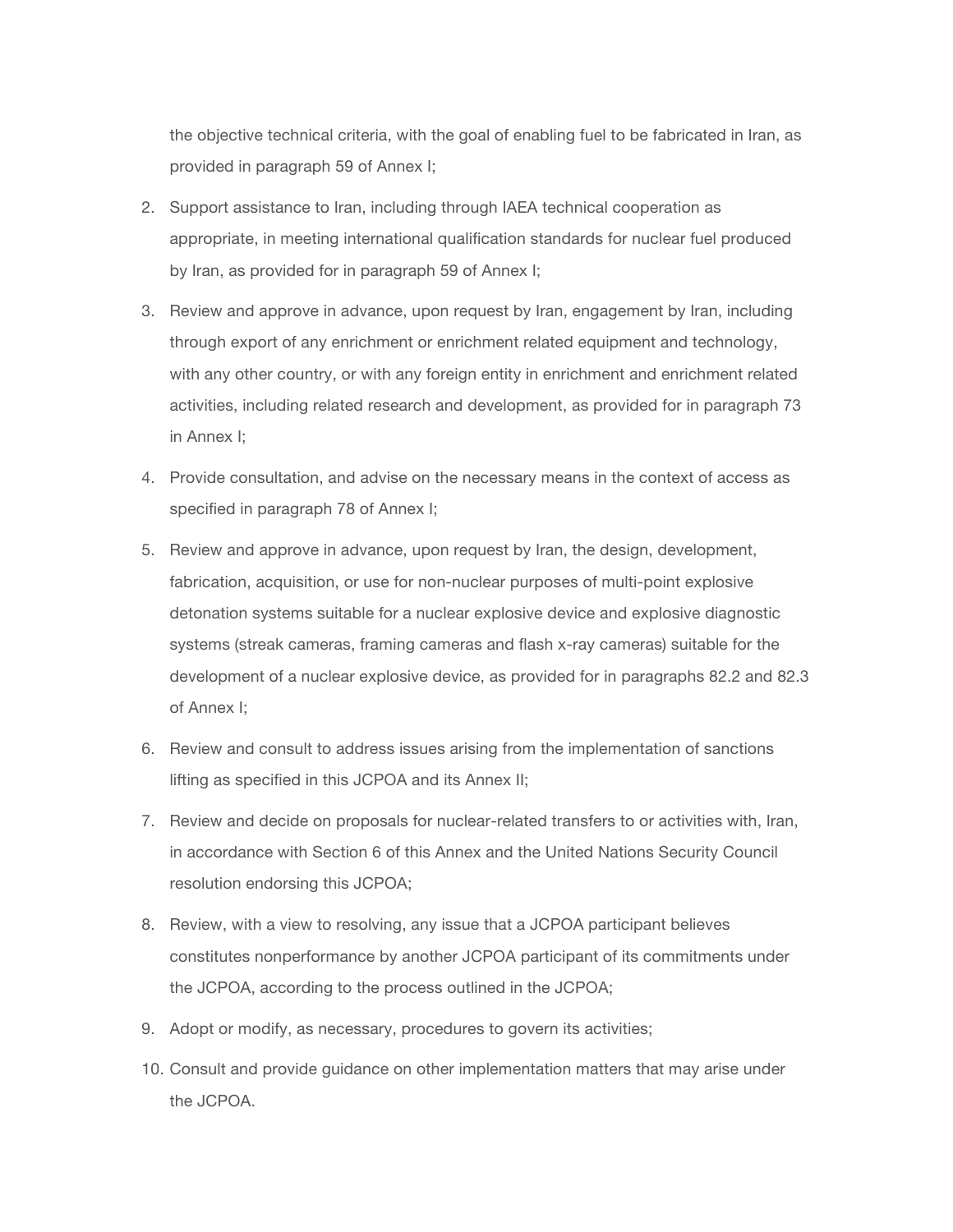the objective technical criteria, with the goal of enabling fuel to be fabricated in Iran, as provided in paragraph 59 of Annex I;

- 2. Support assistance to Iran, including through IAEA technical cooperation as appropriate, in meeting international qualification standards for nuclear fuel produced by Iran, as provided for in paragraph 59 of Annex I;
- 3. Review and approve in advance, upon request by Iran, engagement by Iran, including through export of any enrichment or enrichment related equipment and technology, with any other country, or with any foreign entity in enrichment and enrichment related activities, including related research and development, as provided for in paragraph 73 in Annex I;
- 4. Provide consultation, and advise on the necessary means in the context of access as specified in paragraph 78 of Annex I;
- 5. Review and approve in advance, upon request by Iran, the design, development, fabrication, acquisition, or use for non-nuclear purposes of multi-point explosive detonation systems suitable for a nuclear explosive device and explosive diagnostic systems (streak cameras, framing cameras and flash x-ray cameras) suitable for the development of a nuclear explosive device, as provided for in paragraphs 82.2 and 82.3 of Annex I;
- 6. Review and consult to address issues arising from the implementation of sanctions lifting as specified in this JCPOA and its Annex II;
- 7. Review and decide on proposals for nuclear-related transfers to or activities with, Iran, in accordance with Section 6 of this Annex and the United Nations Security Council resolution endorsing this JCPOA;
- 8. Review, with a view to resolving, any issue that a JCPOA participant believes constitutes nonperformance by another JCPOA participant of its commitments under the JCPOA, according to the process outlined in the JCPOA;
- 9. Adopt or modify, as necessary, procedures to govern its activities;
- 10. Consult and provide guidance on other implementation matters that may arise under the JCPOA.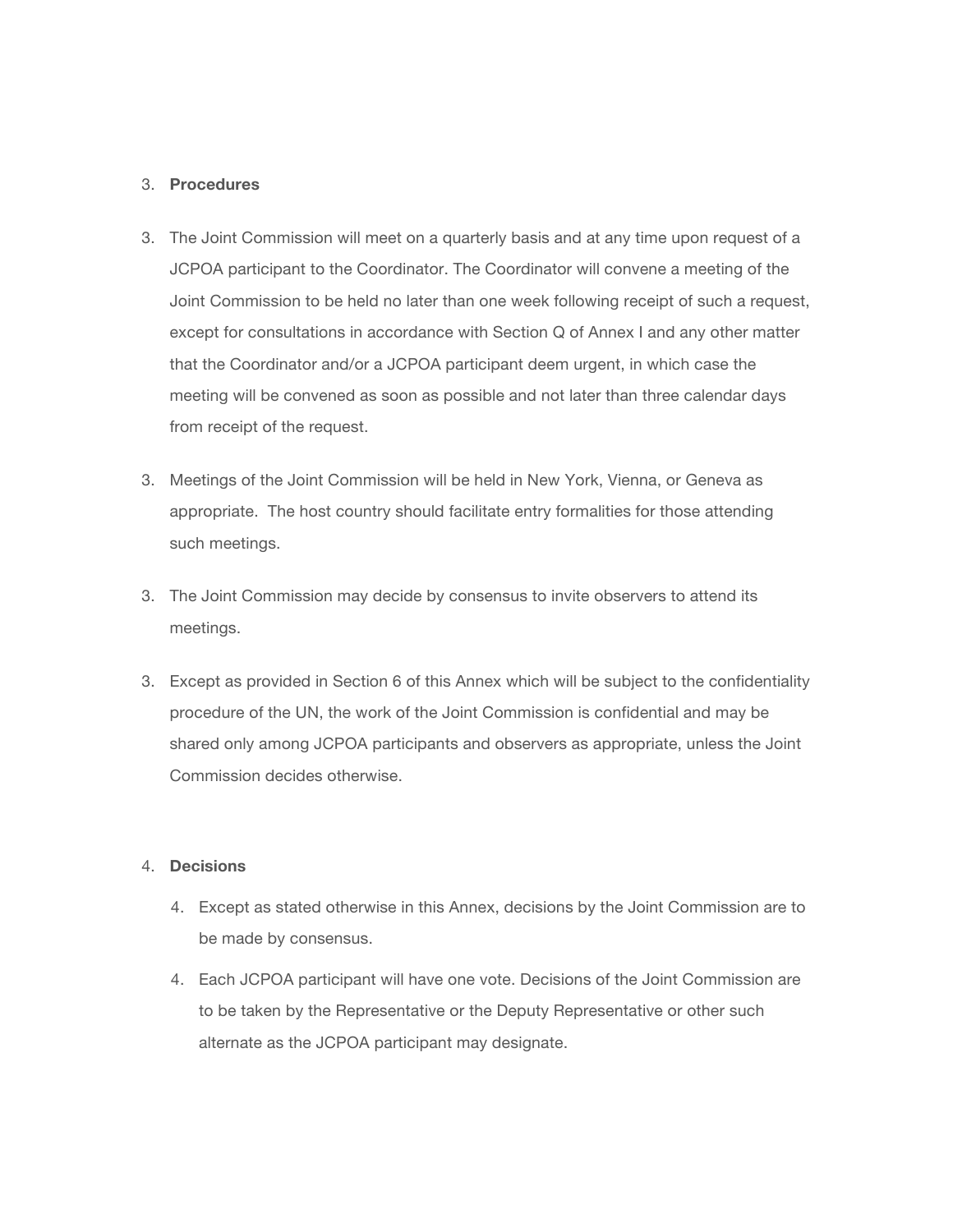### 3. **Procedures**

- 3. The Joint Commission will meet on a quarterly basis and at any time upon request of a JCPOA participant to the Coordinator. The Coordinator will convene a meeting of the Joint Commission to be held no later than one week following receipt of such a request, except for consultations in accordance with Section Q of Annex I and any other matter that the Coordinator and/or a JCPOA participant deem urgent, in which case the meeting will be convened as soon as possible and not later than three calendar days from receipt of the request.
- 3. Meetings of the Joint Commission will be held in New York, Vienna, or Geneva as appropriate. The host country should facilitate entry formalities for those attending such meetings.
- 3. The Joint Commission may decide by consensus to invite observers to attend its meetings.
- 3. Except as provided in Section 6 of this Annex which will be subject to the confidentiality procedure of the UN, the work of the Joint Commission is confidential and may be shared only among JCPOA participants and observers as appropriate, unless the Joint Commission decides otherwise.

### 4. **Decisions**

- 4. Except as stated otherwise in this Annex, decisions by the Joint Commission are to be made by consensus.
- 4. Each JCPOA participant will have one vote. Decisions of the Joint Commission are to be taken by the Representative or the Deputy Representative or other such alternate as the JCPOA participant may designate.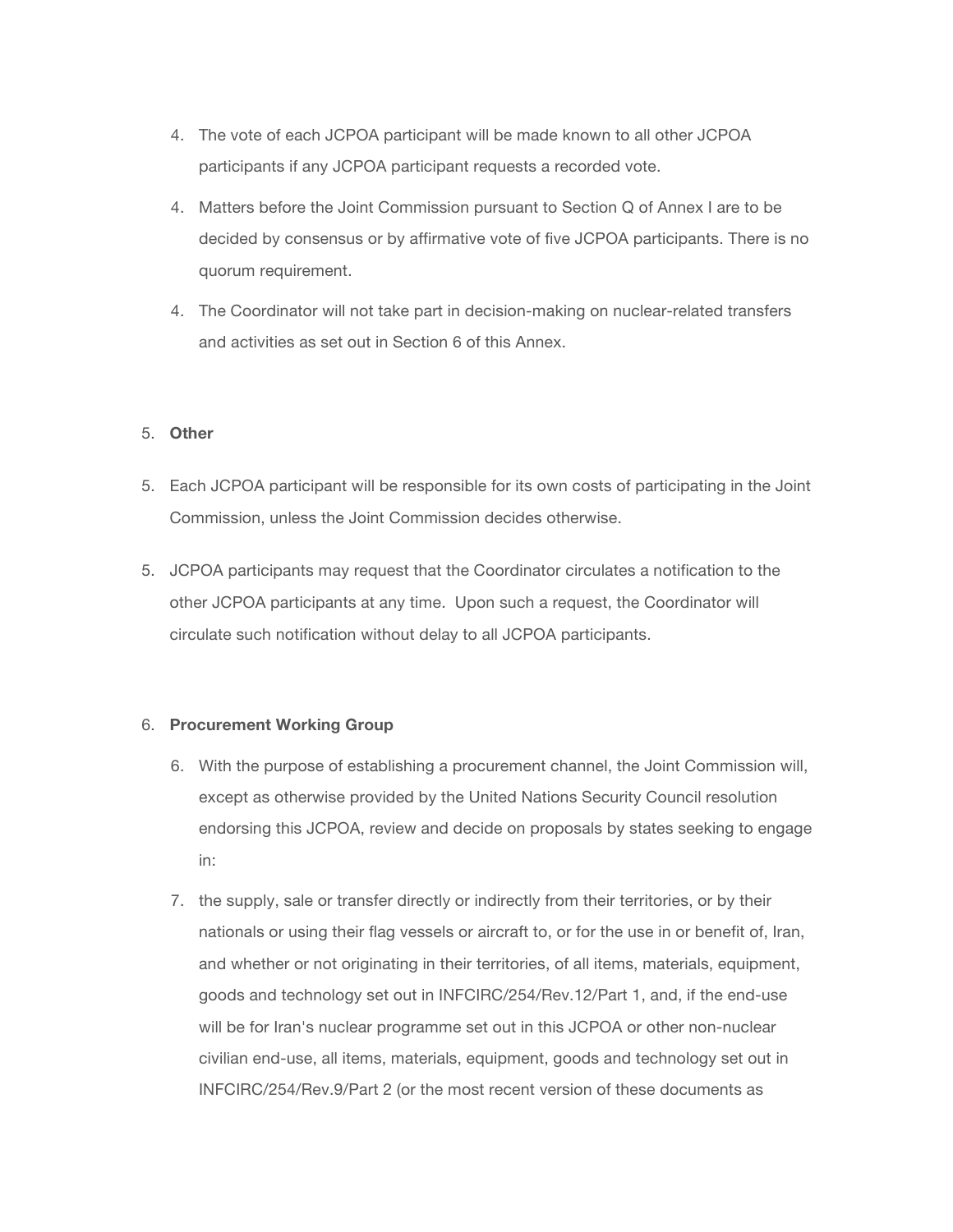- 4. The vote of each JCPOA participant will be made known to all other JCPOA participants if any JCPOA participant requests a recorded vote.
- 4. Matters before the Joint Commission pursuant to Section Q of Annex I are to be decided by consensus or by affirmative vote of five JCPOA participants. There is no quorum requirement.
- 4. The Coordinator will not take part in decision-making on nuclear-related transfers and activities as set out in Section 6 of this Annex.

## 5. **Other**

- 5. Each JCPOA participant will be responsible for its own costs of participating in the Joint Commission, unless the Joint Commission decides otherwise.
- 5. JCPOA participants may request that the Coordinator circulates a notification to the other JCPOA participants at any time. Upon such a request, the Coordinator will circulate such notification without delay to all JCPOA participants.

## 6. **Procurement Working Group**

- 6. With the purpose of establishing a procurement channel, the Joint Commission will, except as otherwise provided by the United Nations Security Council resolution endorsing this JCPOA, review and decide on proposals by states seeking to engage in:
- 7. the supply, sale or transfer directly or indirectly from their territories, or by their nationals or using their flag vessels or aircraft to, or for the use in or benefit of, Iran, and whether or not originating in their territories, of all items, materials, equipment, goods and technology set out in INFCIRC/254/Rev.12/Part 1, and, if the end-use will be for Iran's nuclear programme set out in this JCPOA or other non-nuclear civilian end-use, all items, materials, equipment, goods and technology set out in INFCIRC/254/Rev.9/Part 2 (or the most recent version of these documents as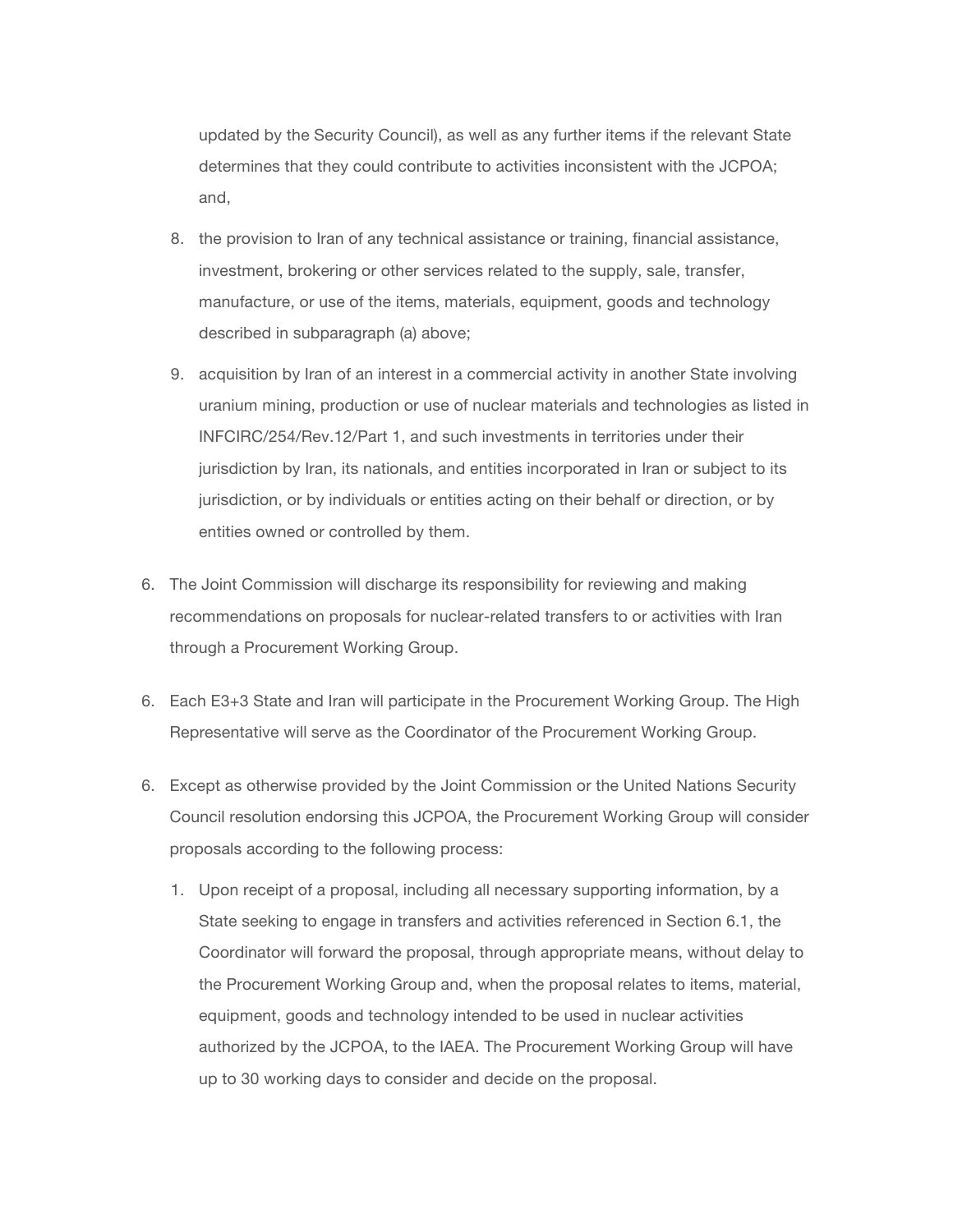updated by the Security Council), as well as any further items if the relevant State determines that they could contribute to activities inconsistent with the JCPOA; and,

- 8. the provision to Iran of any technical assistance or training, financial assistance, investment, brokering or other services related to the supply, sale, transfer, manufacture, or use of the items, materials, equipment, goods and technology described in subparagraph (a) above;
- 9. acquisition by Iran of an interest in a commercial activity in another State involving uranium mining, production or use of nuclear materials and technologies as listed in INFCIRC/254/Rev.12/Part 1, and such investments in territories under their jurisdiction by Iran, its nationals, and entities incorporated in Iran or subject to its jurisdiction, or by individuals or entities acting on their behalf or direction, or by entities owned or controlled by them.
- 6. The Joint Commission will discharge its responsibility for reviewing and making recommendations on proposals for nuclear-related transfers to or activities with Iran through a Procurement Working Group.
- 6. Each E3+3 State and Iran will participate in the Procurement Working Group. The High Representative will serve as the Coordinator of the Procurement Working Group.
- 6. Except as otherwise provided by the Joint Commission or the United Nations Security Council resolution endorsing this JCPOA, the Procurement Working Group will consider proposals according to the following process:
	- 1. Upon receipt of a proposal, including all necessary supporting information, by a State seeking to engage in transfers and activities referenced in Section 6.1, the Coordinator will forward the proposal, through appropriate means, without delay to the Procurement Working Group and, when the proposal relates to items, material, equipment, goods and technology intended to be used in nuclear activities authorized by the JCPOA, to the IAEA. The Procurement Working Group will have up to 30 working days to consider and decide on the proposal.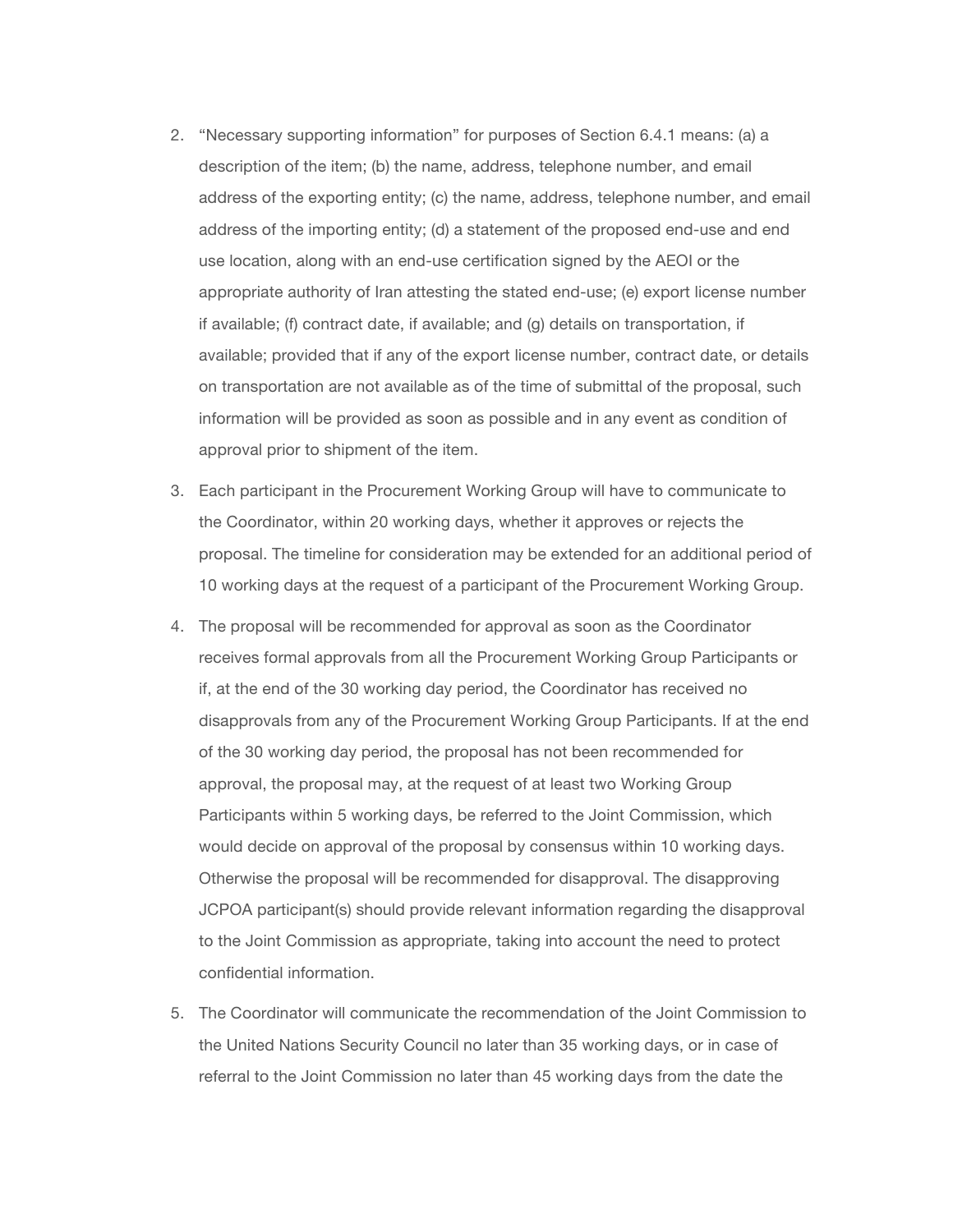- 2. "Necessary supporting information" for purposes of Section 6.4.1 means: (a) a description of the item; (b) the name, address, telephone number, and email address of the exporting entity; (c) the name, address, telephone number, and email address of the importing entity; (d) a statement of the proposed end-use and end use location, along with an end-use certification signed by the AEOI or the appropriate authority of Iran attesting the stated end-use; (e) export license number if available; (f) contract date, if available; and (g) details on transportation, if available; provided that if any of the export license number, contract date, or details on transportation are not available as of the time of submittal of the proposal, such information will be provided as soon as possible and in any event as condition of approval prior to shipment of the item.
- 3. Each participant in the Procurement Working Group will have to communicate to the Coordinator, within 20 working days, whether it approves or rejects the proposal. The timeline for consideration may be extended for an additional period of 10 working days at the request of a participant of the Procurement Working Group.
- 4. The proposal will be recommended for approval as soon as the Coordinator receives formal approvals from all the Procurement Working Group Participants or if, at the end of the 30 working day period, the Coordinator has received no disapprovals from any of the Procurement Working Group Participants. If at the end of the 30 working day period, the proposal has not been recommended for approval, the proposal may, at the request of at least two Working Group Participants within 5 working days, be referred to the Joint Commission, which would decide on approval of the proposal by consensus within 10 working days. Otherwise the proposal will be recommended for disapproval. The disapproving JCPOA participant(s) should provide relevant information regarding the disapproval to the Joint Commission as appropriate, taking into account the need to protect confidential information.
- 5. The Coordinator will communicate the recommendation of the Joint Commission to the United Nations Security Council no later than 35 working days, or in case of referral to the Joint Commission no later than 45 working days from the date the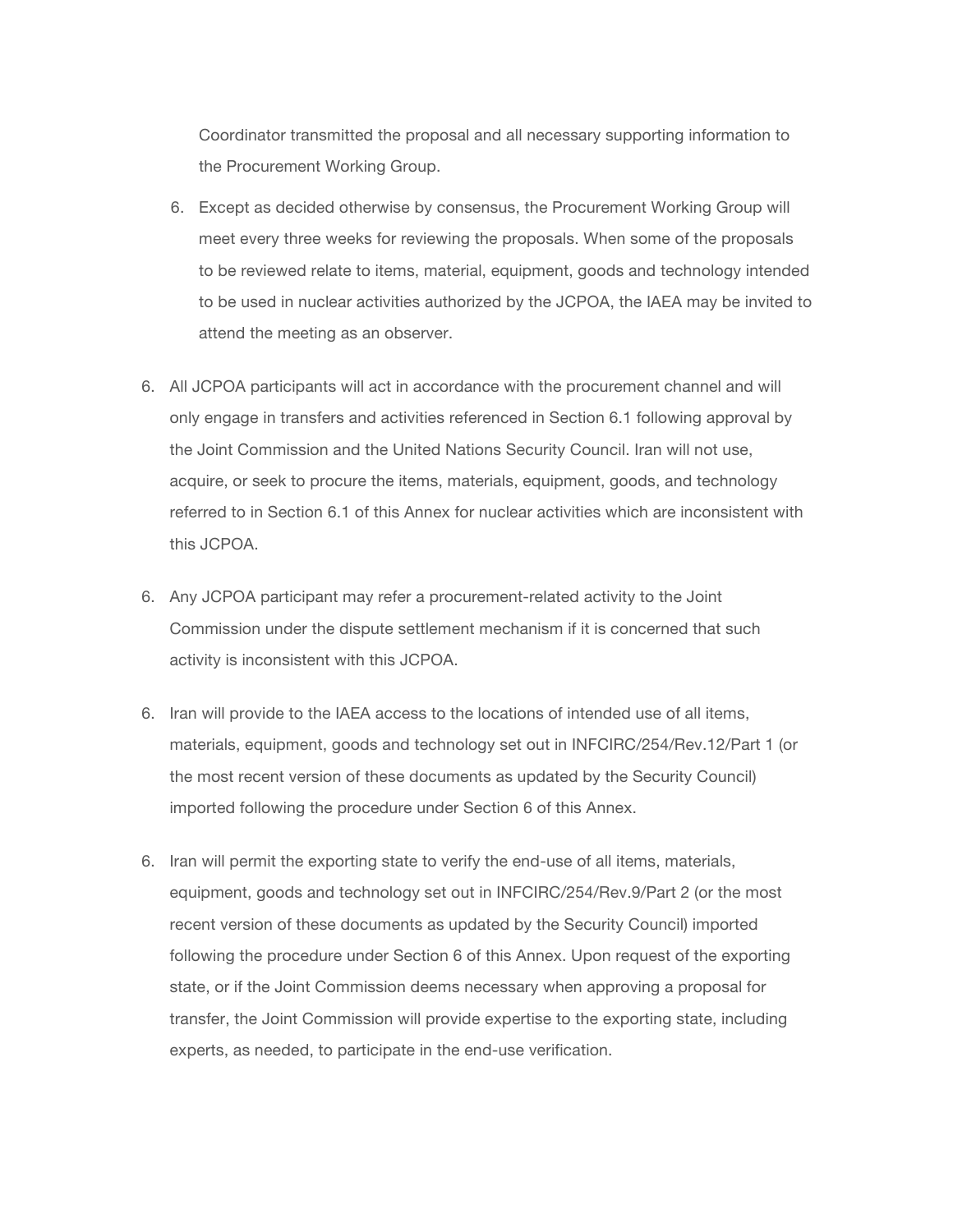Coordinator transmitted the proposal and all necessary supporting information to the Procurement Working Group.

- 6. Except as decided otherwise by consensus, the Procurement Working Group will meet every three weeks for reviewing the proposals. When some of the proposals to be reviewed relate to items, material, equipment, goods and technology intended to be used in nuclear activities authorized by the JCPOA, the IAEA may be invited to attend the meeting as an observer.
- 6. All JCPOA participants will act in accordance with the procurement channel and will only engage in transfers and activities referenced in Section 6.1 following approval by the Joint Commission and the United Nations Security Council. Iran will not use, acquire, or seek to procure the items, materials, equipment, goods, and technology referred to in Section 6.1 of this Annex for nuclear activities which are inconsistent with this JCPOA.
- 6. Any JCPOA participant may refer a procurement-related activity to the Joint Commission under the dispute settlement mechanism if it is concerned that such activity is inconsistent with this JCPOA.
- 6. Iran will provide to the IAEA access to the locations of intended use of all items, materials, equipment, goods and technology set out in INFCIRC/254/Rev.12/Part 1 (or the most recent version of these documents as updated by the Security Council) imported following the procedure under Section 6 of this Annex.
- 6. Iran will permit the exporting state to verify the end-use of all items, materials, equipment, goods and technology set out in INFCIRC/254/Rev.9/Part 2 (or the most recent version of these documents as updated by the Security Council) imported following the procedure under Section 6 of this Annex. Upon request of the exporting state, or if the Joint Commission deems necessary when approving a proposal for transfer, the Joint Commission will provide expertise to the exporting state, including experts, as needed, to participate in the end-use verification.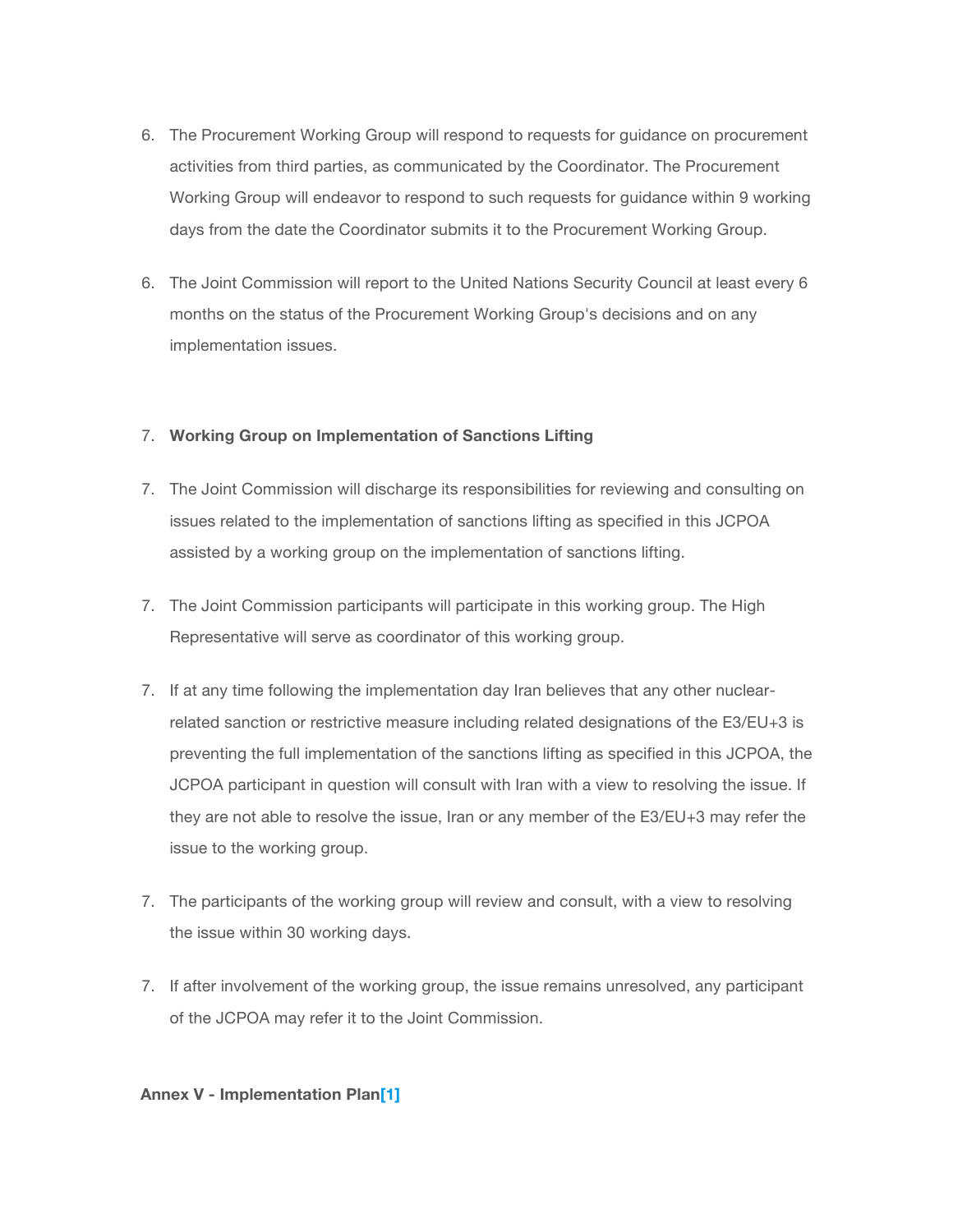- 6. The Procurement Working Group will respond to requests for guidance on procurement activities from third parties, as communicated by the Coordinator. The Procurement Working Group will endeavor to respond to such requests for guidance within 9 working days from the date the Coordinator submits it to the Procurement Working Group.
- 6. The Joint Commission will report to the United Nations Security Council at least every 6 months on the status of the Procurement Working Group's decisions and on any implementation issues.

## 7. **Working Group on Implementation of Sanctions Lifting**

- 7. The Joint Commission will discharge its responsibilities for reviewing and consulting on issues related to the implementation of sanctions lifting as specified in this JCPOA assisted by a working group on the implementation of sanctions lifting.
- 7. The Joint Commission participants will participate in this working group. The High Representative will serve as coordinator of this working group.
- 7. If at any time following the implementation day Iran believes that any other nuclearrelated sanction or restrictive measure including related designations of the E3/EU+3 is preventing the full implementation of the sanctions lifting as specified in this JCPOA, the JCPOA participant in question will consult with Iran with a view to resolving the issue. If they are not able to resolve the issue, Iran or any member of the E3/EU+3 may refer the issue to the working group.
- 7. The participants of the working group will review and consult, with a view to resolving the issue within 30 working days.
- 7. If after involvement of the working group, the issue remains unresolved, any participant of the JCPOA may refer it to the Joint Commission.

## **Annex V - Implementation Pla[n\[1\]](http://www.mid.ru/foreign_policy/news/-/asset_publisher/cKNonkJE02Bw/content/id/1571042#_ftn1)**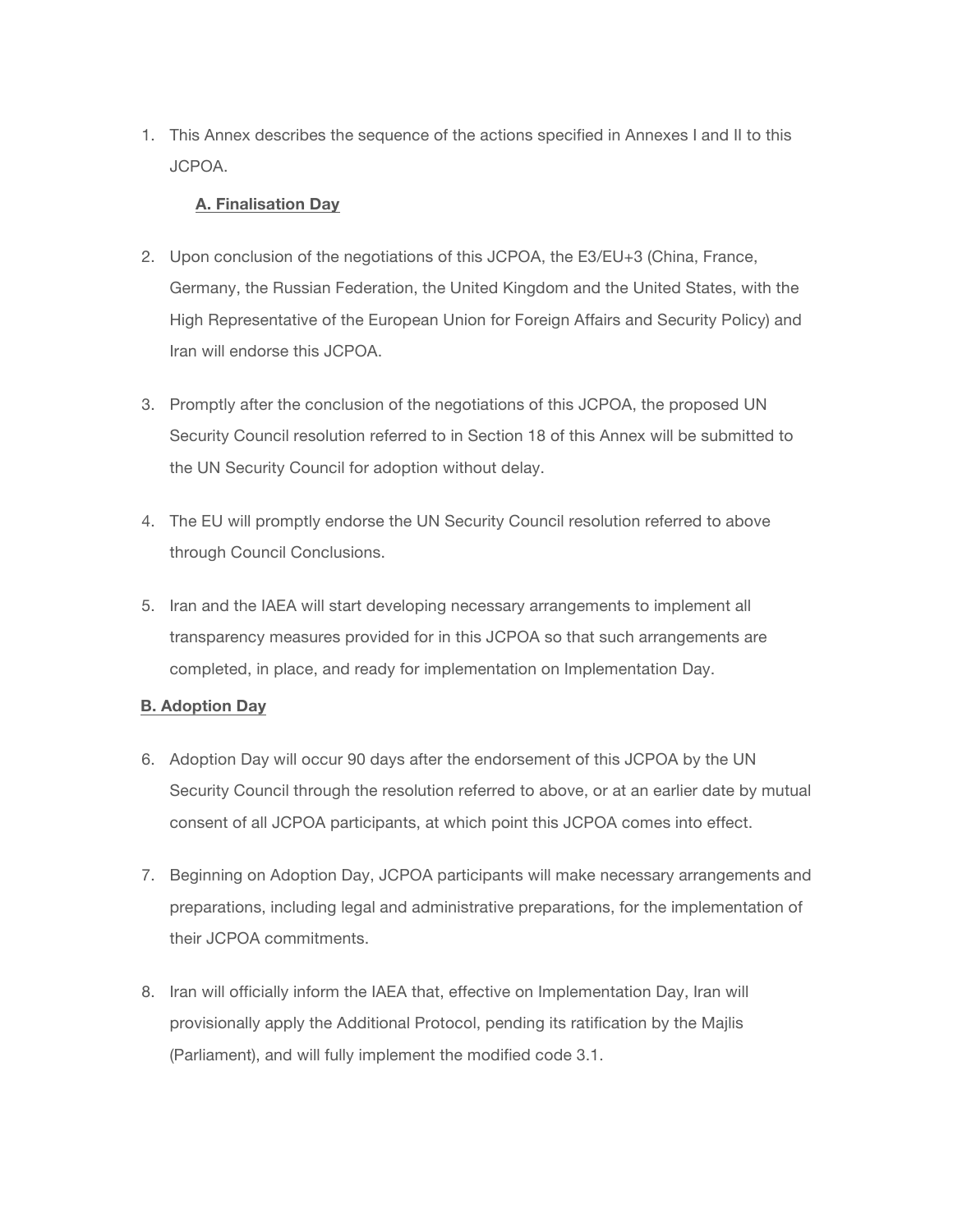1. This Annex describes the sequence of the actions specified in Annexes I and II to this JCPOA.

## **A. Finalisation Day**

- 2. Upon conclusion of the negotiations of this JCPOA, the E3/EU+3 (China, France, Germany, the Russian Federation, the United Kingdom and the United States, with the High Representative of the European Union for Foreign Affairs and Security Policy) and Iran will endorse this JCPOA.
- 3. Promptly after the conclusion of the negotiations of this JCPOA, the proposed UN Security Council resolution referred to in Section 18 of this Annex will be submitted to the UN Security Council for adoption without delay.
- 4. The EU will promptly endorse the UN Security Council resolution referred to above through Council Conclusions.
- 5. Iran and the IAEA will start developing necessary arrangements to implement all transparency measures provided for in this JCPOA so that such arrangements are completed, in place, and ready for implementation on Implementation Day.

## **B. Adoption Day**

- 6. Adoption Day will occur 90 days after the endorsement of this JCPOA by the UN Security Council through the resolution referred to above, or at an earlier date by mutual consent of all JCPOA participants, at which point this JCPOA comes into effect.
- 7. Beginning on Adoption Day, JCPOA participants will make necessary arrangements and preparations, including legal and administrative preparations, for the implementation of their JCPOA commitments.
- 8. Iran will officially inform the IAEA that, effective on Implementation Day, Iran will provisionally apply the Additional Protocol, pending its ratification by the Majlis (Parliament), and will fully implement the modified code 3.1.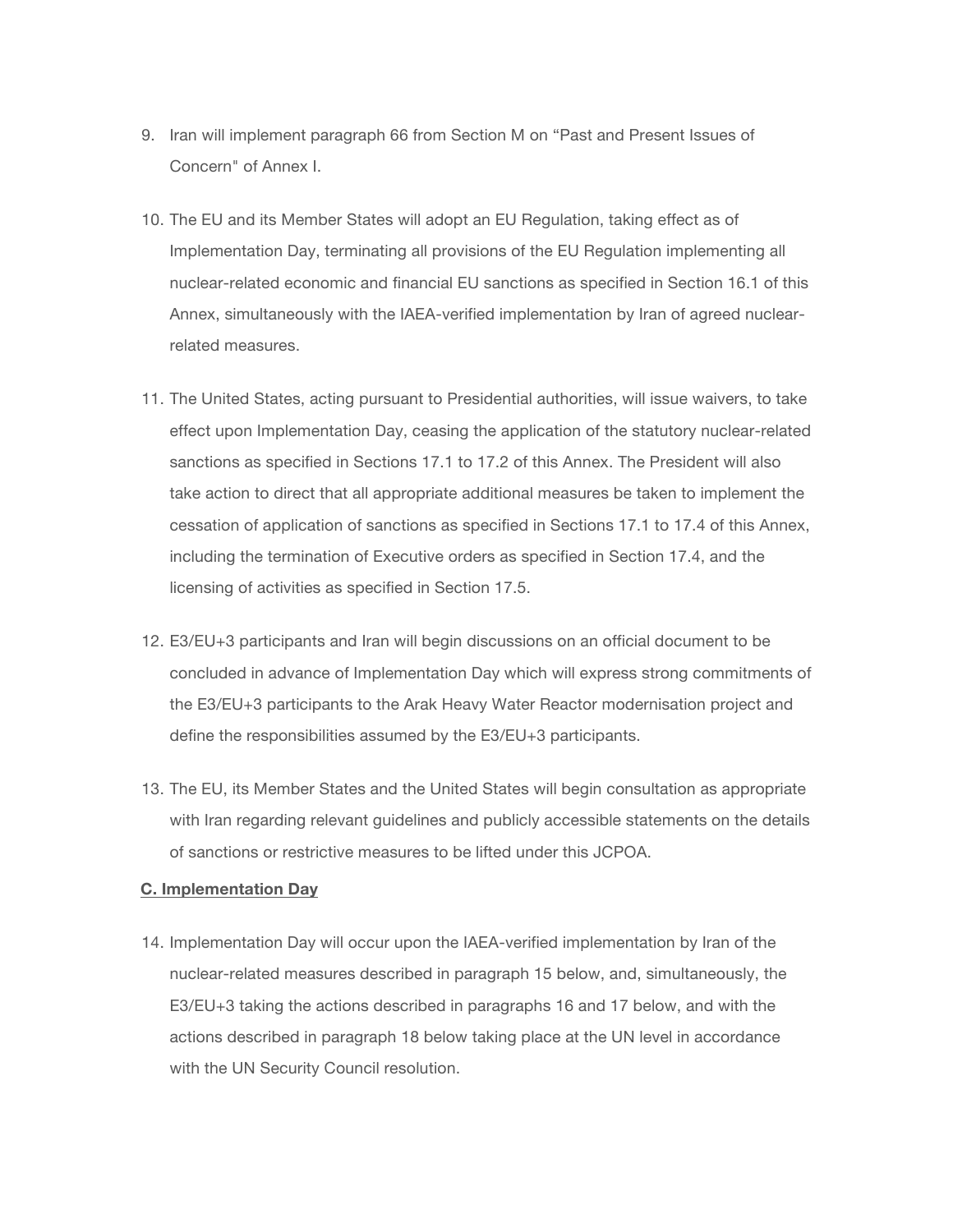- 9. Iran will implement paragraph 66 from Section M on "Past and Present Issues of Concern" of Annex I.
- 10. The EU and its Member States will adopt an EU Regulation, taking effect as of Implementation Day, terminating all provisions of the EU Regulation implementing all nuclear-related economic and financial EU sanctions as specified in Section 16.1 of this Annex, simultaneously with the IAEA-verified implementation by Iran of agreed nuclearrelated measures.
- 11. The United States, acting pursuant to Presidential authorities, will issue waivers, to take effect upon Implementation Day, ceasing the application of the statutory nuclear-related sanctions as specified in Sections 17.1 to 17.2 of this Annex. The President will also take action to direct that all appropriate additional measures be taken to implement the cessation of application of sanctions as specified in Sections 17.1 to 17.4 of this Annex, including the termination of Executive orders as specified in Section 17.4, and the licensing of activities as specified in Section 17.5.
- 12. E3/EU+3 participants and Iran will begin discussions on an official document to be concluded in advance of Implementation Day which will express strong commitments of the E3/EU+3 participants to the Arak Heavy Water Reactor modernisation project and define the responsibilities assumed by the E3/EU+3 participants.
- 13. The EU, its Member States and the United States will begin consultation as appropriate with Iran regarding relevant guidelines and publicly accessible statements on the details of sanctions or restrictive measures to be lifted under this JCPOA.

### **C. Implementation Day**

14. Implementation Day will occur upon the IAEA-verified implementation by Iran of the nuclear-related measures described in paragraph 15 below, and, simultaneously, the E3/EU+3 taking the actions described in paragraphs 16 and 17 below, and with the actions described in paragraph 18 below taking place at the UN level in accordance with the UN Security Council resolution.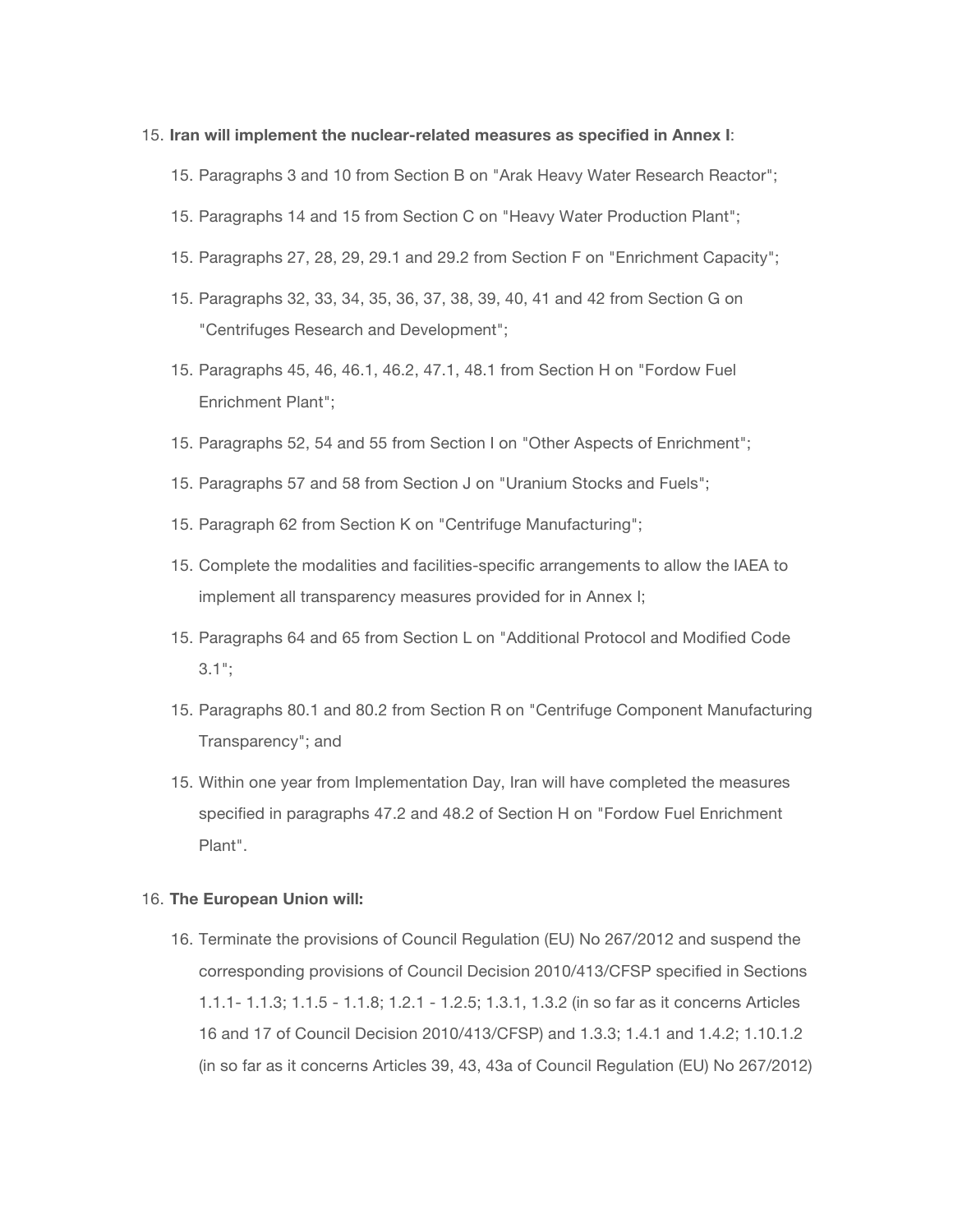#### 15. **Iran will implement the nuclear-related measures as specified in Annex I**:

- 15. Paragraphs 3 and 10 from Section B on "Arak Heavy Water Research Reactor";
- 15. Paragraphs 14 and 15 from Section C on "Heavy Water Production Plant";
- 15. Paragraphs 27, 28, 29, 29.1 and 29.2 from Section F on "Enrichment Capacity";
- 15. Paragraphs 32, 33, 34, 35, 36, 37, 38, 39, 40, 41 and 42 from Section G on "Centrifuges Research and Development";
- 15. Paragraphs 45, 46, 46.1, 46.2, 47.1, 48.1 from Section H on "Fordow Fuel Enrichment Plant";
- 15. Paragraphs 52, 54 and 55 from Section I on "Other Aspects of Enrichment";
- 15. Paragraphs 57 and 58 from Section J on "Uranium Stocks and Fuels";
- 15. Paragraph 62 from Section K on "Centrifuge Manufacturing";
- 15. Complete the modalities and facilities-specific arrangements to allow the IAEA to implement all transparency measures provided for in Annex I;
- 15. Paragraphs 64 and 65 from Section L on "Additional Protocol and Modified Code  $3.1$ ";
- 15. Paragraphs 80.1 and 80.2 from Section R on "Centrifuge Component Manufacturing Transparency"; and
- 15. Within one year from Implementation Day, Iran will have completed the measures specified in paragraphs 47.2 and 48.2 of Section H on "Fordow Fuel Enrichment Plant".

#### 16. **The European Union will:**

16. Terminate the provisions of Council Regulation (EU) No 267/2012 and suspend the corresponding provisions of Council Decision 2010/413/CFSP specified in Sections 1.1.1- 1.1.3; 1.1.5 - 1.1.8; 1.2.1 - 1.2.5; 1.3.1, 1.3.2 (in so far as it concerns Articles 16 and 17 of Council Decision 2010/413/CFSP) and 1.3.3; 1.4.1 and 1.4.2; 1.10.1.2 (in so far as it concerns Articles 39, 43, 43a of Council Regulation (EU) No 267/2012)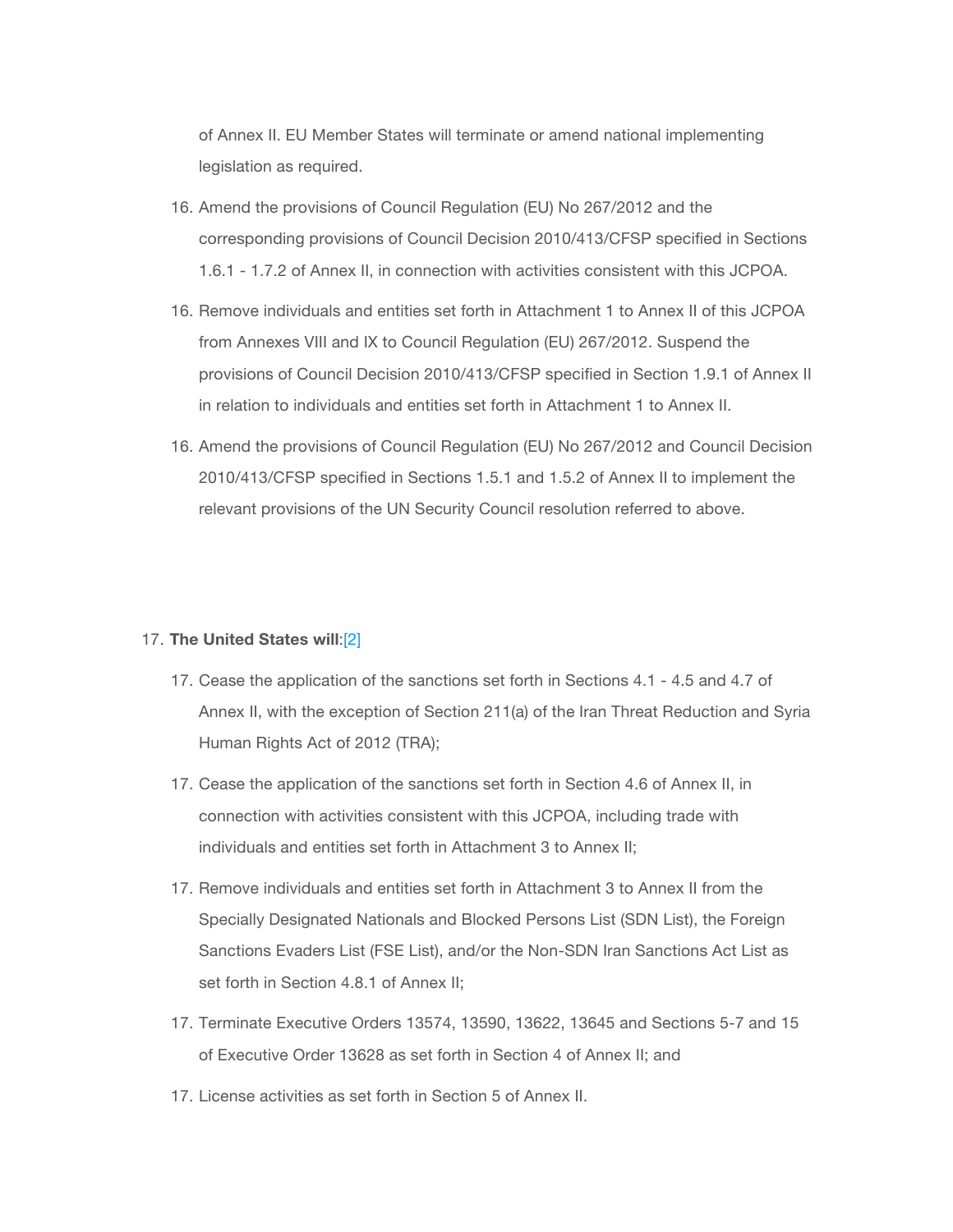of Annex II. EU Member States will terminate or amend national implementing legislation as required.

- 16. Amend the provisions of Council Regulation (EU) No 267/2012 and the corresponding provisions of Council Decision 2010/413/CFSP specified in Sections 1.6.1 - 1.7.2 of Annex II, in connection with activities consistent with this JCPOA.
- 16. Remove individuals and entities set forth in Attachment 1 to Annex II of this JCPOA from Annexes VIII and IX to Council Regulation (EU) 267/2012. Suspend the provisions of Council Decision 2010/413/CFSP specified in Section 1.9.1 of Annex II in relation to individuals and entities set forth in Attachment 1 to Annex II.
- 16. Amend the provisions of Council Regulation (EU) No 267/2012 and Council Decision 2010/413/CFSP specified in Sections 1.5.1 and 1.5.2 of Annex II to implement the relevant provisions of the UN Security Council resolution referred to above.

#### 17. **The United States will**:[2]

- 17. Cease the application of the sanctions set forth in Sections 4.1 4.5 and 4.7 of Annex II, with the exception of Section 211(a) of the Iran Threat Reduction and Syria Human Rights Act of 2012 (TRA);
- 17. Cease the application of the sanctions set forth in Section 4.6 of Annex II, in connection with activities consistent with this JCPOA, including trade with individuals and entities set forth in Attachment 3 to Annex II;
- 17. Remove individuals and entities set forth in Attachment 3 to Annex II from the Specially Designated Nationals and Blocked Persons List (SDN List), the Foreign Sanctions Evaders List (FSE List), and/or the Non-SDN Iran Sanctions Act List as set forth in Section 4.8.1 of Annex II;
- 17. Terminate Executive Orders 13574, 13590, 13622, 13645 and Sections 5-7 and 15 of Executive Order 13628 as set forth in Section 4 of Annex II; and
- 17. License activities as set forth in Section 5 of Annex II.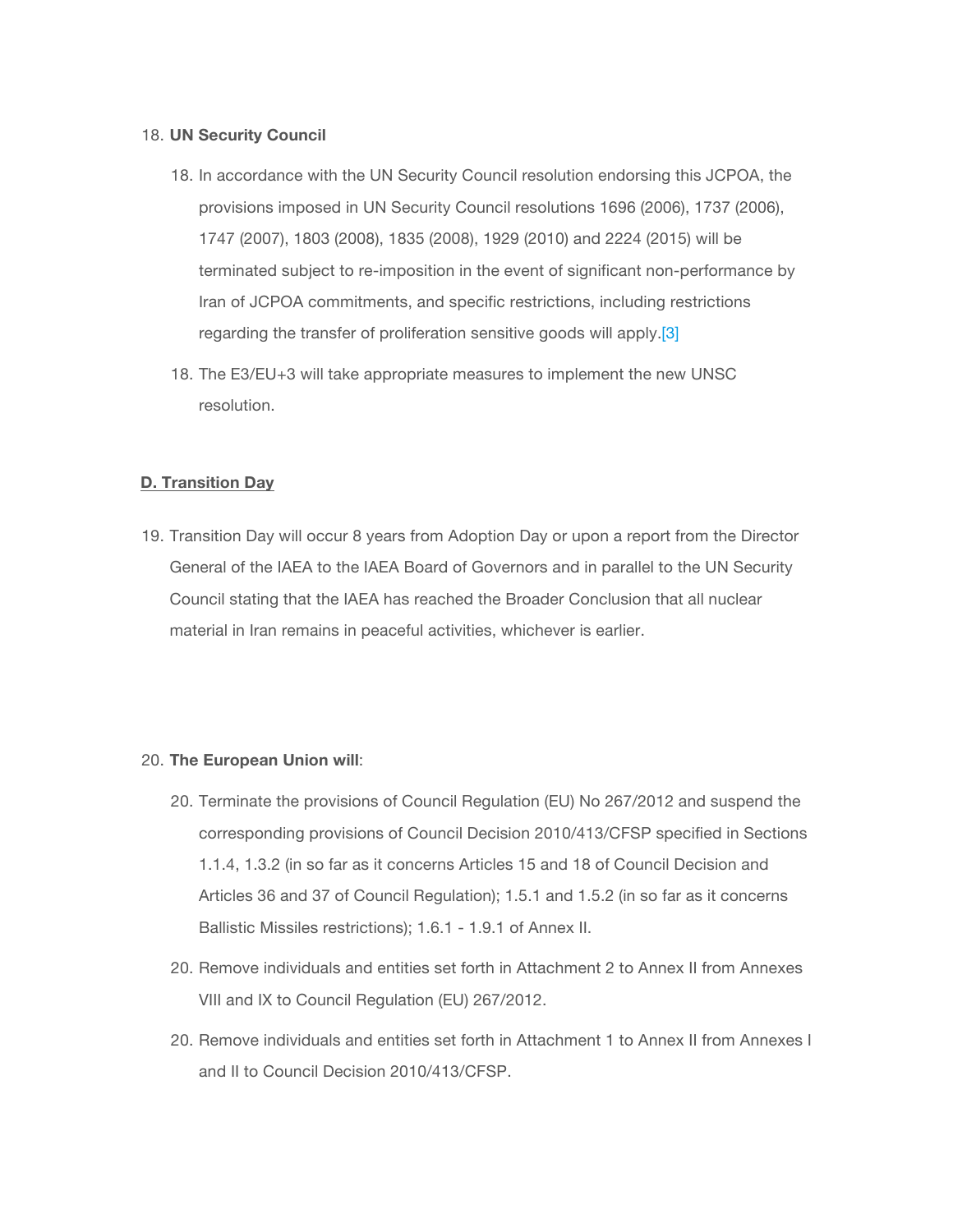### 18. **UN Security Council**

- 18. In accordance with the UN Security Council resolution endorsing this JCPOA, the provisions imposed in UN Security Council resolutions 1696 (2006), 1737 (2006), 1747 (2007), 1803 (2008), 1835 (2008), 1929 (2010) and 2224 (2015) will be terminated subject to re-imposition in the event of significant non-performance by Iran of JCPOA commitments, and specific restrictions, including restrictions regarding the transfer of proliferation sensitive goods will apply[.\[3\]](http://www.mid.ru/foreign_policy/news/-/asset_publisher/cKNonkJE02Bw/content/id/1571042#_ftn3)
- 18. The E3/EU+3 will take appropriate measures to implement the new UNSC resolution.

# **D. Transition Day**

19. Transition Day will occur 8 years from Adoption Day or upon a report from the Director General of the IAEA to the IAEA Board of Governors and in parallel to the UN Security Council stating that the IAEA has reached the Broader Conclusion that all nuclear material in Iran remains in peaceful activities, whichever is earlier.

## 20. **The European Union will**:

- 20. Terminate the provisions of Council Regulation (EU) No 267/2012 and suspend the corresponding provisions of Council Decision 2010/413/CFSP specified in Sections 1.1.4, 1.3.2 (in so far as it concerns Articles 15 and 18 of Council Decision and Articles 36 and 37 of Council Regulation); 1.5.1 and 1.5.2 (in so far as it concerns Ballistic Missiles restrictions); 1.6.1 - 1.9.1 of Annex II.
- 20. Remove individuals and entities set forth in Attachment 2 to Annex II from Annexes VIII and IX to Council Regulation (EU) 267/2012.
- 20. Remove individuals and entities set forth in Attachment 1 to Annex II from Annexes I and II to Council Decision 2010/413/CFSP.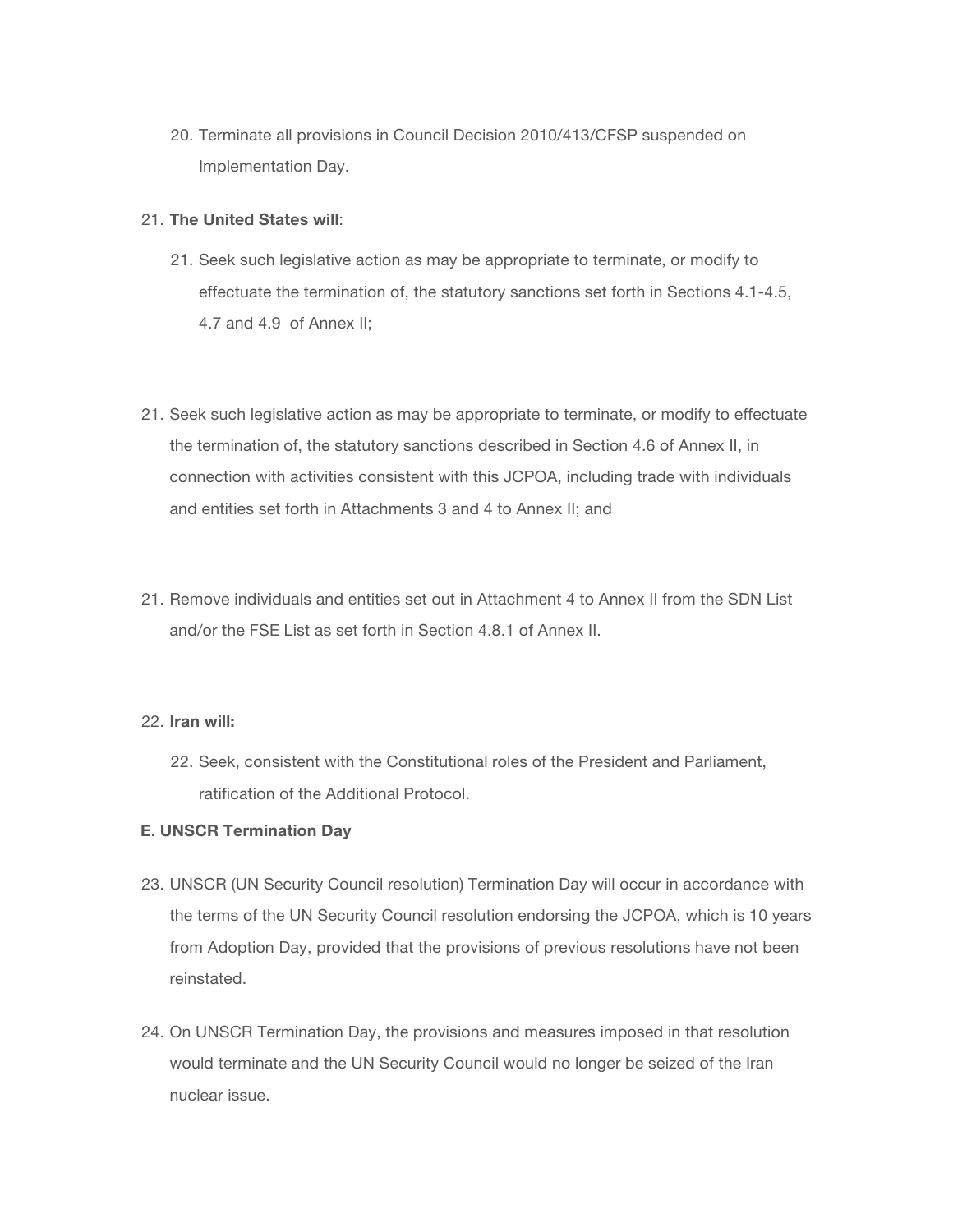20. Terminate all provisions in Council Decision 2010/413/CFSP suspended on Implementation Day.

### 21. **The United States will**:

- 21. Seek such legislative action as may be appropriate to terminate, or modify to effectuate the termination of, the statutory sanctions set forth in Sections 4.1-4.5, 4.7 and 4.9 of Annex II;
- 21. Seek such legislative action as may be appropriate to terminate, or modify to effectuate the termination of, the statutory sanctions described in Section 4.6 of Annex II, in connection with activities consistent with this JCPOA, including trade with individuals and entities set forth in Attachments 3 and 4 to Annex II; and
- 21. Remove individuals and entities set out in Attachment 4 to Annex II from the SDN List and/or the FSE List as set forth in Section 4.8.1 of Annex II.

## 22. **Iran will:**

22. Seek, consistent with the Constitutional roles of the President and Parliament, ratification of the Additional Protocol.

## **E. UNSCR Termination Day**

- 23. UNSCR (UN Security Council resolution) Termination Day will occur in accordance with the terms of the UN Security Council resolution endorsing the JCPOA, which is 10 years from Adoption Day, provided that the provisions of previous resolutions have not been reinstated.
- 24. On UNSCR Termination Day, the provisions and measures imposed in that resolution would terminate and the UN Security Council would no longer be seized of the Iran nuclear issue.